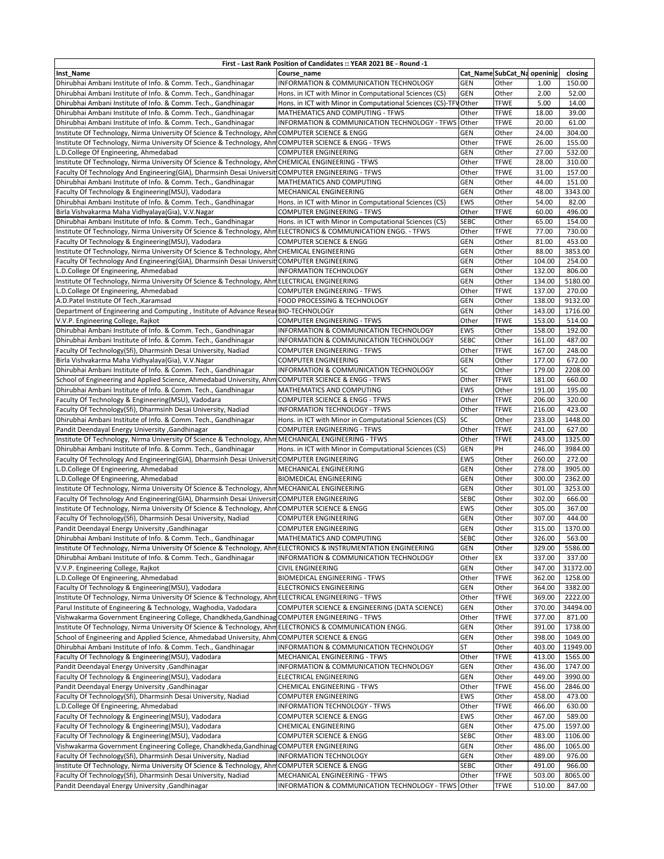| First - Last Rank Position of Candidates :: YEAR 2021 BE - Round -1                                             |                                                                  |             |                             |                  |          |  |  |  |
|-----------------------------------------------------------------------------------------------------------------|------------------------------------------------------------------|-------------|-----------------------------|------------------|----------|--|--|--|
| Inst_Name                                                                                                       | Course name                                                      |             | Cat_Name SubCat_Na openinig |                  | closing  |  |  |  |
| Dhirubhai Ambani Institute of Info. & Comm. Tech., Gandhinagar                                                  | INFORMATION & COMMUNICATION TECHNOLOGY                           | <b>GEN</b>  | Other                       | 1.00             | 150.00   |  |  |  |
| Dhirubhai Ambani Institute of Info. & Comm. Tech., Gandhinagar                                                  | Hons. in ICT with Minor in Computational Sciences (CS)           | <b>GEN</b>  | Other                       | 2.00             | 52.00    |  |  |  |
| Dhirubhai Ambani Institute of Info. & Comm. Tech., Gandhinagar                                                  | Hons. in ICT with Minor in Computational Sciences (CS)-TFV Other |             | <b>TFWE</b>                 | 5.00             | 14.00    |  |  |  |
| Dhirubhai Ambani Institute of Info. & Comm. Tech., Gandhinagar                                                  | MATHEMATICS AND COMPUTING - TFWS                                 | Other       | <b>TFWE</b>                 | 18.00            | 39.00    |  |  |  |
| Dhirubhai Ambani Institute of Info. & Comm. Tech., Gandhinagar                                                  | INFORMATION & COMMUNICATION TECHNOLOGY - TFWS Other              |             | <b>TFWE</b>                 | 20.00            | 61.00    |  |  |  |
| Institute Of Technology, Nirma University Of Science & Technology, AhmCOMPUTER SCIENCE & ENGG                   |                                                                  | <b>GEN</b>  | Other                       | 24.00            | 304.00   |  |  |  |
| Institute Of Technology, Nirma University Of Science & Technology, Ahm COMPUTER SCIENCE & ENGG - TFWS           |                                                                  | Other       | <b>TFWE</b>                 | 26.00            | 155.00   |  |  |  |
| L.D.College Of Engineering, Ahmedabad                                                                           | <b>COMPUTER ENGINEERING</b>                                      | <b>GEN</b>  | Other                       | 27.00            | 532.00   |  |  |  |
| Institute Of Technology, Nirma University Of Science & Technology, Ahm CHEMICAL ENGINEERING - TFWS              |                                                                  | Other       | <b>TFWE</b>                 | 28.00            | 310.00   |  |  |  |
| Faculty Of Technology And Engineering(GIA), Dharmsinh Desai Universit COMPUTER ENGINEERING - TFWS               |                                                                  | Other       | <b>TFWE</b>                 | 31.00            | 157.00   |  |  |  |
| Dhirubhai Ambani Institute of Info. & Comm. Tech., Gandhinagar                                                  | MATHEMATICS AND COMPUTING                                        | <b>GEN</b>  | Other                       | 44.00            | 151.00   |  |  |  |
| Faculty Of Technology & Engineering(MSU), Vadodara                                                              | MECHANICAL ENGINEERING                                           | <b>GEN</b>  | Other                       | 48.00            | 3343.00  |  |  |  |
| Dhirubhai Ambani Institute of Info. & Comm. Tech., Gandhinagar                                                  | Hons. in ICT with Minor in Computational Sciences (CS)           | <b>EWS</b>  | Other                       | 54.00            | 82.00    |  |  |  |
| Birla Vishvakarma Maha Vidhyalaya(Gia), V.V.Nagar                                                               | <b>COMPUTER ENGINEERING - TFWS</b>                               | Other       | <b>TFWE</b>                 | 60.00            | 496.00   |  |  |  |
| Dhirubhai Ambani Institute of Info. & Comm. Tech., Gandhinagar                                                  | Hons. in ICT with Minor in Computational Sciences (CS)           | <b>SEBC</b> | Other                       | 65.00            | 154.00   |  |  |  |
| Institute Of Technology, Nirma University Of Science & Technology, Ahm ELECTRONICS & COMMUNICATION ENGG. - TFWS |                                                                  | Other       | <b>TFWE</b>                 | 77.00            | 730.00   |  |  |  |
| Faculty Of Technology & Engineering(MSU), Vadodara                                                              | <b>COMPUTER SCIENCE &amp; ENGG</b>                               | <b>GEN</b>  | Other                       | 81.00            | 453.00   |  |  |  |
| Institute Of Technology, Nirma University Of Science & Technology, Ahm CHEMICAL ENGINEERING                     |                                                                  | <b>GEN</b>  | Other                       | 88.00            | 3853.00  |  |  |  |
|                                                                                                                 |                                                                  |             | Other                       |                  |          |  |  |  |
| Faculty Of Technology And Engineering(GIA), Dharmsinh Desai Universit(COMPUTER ENGINEERING                      |                                                                  | <b>GEN</b>  |                             | 104.00<br>132.00 | 254.00   |  |  |  |
| L.D.College Of Engineering, Ahmedabad                                                                           | <b>INFORMATION TECHNOLOGY</b>                                    | GEN         | Other                       |                  | 806.00   |  |  |  |
| Institute Of Technology, Nirma University Of Science & Technology, Ahm ELECTRICAL ENGINEERING                   |                                                                  | <b>GEN</b>  | Other                       | 134.00           | 5180.00  |  |  |  |
| L.D.College Of Engineering, Ahmedabad                                                                           | <b>COMPUTER ENGINEERING - TFWS</b>                               | Other       | <b>TFWE</b>                 | 137.00           | 270.00   |  |  |  |
| A.D.Patel Institute Of Tech., Karamsad                                                                          | FOOD PROCESSING & TECHNOLOGY                                     | <b>GEN</b>  | Other                       | 138.00           | 9132.00  |  |  |  |
| Department of Engineering and Computing, Institute of Advance Resear BIO-TECHNOLOGY                             |                                                                  | GEN         | Other                       | 143.00           | 1716.00  |  |  |  |
| V.V.P. Engineering College, Rajkot                                                                              | <b>COMPUTER ENGINEERING - TFWS</b>                               | Other       | <b>TFWE</b>                 | 153.00           | 514.00   |  |  |  |
| Dhirubhai Ambani Institute of Info. & Comm. Tech., Gandhinagar                                                  | INFORMATION & COMMUNICATION TECHNOLOGY                           | <b>EWS</b>  | Other                       | 158.00           | 192.00   |  |  |  |
| Dhirubhai Ambani Institute of Info. & Comm. Tech., Gandhinagar                                                  | INFORMATION & COMMUNICATION TECHNOLOGY                           | <b>SEBC</b> | Other                       | 161.00           | 487.00   |  |  |  |
| Faculty Of Technology(Sfi), Dharmsinh Desai University, Nadiad                                                  | <b>COMPUTER ENGINEERING - TFWS</b>                               | Other       | <b>TFWE</b>                 | 167.00           | 248.00   |  |  |  |
| Birla Vishvakarma Maha Vidhyalaya(Gia), V.V.Nagar                                                               | <b>COMPUTER ENGINEERING</b>                                      | <b>GEN</b>  | Other                       | 177.00           | 672.00   |  |  |  |
| Dhirubhai Ambani Institute of Info. & Comm. Tech., Gandhinagar                                                  | INFORMATION & COMMUNICATION TECHNOLOGY                           | SC          | Other                       | 179.00           | 2208.00  |  |  |  |
| School of Engineering and Applied Science, Ahmedabad University, Ahm COMPUTER SCIENCE & ENGG - TFWS             |                                                                  | Other       | <b>TFWE</b>                 | 181.00           | 660.00   |  |  |  |
| Dhirubhai Ambani Institute of Info. & Comm. Tech., Gandhinagar                                                  | MATHEMATICS AND COMPUTING                                        | <b>EWS</b>  | Other                       | 191.00           | 195.00   |  |  |  |
| Faculty Of Technology & Engineering(MSU), Vadodara                                                              | COMPUTER SCIENCE & ENGG - TFWS                                   | Other       | <b>TFWE</b>                 | 206.00           | 320.00   |  |  |  |
| Faculty Of Technology(Sfi), Dharmsinh Desai University, Nadiad                                                  | INFORMATION TECHNOLOGY - TFWS                                    | Other       | <b>TFWE</b>                 | 216.00           | 423.00   |  |  |  |
| Dhirubhai Ambani Institute of Info. & Comm. Tech., Gandhinagar                                                  | Hons. in ICT with Minor in Computational Sciences (CS)           | SC          | Other                       | 233.00           | 1448.00  |  |  |  |
| Pandit Deendayal Energy University , Gandhinagar                                                                | <b>COMPUTER ENGINEERING - TFWS</b>                               | Other       | <b>TFWE</b>                 | 241.00           | 627.00   |  |  |  |
| Institute Of Technology, Nirma University Of Science & Technology, Ahm MECHANICAL ENGINEERING - TFWS            |                                                                  | Other       | <b>TFWE</b>                 | 243.00           | 1325.00  |  |  |  |
| Dhirubhai Ambani Institute of Info. & Comm. Tech., Gandhinagar                                                  | Hons. in ICT with Minor in Computational Sciences (CS)           | <b>GEN</b>  | PH                          | 246.00           | 3984.00  |  |  |  |
| Faculty Of Technology And Engineering(GIA), Dharmsinh Desai Universit COMPUTER ENGINEERING                      |                                                                  | <b>EWS</b>  | Other                       | 260.00           | 272.00   |  |  |  |
| L.D.College Of Engineering, Ahmedabad                                                                           | MECHANICAL ENGINEERING                                           | <b>GEN</b>  | Other                       | 278.00           | 3905.00  |  |  |  |
| L.D.College Of Engineering, Ahmedabad                                                                           | <b>BIOMEDICAL ENGINEERING</b>                                    | <b>GEN</b>  | Other                       | 300.00           | 2362.00  |  |  |  |
| Institute Of Technology, Nirma University Of Science & Technology, Ahm MECHANICAL ENGINEERING                   |                                                                  | <b>GEN</b>  | Other                       | 301.00           | 3253.00  |  |  |  |
| Faculty Of Technology And Engineering(GIA), Dharmsinh Desai Universit COMPUTER ENGINEERING                      |                                                                  | <b>SEBC</b> | Other                       | 302.00           | 666.00   |  |  |  |
| Institute Of Technology, Nirma University Of Science & Technology, Ahm COMPUTER SCIENCE & ENGG                  |                                                                  | <b>EWS</b>  | Other                       | 305.00           | 367.00   |  |  |  |
| Faculty Of Technology(Sfi), Dharmsinh Desai University, Nadiad                                                  | <b>COMPUTER ENGINEERING</b>                                      | GEN         | Other                       | 307.00           | 444.00   |  |  |  |
| Pandit Deendayal Energy University , Gandhinagar                                                                | <b>COMPUTER ENGINEERING</b>                                      | <b>GEN</b>  | Other                       | 315.00           | 1370.00  |  |  |  |
| Dhirubhai Ambani Institute of Info. & Comm. Tech., Gandhinagar                                                  | MATHEMATICS AND COMPUTING                                        | <b>SEBC</b> | Other                       | 326.00           | 563.00   |  |  |  |
| Institute Of Technology, Nirma University Of Science & Technology, AhmELECTRONICS & INSTRUMENTATION ENGINEERING |                                                                  | <b>GEN</b>  | Other                       | 329.00           | 5586.00  |  |  |  |
| Dhirubhai Ambani Institute of Info. & Comm. Tech., Gandhinagar                                                  | INFORMATION & COMMUNICATION TECHNOLOGY                           | Other       | EX                          | 337.00           | 337.00   |  |  |  |
| V.V.P. Engineering College, Rajkot                                                                              | CIVIL ENGINEERING                                                | GEN         | Other                       | 347.00           | 31372.00 |  |  |  |
| L.D.College Of Engineering, Ahmedabad                                                                           | <b>BIOMEDICAL ENGINEERING - TFWS</b>                             | Other       | <b>TFWE</b>                 | 362.00           | 1258.00  |  |  |  |
| Faculty Of Technology & Engineering(MSU), Vadodara                                                              | <b>ELECTRONICS ENGINEERING</b>                                   | <b>GEN</b>  | Other                       | 364.00           | 3382.00  |  |  |  |
| Institute Of Technology, Nirma University Of Science & Technology, AhmELECTRICAL ENGINEERING - TFWS             |                                                                  | Other       | <b>TFWE</b>                 | 369.00           | 2222.00  |  |  |  |
| Parul Institute of Engineering & Technology, Waghodia, Vadodara                                                 | COMPUTER SCIENCE & ENGINEERING (DATA SCIENCE)                    | <b>GEN</b>  | Other                       | 370.00           | 34494.00 |  |  |  |
| Vishwakarma Government Engineering College, Chandkheda, Gandhinag COMPUTER ENGINEERING - TFWS                   |                                                                  | Other       | <b>TFWE</b>                 | 377.00           | 871.00   |  |  |  |
| Institute Of Technology, Nirma University Of Science & Technology, Ahm ELECTRONICS & COMMUNICATION ENGG.        |                                                                  | <b>GEN</b>  | Other                       | 391.00           | 1738.00  |  |  |  |
| School of Engineering and Applied Science, Ahmedabad University, Ahm COMPUTER SCIENCE & ENGG                    |                                                                  | <b>GEN</b>  | Other                       | 398.00           | 1049.00  |  |  |  |
| Dhirubhai Ambani Institute of Info. & Comm. Tech., Gandhinagar                                                  | INFORMATION & COMMUNICATION TECHNOLOGY                           | <b>ST</b>   | Other                       | 403.00           | 11949.00 |  |  |  |
| Faculty Of Technology & Engineering(MSU), Vadodara                                                              | MECHANICAL ENGINEERING - TFWS                                    | Other       | <b>TFWE</b>                 | 413.00           | 1565.00  |  |  |  |
| Pandit Deendayal Energy University , Gandhinagar                                                                | INFORMATION & COMMUNICATION TECHNOLOGY                           | <b>GEN</b>  | Other                       | 436.00           | 1747.00  |  |  |  |
| Faculty Of Technology & Engineering(MSU), Vadodara                                                              | ELECTRICAL ENGINEERING                                           | GEN         | Other                       | 449.00           | 3990.00  |  |  |  |
| Pandit Deendayal Energy University , Gandhinagar                                                                | CHEMICAL ENGINEERING - TFWS                                      | Other       | <b>TFWE</b>                 | 456.00           | 2846.00  |  |  |  |
| Faculty Of Technology(Sfi), Dharmsinh Desai University, Nadiad                                                  | <b>COMPUTER ENGINEERING</b>                                      | <b>EWS</b>  | Other                       | 458.00           | 473.00   |  |  |  |
| L.D.College Of Engineering, Ahmedabad                                                                           | INFORMATION TECHNOLOGY - TFWS                                    | Other       | <b>TFWE</b>                 | 466.00           | 630.00   |  |  |  |
| Faculty Of Technology & Engineering(MSU), Vadodara                                                              | COMPUTER SCIENCE & ENGG                                          | <b>EWS</b>  | Other                       | 467.00           | 589.00   |  |  |  |
| Faculty Of Technology & Engineering(MSU), Vadodara                                                              | CHEMICAL ENGINEERING                                             | <b>GEN</b>  | Other                       | 475.00           | 1597.00  |  |  |  |
| Faculty Of Technology & Engineering(MSU), Vadodara                                                              | <b>COMPUTER SCIENCE &amp; ENGG</b>                               | <b>SEBC</b> | Other                       | 483.00           | 1106.00  |  |  |  |
| Vishwakarma Government Engineering College, Chandkheda, Gandhinag COMPUTER ENGINEERING                          |                                                                  | <b>GEN</b>  | Other                       | 486.00           | 1065.00  |  |  |  |
| Faculty Of Technology(Sfi), Dharmsinh Desai University, Nadiad                                                  |                                                                  | GEN         |                             | 489.00           | 976.00   |  |  |  |
| Institute Of Technology, Nirma University Of Science & Technology, Ahm COMPUTER SCIENCE & ENGG                  | <b>INFORMATION TECHNOLOGY</b>                                    | <b>SEBC</b> | Other                       |                  |          |  |  |  |
|                                                                                                                 |                                                                  |             | Other                       | 491.00           | 966.00   |  |  |  |
| Faculty Of Technology(Sfi), Dharmsinh Desai University, Nadiad                                                  | MECHANICAL ENGINEERING - TFWS                                    | Other       | <b>TFWE</b>                 | 503.00           | 8065.00  |  |  |  |
| Pandit Deendayal Energy University , Gandhinagar                                                                | INFORMATION & COMMUNICATION TECHNOLOGY - TFWS                    | Other       | <b>TFWE</b>                 | 510.00           | 847.00   |  |  |  |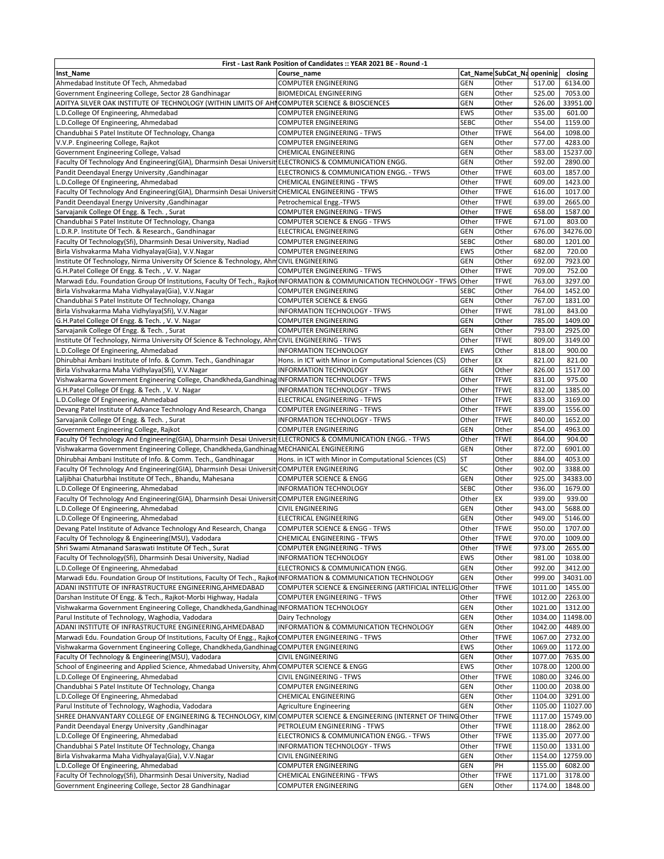|                                                                                                                       | First - Last Rank Position of Candidates :: YEAR 2021 BE - Round -1 |            |                             |         |                  |
|-----------------------------------------------------------------------------------------------------------------------|---------------------------------------------------------------------|------------|-----------------------------|---------|------------------|
| Inst Name                                                                                                             | Course name                                                         |            | Cat_Name SubCat_Na openinig |         | closing          |
| Ahmedabad Institute Of Tech, Ahmedabad                                                                                | <b>COMPUTER ENGINEERING</b>                                         | <b>GEN</b> | Other                       | 517.00  | 6134.00          |
| Government Engineering College, Sector 28 Gandhinagar                                                                 | <b>BIOMEDICAL ENGINEERING</b>                                       | <b>GEN</b> | Other                       | 525.00  | 7053.00          |
| ADITYA SILVER OAK INSTITUTE OF TECHNOLOGY (WITHIN LIMITS OF AHI COMPUTER SCIENCE & BIOSCIENCES                        |                                                                     | GEN        | Other                       | 526.00  | 33951.00         |
| L.D.College Of Engineering, Ahmedabad                                                                                 | COMPUTER ENGINEERING                                                | EWS        | Other                       | 535.00  | 601.00           |
| L.D.College Of Engineering, Ahmedabad                                                                                 | COMPUTER ENGINEERING                                                | SEBC       | Other                       | 554.00  | 1159.00          |
| Chandubhai S Patel Institute Of Technology, Changa                                                                    | COMPUTER ENGINEERING - TFWS                                         | Other      | <b>TFWE</b>                 | 564.00  | 1098.00          |
| V.V.P. Engineering College, Rajkot                                                                                    | COMPUTER ENGINEERING                                                | GEN        | Other                       | 577.00  | 4283.00          |
| Government Engineering College, Valsad                                                                                | CHEMICAL ENGINEERING                                                | GEN        | Other                       | 583.00  | 15237.00         |
| Faculty Of Technology And Engineering(GIA), Dharmsinh Desai Universit ELECTRONICS & COMMUNICATION ENGG.               |                                                                     | GEN        | Other                       | 592.00  | 2890.00          |
|                                                                                                                       |                                                                     |            |                             |         |                  |
| Pandit Deendayal Energy University , Gandhinagar                                                                      | ELECTRONICS & COMMUNICATION ENGG. - TFWS                            | Other      | <b>TFWE</b>                 | 603.00  | 1857.00          |
| L.D.College Of Engineering, Ahmedabad                                                                                 | CHEMICAL ENGINEERING - TFWS                                         | Other      | <b>TFWE</b>                 | 609.00  | 1423.00          |
| Faculty Of Technology And Engineering(GIA), Dharmsinh Desai Universit CHEMICAL ENGINEERING - TFWS                     |                                                                     | Other      | <b>TFWE</b>                 | 616.00  | 1017.00          |
| Pandit Deendayal Energy University , Gandhinagar                                                                      | Petrochemical Engg.-TFWS                                            | Other      | <b>TFWE</b>                 | 639.00  | 2665.00          |
| Sarvajanik College Of Engg. & Tech., Surat                                                                            | <b>COMPUTER ENGINEERING - TFWS</b>                                  | Other      | <b>TFWE</b>                 | 658.00  | 1587.00          |
| Chandubhai S Patel Institute Of Technology, Changa                                                                    | COMPUTER SCIENCE & ENGG - TFWS                                      | Other      | <b>TFWE</b>                 | 671.00  | 803.00           |
| L.D.R.P. Institute Of Tech. & Research., Gandhinagar                                                                  | ELECTRICAL ENGINEERING                                              | GEN        | Other                       | 676.00  | 34276.00         |
| Faculty Of Technology(Sfi), Dharmsinh Desai University, Nadiad                                                        | COMPUTER ENGINEERING                                                | SEBC       | Other                       | 680.00  | 1201.00          |
| Birla Vishvakarma Maha Vidhyalaya(Gia), V.V.Nagar                                                                     | <b>COMPUTER ENGINEERING</b>                                         | EWS        | Other                       | 682.00  | 720.00           |
| Institute Of Technology, Nirma University Of Science & Technology, Ahm CIVIL ENGINEERING                              |                                                                     | GEN        | Other                       | 692.00  | 7923.00          |
| G.H.Patel College Of Engg. & Tech., V.V. Nagar                                                                        | <b>COMPUTER ENGINEERING - TFWS</b>                                  | Other      | <b>TFWE</b>                 | 709.00  | 752.00           |
| Marwadi Edu. Foundation Group Of Institutions, Faculty Of Tech., Rajkot INFORMATION & COMMUNICATION TECHNOLOGY - TFWS |                                                                     | Other      | <b>TFWE</b>                 | 763.00  | 3297.00          |
| Birla Vishvakarma Maha Vidhyalaya(Gia), V.V.Nagar                                                                     | COMPUTER ENGINEERING                                                | SEBC       | Other                       | 764.00  | 1452.00          |
| Chandubhai S Patel Institute Of Technology, Changa                                                                    | COMPUTER SCIENCE & ENGG                                             | GEN        | Other                       | 767.00  | 1831.00          |
| Birla Vishvakarma Maha Vidhylaya(Sfi), V.V.Nagar                                                                      | INFORMATION TECHNOLOGY - TFWS                                       | Other      | <b>TFWE</b>                 | 781.00  | 843.00           |
| G.H.Patel College Of Engg. & Tech., V.V. Nagar                                                                        | COMPUTER ENGINEERING                                                | <b>GEN</b> | Other                       | 785.00  | 1409.00          |
|                                                                                                                       |                                                                     | <b>GEN</b> | Other                       | 793.00  | 2925.00          |
| Sarvajanik College Of Engg. & Tech., Surat                                                                            | <b>COMPUTER ENGINEERING</b>                                         |            |                             |         | 3149.00          |
| Institute Of Technology, Nirma University Of Science & Technology, Ahm CIVIL ENGINEERING - TFWS                       |                                                                     | Other      | <b>TFWE</b>                 | 809.00  |                  |
| L.D.College Of Engineering, Ahmedabad                                                                                 | <b>INFORMATION TECHNOLOGY</b>                                       | EWS        | Other                       | 818.00  | 900.00           |
| Dhirubhai Ambani Institute of Info. & Comm. Tech., Gandhinagar                                                        | Hons. in ICT with Minor in Computational Sciences (CS)              | Other      | EX                          | 821.00  | 821.00           |
| Birla Vishvakarma Maha Vidhylaya(Sfi), V.V.Nagar                                                                      | <b>INFORMATION TECHNOLOGY</b>                                       | GEN        | Other                       | 826.00  | 1517.00          |
| Vishwakarma Government Engineering College, Chandkheda, Gandhinag INFORMATION TECHNOLOGY - TFWS                       |                                                                     | Other      | <b>TFWE</b>                 | 831.00  | 975.00           |
| G.H.Patel College Of Engg. & Tech., V.V. Nagar                                                                        | INFORMATION TECHNOLOGY - TFWS                                       | Other      | <b>TFWE</b>                 | 832.00  | 1385.00          |
| L.D.College Of Engineering, Ahmedabad                                                                                 | ELECTRICAL ENGINEERING - TFWS                                       | Other      | <b>TFWE</b>                 | 833.00  | 3169.00          |
| Devang Patel Institute of Advance Technology And Research, Changa                                                     | <b>COMPUTER ENGINEERING - TFWS</b>                                  | Other      | <b>TFWE</b>                 | 839.00  | 1556.00          |
| Sarvajanik College Of Engg. & Tech., Surat                                                                            | INFORMATION TECHNOLOGY - TFWS                                       | Other      | <b>TFWE</b>                 | 840.00  | 1652.00          |
| Government Engineering College, Rajkot                                                                                | <b>COMPUTER ENGINEERING</b>                                         | GEN        | Other                       | 854.00  | 4963.00          |
| Faculty Of Technology And Engineering(GIA), Dharmsinh Desai Universit ELECTRONICS & COMMUNICATION ENGG. - TFWS        |                                                                     | Other      | <b>TFWE</b>                 | 864.00  | 904.00           |
| Vishwakarma Government Engineering College, Chandkheda, Gandhinag MECHANICAL ENGINEERING                              |                                                                     | <b>GEN</b> | Other                       | 872.00  | 6901.00          |
| Dhirubhai Ambani Institute of Info. & Comm. Tech., Gandhinagar                                                        | Hons. in ICT with Minor in Computational Sciences (CS)              | SТ         | Other                       | 884.00  | 4053.00          |
| Faculty Of Technology And Engineering(GIA), Dharmsinh Desai Universit COMPUTER ENGINEERING                            |                                                                     | SC         | Other                       | 902.00  | 3388.00          |
| Laljibhai Chaturbhai Institute Of Tech., Bhandu, Mahesana                                                             | COMPUTER SCIENCE & ENGG                                             | <b>GEN</b> | Other                       | 925.00  | 34383.00         |
| L.D.College Of Engineering, Ahmedabad                                                                                 | INFORMATION TECHNOLOGY                                              | SEBC       | Other                       | 936.00  | 1679.00          |
| Faculty Of Technology And Engineering(GIA), Dharmsinh Desai Universit COMPUTER ENGINEERING                            |                                                                     | Other      | EX                          | 939.00  | 939.00           |
|                                                                                                                       |                                                                     |            |                             |         |                  |
| L.D.College Of Engineering, Ahmedabad                                                                                 | <b>CIVIL ENGINEERING</b>                                            | GEN        | Other                       | 943.00  | 5688.00          |
| L.D.College Of Engineering, Ahmedabad                                                                                 | ELECTRICAL ENGINEERING                                              | GEN        | Other                       | 949.00  | 5146.00          |
| Devang Patel Institute of Advance Technology And Research, Changa                                                     | <b>COMPUTER SCIENCE &amp; ENGG - TFWS</b>                           | Other      | <b>TFWE</b>                 | 950.00  | 1707.00          |
| Faculty Of Technology & Engineering(MSU), Vadodara                                                                    | <b>CHEMICAL ENGINEERING - TFWS</b>                                  | Other      | <b>TFWE</b>                 | 970.00  | 1009.00          |
| Shri Swami Atmanand Saraswati Institute Of Tech., Surat                                                               | <b>COMPUTER ENGINEERING - TFWS</b>                                  | Other      | <b>TFWE</b>                 | 973.00  | 2655.00          |
| Faculty Of Technology(Sfi), Dharmsinh Desai University, Nadiad                                                        | INFORMATION TECHNOLOGY                                              | EWS        | Other                       | 981.00  | 1038.00          |
| L.D.College Of Engineering, Ahmedabad                                                                                 | ELECTRONICS & COMMUNICATION ENGG.                                   | GEN        | Other                       | 992.00  | 3412.00          |
| Marwadi Edu. Foundation Group Of Institutions, Faculty Of Tech., Rajkot INFORMATION & COMMUNICATION TECHNOLOGY        |                                                                     | <b>GEN</b> | Other                       | 999.00  | 34031.00         |
| ADANI INSTITUTE OF INFRASTRUCTURE ENGINEERING, AHMEDABAD                                                              | COMPUTER SCIENCE & ENGINEERING (ARTIFICIAL INTELLIG                 | Other      | <b>TFWE</b>                 | 1011.00 | 1455.00          |
| Darshan Institute Of Engg. & Tech., Rajkot-Morbi Highway, Hadala                                                      | COMPUTER ENGINEERING - TFWS                                         | Other      | <b>TFWE</b>                 | 1012.00 | 2263.00          |
| Vishwakarma Government Engineering College, Chandkheda, Gandhinag INFORMATION TECHNOLOGY                              |                                                                     | GEN        | Other                       | 1021.00 | 1312.00          |
| Parul Institute of Technology, Waghodia, Vadodara                                                                     | Dairy Technology                                                    | <b>GEN</b> | Other                       |         | 1034.00 11498.00 |
| ADANI INSTITUTE OF INFRASTRUCTURE ENGINEERING, AHMEDABAD                                                              | INFORMATION & COMMUNICATION TECHNOLOGY                              | GEN        | Other                       | 1042.00 | 4489.00          |
| Marwadi Edu. Foundation Group Of Institutions, Faculty Of Engg., Rajkot COMPUTER ENGINEERING - TFWS                   |                                                                     | Other      | <b>TFWE</b>                 | 1067.00 | 2732.00          |
| Vishwakarma Government Engineering College, Chandkheda, Gandhinag COMPUTER ENGINEERING                                |                                                                     | EWS        | Other                       | 1069.00 | 1172.00          |
| Faculty Of Technology & Engineering(MSU), Vadodara                                                                    | <b>CIVIL ENGINEERING</b>                                            | GEN        | Other                       |         | 1077.00 7635.00  |
| School of Engineering and Applied Science, Ahmedabad University, Ahm COMPUTER SCIENCE & ENGG                          |                                                                     | EWS        | Other                       | 1078.00 | 1200.00          |
| L.D.College Of Engineering, Ahmedabad                                                                                 | CIVIL ENGINEERING - TFWS                                            |            | <b>TFWE</b>                 | 1080.00 | 3246.00          |
|                                                                                                                       |                                                                     | Other      |                             |         |                  |
| Chandubhai S Patel Institute Of Technology, Changa                                                                    | <b>COMPUTER ENGINEERING</b>                                         | GEN        | Other                       | 1100.00 | 2038.00          |
| L.D.College Of Engineering, Ahmedabad                                                                                 | CHEMICAL ENGINEERING                                                | GEN        | Other                       | 1104.00 | 3291.00          |
| Parul Institute of Technology, Waghodia, Vadodara                                                                     | Agriculture Engineering                                             | GEN        | Other                       |         | 1105.00 11027.00 |
| SHREE DHANVANTARY COLLEGE OF ENGINEERING & TECHNOLOGY, KIM COMPUTER SCIENCE & ENGINEERING (INTERNET OF THING          |                                                                     | Other      | <b>TFWE</b>                 |         | 1117.00 15749.00 |
| Pandit Deendayal Energy University , Gandhinagar                                                                      | PETROLEUM ENGINEERING - TFWS                                        | Other      | <b>TFWE</b>                 | 1118.00 | 2862.00          |
| L.D.College Of Engineering, Ahmedabad                                                                                 | ELECTRONICS & COMMUNICATION ENGG. - TFWS                            | Other      | <b>TFWE</b>                 | 1135.00 | 2077.00          |
| Chandubhai S Patel Institute Of Technology, Changa                                                                    | INFORMATION TECHNOLOGY - TFWS                                       | Other      | <b>TFWE</b>                 | 1150.00 | 1331.00          |
| Birla Vishvakarma Maha Vidhyalaya(Gia), V.V.Nagar                                                                     | <b>CIVIL ENGINEERING</b>                                            | GEN        | Other                       | 1154.00 | 12759.00         |
| L.D.College Of Engineering, Ahmedabad                                                                                 | <b>COMPUTER ENGINEERING</b>                                         | GEN        | PH                          | 1155.00 | 6082.00          |
| Faculty Of Technology(Sfi), Dharmsinh Desai University, Nadiad                                                        | CHEMICAL ENGINEERING - TFWS                                         | Other      | <b>TFWE</b>                 | 1171.00 | 3178.00          |
| Government Engineering College, Sector 28 Gandhinagar                                                                 | <b>COMPUTER ENGINEERING</b>                                         | GEN        | Other                       | 1174.00 | 1848.00          |
|                                                                                                                       |                                                                     |            |                             |         |                  |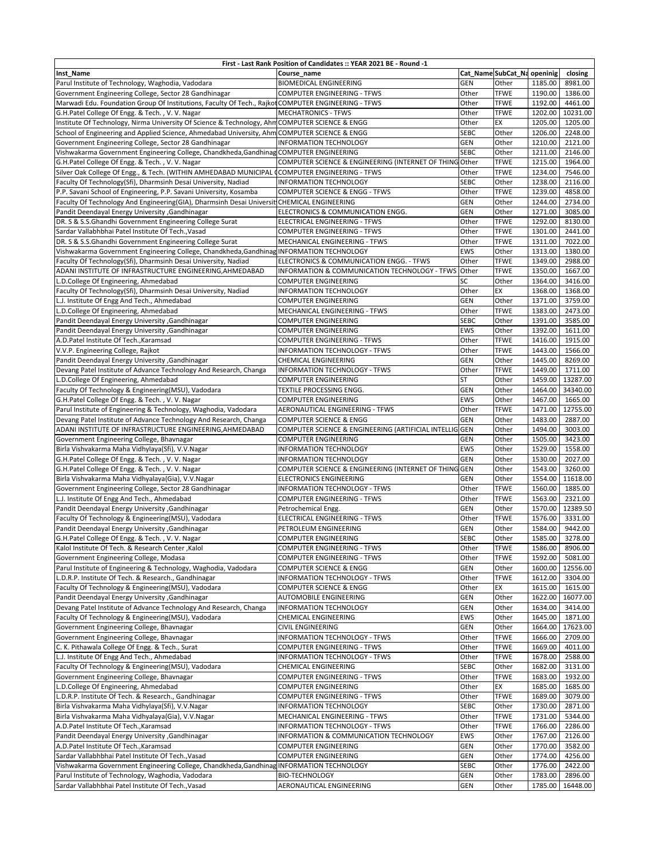| First - Last Rank Position of Candidates :: YEAR 2021 BE - Round -1                                 |                                                              |             |                             |                    |          |  |  |  |
|-----------------------------------------------------------------------------------------------------|--------------------------------------------------------------|-------------|-----------------------------|--------------------|----------|--|--|--|
| Inst Name                                                                                           | Course name                                                  |             | Cat_Name SubCat_Na openinig |                    | closing  |  |  |  |
| Parul Institute of Technology, Waghodia, Vadodara                                                   | <b>BIOMEDICAL ENGINEERING</b>                                | <b>GEN</b>  | Other                       | 1185.00            | 8981.00  |  |  |  |
| Government Engineering College, Sector 28 Gandhinagar                                               | <b>COMPUTER ENGINEERING - TFWS</b>                           | Other       | <b>TFWE</b>                 | 1190.00            | 1386.00  |  |  |  |
| Marwadi Edu. Foundation Group Of Institutions, Faculty Of Tech., Rajkot COMPUTER ENGINEERING - TFWS |                                                              | Other       | <b>TFWE</b>                 | 1192.00            | 4461.00  |  |  |  |
| G.H.Patel College Of Engg. & Tech., V.V. Nagar                                                      | <b>MECHATRONICS - TFWS</b>                                   | Other       | <b>TFWE</b>                 | 1202.00            | 10231.00 |  |  |  |
| Institute Of Technology, Nirma University Of Science & Technology, AhmCOMPUTER SCIENCE & ENGG       |                                                              | Other       | EX                          | 1205.00            | 1205.00  |  |  |  |
| School of Engineering and Applied Science, Ahmedabad University, Ahm COMPUTER SCIENCE & ENGG        |                                                              | <b>SEBC</b> | Other                       | 1206.00            | 2248.00  |  |  |  |
| Government Engineering College, Sector 28 Gandhinagar                                               | <b>INFORMATION TECHNOLOGY</b>                                | <b>GEN</b>  | Other                       | 1210.00            | 2121.00  |  |  |  |
| Vishwakarma Government Engineering College, Chandkheda, Gandhinag COMPUTER ENGINEERING              |                                                              | <b>SEBC</b> | Other                       | 1211.00            | 2146.00  |  |  |  |
| G.H.Patel College Of Engg. & Tech., V. V. Nagar                                                     | COMPUTER SCIENCE & ENGINEERING (INTERNET OF THING Other      |             | <b>TFWE</b>                 | 1215.00            | 1964.00  |  |  |  |
| Silver Oak College Of Engg., & Tech. (WITHIN AMHEDABAD MUNICIPAL CCOMPUTER ENGINEERING - TFWS       |                                                              | Other       | <b>TFWE</b>                 | 1234.00            | 7546.00  |  |  |  |
| Faculty Of Technology(Sfi), Dharmsinh Desai University, Nadiad                                      | <b>INFORMATION TECHNOLOGY</b>                                | <b>SEBC</b> | Other                       | 1238.00            | 2116.00  |  |  |  |
| P.P. Savani School of Engineering, P.P. Savani University, Kosamba                                  | <b>COMPUTER SCIENCE &amp; ENGG - TFWS</b>                    | Other       | <b>TFWE</b>                 | 1239.00            | 4858.00  |  |  |  |
| Faculty Of Technology And Engineering(GIA), Dharmsinh Desai Universit CHEMICAL ENGINEERING          |                                                              | <b>GEN</b>  | Other                       | 1244.00            | 2734.00  |  |  |  |
| Pandit Deendayal Energy University , Gandhinagar                                                    | ELECTRONICS & COMMUNICATION ENGG.                            | <b>GEN</b>  | Other                       | 1271.00            | 3085.00  |  |  |  |
| DR. S & S.S.Ghandhi Government Engineering College Surat                                            | ELECTRICAL ENGINEERING - TFWS                                | Other       | <b>TFWE</b>                 | 1292.00            | 8130.00  |  |  |  |
| Sardar Vallabhbhai Patel Institute Of Tech., Vasad                                                  | <b>COMPUTER ENGINEERING - TFWS</b>                           | Other       | <b>TFWE</b>                 | 1301.00            | 2441.00  |  |  |  |
| DR. S & S.S.Ghandhi Government Engineering College Surat                                            | MECHANICAL ENGINEERING - TFWS                                | Other       | <b>TFWE</b>                 | 1311.00            | 7022.00  |  |  |  |
| Vishwakarma Government Engineering College, Chandkheda, Gandhinag INFORMATION TECHNOLOGY            |                                                              | <b>EWS</b>  | Other                       | 1313.00            | 1380.00  |  |  |  |
| Faculty Of Technology(Sfi), Dharmsinh Desai University, Nadiad                                      | ELECTRONICS & COMMUNICATION ENGG. - TFWS                     | Other       | <b>TFWE</b>                 | 1349.00            | 2988.00  |  |  |  |
|                                                                                                     | INFORMATION & COMMUNICATION TECHNOLOGY - TFWS                | Other       | <b>TFWE</b>                 |                    | 1667.00  |  |  |  |
| ADANI INSTITUTE OF INFRASTRUCTURE ENGINEERING, AHMEDABAD<br>L.D.College Of Engineering, Ahmedabad   | <b>COMPUTER ENGINEERING</b>                                  | SC          | Other                       | 1350.00<br>1364.00 | 3416.00  |  |  |  |
|                                                                                                     |                                                              | Other       |                             | 1368.00            | 1368.00  |  |  |  |
| Faculty Of Technology(Sfi), Dharmsinh Desai University, Nadiad                                      | <b>INFORMATION TECHNOLOGY</b><br><b>COMPUTER ENGINEERING</b> | <b>GEN</b>  | EX<br>Other                 |                    | 3759.00  |  |  |  |
| L.J. Institute Of Engg And Tech., Ahmedabad                                                         |                                                              |             |                             | 1371.00            |          |  |  |  |
| L.D.College Of Engineering, Ahmedabad                                                               | MECHANICAL ENGINEERING - TFWS                                | Other       | <b>TFWE</b>                 | 1383.00            | 2473.00  |  |  |  |
| Pandit Deendayal Energy University , Gandhinagar                                                    | <b>COMPUTER ENGINEERING</b>                                  | <b>SEBC</b> | Other                       | 1391.00            | 3585.00  |  |  |  |
| Pandit Deendayal Energy University , Gandhinagar                                                    | <b>COMPUTER ENGINEERING</b>                                  | <b>EWS</b>  | Other                       | 1392.00            | 1611.00  |  |  |  |
| A.D.Patel Institute Of Tech., Karamsad                                                              | <b>COMPUTER ENGINEERING - TFWS</b>                           | Other       | <b>TFWE</b>                 | 1416.00            | 1915.00  |  |  |  |
| V.V.P. Engineering College, Rajkot                                                                  | INFORMATION TECHNOLOGY - TFWS                                | Other       | <b>TFWE</b>                 | 1443.00            | 1566.00  |  |  |  |
| Pandit Deendayal Energy University , Gandhinagar                                                    | CHEMICAL ENGINEERING                                         | <b>GEN</b>  | Other                       | 1445.00            | 8269.00  |  |  |  |
| Devang Patel Institute of Advance Technology And Research, Changa                                   | INFORMATION TECHNOLOGY - TFWS                                | Other       | <b>TFWE</b>                 | 1449.00            | 1711.00  |  |  |  |
| L.D.College Of Engineering, Ahmedabad                                                               | <b>COMPUTER ENGINEERING</b>                                  | <b>ST</b>   | Other                       | 1459.00            | 13287.00 |  |  |  |
| Faculty Of Technology & Engineering(MSU), Vadodara                                                  | TEXTILE PROCESSING ENGG.                                     | <b>GEN</b>  | Other                       | 1464.00            | 34340.00 |  |  |  |
| G.H.Patel College Of Engg. & Tech., V.V. Nagar                                                      | <b>COMPUTER ENGINEERING</b>                                  | <b>EWS</b>  | Other                       | 1467.00            | 1665.00  |  |  |  |
| Parul Institute of Engineering & Technology, Waghodia, Vadodara                                     | AERONAUTICAL ENGINEERING - TFWS                              | Other       | <b>TFWE</b>                 | 1471.00            | 12755.00 |  |  |  |
| Devang Patel Institute of Advance Technology And Research, Changa                                   | <b>COMPUTER SCIENCE &amp; ENGG</b>                           | <b>GEN</b>  | Other                       | 1483.00            | 2887.00  |  |  |  |
| ADANI INSTITUTE OF INFRASTRUCTURE ENGINEERING, AHMEDABAD                                            | COMPUTER SCIENCE & ENGINEERING (ARTIFICIAL INTELLIG GEN      |             | Other                       | 1494.00            | 3003.00  |  |  |  |
| Government Engineering College, Bhavnagar                                                           | <b>COMPUTER ENGINEERING</b>                                  | <b>GEN</b>  | Other                       | 1505.00            | 3423.00  |  |  |  |
| Birla Vishvakarma Maha Vidhylaya(Sfi), V.V.Nagar                                                    | <b>INFORMATION TECHNOLOGY</b>                                | <b>EWS</b>  | Other                       | 1529.00            | 1558.00  |  |  |  |
| G.H.Patel College Of Engg. & Tech., V. V. Nagar                                                     | <b>INFORMATION TECHNOLOGY</b>                                | <b>GEN</b>  | Other                       | 1530.00            | 2027.00  |  |  |  |
| G.H.Patel College Of Engg. & Tech., V. V. Nagar                                                     | COMPUTER SCIENCE & ENGINEERING (INTERNET OF THING GEN        |             | Other                       | 1543.00            | 3260.00  |  |  |  |
| Birla Vishvakarma Maha Vidhyalaya(Gia), V.V.Nagar                                                   | <b>ELECTRONICS ENGINEERING</b>                               | <b>GEN</b>  | Other                       | 1554.00            | 11618.00 |  |  |  |
| Government Engineering College, Sector 28 Gandhinagar                                               | <b>INFORMATION TECHNOLOGY - TFWS</b>                         | Other       | <b>TFWE</b>                 | 1560.00            | 1885.00  |  |  |  |
| L.J. Institute Of Engg And Tech., Ahmedabad                                                         | <b>COMPUTER ENGINEERING - TFWS</b>                           | Other       | <b>TFWE</b>                 | 1563.00            | 2321.00  |  |  |  |
| Pandit Deendayal Energy University , Gandhinagar                                                    | Petrochemical Engg.                                          | <b>GEN</b>  | Other                       | 1570.00            | 12389.50 |  |  |  |
| Faculty Of Technology & Engineering(MSU), Vadodara                                                  | ELECTRICAL ENGINEERING - TFWS                                | Other       | <b>TFWE</b>                 | 1576.00            | 3331.00  |  |  |  |
| Pandit Deendayal Energy University , Gandhinagar                                                    | PETROLEUM ENGINEERING                                        | <b>GEN</b>  | Other                       | 1584.00            | 9442.00  |  |  |  |
| G.H.Patel College Of Engg. & Tech., V. V. Nagar                                                     | <b>COMPUTER ENGINEERING</b>                                  | <b>SEBC</b> | Other                       | 1585.00            | 3278.00  |  |  |  |
| Kalol Institute Of Tech. & Research Center, Kalol                                                   | COMPUTER ENGINEERING - TFWS                                  | Other       | <b>TFWE</b>                 | 1586.00            | 8906.00  |  |  |  |
| Government Engineering College, Modasa                                                              | <b>COMPUTER ENGINEERING - TFWS</b>                           | Other       | <b>TFWE</b>                 | 1592.00            | 5081.00  |  |  |  |
| Parul Institute of Engineering & Technology, Waghodia, Vadodara                                     | <b>COMPUTER SCIENCE &amp; ENGG</b>                           | GEN         | Other                       | 1600.00            | 12556.00 |  |  |  |
| L.D.R.P. Institute Of Tech. & Research., Gandhinagar                                                | INFORMATION TECHNOLOGY - TFWS                                | Other       | <b>TFWE</b>                 | 1612.00            | 3304.00  |  |  |  |
| Faculty Of Technology & Engineering(MSU), Vadodara                                                  | COMPUTER SCIENCE & ENGG                                      | Other       | EX                          | 1615.00            | 1615.00  |  |  |  |
| Pandit Deendayal Energy University , Gandhinagar                                                    | AUTOMOBILE ENGINEERING                                       | <b>GEN</b>  | Other                       | 1622.00            | 16077.00 |  |  |  |
| Devang Patel Institute of Advance Technology And Research, Changa                                   | INFORMATION TECHNOLOGY                                       | <b>GEN</b>  | Other                       | 1634.00            | 3414.00  |  |  |  |
| Faculty Of Technology & Engineering(MSU), Vadodara                                                  | CHEMICAL ENGINEERING                                         | <b>EWS</b>  | Other                       | 1645.00            | 1871.00  |  |  |  |
| Government Engineering College, Bhavnagar                                                           | <b>CIVIL ENGINEERING</b>                                     | <b>GEN</b>  | Other                       | 1664.00            | 17623.00 |  |  |  |
| Government Engineering College, Bhavnagar                                                           | INFORMATION TECHNOLOGY - TFWS                                | Other       | <b>TFWE</b>                 | 1666.00            | 2709.00  |  |  |  |
| C. K. Pithawala College Of Engg. & Tech., Surat                                                     | <b>COMPUTER ENGINEERING - TFWS</b>                           | Other       | <b>TFWE</b>                 | 1669.00            | 4011.00  |  |  |  |
| L.J. Institute Of Engg And Tech., Ahmedabad                                                         | INFORMATION TECHNOLOGY - TFWS                                | Other       | <b>TFWE</b>                 | 1678.00            | 2588.00  |  |  |  |
| Faculty Of Technology & Engineering(MSU), Vadodara                                                  | CHEMICAL ENGINEERING                                         | <b>SEBC</b> | Other                       | 1682.00            | 3131.00  |  |  |  |
| Government Engineering College, Bhavnagar                                                           | <b>COMPUTER ENGINEERING - TFWS</b>                           | Other       | <b>TFWE</b>                 | 1683.00            | 1932.00  |  |  |  |
| L.D.College Of Engineering, Ahmedabad                                                               | <b>COMPUTER ENGINEERING</b>                                  | Other       | EX                          | 1685.00            | 1685.00  |  |  |  |
| L.D.R.P. Institute Of Tech. & Research., Gandhinagar                                                | <b>COMPUTER ENGINEERING - TFWS</b>                           | Other       | <b>TFWE</b>                 | 1689.00            | 3079.00  |  |  |  |
| Birla Vishvakarma Maha Vidhylaya(Sfi), V.V.Nagar                                                    | <b>INFORMATION TECHNOLOGY</b>                                | <b>SEBC</b> | Other                       | 1730.00            | 2871.00  |  |  |  |
| Birla Vishvakarma Maha Vidhyalaya(Gia), V.V.Nagar                                                   | MECHANICAL ENGINEERING - TFWS                                | Other       | <b>TFWE</b>                 | 1731.00            | 5344.00  |  |  |  |
| A.D.Patel Institute Of Tech., Karamsad                                                              | INFORMATION TECHNOLOGY - TFWS                                | Other       | <b>TFWE</b>                 | 1766.00            | 2286.00  |  |  |  |
| Pandit Deendayal Energy University , Gandhinagar                                                    | INFORMATION & COMMUNICATION TECHNOLOGY                       | <b>EWS</b>  | Other                       | 1767.00            | 2126.00  |  |  |  |
| A.D.Patel Institute Of Tech., Karamsad                                                              | <b>COMPUTER ENGINEERING</b>                                  | GEN         | Other                       | 1770.00            | 3582.00  |  |  |  |
| Sardar Vallabhbhai Patel Institute Of Tech., Vasad                                                  | <b>COMPUTER ENGINEERING</b>                                  | <b>GEN</b>  | Other                       | 1774.00            | 4256.00  |  |  |  |
| Vishwakarma Government Engineering College, Chandkheda, Gandhinag INFORMATION TECHNOLOGY            |                                                              | <b>SEBC</b> | Other                       | 1776.00            | 2422.00  |  |  |  |
| Parul Institute of Technology, Waghodia, Vadodara                                                   | <b>BIO-TECHNOLOGY</b>                                        | <b>GEN</b>  | Other                       | 1783.00            | 2896.00  |  |  |  |
| Sardar Vallabhbhai Patel Institute Of Tech., Vasad                                                  | AERONAUTICAL ENGINEERING                                     | GEN         | Other                       | 1785.00            | 16448.00 |  |  |  |
|                                                                                                     |                                                              |             |                             |                    |          |  |  |  |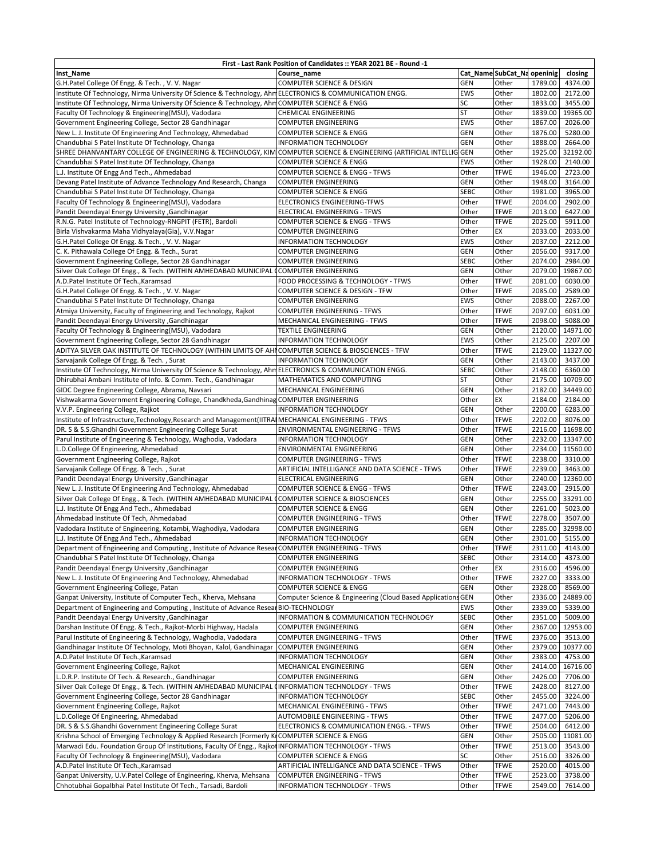| First - Last Rank Position of Candidates :: YEAR 2021 BE - Round -1                                                |                                                              |             |                             |         |                     |  |  |  |
|--------------------------------------------------------------------------------------------------------------------|--------------------------------------------------------------|-------------|-----------------------------|---------|---------------------|--|--|--|
| Inst_Name                                                                                                          | Course name                                                  |             | Cat_Name SubCat_Na openinig |         | closing             |  |  |  |
| G.H.Patel College Of Engg. & Tech., V.V. Nagar                                                                     | COMPUTER SCIENCE & DESIGN                                    | <b>GEN</b>  | Other                       | 1789.00 | 4374.00             |  |  |  |
| Institute Of Technology, Nirma University Of Science & Technology, AhmELECTRONICS & COMMUNICATION ENGG.            |                                                              | <b>EWS</b>  | Other                       | 1802.00 | 2172.00             |  |  |  |
| Institute Of Technology, Nirma University Of Science & Technology, Ahm COMPUTER SCIENCE & ENGG                     |                                                              | SC          | Other                       | 1833.00 | 3455.00             |  |  |  |
| Faculty Of Technology & Engineering(MSU), Vadodara                                                                 | CHEMICAL ENGINEERING                                         | <b>ST</b>   | Other                       | 1839.00 | 19365.00            |  |  |  |
| Government Engineering College, Sector 28 Gandhinagar                                                              | COMPUTER ENGINEERING                                         | <b>EWS</b>  | Other                       | 1867.00 | 2026.00             |  |  |  |
| New L. J. Institute Of Engineering And Technology, Ahmedabad                                                       | <b>COMPUTER SCIENCE &amp; ENGG</b>                           | <b>GEN</b>  | Other                       | 1876.00 | 5280.00             |  |  |  |
| Chandubhai S Patel Institute Of Technology, Changa                                                                 | <b>INFORMATION TECHNOLOGY</b>                                | <b>GEN</b>  | Other                       | 1888.00 | 2664.00             |  |  |  |
| SHREE DHANVANTARY COLLEGE OF ENGINEERING & TECHNOLOGY, KIM COMPUTER SCIENCE & ENGINEERING (ARTIFICIAL INTELLIG GEN |                                                              |             | Other                       | 1925.00 | 32192.00            |  |  |  |
| Chandubhai S Patel Institute Of Technology, Changa                                                                 | COMPUTER SCIENCE & ENGG                                      | <b>EWS</b>  | Other                       | 1928.00 | 2140.00             |  |  |  |
| L.J. Institute Of Engg And Tech., Ahmedabad                                                                        | COMPUTER SCIENCE & ENGG - TFWS                               | Other       | <b>TFWE</b>                 | 1946.00 | 2723.00             |  |  |  |
| Devang Patel Institute of Advance Technology And Research, Changa                                                  | <b>COMPUTER ENGINEERING</b>                                  | <b>GEN</b>  | Other                       | 1948.00 | 3164.00             |  |  |  |
| Chandubhai S Patel Institute Of Technology, Changa                                                                 | <b>COMPUTER SCIENCE &amp; ENGG</b>                           | <b>SEBC</b> | Other                       | 1981.00 | 3965.00             |  |  |  |
| Faculty Of Technology & Engineering(MSU), Vadodara                                                                 | ELECTRONICS ENGINEERING-TFWS                                 | Other       | <b>TFWE</b>                 | 2004.00 | 2902.00             |  |  |  |
| Pandit Deendayal Energy University , Gandhinagar                                                                   | ELECTRICAL ENGINEERING - TFWS                                | Other       | <b>TFWE</b>                 | 2013.00 | 6427.00             |  |  |  |
| R.N.G. Patel Institute of Technology-RNGPIT (FETR), Bardoli                                                        | COMPUTER SCIENCE & ENGG - TFWS                               | Other       | <b>TFWE</b>                 | 2025.00 | 5911.00             |  |  |  |
| Birla Vishvakarma Maha Vidhyalaya(Gia), V.V.Nagar                                                                  | <b>COMPUTER ENGINEERING</b>                                  | Other       | EX                          | 2033.00 | 2033.00             |  |  |  |
| G.H.Patel College Of Engg. & Tech., V.V. Nagar                                                                     | <b>INFORMATION TECHNOLOGY</b>                                | <b>EWS</b>  | Other                       | 2037.00 | 2212.00             |  |  |  |
| C. K. Pithawala College Of Engg. & Tech., Surat                                                                    | <b>COMPUTER ENGINEERING</b>                                  | <b>GEN</b>  | Other                       | 2056.00 | 9317.00             |  |  |  |
|                                                                                                                    |                                                              |             |                             |         |                     |  |  |  |
| Government Engineering College, Sector 28 Gandhinagar                                                              | <b>COMPUTER ENGINEERING</b>                                  | <b>SEBC</b> | Other                       | 2074.00 | 2984.00             |  |  |  |
| Silver Oak College Of Engg., & Tech. (WITHIN AMHEDABAD MUNICIPAL                                                   | <b>COMPUTER ENGINEERING</b>                                  | <b>GEN</b>  | Other                       | 2079.00 | 19867.00<br>6030.00 |  |  |  |
| A.D.Patel Institute Of Tech., Karamsad                                                                             | FOOD PROCESSING & TECHNOLOGY - TFWS                          | Other       | <b>TFWE</b>                 | 2081.00 |                     |  |  |  |
| G.H.Patel College Of Engg. & Tech., V.V. Nagar                                                                     | COMPUTER SCIENCE & DESIGN - TFW                              | Other       | <b>TFWE</b>                 | 2085.00 | 2589.00             |  |  |  |
| Chandubhai S Patel Institute Of Technology, Changa                                                                 | COMPUTER ENGINEERING                                         | <b>EWS</b>  | Other                       | 2088.00 | 2267.00             |  |  |  |
| Atmiya University, Faculty of Engineering and Technology, Rajkot                                                   | <b>COMPUTER ENGINEERING - TFWS</b>                           | Other       | <b>TFWE</b>                 | 2097.00 | 6031.00             |  |  |  |
| Pandit Deendayal Energy University , Gandhinagar                                                                   | MECHANICAL ENGINEERING - TFWS                                | Other       | <b>TFWE</b>                 | 2098.00 | 5088.00             |  |  |  |
| Faculty Of Technology & Engineering(MSU), Vadodara                                                                 | TEXTILE ENGINEERING                                          | <b>GEN</b>  | Other                       | 2120.00 | 14971.00            |  |  |  |
| Government Engineering College, Sector 28 Gandhinagar                                                              | <b>INFORMATION TECHNOLOGY</b>                                | <b>EWS</b>  | Other                       | 2125.00 | 2207.00             |  |  |  |
| ADITYA SILVER OAK INSTITUTE OF TECHNOLOGY (WITHIN LIMITS OF AHICOMPUTER SCIENCE & BIOSCIENCES - TFW                |                                                              | Other       | <b>TFWE</b>                 | 2129.00 | 11327.00            |  |  |  |
| Sarvajanik College Of Engg. & Tech., Surat                                                                         | <b>INFORMATION TECHNOLOGY</b>                                | <b>GEN</b>  | Other                       | 2143.00 | 3437.00             |  |  |  |
| Institute Of Technology, Nirma University Of Science & Technology, Ahm ELECTRONICS & COMMUNICATION ENGG.           |                                                              | <b>SEBC</b> | Other                       | 2148.00 | 6360.00             |  |  |  |
| Dhirubhai Ambani Institute of Info. & Comm. Tech., Gandhinagar                                                     | MATHEMATICS AND COMPUTING                                    | <b>ST</b>   | Other                       | 2175.00 | 10709.00            |  |  |  |
| GIDC Degree Engineering College, Abrama, Navsari                                                                   | MECHANICAL ENGINEERING                                       | <b>GEN</b>  | Other                       | 2182.00 | 34449.00            |  |  |  |
| Vishwakarma Government Engineering College, Chandkheda, Gandhinag COMPUTER ENGINEERING                             |                                                              | Other       | EX                          | 2184.00 | 2184.00             |  |  |  |
| V.V.P. Engineering College, Rajkot                                                                                 | <b>INFORMATION TECHNOLOGY</b>                                | <b>GEN</b>  | Other                       | 2200.00 | 6283.00             |  |  |  |
| Institute of Infrastructure, Technology, Research and Management (IITRAIMECHANICAL ENGINEERING - TFWS              |                                                              | Other       | <b>TFWE</b>                 | 2202.00 | 8076.00             |  |  |  |
| DR. S & S.S.Ghandhi Government Engineering College Surat                                                           | ENVIRONMENTAL ENGINEERING - TFWS                             | Other       | <b>TFWE</b>                 | 2216.00 | 11698.00            |  |  |  |
| Parul Institute of Engineering & Technology, Waghodia, Vadodara                                                    | <b>INFORMATION TECHNOLOGY</b>                                | <b>GEN</b>  | Other                       | 2232.00 | 13347.00            |  |  |  |
| L.D.College Of Engineering, Ahmedabad                                                                              | ENVIRONMENTAL ENGINEERING                                    | <b>GEN</b>  | Other                       | 2234.00 | 11560.00            |  |  |  |
| Government Engineering College, Rajkot                                                                             | COMPUTER ENGINEERING - TFWS                                  | Other       | <b>TFWE</b>                 | 2238.00 | 3310.00             |  |  |  |
| Sarvajanik College Of Engg. & Tech., Surat                                                                         | ARTIFICIAL INTELLIGANCE AND DATA SCIENCE - TFWS              | Other       | <b>TFWE</b>                 | 2239.00 | 3463.00             |  |  |  |
| Pandit Deendayal Energy University , Gandhinagar                                                                   | ELECTRICAL ENGINEERING                                       | <b>GEN</b>  | Other                       | 2240.00 | 12360.00            |  |  |  |
| New L. J. Institute Of Engineering And Technology, Ahmedabad                                                       | COMPUTER SCIENCE & ENGG - TFWS                               | Other       | <b>TFWE</b>                 | 2243.00 | 2915.00             |  |  |  |
| Silver Oak College Of Engg., & Tech. (WITHIN AMHEDABAD MUNICIPAL                                                   | <b>COMPUTER SCIENCE &amp; BIOSCIENCES</b>                    | <b>GEN</b>  | Other                       | 2255.00 | 33291.00            |  |  |  |
| L.J. Institute Of Engg And Tech., Ahmedabad                                                                        | <b>COMPUTER SCIENCE &amp; ENGG</b>                           | <b>GEN</b>  | Other                       | 2261.00 | 5023.00             |  |  |  |
| Ahmedabad Institute Of Tech, Ahmedabad                                                                             | <b>COMPUTER ENGINEERING - TFWS</b>                           | Other       | <b>TFWE</b>                 | 2278.00 | 3507.00             |  |  |  |
| Vadodara Institute of Engineering, Kotambi, Waghodiya, Vadodara                                                    | <b>COMPUTER ENGINEERING</b>                                  | <b>GEN</b>  | Other                       | 2285.00 | 32998.00            |  |  |  |
| L.J. Institute Of Engg And Tech., Ahmedabad                                                                        | <b>INFORMATION TECHNOLOGY</b>                                | <b>GEN</b>  | Other                       | 2301.00 | 5155.00             |  |  |  |
| Department of Engineering and Computing, Institute of Advance Resear COMPUTER ENGINEERING - TFWS                   |                                                              | Other       | <b>TFWE</b>                 | 2311.00 | 4143.00             |  |  |  |
| Chandubhai S Patel Institute Of Technology, Changa                                                                 | <b>COMPUTER ENGINEERING</b>                                  | <b>SEBC</b> | Other                       | 2314.00 | 4373.00             |  |  |  |
| Pandit Deendayal Energy University , Gandhinagar                                                                   | COMPUTER ENGINEERING                                         | Other       | EX                          | 2316.00 | 4596.00             |  |  |  |
| New L. J. Institute Of Engineering And Technology, Ahmedabad                                                       | INFORMATION TECHNOLOGY - TFWS                                | Other       | <b>TFWE</b>                 | 2327.00 | 3333.00             |  |  |  |
| Government Engineering College, Patan                                                                              | COMPUTER SCIENCE & ENGG                                      | <b>GEN</b>  | Other                       | 2328.00 | 8569.00             |  |  |  |
| Ganpat University, Institute of Computer Tech., Kherva, Mehsana                                                    | Computer Science & Engineering (Cloud Based Applications GEN |             | Other                       | 2336.00 | 24889.00            |  |  |  |
| Department of Engineering and Computing, Institute of Advance Resear BIO-TECHNOLOGY                                |                                                              | <b>EWS</b>  | Other                       | 2339.00 | 5339.00             |  |  |  |
| Pandit Deendayal Energy University , Gandhinagar                                                                   | INFORMATION & COMMUNICATION TECHNOLOGY                       | <b>SEBC</b> | Other                       | 2351.00 | 5009.00             |  |  |  |
| Darshan Institute Of Engg. & Tech., Rajkot-Morbi Highway, Hadala                                                   | <b>COMPUTER ENGINEERING</b>                                  | <b>GEN</b>  | Other                       |         | 2367.00 12953.00    |  |  |  |
| Parul Institute of Engineering & Technology, Waghodia, Vadodara                                                    | COMPUTER ENGINEERING - TFWS                                  | Other       | <b>TFWE</b>                 | 2376.00 | 3513.00             |  |  |  |
| Gandhinagar Institute Of Technology, Moti Bhoyan, Kalol, Gandhinagar                                               | <b>COMPUTER ENGINEERING</b>                                  | <b>GEN</b>  | Other                       | 2379.00 | 10377.00            |  |  |  |
| A.D.Patel Institute Of Tech., Karamsad                                                                             | <b>INFORMATION TECHNOLOGY</b>                                | <b>GEN</b>  | Other                       | 2383.00 | 4753.00             |  |  |  |
| Government Engineering College, Rajkot                                                                             | MECHANICAL ENGINEERING                                       | <b>GEN</b>  | Other                       | 2414.00 | 16716.00            |  |  |  |
| L.D.R.P. Institute Of Tech. & Research., Gandhinagar                                                               | COMPUTER ENGINEERING                                         | GEN         | Other                       | 2426.00 | 7706.00             |  |  |  |
| Silver Oak College Of Engg., & Tech. (WITHIN AMHEDABAD MUNICIPAL                                                   | INFORMATION TECHNOLOGY - TFWS                                | Other       | <b>TFWE</b>                 | 2428.00 | 8127.00             |  |  |  |
| Government Engineering College, Sector 28 Gandhinagar                                                              | <b>INFORMATION TECHNOLOGY</b>                                | <b>SEBC</b> | Other                       | 2455.00 | 3224.00             |  |  |  |
| Government Engineering College, Rajkot                                                                             | MECHANICAL ENGINEERING - TFWS                                | Other       | <b>TFWE</b>                 | 2471.00 | 7443.00             |  |  |  |
| L.D.College Of Engineering, Ahmedabad                                                                              |                                                              | Other       | <b>TFWE</b>                 | 2477.00 | 5206.00             |  |  |  |
|                                                                                                                    | AUTOMOBILE ENGINEERING - TFWS                                |             |                             |         |                     |  |  |  |
| DR. S & S.S.Ghandhi Government Engineering College Surat                                                           | ELECTRONICS & COMMUNICATION ENGG. - TFWS                     | Other       | <b>TFWE</b>                 | 2504.00 | 6412.00             |  |  |  |
| Krishna School of Emerging Technology & Applied Research (Formerly K                                               | COMPUTER SCIENCE & ENGG                                      | <b>GEN</b>  | Other                       | 2505.00 | 11081.00            |  |  |  |
| Marwadi Edu. Foundation Group Of Institutions, Faculty Of Engg., Rajko                                             | INFORMATION TECHNOLOGY - TFWS                                | Other       | <b>TFWE</b>                 | 2513.00 | 3543.00             |  |  |  |
| Faculty Of Technology & Engineering(MSU), Vadodara                                                                 | COMPUTER SCIENCE & ENGG                                      | <b>SC</b>   | Other                       | 2516.00 | 3326.00             |  |  |  |
| A.D.Patel Institute Of Tech., Karamsad                                                                             | ARTIFICIAL INTELLIGANCE AND DATA SCIENCE - TFWS              | Other       | <b>TFWE</b>                 | 2520.00 | 4015.00             |  |  |  |
| Ganpat University, U.V.Patel College of Engineering, Kherva, Mehsana                                               | <b>COMPUTER ENGINEERING - TFWS</b>                           | Other       | <b>TFWE</b>                 | 2523.00 | 3738.00             |  |  |  |
| Chhotubhai Gopalbhai Patel Institute Of Tech., Tarsadi, Bardoli                                                    | INFORMATION TECHNOLOGY - TFWS                                | Other       | <b>TFWE</b>                 | 2549.00 | 7614.00             |  |  |  |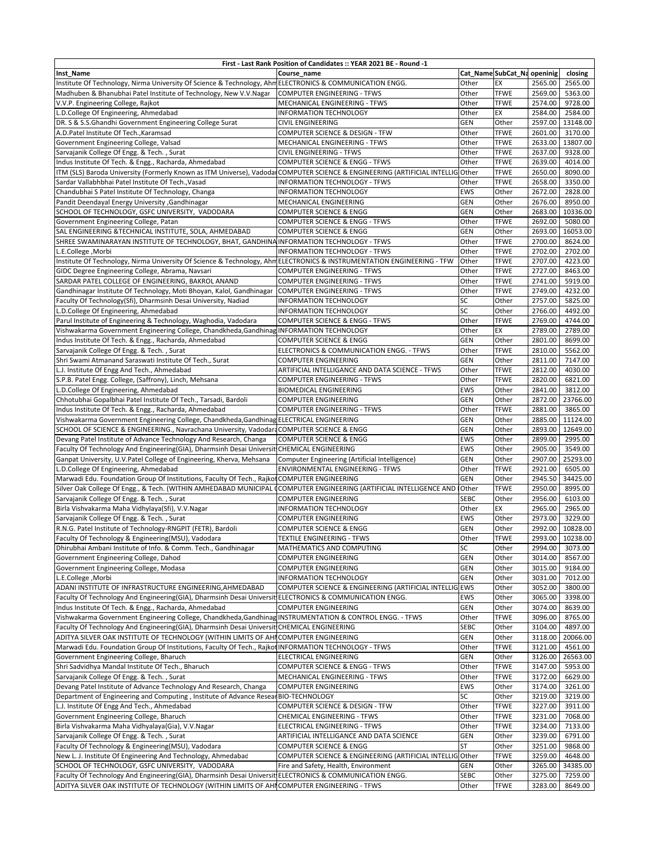| First - Last Rank Position of Candidates :: YEAR 2021 BE - Round -1                                                            |                                                                   |                     |                             |                    |                     |  |  |  |
|--------------------------------------------------------------------------------------------------------------------------------|-------------------------------------------------------------------|---------------------|-----------------------------|--------------------|---------------------|--|--|--|
| Inst_Name                                                                                                                      | Course name                                                       |                     | Cat_Name SubCat_Na openinig |                    | closing             |  |  |  |
| Institute Of Technology, Nirma University Of Science & Technology, Ahm ELECTRONICS & COMMUNICATION ENGG.                       |                                                                   | Other               | EX                          | 2565.00            | 2565.00             |  |  |  |
| Madhuben & Bhanubhai Patel Institute of Technology, New V.V.Nagar                                                              | <b>COMPUTER ENGINEERING - TFWS</b>                                | Other               | <b>TFWE</b>                 | 2569.00            | 5363.00             |  |  |  |
| V.V.P. Engineering College, Rajkot                                                                                             | MECHANICAL ENGINEERING - TFWS                                     | Other               | <b>TFWE</b>                 | 2574.00            | 9728.00             |  |  |  |
| L.D.College Of Engineering, Ahmedabad                                                                                          | INFORMATION TECHNOLOGY                                            | Other               | EX                          | 2584.00            | 2584.00             |  |  |  |
| DR. S & S.S.Ghandhi Government Engineering College Surat                                                                       | <b>CIVIL ENGINEERING</b>                                          | <b>GEN</b>          | Other                       | 2597.00            | 13148.00            |  |  |  |
| A.D.Patel Institute Of Tech., Karamsad                                                                                         | COMPUTER SCIENCE & DESIGN - TFW                                   | Other               | <b>TFWE</b>                 | 2601.00            | 3170.00             |  |  |  |
| Government Engineering College, Valsad                                                                                         | MECHANICAL ENGINEERING - TFWS                                     | Other               | <b>TFWE</b>                 | 2633.00            | 13807.00            |  |  |  |
| Sarvajanik College Of Engg. & Tech., Surat                                                                                     | <b>CIVIL ENGINEERING - TFWS</b>                                   | Other               | <b>TFWE</b>                 | 2637.00            | 9328.00             |  |  |  |
| Indus Institute Of Tech. & Engg., Racharda, Ahmedabad                                                                          | COMPUTER SCIENCE & ENGG - TFWS                                    | Other               | <b>TFWE</b>                 | 2639.00            | 4014.00             |  |  |  |
| ITM (SLS) Baroda University (Formerly Known as ITM Universe), VadodarCOMPUTER SCIENCE & ENGINEERING (ARTIFICIAL INTELLIG Other |                                                                   |                     | <b>TFWE</b>                 | 2650.00            | 8090.00             |  |  |  |
| Sardar Vallabhbhai Patel Institute Of Tech., Vasad                                                                             | INFORMATION TECHNOLOGY - TFWS                                     | Other               | <b>TFWE</b>                 | 2658.00            | 3350.00             |  |  |  |
| Chandubhai S Patel Institute Of Technology, Changa                                                                             | <b>INFORMATION TECHNOLOGY</b>                                     | EWS                 | Other                       | 2672.00            | 2828.00             |  |  |  |
| Pandit Deendayal Energy University , Gandhinagar                                                                               | MECHANICAL ENGINEERING                                            | <b>GEN</b>          | Other                       | 2676.00            | 8950.00             |  |  |  |
| SCHOOL OF TECHNOLOGY, GSFC UNIVERSITY, VADODARA                                                                                | <b>COMPUTER SCIENCE &amp; ENGG</b>                                | GEN                 | Other                       | 2683.00            | 10336.00            |  |  |  |
| Government Engineering College, Patan                                                                                          | COMPUTER SCIENCE & ENGG - TFWS                                    | Other               | <b>TFWE</b>                 | 2692.00            | 5080.00             |  |  |  |
| SAL ENGINEERING & TECHNICAL INSTITUTE, SOLA, AHMEDABAD                                                                         | <b>COMPUTER SCIENCE &amp; ENGG</b>                                | GEN                 | Other                       | 2693.00            | 16053.00            |  |  |  |
| SHREE SWAMINARAYAN INSTITUTE OF TECHNOLOGY, BHAT, GANDHINA INFORMATION TECHNOLOGY - TFWS                                       |                                                                   | Other               | <b>TFWE</b>                 | 2700.00            | 8624.00             |  |  |  |
| L.E.College, Morbi                                                                                                             | INFORMATION TECHNOLOGY - TFWS                                     | Other               | <b>TFWE</b>                 | 2702.00            | 2702.00             |  |  |  |
| Institute Of Technology, Nirma University Of Science & Technology, Ahm ELECTRONICS & INSTRUMENTATION ENGINEERING - TFW         |                                                                   | Other               | <b>TFWE</b>                 | 2707.00            | 4223.00             |  |  |  |
| GIDC Degree Engineering College, Abrama, Navsari                                                                               | <b>COMPUTER ENGINEERING - TFWS</b>                                | Other               | <b>TFWE</b>                 | 2727.00            | 8463.00             |  |  |  |
| SARDAR PATEL COLLEGE OF ENGINEERING, BAKROL ANAND                                                                              | <b>COMPUTER ENGINEERING - TFWS</b>                                | Other               | <b>TFWE</b>                 | 2741.00            | 5919.00             |  |  |  |
| Gandhinagar Institute Of Technology, Moti Bhoyan, Kalol, Gandhinagar                                                           | <b>COMPUTER ENGINEERING - TFWS</b>                                | Other               | <b>TFWE</b>                 | 2749.00            | 4232.00             |  |  |  |
| Faculty Of Technology(Sfi), Dharmsinh Desai University, Nadiad                                                                 | INFORMATION TECHNOLOGY                                            | <b>SC</b>           | Other                       | 2757.00            | 5825.00             |  |  |  |
| L.D.College Of Engineering, Ahmedabad                                                                                          | INFORMATION TECHNOLOGY                                            | SC                  | Other                       | 2766.00            | 4492.00             |  |  |  |
| Parul Institute of Engineering & Technology, Waghodia, Vadodara                                                                | <b>COMPUTER SCIENCE &amp; ENGG - TFWS</b>                         | Other               | <b>TFWE</b>                 | 2769.00            | 4744.00             |  |  |  |
| Vishwakarma Government Engineering College, Chandkheda, Gandhinag INFORMATION TECHNOLOGY                                       |                                                                   | Other               | EХ                          | 2789.00            | 2789.00             |  |  |  |
| Indus Institute Of Tech. & Engg., Racharda, Ahmedabad                                                                          | <b>COMPUTER SCIENCE &amp; ENGG</b>                                | <b>GEN</b>          | Other                       | 2801.00            | 8699.00             |  |  |  |
| Sarvajanik College Of Engg. & Tech., Surat                                                                                     | ELECTRONICS & COMMUNICATION ENGG. - TFWS                          | Other               | <b>TFWE</b>                 | 2810.00            | 5562.00             |  |  |  |
| Shri Swami Atmanand Saraswati Institute Of Tech., Surat                                                                        | <b>COMPUTER ENGINEERING</b>                                       | <b>GEN</b>          | Other                       | 2811.00<br>2812.00 | 7147.00             |  |  |  |
| L.J. Institute Of Engg And Tech., Ahmedabad                                                                                    | ARTIFICIAL INTELLIGANCE AND DATA SCIENCE - TFWS                   | Other               | <b>TFWE</b><br><b>TFWE</b>  |                    | 4030.00<br>6821.00  |  |  |  |
| S.P.B. Patel Engg. College, (Saffrony), Linch, Mehsana                                                                         | <b>COMPUTER ENGINEERING - TFWS</b>                                | Other<br><b>EWS</b> |                             | 2820.00<br>2841.00 |                     |  |  |  |
| L.D.College Of Engineering, Ahmedabad<br>Chhotubhai Gopalbhai Patel Institute Of Tech., Tarsadi, Bardoli                       | BIOMEDICAL ENGINEERING                                            | <b>GEN</b>          | Other<br>Other              | 2872.00            | 3812.00<br>23766.00 |  |  |  |
| Indus Institute Of Tech. & Engg., Racharda, Ahmedabad                                                                          | <b>COMPUTER ENGINEERING</b><br><b>COMPUTER ENGINEERING - TFWS</b> | Other               | <b>TFWE</b>                 | 2881.00            | 3865.00             |  |  |  |
| Vishwakarma Government Engineering College, Chandkheda, Gandhinag ELECTRICAL ENGINEERING                                       |                                                                   | GEN                 | Other                       | 2885.00            | 11124.00            |  |  |  |
| SCHOOL OF SCIENCE & ENGINEERING., Navrachana University, Vadodara COMPUTER SCIENCE & ENGG                                      |                                                                   | <b>GEN</b>          | Other                       | 2893.00            | 12649.00            |  |  |  |
| Devang Patel Institute of Advance Technology And Research, Changa                                                              | <b>COMPUTER SCIENCE &amp; ENGG</b>                                | <b>EWS</b>          | Other                       | 2899.00            | 2995.00             |  |  |  |
| Faculty Of Technology And Engineering(GIA), Dharmsinh Desai Universit CHEMICAL ENGINEERING                                     |                                                                   | <b>EWS</b>          | Other                       | 2905.00            | 3549.00             |  |  |  |
| Ganpat University, U.V.Patel College of Engineering, Kherva, Mehsana                                                           | Computer Engineering (Artificial Intelligence)                    | GEN                 | Other                       | 2907.00            | 25293.00            |  |  |  |
| L.D.College Of Engineering, Ahmedabad                                                                                          | <b>ENVIRONMENTAL ENGINEERING - TFWS</b>                           | Other               | <b>TFWE</b>                 | 2921.00            | 6505.00             |  |  |  |
| Marwadi Edu. Foundation Group Of Institutions, Faculty Of Tech., Rajkot COMPUTER ENGINEERING                                   |                                                                   | GEN                 | Other                       | 2945.50            | 34425.00            |  |  |  |
| Silver Oak College Of Engg., & Tech. (WITHIN AMHEDABAD MUNICIPAL                                                               | <b>COMPUTER ENGINEERING (ARTIFICIAL INTELLIGENCE AND</b>          | <b>IOther</b>       | <b>TFWE</b>                 | 2950.00            | 8995.00             |  |  |  |
| Sarvajanik College Of Engg. & Tech., Surat                                                                                     | <b>COMPUTER ENGINEERING</b>                                       | <b>SEBC</b>         | Other                       | 2956.00            | 6103.00             |  |  |  |
| Birla Vishvakarma Maha Vidhylaya(Sfi), V.V.Nagar                                                                               | <b>INFORMATION TECHNOLOGY</b>                                     | Other               | EX                          | 2965.00            | 2965.00             |  |  |  |
| Sarvajanik College Of Engg. & Tech., Surat                                                                                     | <b>COMPUTER ENGINEERING</b>                                       | <b>EWS</b>          | Other                       | 2973.00            | 3229.00             |  |  |  |
| R.N.G. Patel Institute of Technology-RNGPIT (FETR), Bardoli                                                                    | <b>COMPUTER SCIENCE &amp; ENGG</b>                                | <b>GEN</b>          | Other                       | 2992.00            | 10828.00            |  |  |  |
| Faculty Of Technology & Engineering(MSU), Vadodara                                                                             | <b>TEXTILE ENGINEERING - TFWS</b>                                 | Other               | <b>TFWE</b>                 |                    | 2993.00 10238.00    |  |  |  |
| Dhirubhai Ambani Institute of Info. & Comm. Tech., Gandhinagar                                                                 | MATHEMATICS AND COMPUTING                                         | SC                  | Other                       | 2994.00            | 3073.00             |  |  |  |
| Government Engineering College, Dahod                                                                                          | <b>COMPUTER ENGINEERING</b>                                       | GEN                 | Other                       | 3014.00            | 8567.00             |  |  |  |
| Government Engineering College, Modasa                                                                                         | <b>COMPUTER ENGINEERING</b>                                       | GEN                 | Other                       | 3015.00            | 9184.00             |  |  |  |
| L.E.College, Morbi                                                                                                             | <b>INFORMATION TECHNOLOGY</b>                                     | GEN                 | Other                       | 3031.00            | 7012.00             |  |  |  |
| ADANI INSTITUTE OF INFRASTRUCTURE ENGINEERING, AHMEDABAD                                                                       | COMPUTER SCIENCE & ENGINEERING (ARTIFICIAL INTELLIG EWS           |                     | Other                       | 3052.00            | 3800.00             |  |  |  |
| Faculty Of Technology And Engineering(GIA), Dharmsinh Desai Universit ELECTRONICS & COMMUNICATION ENGG.                        |                                                                   | <b>EWS</b>          | Other                       | 3065.00            | 3398.00             |  |  |  |
| Indus Institute Of Tech. & Engg., Racharda, Ahmedabad                                                                          | COMPUTER ENGINEERING                                              | <b>GEN</b>          | Other                       | 3074.00            | 8639.00             |  |  |  |
| Vishwakarma Government Engineering College, Chandkheda, Gandhinag INSTRUMENTATION & CONTROL ENGG. - TFWS                       |                                                                   | Other               | <b>TFWE</b>                 | 3096.00            | 8765.00             |  |  |  |
| Faculty Of Technology And Engineering(GIA), Dharmsinh Desai Universit CHEMICAL ENGINEERING                                     |                                                                   | <b>SEBC</b>         | Other                       | 3104.00            | 4897.00             |  |  |  |
| ADITYA SILVER OAK INSTITUTE OF TECHNOLOGY (WITHIN LIMITS OF AHIICOMPUTER ENGINEERING                                           |                                                                   | <b>GEN</b>          | Other                       | 3118.00            | 20066.00            |  |  |  |
| Marwadi Edu. Foundation Group Of Institutions, Faculty Of Tech., Rajkot INFORMATION TECHNOLOGY - TFWS                          |                                                                   | Other               | <b>TFWE</b>                 | 3121.00            | 4561.00             |  |  |  |
| Government Engineering College, Bharuch                                                                                        | <b>ELECTRICAL ENGINEERING</b>                                     | <b>GEN</b>          | Other                       | 3126.00            | 26563.00            |  |  |  |
| Shri Sadvidhya Mandal Institute Of Tech., Bharuch                                                                              | COMPUTER SCIENCE & ENGG - TFWS                                    | Other               | <b>TFWE</b>                 | 3147.00            | 5953.00             |  |  |  |
| Sarvajanik College Of Engg. & Tech., Surat                                                                                     | MECHANICAL ENGINEERING - TFWS                                     | Other               | <b>TFWE</b>                 | 3172.00            | 6629.00             |  |  |  |
| Devang Patel Institute of Advance Technology And Research, Changa                                                              | <b>COMPUTER ENGINEERING</b>                                       | EWS                 | Other                       | 3174.00            | 3261.00             |  |  |  |
| Department of Engineering and Computing, Institute of Advance Resear BIO-TECHNOLOGY                                            |                                                                   | SC                  | Other                       | 3219.00            | 3219.00             |  |  |  |
| L.J. Institute Of Engg And Tech., Ahmedabad                                                                                    | COMPUTER SCIENCE & DESIGN - TFW                                   | Other               | <b>TFWE</b>                 | 3227.00            | 3911.00             |  |  |  |
| Government Engineering College, Bharuch                                                                                        | CHEMICAL ENGINEERING - TFWS                                       | Other               | <b>TFWE</b>                 | 3231.00            | 7068.00             |  |  |  |
| Birla Vishvakarma Maha Vidhyalaya(Gia), V.V.Nagar                                                                              | ELECTRICAL ENGINEERING - TFWS                                     | Other               | <b>TFWE</b>                 | 3234.00            | 7133.00             |  |  |  |
| Sarvajanik College Of Engg. & Tech., Surat                                                                                     | ARTIFICIAL INTELLIGANCE AND DATA SCIENCE                          | <b>GEN</b>          | Other                       | 3239.00            | 6791.00             |  |  |  |
| Faculty Of Technology & Engineering(MSU), Vadodara                                                                             | <b>COMPUTER SCIENCE &amp; ENGG</b>                                | <b>ST</b>           | Other                       | 3251.00            | 9868.00             |  |  |  |
| New L. J. Institute Of Engineering And Technology, Ahmedabad                                                                   | COMPUTER SCIENCE & ENGINEERING (ARTIFICIAL INTELLIG Other         |                     | <b>TFWE</b>                 | 3259.00            | 4648.00             |  |  |  |
| SCHOOL OF TECHNOLOGY, GSFC UNIVERSITY, VADODARA                                                                                | Fire and Safety, Health, Environment                              | GEN                 | Other                       | 3265.00            | 34385.00            |  |  |  |
| Faculty Of Technology And Engineering(GIA), Dharmsinh Desai Universit ELECTRONICS & COMMUNICATION ENGG.                        |                                                                   | <b>SEBC</b>         | Other                       | 3275.00            | 7259.00             |  |  |  |
| ADITYA SILVER OAK INSTITUTE OF TECHNOLOGY (WITHIN LIMITS OF AHICOMPUTER ENGINEERING - TFWS                                     |                                                                   | Other               | <b>TFWE</b>                 | 3283.00            | 8649.00             |  |  |  |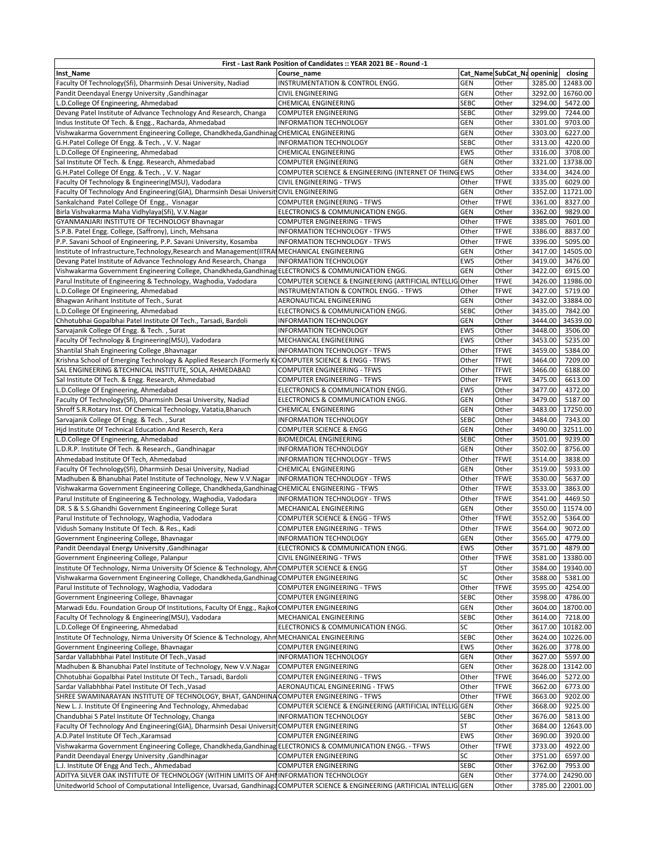| First - Last Rank Position of Candidates :: YEAR 2021 BE - Round -1                                                                                           |                                                                                      |                          |                             |                    |                                     |  |  |  |  |
|---------------------------------------------------------------------------------------------------------------------------------------------------------------|--------------------------------------------------------------------------------------|--------------------------|-----------------------------|--------------------|-------------------------------------|--|--|--|--|
| Inst Name                                                                                                                                                     | Course name                                                                          |                          | Cat_Name SubCat_Na openinig |                    | closing                             |  |  |  |  |
| Faculty Of Technology(Sfi), Dharmsinh Desai University, Nadiad                                                                                                | INSTRUMENTATION & CONTROL ENGG.                                                      | <b>GEN</b>               | Other                       | 3285.00            | 12483.00                            |  |  |  |  |
| Pandit Deendayal Energy University , Gandhinagar                                                                                                              | <b>CIVIL ENGINEERING</b>                                                             | <b>GEN</b>               | Other                       | 3292.00            | 16760.00                            |  |  |  |  |
| .D.College Of Engineering, Ahmedabad                                                                                                                          | CHEMICAL ENGINEERING                                                                 | <b>SEBC</b>              | Other                       | 3294.00            | 5472.00                             |  |  |  |  |
| Devang Patel Institute of Advance Technology And Research, Changa                                                                                             | <b>COMPUTER ENGINEERING</b>                                                          | <b>SEBC</b>              | Other                       | 3299.00            | 7244.00                             |  |  |  |  |
| Indus Institute Of Tech. & Engg., Racharda, Ahmedabad                                                                                                         | <b>INFORMATION TECHNOLOGY</b>                                                        | <b>GEN</b>               | Other                       | 3301.00            | 9703.00                             |  |  |  |  |
| Vishwakarma Government Engineering College, Chandkheda, Gandhinag CHEMICAL ENGINEERING                                                                        |                                                                                      | <b>GEN</b>               | Other                       | 3303.00            | 6227.00                             |  |  |  |  |
| G.H.Patel College Of Engg. & Tech., V.V. Nagar                                                                                                                | <b>INFORMATION TECHNOLOGY</b>                                                        | <b>SEBC</b>              | Other                       | 3313.00            | 4220.00                             |  |  |  |  |
| L.D.College Of Engineering, Ahmedabad                                                                                                                         | CHEMICAL ENGINEERING                                                                 | <b>EWS</b><br><b>GEN</b> | Other<br>Other              | 3316.00<br>3321.00 | 3708.00<br>13738.00                 |  |  |  |  |
| Sal Institute Of Tech. & Engg. Research, Ahmedabad<br>G.H.Patel College Of Engg. & Tech., V.V. Nagar                                                          | <b>COMPUTER ENGINEERING</b><br>COMPUTER SCIENCE & ENGINEERING (INTERNET OF THING EWS |                          | Other                       | 3334.00            | 3424.00                             |  |  |  |  |
| Faculty Of Technology & Engineering(MSU), Vadodara                                                                                                            | CIVIL ENGINEERING - TFWS                                                             | Other                    | <b>TFWE</b>                 | 3335.00            | 6029.00                             |  |  |  |  |
| Faculty Of Technology And Engineering(GIA), Dharmsinh Desai Universit CIVIL ENGINEERING                                                                       |                                                                                      | <b>GEN</b>               | Other                       | 3352.00            | 11721.00                            |  |  |  |  |
| Sankalchand Patel College Of Engg., Visnagar                                                                                                                  | <b>COMPUTER ENGINEERING - TFWS</b>                                                   | Other                    | <b>TFWE</b>                 | 3361.00            | 8327.00                             |  |  |  |  |
| Birla Vishvakarma Maha Vidhylaya(Sfi), V.V.Nagar                                                                                                              | ELECTRONICS & COMMUNICATION ENGG.                                                    | <b>GEN</b>               | Other                       | 3362.00            | 9829.00                             |  |  |  |  |
| GYANMANJARI INSTITUTE OF TECHNOLOGY Bhavnagar                                                                                                                 | <b>COMPUTER ENGINEERING - TFWS</b>                                                   | Other                    | <b>TFWE</b>                 | 3385.00            | 7601.00                             |  |  |  |  |
| S.P.B. Patel Engg. College, (Saffrony), Linch, Mehsana                                                                                                        | INFORMATION TECHNOLOGY - TFWS                                                        | Other                    | <b>TFWE</b>                 | 3386.00            | 8837.00                             |  |  |  |  |
| P.P. Savani School of Engineering, P.P. Savani University, Kosamba                                                                                            | INFORMATION TECHNOLOGY - TFWS                                                        | Other                    | <b>TFWE</b>                 | 3396.00            | 5095.00                             |  |  |  |  |
| Institute of Infrastructure, Technology, Research and Management (IITRAIMECHANICAL ENGINEERING                                                                |                                                                                      | <b>GEN</b>               | Other                       | 3417.00            | 14505.00                            |  |  |  |  |
| Devang Patel Institute of Advance Technology And Research, Changa                                                                                             | <b>INFORMATION TECHNOLOGY</b>                                                        | <b>EWS</b>               | Other                       | 3419.00            | 3476.00                             |  |  |  |  |
| Vishwakarma Government Engineering College, Chandkheda, Gandhinag ELECTRONICS & COMMUNICATION ENGG.                                                           |                                                                                      | <b>GEN</b>               | Other                       | 3422.00            | 6915.00                             |  |  |  |  |
| Parul Institute of Engineering & Technology, Waghodia, Vadodara                                                                                               | COMPUTER SCIENCE & ENGINEERING (ARTIFICIAL INTELLIG                                  | Other                    | <b>TFWE</b>                 | 3426.00            | 11986.00                            |  |  |  |  |
| L.D.College Of Engineering, Ahmedabad                                                                                                                         | INSTRUMENTATION & CONTROL ENGG. - TFWS                                               | Other                    | <b>TFWE</b>                 | 3427.00            | 5719.00                             |  |  |  |  |
| Bhagwan Arihant Institute of Tech., Surat                                                                                                                     | AERONAUTICAL ENGINEERING                                                             | <b>GEN</b>               | Other                       | 3432.00            | 33884.00                            |  |  |  |  |
| L.D.College Of Engineering, Ahmedabad                                                                                                                         | ELECTRONICS & COMMUNICATION ENGG.                                                    | <b>SEBC</b>              | Other                       | 3435.00            | 7842.00                             |  |  |  |  |
| Chhotubhai Gopalbhai Patel Institute Of Tech., Tarsadi, Bardoli                                                                                               | <b>INFORMATION TECHNOLOGY</b>                                                        | <b>GEN</b>               | Other                       | 3444.00            | 34539.00                            |  |  |  |  |
| Sarvajanik College Of Engg. & Tech., Surat                                                                                                                    | <b>INFORMATION TECHNOLOGY</b>                                                        | <b>EWS</b>               | Other                       | 3448.00            | 3506.00                             |  |  |  |  |
| Faculty Of Technology & Engineering(MSU), Vadodara                                                                                                            | MECHANICAL ENGINEERING                                                               | <b>EWS</b>               | Other                       | 3453.00            | 5235.00                             |  |  |  |  |
| Shantilal Shah Engineering College, Bhavnagar                                                                                                                 | INFORMATION TECHNOLOGY - TFWS                                                        | Other                    | <b>TFWE</b>                 | 3459.00            | 5384.00                             |  |  |  |  |
| Krishna School of Emerging Technology & Applied Research (Formerly KrCOMPUTER SCIENCE & ENGG - TFWS<br>SAL ENGINEERING & TECHNICAL INSTITUTE, SOLA, AHMEDABAD | COMPUTER ENGINEERING - TFWS                                                          | Other<br>Other           | <b>TFWE</b><br><b>TFWE</b>  | 3464.00<br>3466.00 | 7209.00<br>6188.00                  |  |  |  |  |
| Sal Institute Of Tech. & Engg. Research, Ahmedabad                                                                                                            | COMPUTER ENGINEERING - TFWS                                                          | Other                    | <b>TFWE</b>                 | 3475.00            | 6613.00                             |  |  |  |  |
| L.D.College Of Engineering, Ahmedabad                                                                                                                         | ELECTRONICS & COMMUNICATION ENGG.                                                    | <b>EWS</b>               | Other                       | 3477.00            | 4372.00                             |  |  |  |  |
| Faculty Of Technology(Sfi), Dharmsinh Desai University, Nadiad                                                                                                | ELECTRONICS & COMMUNICATION ENGG.                                                    | <b>GEN</b>               | Other                       | 3479.00            | 5187.00                             |  |  |  |  |
| Shroff S.R.Rotary Inst. Of Chemical Technology, Vatatia, Bharuch                                                                                              | CHEMICAL ENGINEERING                                                                 | <b>GEN</b>               | Other                       | 3483.00            | 17250.00                            |  |  |  |  |
| Sarvajanik College Of Engg. & Tech., Surat                                                                                                                    | <b>INFORMATION TECHNOLOGY</b>                                                        | <b>SEBC</b>              | Other                       | 3484.00            | 7343.00                             |  |  |  |  |
| Hid Institute Of Technical Education And Reserch, Kera                                                                                                        | <b>COMPUTER SCIENCE &amp; ENGG</b>                                                   | <b>GEN</b>               | Other                       | 3490.00            | 32511.00                            |  |  |  |  |
| L.D.College Of Engineering, Ahmedabad                                                                                                                         | <b>BIOMEDICAL ENGINEERING</b>                                                        | <b>SEBC</b>              | Other                       | 3501.00            | 9239.00                             |  |  |  |  |
| L.D.R.P. Institute Of Tech. & Research., Gandhinagar                                                                                                          | <b>INFORMATION TECHNOLOGY</b>                                                        | <b>GEN</b>               | Other                       | 3502.00            | 8756.00                             |  |  |  |  |
| Ahmedabad Institute Of Tech, Ahmedabad                                                                                                                        | INFORMATION TECHNOLOGY - TFWS                                                        | Other                    | <b>TFWE</b>                 | 3514.00            | 3838.00                             |  |  |  |  |
| Faculty Of Technology(Sfi), Dharmsinh Desai University, Nadiad                                                                                                | CHEMICAL ENGINEERING                                                                 | <b>GEN</b>               | Other                       | 3519.00            | 5933.00                             |  |  |  |  |
| Madhuben & Bhanubhai Patel Institute of Technology, New V.V.Nagar                                                                                             | INFORMATION TECHNOLOGY - TFWS                                                        | Other                    | <b>TFWE</b>                 | 3530.00            | 5637.00                             |  |  |  |  |
| Vishwakarma Government Engineering College, Chandkheda, Gandhinag CHEMICAL ENGINEERING - TFWS                                                                 |                                                                                      | Other                    | <b>TFWE</b>                 | 3533.00            | 3863.00                             |  |  |  |  |
| Parul Institute of Engineering & Technology, Waghodia, Vadodara                                                                                               | INFORMATION TECHNOLOGY - TFWS                                                        | Other                    | <b>TFWE</b>                 | 3541.00            | 4469.50                             |  |  |  |  |
| DR. S & S.S.Ghandhi Government Engineering College Surat                                                                                                      | MECHANICAL ENGINEERING                                                               | <b>GEN</b>               | Other                       | 3550.00            | 11574.00                            |  |  |  |  |
| Parul Institute of Technology, Waghodia, Vadodara                                                                                                             | <b>COMPUTER SCIENCE &amp; ENGG - TFWS</b>                                            | Other                    | <b>TFWE</b>                 | 3552.00            | 5364.00                             |  |  |  |  |
| Vidush Somany Institute Of Tech. & Res., Kadi                                                                                                                 | <b>COMPUTER ENGINEERING - TFWS</b>                                                   | Other                    | <b>TFWE</b>                 | 3564.00            | 9072.00                             |  |  |  |  |
| Government Engineering College, Bhavnagar                                                                                                                     | <b>INFORMATION TECHNOLOGY</b>                                                        | <b>GEN</b><br><b>EWS</b> | Other                       | 3565.00            | 4779.00                             |  |  |  |  |
| Pandit Deendayal Energy University , Gandhinagar<br>Government Engineering College, Palanpur                                                                  | ELECTRONICS & COMMUNICATION ENGG.<br>CIVIL ENGINEERING - TFWS                        | Other                    | Other<br><b>TFWE</b>        |                    | 3571.00 4879.00<br>3581.00 13380.00 |  |  |  |  |
| Institute Of Technology, Nirma University Of Science & Technology, AhmCOMPUTER SCIENCE & ENGG                                                                 |                                                                                      | <b>ST</b>                | Other                       | 3584.00            | 19340.00                            |  |  |  |  |
| Vishwakarma Government Engineering College, Chandkheda, Gandhinag                                                                                             | <b>COMPUTER ENGINEERING</b>                                                          | SC                       | Other                       | 3588.00            | 5381.00                             |  |  |  |  |
| Parul Institute of Technology, Waghodia, Vadodara                                                                                                             | COMPUTER ENGINEERING - TFWS                                                          | Other                    | <b>TFWE</b>                 | 3595.00            | 4254.00                             |  |  |  |  |
| Government Engineering College, Bhavnagar                                                                                                                     | COMPUTER ENGINEERING                                                                 | <b>SEBC</b>              | Other                       | 3598.00            | 4786.00                             |  |  |  |  |
| Marwadi Edu. Foundation Group Of Institutions, Faculty Of Engg., Rajkot COMPUTER ENGINEERING                                                                  |                                                                                      | <b>GEN</b>               | Other                       | 3604.00            | 18700.00                            |  |  |  |  |
| Faculty Of Technology & Engineering(MSU), Vadodara                                                                                                            | MECHANICAL ENGINEERING                                                               | <b>SEBC</b>              | Other                       | 3614.00            | 7218.00                             |  |  |  |  |
| L.D.College Of Engineering, Ahmedabad                                                                                                                         | ELECTRONICS & COMMUNICATION ENGG.                                                    | SC                       | Other                       | 3617.00            | 10182.00                            |  |  |  |  |
| Institute Of Technology, Nirma University Of Science & Technology, Ahm MECHANICAL ENGINEERING                                                                 |                                                                                      | <b>SEBC</b>              | Other                       | 3624.00            | 10226.00                            |  |  |  |  |
| Government Engineering College, Bhavnagar                                                                                                                     | <b>COMPUTER ENGINEERING</b>                                                          | <b>EWS</b>               | Other                       | 3626.00            | 3778.00                             |  |  |  |  |
| Sardar Vallabhbhai Patel Institute Of Tech., Vasad                                                                                                            | INFORMATION TECHNOLOGY                                                               | <b>GEN</b>               | Other                       | 3627.00            | 5597.00                             |  |  |  |  |
| Madhuben & Bhanubhai Patel Institute of Technology, New V.V.Nagar                                                                                             | <b>COMPUTER ENGINEERING</b>                                                          | <b>GEN</b>               | Other                       | 3628.00            | 13142.00                            |  |  |  |  |
| Chhotubhai Gopalbhai Patel Institute Of Tech., Tarsadi, Bardoli                                                                                               | <b>COMPUTER ENGINEERING - TFWS</b>                                                   | Other                    | <b>TFWE</b>                 | 3646.00            | 5272.00                             |  |  |  |  |
| Sardar Vallabhbhai Patel Institute Of Tech., Vasad                                                                                                            | AERONAUTICAL ENGINEERING - TFWS                                                      | Other                    | <b>TFWE</b>                 | 3662.00            | 6773.00                             |  |  |  |  |
| SHREE SWAMINARAYAN INSTITUTE OF TECHNOLOGY, BHAT, GANDHINA COMPUTER ENGINEERING - TFWS                                                                        |                                                                                      | Other                    | <b>TFWE</b>                 | 3663.00            | 9202.00                             |  |  |  |  |
| New L. J. Institute Of Engineering And Technology, Ahmedabad                                                                                                  | COMPUTER SCIENCE & ENGINEERING (ARTIFICIAL INTELLIG                                  | <b>GEN</b>               | Other                       | 3668.00            | 9225.00                             |  |  |  |  |
| Chandubhai S Patel Institute Of Technology, Changa                                                                                                            | INFORMATION TECHNOLOGY                                                               | <b>SEBC</b><br><b>ST</b> | Other                       | 3676.00            | 5813.00                             |  |  |  |  |
| Faculty Of Technology And Engineering(GIA), Dharmsinh Desai Universit COMPUTER ENGINEERING<br>A.D.Patel Institute Of Tech., Karamsad                          | <b>COMPUTER ENGINEERING</b>                                                          | <b>EWS</b>               | Other<br>Other              | 3684.00<br>3690.00 | 12643.00<br>3920.00                 |  |  |  |  |
| Vishwakarma Government Engineering College, Chandkheda, Gandhinag ELECTRONICS & COMMUNICATION ENGG. - TFWS                                                    |                                                                                      | Other                    | <b>TFWE</b>                 | 3733.00            | 4922.00                             |  |  |  |  |
| Pandit Deendayal Energy University , Gandhinagar                                                                                                              | <b>COMPUTER ENGINEERING</b>                                                          | SC                       | Other                       | 3751.00            | 6597.00                             |  |  |  |  |
| L.J. Institute Of Engg And Tech., Ahmedabad                                                                                                                   | <b>COMPUTER ENGINEERING</b>                                                          | <b>SEBC</b>              | Other                       | 3762.00            | 7953.00                             |  |  |  |  |
| ADITYA SILVER OAK INSTITUTE OF TECHNOLOGY (WITHIN LIMITS OF AHI INFORMATION TECHNOLOGY                                                                        |                                                                                      | <b>GEN</b>               | Other                       | 3774.00            | 24290.00                            |  |  |  |  |
| Unitedworld School of Computational Intelligence, Uvarsad, GandhinagaCOMPUTER SCIENCE & ENGINEERING (ARTIFICIAL INTELLIG GEN                                  |                                                                                      |                          | Other                       | 3785.00            | 22001.00                            |  |  |  |  |
|                                                                                                                                                               |                                                                                      |                          |                             |                    |                                     |  |  |  |  |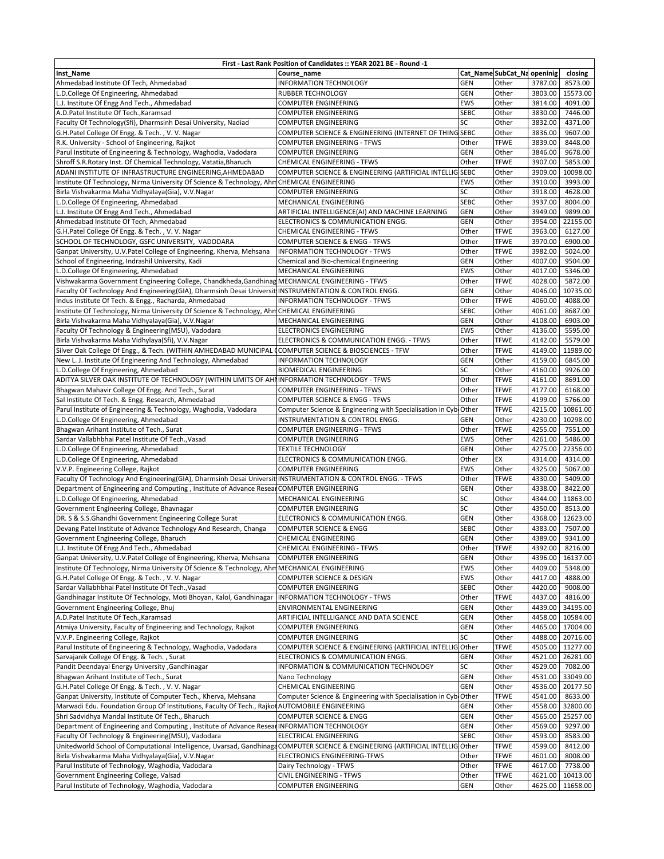| First - Last Rank Position of Candidates :: YEAR 2021 BE - Round -1                                                                 |                                                                                    |                          |                             |                    |                      |  |  |  |
|-------------------------------------------------------------------------------------------------------------------------------------|------------------------------------------------------------------------------------|--------------------------|-----------------------------|--------------------|----------------------|--|--|--|
| Inst_Name                                                                                                                           | Course name                                                                        |                          | Cat_Name SubCat_Na openinig |                    | closing              |  |  |  |
| Ahmedabad Institute Of Tech, Ahmedabad                                                                                              | <b>INFORMATION TECHNOLOGY</b>                                                      | <b>GEN</b>               | Other                       | 3787.00            | 8573.00              |  |  |  |
| L.D.College Of Engineering, Ahmedabad                                                                                               | <b>RUBBER TECHNOLOGY</b>                                                           | GEN                      | Other                       | 3803.00            | 15573.00             |  |  |  |
| L.J. Institute Of Engg And Tech., Ahmedabad                                                                                         | COMPUTER ENGINEERING                                                               | <b>EWS</b>               | Other                       | 3814.00            | 4091.00              |  |  |  |
| A.D.Patel Institute Of Tech., Karamsad                                                                                              | <b>COMPUTER ENGINEERING</b>                                                        | <b>SEBC</b>              | Other                       | 3830.00            | 7446.00              |  |  |  |
| Faculty Of Technology(Sfi), Dharmsinh Desai University, Nadiad                                                                      | <b>COMPUTER ENGINEERING</b>                                                        | SC                       | Other                       | 3832.00            | 4371.00              |  |  |  |
| G.H.Patel College Of Engg. & Tech., V.V. Nagar                                                                                      | COMPUTER SCIENCE & ENGINEERING (INTERNET OF THING SEBC                             |                          | Other                       | 3836.00            | 9607.00              |  |  |  |
| R.K. University - School of Engineering, Rajkot                                                                                     | <b>COMPUTER ENGINEERING - TFWS</b>                                                 | Other                    | <b>TFWE</b>                 | 3839.00            | 8448.00              |  |  |  |
| Parul Institute of Engineering & Technology, Waghodia, Vadodara<br>Shroff S.R.Rotary Inst. Of Chemical Technology, Vatatia, Bharuch | <b>COMPUTER ENGINEERING</b><br>CHEMICAL ENGINEERING - TFWS                         | <b>GEN</b><br>Other      | Other<br><b>TFWE</b>        | 3846.00<br>3907.00 | 9678.00<br>5853.00   |  |  |  |
| ADANI INSTITUTE OF INFRASTRUCTURE ENGINEERING, AHMEDABAD                                                                            | COMPUTER SCIENCE & ENGINEERING (ARTIFICIAL INTELLIG SEBC                           |                          | Other                       | 3909.00            | 10098.00             |  |  |  |
| Institute Of Technology, Nirma University Of Science & Technology, Ahm CHEMICAL ENGINEERING                                         |                                                                                    | <b>EWS</b>               | Other                       | 3910.00            | 3993.00              |  |  |  |
| Birla Vishvakarma Maha Vidhyalaya(Gia), V.V.Nagar                                                                                   | <b>COMPUTER ENGINEERING</b>                                                        | SC                       | Other                       | 3918.00            | 4628.00              |  |  |  |
| L.D.College Of Engineering, Ahmedabad                                                                                               | MECHANICAL ENGINEERING                                                             | <b>SEBC</b>              | Other                       | 3937.00            | 8004.00              |  |  |  |
| L.J. Institute Of Engg And Tech., Ahmedabad                                                                                         | ARTIFICIAL INTELLIGENCE(AI) AND MACHINE LEARNING                                   | <b>GEN</b>               | Other                       | 3949.00            | 9899.00              |  |  |  |
| Ahmedabad Institute Of Tech, Ahmedabad                                                                                              | ELECTRONICS & COMMUNICATION ENGG.                                                  | <b>GEN</b>               | Other                       | 3954.00            | 22155.00             |  |  |  |
| G.H.Patel College Of Engg. & Tech., V.V. Nagar                                                                                      | CHEMICAL ENGINEERING - TFWS                                                        | Other                    | <b>TFWE</b>                 | 3963.00            | 6127.00              |  |  |  |
| SCHOOL OF TECHNOLOGY, GSFC UNIVERSITY, VADODARA                                                                                     | COMPUTER SCIENCE & ENGG - TFWS                                                     | Other                    | <b>TFWE</b>                 | 3970.00            | 6900.00              |  |  |  |
| Ganpat University, U.V.Patel College of Engineering, Kherva, Mehsana                                                                | INFORMATION TECHNOLOGY - TFWS                                                      | Other                    | <b>TFWE</b>                 | 3982.00            | 5024.00              |  |  |  |
| School of Engineering, Indrashil University, Kadi                                                                                   | Chemical and Bio-chemical Engineering                                              | GEN                      | Other                       | 4007.00            | 9504.00              |  |  |  |
| L.D.College Of Engineering, Ahmedabad                                                                                               | MECHANICAL ENGINEERING                                                             | <b>EWS</b>               | Other                       | 4017.00            | 5346.00              |  |  |  |
| Vishwakarma Government Engineering College, Chandkheda, Gandhinag MECHANICAL ENGINEERING - TFWS                                     |                                                                                    | Other                    | <b>TFWE</b>                 | 4028.00            | 5872.00              |  |  |  |
| Faculty Of Technology And Engineering(GIA), Dharmsinh Desai Universit INSTRUMENTATION & CONTROL ENGG.                               |                                                                                    | <b>GEN</b>               | Other                       | 4046.00            | 10735.00             |  |  |  |
| Indus Institute Of Tech. & Engg., Racharda, Ahmedabad                                                                               | INFORMATION TECHNOLOGY - TFWS                                                      | Other                    | <b>TFWE</b>                 | 4060.00            | 4088.00              |  |  |  |
| Institute Of Technology, Nirma University Of Science & Technology, Ahm CHEMICAL ENGINEERING                                         |                                                                                    | <b>SEBC</b>              | Other                       | 4061.00            | 8687.00              |  |  |  |
| Birla Vishvakarma Maha Vidhyalaya(Gia), V.V.Nagar<br>Faculty Of Technology & Engineering(MSU), Vadodara                             | MECHANICAL ENGINEERING                                                             | <b>GEN</b><br><b>EWS</b> | Other<br>Other              | 4108.00<br>4136.00 | 6903.00<br>5595.00   |  |  |  |
| Birla Vishvakarma Maha Vidhylaya(Sfi), V.V.Nagar                                                                                    | <b>ELECTRONICS ENGINEERING</b><br>ELECTRONICS & COMMUNICATION ENGG. - TFWS         | Other                    | <b>TFWE</b>                 | 4142.00            | 5579.00              |  |  |  |
| Silver Oak College Of Engg., & Tech. (WITHIN AMHEDABAD MUNICIPAL                                                                    | COMPUTER SCIENCE & BIOSCIENCES - TFW                                               | Other                    | <b>TFWE</b>                 | 4149.00            | 11989.00             |  |  |  |
| New L. J. Institute Of Engineering And Technology, Ahmedabad                                                                        | <b>INFORMATION TECHNOLOGY</b>                                                      | <b>GEN</b>               | Other                       | 4159.00            | 6845.00              |  |  |  |
| L.D.College Of Engineering, Ahmedabad                                                                                               | <b>BIOMEDICAL ENGINEERING</b>                                                      | SC                       | Other                       | 4160.00            | 9926.00              |  |  |  |
| ADITYA SILVER OAK INSTITUTE OF TECHNOLOGY (WITHIN LIMITS OF AHMINFORMATION TECHNOLOGY - TFWS                                        |                                                                                    | Other                    | <b>TFWE</b>                 | 4161.00            | 8691.00              |  |  |  |
| Bhagwan Mahavir College Of Engg. And Tech., Surat                                                                                   | <b>COMPUTER ENGINEERING - TFWS</b>                                                 | Other                    | TFWE                        | 4177.00            | 6168.00              |  |  |  |
| Sal Institute Of Tech. & Engg. Research, Ahmedabad                                                                                  | COMPUTER SCIENCE & ENGG - TFWS                                                     | Other                    | <b>TFWE</b>                 | 4199.00            | 5766.00              |  |  |  |
| Parul Institute of Engineering & Technology, Waghodia, Vadodara                                                                     | Computer Science & Engineering with Specialisation in Cybi Other                   |                          | TFWE                        | 4215.00            | 10861.00             |  |  |  |
| L.D.College Of Engineering, Ahmedabad                                                                                               | INSTRUMENTATION & CONTROL ENGG.                                                    | GEN                      | Other                       | 4230.00            | 10298.00             |  |  |  |
| Bhagwan Arihant Institute of Tech., Surat                                                                                           | <b>COMPUTER ENGINEERING - TFWS</b>                                                 | Other                    | TFWE                        | 4255.00            | 7551.00              |  |  |  |
| Sardar Vallabhbhai Patel Institute Of Tech., Vasad                                                                                  | <b>COMPUTER ENGINEERING</b>                                                        | <b>EWS</b>               | Other                       | 4261.00            | 5486.00              |  |  |  |
| L.D.College Of Engineering, Ahmedabad                                                                                               | <b>TEXTILE TECHNOLOGY</b>                                                          | <b>GEN</b>               | Other                       | 4275.00            | 22356.00             |  |  |  |
| L.D.College Of Engineering, Ahmedabad                                                                                               | ELECTRONICS & COMMUNICATION ENGG.                                                  | Other                    | EX                          | 4314.00            | 4314.00              |  |  |  |
| V.V.P. Engineering College, Rajkot                                                                                                  | <b>COMPUTER ENGINEERING</b>                                                        | EWS                      | Other                       | 4325.00            | 5067.00              |  |  |  |
| Faculty Of Technology And Engineering(GIA), Dharmsinh Desai Universit INSTRUMENTATION & CONTROL ENGG. - TFWS                        |                                                                                    | Other                    | <b>TFWE</b><br>Other        | 4330.00            | 5409.00<br>8422.00   |  |  |  |
| Department of Engineering and Computing, Institute of Advance Resear COMPUTER ENGINEERING<br>L.D.College Of Engineering, Ahmedabad  | MECHANICAL ENGINEERING                                                             | GEN<br>SC                | Other                       | 4338.00<br>4344.00 | 11863.00             |  |  |  |
| Government Engineering College, Bhavnagar                                                                                           | <b>COMPUTER ENGINEERING</b>                                                        | SC                       | Other                       | 4350.00            | 8513.00              |  |  |  |
| DR. S & S.S.Ghandhi Government Engineering College Surat                                                                            | ELECTRONICS & COMMUNICATION ENGG.                                                  | GEN                      | Other                       | 4368.00            | 12623.00             |  |  |  |
| Devang Patel Institute of Advance Technology And Research, Changa                                                                   | <b>COMPUTER SCIENCE &amp; ENGG</b>                                                 | <b>SEBC</b>              | Other                       | 4383.00            | 7507.00              |  |  |  |
| Government Engineering College, Bharuch                                                                                             | CHEMICAL ENGINEERING                                                               | <b>GEN</b>               | Other                       | 4389.00            | 9341.00              |  |  |  |
| L.J. Institute Of Engg And Tech., Ahmedabad                                                                                         | CHEMICAL ENGINEERING - TFWS                                                        | Other                    | <b>TFWE</b>                 |                    | 4392.00 8216.00      |  |  |  |
| Ganpat University, U.V.Patel College of Engineering, Kherva, Mehsana                                                                | <b>COMPUTER ENGINEERING</b>                                                        | <b>GEN</b>               | Other                       | 4396.00            | 16137.00             |  |  |  |
| Institute Of Technology, Nirma University Of Science & Technology, Ahm                                                              | MECHANICAL ENGINEERING                                                             | EWS                      | Other                       | 4409.00            | 5348.00              |  |  |  |
| G.H.Patel College Of Engg. & Tech., V.V. Nagar                                                                                      | COMPUTER SCIENCE & DESIGN                                                          | EWS                      | Other                       | 4417.00            | 4888.00              |  |  |  |
| Sardar Vallabhbhai Patel Institute Of Tech., Vasad                                                                                  | <b>COMPUTER ENGINEERING</b>                                                        | <b>SEBC</b>              | Other                       | 4420.00            | 9008.00              |  |  |  |
| Gandhinagar Institute Of Technology, Moti Bhoyan, Kalol, Gandhinagar                                                                | INFORMATION TECHNOLOGY - TFWS                                                      | Other                    | <b>TFWE</b>                 | 4437.00            | 4816.00              |  |  |  |
| Government Engineering College, Bhuj                                                                                                | ENVIRONMENTAL ENGINEERING                                                          | GEN                      | Other                       | 4439.00            | 34195.00             |  |  |  |
| A.D.Patel Institute Of Tech., Karamsad                                                                                              | ARTIFICIAL INTELLIGANCE AND DATA SCIENCE                                           | GEN                      | Other                       | 4458.00            | 10584.00             |  |  |  |
| Atmiya University, Faculty of Engineering and Technology, Rajkot<br>V.V.P. Engineering College, Rajkot                              | COMPUTER ENGINEERING                                                               | GEN<br>SC                | Other                       | 4465.00            | 17004.00             |  |  |  |
| Parul Institute of Engineering & Technology, Waghodia, Vadodara                                                                     | <b>COMPUTER ENGINEERING</b><br>COMPUTER SCIENCE & ENGINEERING (ARTIFICIAL INTELLIG | Other                    | Other<br>TFWE               | 4488.00<br>4505.00 | 20716.00<br>11277.00 |  |  |  |
| Sarvajanik College Of Engg. & Tech., Surat                                                                                          | ELECTRONICS & COMMUNICATION ENGG.                                                  | GEN                      | Other                       | 4521.00            | 26281.00             |  |  |  |
| Pandit Deendayal Energy University , Gandhinagar                                                                                    | INFORMATION & COMMUNICATION TECHNOLOGY                                             | SC                       | Other                       | 4529.00            | 7082.00              |  |  |  |
| Bhagwan Arihant Institute of Tech., Surat                                                                                           | Nano Technology                                                                    | GEN                      | Other                       | 4531.00            | 33049.00             |  |  |  |
| G.H.Patel College Of Engg. & Tech., V.V. Nagar                                                                                      | CHEMICAL ENGINEERING                                                               | <b>GEN</b>               | Other                       | 4536.00            | 20177.50             |  |  |  |
| Ganpat University, Institute of Computer Tech., Kherva, Mehsana                                                                     | Computer Science & Engineering with Specialisation in CybiOther                    |                          | TFWE                        | 4541.00            | 8633.00              |  |  |  |
| Marwadi Edu. Foundation Group Of Institutions, Faculty Of Tech., Rajkot AUTOMOBILE ENGINEERING                                      |                                                                                    | <b>GEN</b>               | Other                       | 4558.00            | 32800.00             |  |  |  |
| Shri Sadvidhya Mandal Institute Of Tech., Bharuch                                                                                   | COMPUTER SCIENCE & ENGG                                                            | GEN                      | Other                       | 4565.00            | 25257.00             |  |  |  |
| Department of Engineering and Computing, Institute of Advance ResearINFORMATION TECHNOLOGY                                          |                                                                                    | GEN                      | Other                       | 4569.00            | 9297.00              |  |  |  |
| Faculty Of Technology & Engineering(MSU), Vadodara                                                                                  | ELECTRICAL ENGINEERING                                                             | <b>SEBC</b>              | Other                       | 4593.00            | 8583.00              |  |  |  |
| Unitedworld School of Computational Intelligence, Uvarsad, GandhinagaCOMPUTER SCIENCE & ENGINEERING (ARTIFICIAL INTELLIG            |                                                                                    | Other                    | TFWE                        | 4599.00            | 8412.00              |  |  |  |
| Birla Vishvakarma Maha Vidhyalaya(Gia), V.V.Nagar                                                                                   | ELECTRONICS ENGINEERING-TFWS                                                       | Other                    | TFWE                        | 4601.00            | 8008.00              |  |  |  |
| Parul Institute of Technology, Waghodia, Vadodara                                                                                   | Dairy Technology - TFWS                                                            | Other                    | TFWE                        | 4617.00            | 7738.00              |  |  |  |
| Government Engineering College, Valsad                                                                                              | CIVIL ENGINEERING - TFWS                                                           | Other                    | TFWE                        | 4621.00            | 10413.00             |  |  |  |
| Parul Institute of Technology, Waghodia, Vadodara                                                                                   | <b>COMPUTER ENGINEERING</b>                                                        | GEN                      | Other                       | 4625.00            | 11658.00             |  |  |  |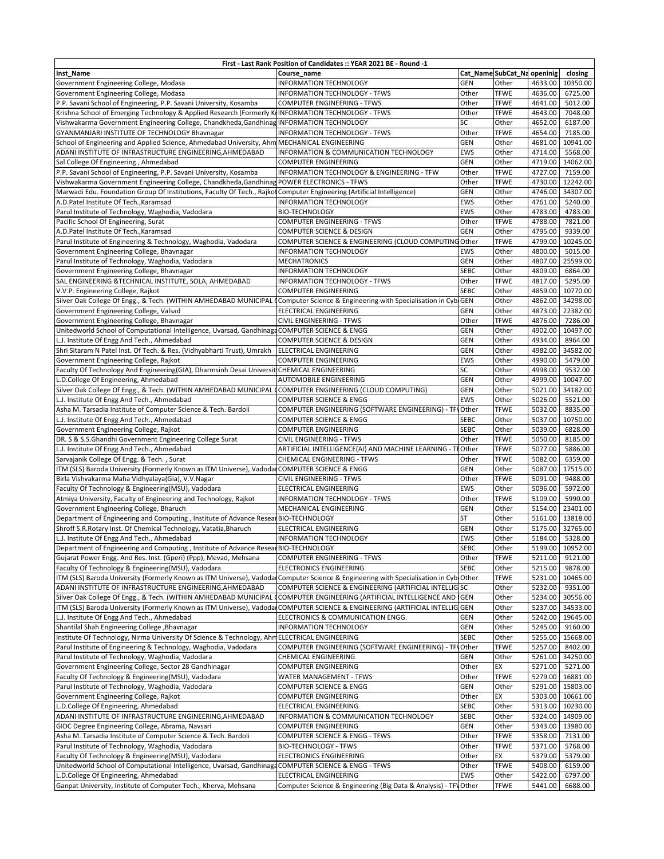| First - Last Rank Position of Candidates :: YEAR 2021 BE - Round -1                                                                   |                                                                  |              |                             |                    |                    |  |  |  |
|---------------------------------------------------------------------------------------------------------------------------------------|------------------------------------------------------------------|--------------|-----------------------------|--------------------|--------------------|--|--|--|
| Inst_Name                                                                                                                             | Course name                                                      |              | Cat_Name SubCat_Na openinig |                    | closing            |  |  |  |
| Government Engineering College, Modasa                                                                                                | <b>INFORMATION TECHNOLOGY</b>                                    | <b>GEN</b>   | Other                       | 4633.00            | 10350.00           |  |  |  |
| Government Engineering College, Modasa                                                                                                | INFORMATION TECHNOLOGY - TFWS                                    | Other        | <b>TFWE</b>                 | 4636.00            | 6725.00            |  |  |  |
| P.P. Savani School of Engineering, P.P. Savani University, Kosamba                                                                    | <b>COMPUTER ENGINEERING - TFWS</b>                               | Other        | TFWE                        | 4641.00            | 5012.00            |  |  |  |
| Krishna School of Emerging Technology & Applied Research (Formerly KrINFORMATION TECHNOLOGY - TFWS                                    |                                                                  | Other        | <b>TFWE</b>                 | 4643.00            | 7048.00            |  |  |  |
| Vishwakarma Government Engineering College, Chandkheda, Gandhinag INFORMATION TECHNOLOGY                                              |                                                                  | SC           | Other                       | 4652.00            | 6187.00            |  |  |  |
| GYANMANJARI INSTITUTE OF TECHNOLOGY Bhavnagar                                                                                         | INFORMATION TECHNOLOGY - TFWS                                    | Other        | <b>TFWE</b>                 | 4654.00            | 7185.00            |  |  |  |
| School of Engineering and Applied Science, Ahmedabad University, Ahm MECHANICAL ENGINEERING                                           |                                                                  | <b>GEN</b>   | Other                       | 4681.00            | 10941.00           |  |  |  |
| ADANI INSTITUTE OF INFRASTRUCTURE ENGINEERING, AHMEDABAD                                                                              | INFORMATION & COMMUNICATION TECHNOLOGY                           | <b>EWS</b>   | Other                       | 4714.00            | 5568.00            |  |  |  |
| Sal College Of Engineering, Ahmedabad                                                                                                 | <b>COMPUTER ENGINEERING</b>                                      | <b>GEN</b>   | Other                       | 4719.00            | 14062.00           |  |  |  |
| P.P. Savani School of Engineering, P.P. Savani University, Kosamba                                                                    | INFORMATION TECHNOLOGY & ENGINEERING - TFW                       | Other        | <b>TFWE</b>                 | 4727.00            | 7159.00            |  |  |  |
| Vishwakarma Government Engineering College, Chandkheda, Gandhinag POWER ELECTRONICS - TFWS                                            |                                                                  | Other        | <b>TFWE</b>                 | 4730.00            | 12242.00           |  |  |  |
| Marwadi Edu. Foundation Group Of Institutions, Faculty Of Tech., Rajkot Computer Engineering (Artificial Intelligence)                |                                                                  | <b>GEN</b>   | Other                       | 4746.00            | 34307.00           |  |  |  |
| A.D.Patel Institute Of Tech., Karamsad                                                                                                | <b>INFORMATION TECHNOLOGY</b>                                    | <b>EWS</b>   | Other                       | 4761.00            | 5240.00            |  |  |  |
| Parul Institute of Technology, Waghodia, Vadodara                                                                                     | <b>BIO-TECHNOLOGY</b>                                            | EWS          | Other                       | 4783.00            | 4783.00            |  |  |  |
| Pacific School Of Engineering, Surat                                                                                                  | <b>COMPUTER ENGINEERING - TFWS</b>                               | Other        | <b>TFWE</b>                 | 4788.00            | 7821.00            |  |  |  |
| A.D.Patel Institute Of Tech., Karamsad                                                                                                | COMPUTER SCIENCE & DESIGN                                        | <b>GEN</b>   | Other                       | 4795.00            | 9339.00            |  |  |  |
| Parul Institute of Engineering & Technology, Waghodia, Vadodara                                                                       | COMPUTER SCIENCE & ENGINEERING (CLOUD COMPUTING Other            |              | <b>TFWE</b>                 | 4799.00            | 10245.00           |  |  |  |
| Government Engineering College, Bhavnagar                                                                                             | <b>INFORMATION TECHNOLOGY</b>                                    | EWS          | Other                       | 4800.00            | 5015.00            |  |  |  |
| Parul Institute of Technology, Waghodia, Vadodara                                                                                     | <b>MECHATRONICS</b>                                              | GEN          | Other                       | 4807.00            | 25599.00           |  |  |  |
| Government Engineering College, Bhavnagar                                                                                             | INFORMATION TECHNOLOGY                                           | <b>SEBC</b>  | Other                       | 4809.00            | 6864.00            |  |  |  |
| SAL ENGINEERING & TECHNICAL INSTITUTE, SOLA, AHMEDABAD                                                                                | <b>INFORMATION TECHNOLOGY - TFWS</b>                             | Other        | <b>TFWE</b>                 | 4817.00            | 5295.00            |  |  |  |
| V.V.P. Engineering College, Rajkot                                                                                                    | <b>COMPUTER ENGINEERING</b>                                      | <b>SEBC</b>  | Other                       | 4859.00            | 10770.00           |  |  |  |
| Silver Oak College Of Engg., & Tech. (WITHIN AMHEDABAD MUNICIPAL (Computer Science & Engineering with Specialisation in CybiGEN       |                                                                  |              | Other                       | 4862.00            | 34298.00           |  |  |  |
| Government Engineering College, Valsad                                                                                                | ELECTRICAL ENGINEERING                                           | <b>GEN</b>   | Other                       | 4873.00            | 22382.00           |  |  |  |
| Government Engineering College, Bhavnagar                                                                                             | <b>CIVIL ENGINEERING - TFWS</b>                                  | Other        | <b>TFWE</b>                 | 4876.00            | 7286.00            |  |  |  |
| Unitedworld School of Computational Intelligence, Uvarsad, GandhinagaCOMPUTER SCIENCE & ENGG                                          |                                                                  | GEN          | Other                       | 4902.00            | 10497.00           |  |  |  |
| L.J. Institute Of Engg And Tech., Ahmedabad                                                                                           | COMPUTER SCIENCE & DESIGN                                        | <b>GEN</b>   | Other                       | 4934.00            | 8964.00            |  |  |  |
| Shri Sitaram N Patel Inst. Of Tech. & Res. (Vidhyabharti Trust), Umrakh                                                               | ELECTRICAL ENGINEERING                                           | GEN          | Other                       | 4982.00            | 34582.00           |  |  |  |
| Government Engineering College, Rajkot                                                                                                | <b>COMPUTER ENGINEERING</b>                                      | EWS          | Other                       | 4990.00            | 5479.00            |  |  |  |
| Faculty Of Technology And Engineering(GIA), Dharmsinh Desai Universit CHEMICAL ENGINEERING                                            |                                                                  | SC           | Other                       | 4998.00            | 9532.00            |  |  |  |
| L.D.College Of Engineering, Ahmedabad                                                                                                 | AUTOMOBILE ENGINEERING                                           | <b>GEN</b>   | Other                       | 4999.00            | 10047.00           |  |  |  |
| Silver Oak College Of Engg., & Tech. (WITHIN AMHEDABAD MUNICIPAL CCOMPUTER ENGINEERING (CLOUD COMPUTING)                              |                                                                  | GEN          | Other                       | 5021.00            | 34182.00           |  |  |  |
| L.J. Institute Of Engg And Tech., Ahmedabad                                                                                           | <b>COMPUTER SCIENCE &amp; ENGG</b>                               | <b>EWS</b>   | Other                       | 5026.00            | 5521.00            |  |  |  |
| Asha M. Tarsadia Institute of Computer Science & Tech. Bardoli                                                                        | COMPUTER ENGINEERING (SOFTWARE ENGINEERING) - TFVOther           |              | TFWE                        | 5032.00            | 8835.00            |  |  |  |
| L.J. Institute Of Engg And Tech., Ahmedabad                                                                                           | <b>COMPUTER SCIENCE &amp; ENGG</b>                               | <b>SEBC</b>  | Other                       | 5037.00            | 10750.00           |  |  |  |
| Government Engineering College, Rajkot                                                                                                | <b>COMPUTER ENGINEERING</b>                                      | <b>SEBC</b>  | Other                       | 5039.00            | 6828.00            |  |  |  |
| DR. S & S.S.Ghandhi Government Engineering College Surat                                                                              | <b>CIVIL ENGINEERING - TFWS</b>                                  | Other        | TFWE                        | 5050.00            | 8185.00            |  |  |  |
| L.J. Institute Of Engg And Tech., Ahmedabad                                                                                           | ARTIFICIAL INTELLIGENCE(AI) AND MACHINE LEARNING - T             | FOther       | TFWE                        | 5077.00            | 5886.00            |  |  |  |
| Sarvajanik College Of Engg. & Tech., Surat                                                                                            | <b>CHEMICAL ENGINEERING - TFWS</b>                               | Other        | <b>TFWE</b>                 | 5082.00            | 6359.00            |  |  |  |
| ITM (SLS) Baroda University (Formerly Known as ITM Universe), Vadoda COMPUTER SCIENCE & ENGG                                          |                                                                  | GEN          | Other                       | 5087.00<br>5091.00 | 17515.00           |  |  |  |
| Birla Vishvakarma Maha Vidhyalaya(Gia), V.V.Nagar                                                                                     | <b>CIVIL ENGINEERING - TFWS</b>                                  | Other<br>EWS | <b>TFWE</b><br>Other        |                    | 9488.00            |  |  |  |
| Faculty Of Technology & Engineering(MSU), Vadodara<br>Atmiya University, Faculty of Engineering and Technology, Rajkot                | ELECTRICAL ENGINEERING<br>INFORMATION TECHNOLOGY - TFWS          | Other        | <b>TFWE</b>                 | 5096.00<br>5109.00 | 5972.00<br>5990.00 |  |  |  |
| Government Engineering College, Bharuch                                                                                               | MECHANICAL ENGINEERING                                           | GEN          | Other                       | 5154.00            | 23401.00           |  |  |  |
| Department of Engineering and Computing, Institute of Advance ResearBIO-TECHNOLOGY                                                    |                                                                  | <b>ST</b>    | Other                       | 5161.00            | 13818.00           |  |  |  |
| Shroff S.R.Rotary Inst. Of Chemical Technology, Vatatia, Bharuch                                                                      | ELECTRICAL ENGINEERING                                           | <b>GEN</b>   | Other                       | 5175.00            | 32765.00           |  |  |  |
| L.J. Institute Of Engg And Tech., Ahmedabad                                                                                           | <b>INFORMATION TECHNOLOGY</b>                                    | EWS          | Other                       | 5184.00            | 5328.00            |  |  |  |
| Department of Engineering and Computing, Institute of Advance Resear BIO-TECHNOLOGY                                                   |                                                                  | <b>SEBC</b>  | Other                       |                    | 5199.00 10952.00   |  |  |  |
| Gujarat Power Engg. And Res. Inst. (Gperi) (Ppp), Mevad, Mehsana                                                                      | <b>COMPUTER ENGINEERING - TFWS</b>                               | Other        | <b>TFWE</b>                 | 5211.00            | 9121.00            |  |  |  |
| Faculty Of Technology & Engineering(MSU), Vadodara                                                                                    | <b>ELECTRONICS ENGINEERING</b>                                   | <b>SEBC</b>  | Other                       | 5215.00            | 9878.00            |  |  |  |
| ITM (SLS) Baroda University (Formerly Known as ITM Universe), Vadodar Computer Science & Engineering with Specialisation in CybrOther |                                                                  |              | <b>TFWE</b>                 | 5231.00            | 10465.00           |  |  |  |
| ADANI INSTITUTE OF INFRASTRUCTURE ENGINEERING, AHMEDABAD                                                                              | COMPUTER SCIENCE & ENGINEERING (ARTIFICIAL INTELLIG SC           |              | Other                       | 5232.00            | 9351.00            |  |  |  |
| Silver Oak College Of Engg., & Tech. (WITHIN AMHEDABAD MUNICIPAL                                                                      | <b>COMPUTER ENGINEERING (ARTIFICIAL INTELLIGENCE AND</b>         | <b>IGEN</b>  | Other                       | 5234.00            | 30556.00           |  |  |  |
| ITM (SLS) Baroda University (Formerly Known as ITM Universe), Vadoda COMPUTER SCIENCE & ENGINEERING (ARTIFICIAL INTELLIG GEN          |                                                                  |              | Other                       | 5237.00            | 34533.00           |  |  |  |
| L.J. Institute Of Engg And Tech., Ahmedabad                                                                                           | ELECTRONICS & COMMUNICATION ENGG.                                | GEN          | Other                       | 5242.00            | 19645.00           |  |  |  |
| Shantilal Shah Engineering College , Bhavnagar                                                                                        | INFORMATION TECHNOLOGY                                           | <b>GEN</b>   | Other                       | 5245.00            | 9160.00            |  |  |  |
| Institute Of Technology, Nirma University Of Science & Technology, AhmELECTRICAL ENGINEERING                                          |                                                                  | <b>SEBC</b>  | Other                       | 5255.00            | 15668.00           |  |  |  |
| Parul Institute of Engineering & Technology, Waghodia, Vadodara                                                                       | COMPUTER ENGINEERING (SOFTWARE ENGINEERING) - TFVOther           |              | TFWE                        | 5257.00            | 8402.00            |  |  |  |
| Parul Institute of Technology, Waghodia, Vadodara                                                                                     | CHEMICAL ENGINEERING                                             | GEN          | Other                       | 5261.00            | 34250.00           |  |  |  |
| Government Engineering College, Sector 28 Gandhinagar                                                                                 | COMPUTER ENGINEERING                                             | Other        | EX                          | 5271.00            | 5271.00            |  |  |  |
| Faculty Of Technology & Engineering(MSU), Vadodara                                                                                    | WATER MANAGEMENT - TFWS                                          | Other        | TFWE                        | 5279.00            | 16881.00           |  |  |  |
| Parul Institute of Technology, Waghodia, Vadodara                                                                                     | COMPUTER SCIENCE & ENGG                                          | GEN          | Other                       | 5291.00            | 15803.00           |  |  |  |
| Government Engineering College, Rajkot                                                                                                | <b>COMPUTER ENGINEERING</b>                                      | Other        | EX                          | 5303.00            | 10661.00           |  |  |  |
| L.D.College Of Engineering, Ahmedabad                                                                                                 | ELECTRICAL ENGINEERING                                           | <b>SEBC</b>  | Other                       | 5313.00            | 10230.00           |  |  |  |
| ADANI INSTITUTE OF INFRASTRUCTURE ENGINEERING, AHMEDABAD                                                                              | INFORMATION & COMMUNICATION TECHNOLOGY                           | <b>SEBC</b>  | Other                       | 5324.00            | 14909.00           |  |  |  |
| GIDC Degree Engineering College, Abrama, Navsari                                                                                      | <b>COMPUTER ENGINEERING</b>                                      | GEN          | Other                       | 5343.00            | 13980.00           |  |  |  |
| Asha M. Tarsadia Institute of Computer Science & Tech. Bardoli                                                                        | COMPUTER SCIENCE & ENGG - TFWS                                   | Other        | TFWE                        | 5358.00            | 7131.00            |  |  |  |
| Parul Institute of Technology, Waghodia, Vadodara                                                                                     | <b>BIO-TECHNOLOGY - TFWS</b>                                     | Other        | TFWE                        | 5371.00            | 5768.00            |  |  |  |
| Faculty Of Technology & Engineering(MSU), Vadodara                                                                                    | <b>ELECTRONICS ENGINEERING</b>                                   | Other        | EX                          | 5379.00            | 5379.00            |  |  |  |
| Unitedworld School of Computational Intelligence, Uvarsad, GandhinagaCOMPUTER SCIENCE & ENGG - TFWS                                   |                                                                  | Other        | TFWE                        | 5408.00            | 6159.00            |  |  |  |
| L.D.College Of Engineering, Ahmedabad                                                                                                 | ELECTRICAL ENGINEERING                                           | EWS          | Other                       | 5422.00            | 6797.00            |  |  |  |
| Ganpat University, Institute of Computer Tech., Kherva, Mehsana                                                                       | Computer Science & Engineering (Big Data & Analysis) - TFV Other |              | TFWE                        | 5441.00            | 6688.00            |  |  |  |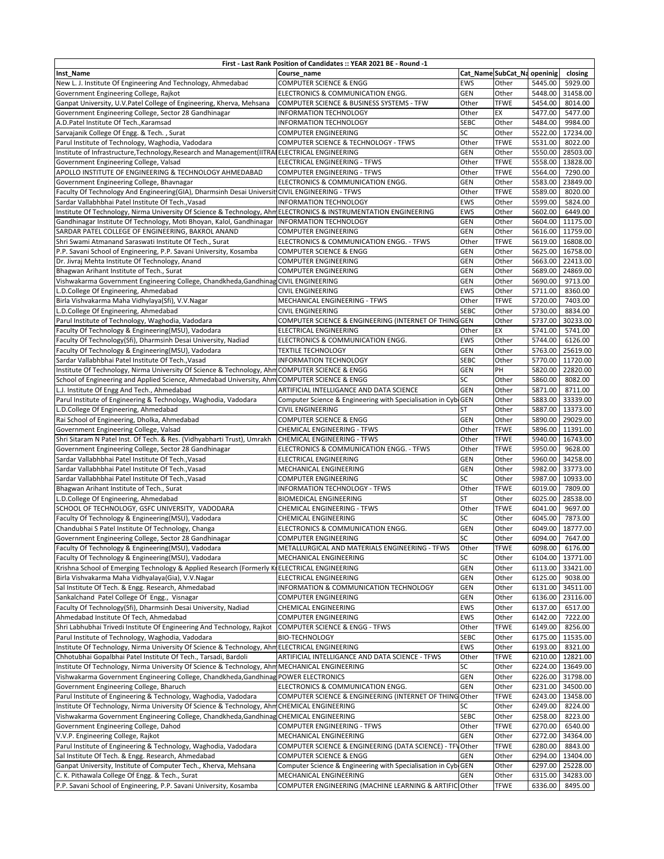|                                                                                                                                                                                               | First - Last Rank Position of Candidates :: YEAR 2021 BE - Round -1 |             |                             |         |                                     |
|-----------------------------------------------------------------------------------------------------------------------------------------------------------------------------------------------|---------------------------------------------------------------------|-------------|-----------------------------|---------|-------------------------------------|
| Inst_Name                                                                                                                                                                                     | Course_name                                                         |             | Cat_Name SubCat_Na openinig |         | closing                             |
| New L. J. Institute Of Engineering And Technology, Ahmedabad                                                                                                                                  | <b>COMPUTER SCIENCE &amp; ENGG</b>                                  | EWS         | Other                       | 5445.00 | 5929.00                             |
| Government Engineering College, Rajkot                                                                                                                                                        | ELECTRONICS & COMMUNICATION ENGG.                                   | <b>GEN</b>  | Other                       |         | 5448.00 31458.00                    |
| Ganpat University, U.V.Patel College of Engineering, Kherva, Mehsana                                                                                                                          | COMPUTER SCIENCE & BUSINESS SYSTEMS - TFW                           | Other       | TFWE                        | 5454.00 | 8014.00                             |
| Government Engineering College, Sector 28 Gandhinagar                                                                                                                                         | INFORMATION TECHNOLOGY                                              | Other       | EX                          |         | 5477.00 5477.00                     |
| A.D.Patel Institute Of Tech., Karamsad                                                                                                                                                        | <b>INFORMATION TECHNOLOGY</b>                                       | SEBC        | Other                       |         | 5484.00 9984.00                     |
| Sarvajanik College Of Engg. & Tech., Surat                                                                                                                                                    | COMPUTER ENGINEERING                                                | SC          | Other                       |         | 5522.00 17234.00                    |
| Parul Institute of Technology, Waghodia, Vadodara                                                                                                                                             | COMPUTER SCIENCE & TECHNOLOGY - TFWS                                | Other       | <b>TFWE</b>                 | 5531.00 | 8022.00                             |
| Institute of Infrastructure, Technology, Research and Management (IITRAIELECTRICAL ENGINEERING                                                                                                |                                                                     | <b>GEN</b>  | Other                       |         | 5550.00 28503.00                    |
| Government Engineering College, Valsad                                                                                                                                                        | ELECTRICAL ENGINEERING - TFWS                                       | Other       | <b>TFWE</b>                 |         | 5558.00 13828.00                    |
| APOLLO INSTITUTE OF ENGINEERING & TECHNOLOGY AHMEDABAD                                                                                                                                        | COMPUTER ENGINEERING - TFWS                                         | Other       | <b>TFWE</b>                 |         | 5564.00 7290.00                     |
| Government Engineering College, Bhavnagar                                                                                                                                                     | ELECTRONICS & COMMUNICATION ENGG.                                   | GEN         | Other                       |         | 5583.00 23849.00                    |
| Faculty Of Technology And Engineering(GIA), Dharmsinh Desai Universit CIVIL ENGINEERING - TFWS                                                                                                |                                                                     | Other       | <b>TFWE</b>                 | 5589.00 | 8020.00                             |
| Sardar Vallabhbhai Patel Institute Of Tech., Vasad                                                                                                                                            | <b>INFORMATION TECHNOLOGY</b>                                       | EWS         | Other                       | 5599.00 | 5824.00                             |
| Institute Of Technology, Nirma University Of Science & Technology, Ahm ELECTRONICS & INSTRUMENTATION ENGINEERING                                                                              |                                                                     | EWS         | Other                       | 5602.00 | 6449.00                             |
| Gandhinagar Institute Of Technology, Moti Bhoyan, Kalol, Gandhinagar                                                                                                                          | <b>INFORMATION TECHNOLOGY</b>                                       | <b>GEN</b>  | Other                       |         | 5604.00 11175.00                    |
| SARDAR PATEL COLLEGE OF ENGINEERING, BAKROL ANAND                                                                                                                                             | COMPUTER ENGINEERING                                                | GEN         | Other                       |         | 5616.00 11759.00                    |
| Shri Swami Atmanand Saraswati Institute Of Tech., Surat                                                                                                                                       | ELECTRONICS & COMMUNICATION ENGG. - TFWS                            | Other       | <b>TFWE</b>                 |         | 5619.00 16808.00                    |
| P.P. Savani School of Engineering, P.P. Savani University, Kosamba                                                                                                                            | COMPUTER SCIENCE & ENGG                                             | <b>GEN</b>  | Other                       |         | 5625.00 16758.00                    |
| Dr. Jivraj Mehta Institute Of Technology, Anand                                                                                                                                               | COMPUTER ENGINEERING                                                | <b>GEN</b>  | Other                       |         | 5663.00 22413.00                    |
| Bhagwan Arihant Institute of Tech., Surat                                                                                                                                                     | COMPUTER ENGINEERING                                                | GEN         | Other                       |         | 5689.00 24869.00                    |
| Vishwakarma Government Engineering College, Chandkheda, Gandhinag CIVIL ENGINEERING                                                                                                           |                                                                     | <b>GEN</b>  | Other                       |         | 5690.00 9713.00                     |
| .D.College Of Engineering, Ahmedabad                                                                                                                                                          | CIVIL ENGINEERING                                                   | <b>EWS</b>  | Other                       |         | 5711.00 8360.00                     |
| Birla Vishvakarma Maha Vidhylaya(Sfi), V.V.Nagar                                                                                                                                              | MECHANICAL ENGINEERING - TFWS                                       | Other       | <b>TFWE</b>                 | 5720.00 | 7403.00                             |
| .D.College Of Engineering, Ahmedabad                                                                                                                                                          | CIVIL ENGINEERING                                                   | <b>SEBC</b> | Other                       | 5730.00 | 8834.00                             |
| Parul Institute of Technology, Waghodia, Vadodara                                                                                                                                             | COMPUTER SCIENCE & ENGINEERING (INTERNET OF THING                   | <b>GEN</b>  | Other                       |         | 5737.00 30233.00                    |
| Faculty Of Technology & Engineering(MSU), Vadodara                                                                                                                                            | ELECTRICAL ENGINEERING                                              | Other       | EХ                          | 5741.00 | 5741.00                             |
| Faculty Of Technology(Sfi), Dharmsinh Desai University, Nadiad                                                                                                                                | ELECTRONICS & COMMUNICATION ENGG.                                   | EWS         | Other                       | 5744.00 | 6126.00                             |
| Faculty Of Technology & Engineering(MSU), Vadodara                                                                                                                                            |                                                                     | <b>GEN</b>  |                             |         | 5763.00 25619.00                    |
| Sardar Vallabhbhai Patel Institute Of Tech., Vasad                                                                                                                                            | <b>TEXTILE TECHNOLOGY</b><br><b>INFORMATION TECHNOLOGY</b>          | <b>SEBC</b> | Other<br>Other              |         | 5770.00 11720.00                    |
|                                                                                                                                                                                               |                                                                     | <b>GEN</b>  | PH                          |         | 5820.00 22820.00                    |
| Institute Of Technology, Nirma University Of Science & Technology, AhmCOMPUTER SCIENCE & ENGG<br>School of Engineering and Applied Science, Ahmedabad University, Ahm COMPUTER SCIENCE & ENGG |                                                                     | SC          | Other                       |         | 5860.00 8082.00                     |
|                                                                                                                                                                                               |                                                                     |             |                             |         |                                     |
| L.J. Institute Of Engg And Tech., Ahmedabad                                                                                                                                                   | ARTIFICIAL INTELLIGANCE AND DATA SCIENCE                            | GEN         | Other                       |         | 5871.00 8711.00<br>5883.00 33339.00 |
| Parul Institute of Engineering & Technology, Waghodia, Vadodara                                                                                                                               | Computer Science & Engineering with Specialisation in CybiGEN       |             | Other                       |         |                                     |
| L.D.College Of Engineering, Ahmedabad                                                                                                                                                         | CIVIL ENGINEERING                                                   | ST          | Other                       |         | 5887.00 13373.00                    |
| Rai School of Engineering, Dholka, Ahmedabad                                                                                                                                                  | COMPUTER SCIENCE & ENGG                                             | <b>GEN</b>  | Other                       |         | 5890.00 29029.00                    |
| Government Engineering College, Valsad                                                                                                                                                        | CHEMICAL ENGINEERING - TFWS                                         | Other       | <b>TFWE</b>                 |         | 5896.00 11391.00                    |
| Shri Sitaram N Patel Inst. Of Tech. & Res. (Vidhyabharti Trust), Umrakh                                                                                                                       | CHEMICAL ENGINEERING - TFWS                                         | Other       | <b>TFWE</b>                 |         | 5940.00 16743.00                    |
| Government Engineering College, Sector 28 Gandhinagar                                                                                                                                         | ELECTRONICS & COMMUNICATION ENGG. - TFWS                            | Other       | <b>TFWE</b>                 | 5950.00 | 9628.00                             |
| Sardar Vallabhbhai Patel Institute Of Tech., Vasad                                                                                                                                            | ELECTRICAL ENGINEERING                                              | <b>GEN</b>  | Other                       | 5960.00 | 34258.00                            |
| Sardar Vallabhbhai Patel Institute Of Tech., Vasad                                                                                                                                            | MECHANICAL ENGINEERING                                              | <b>GEN</b>  | Other                       | 5982.00 | 33773.00                            |
| Sardar Vallabhbhai Patel Institute Of Tech., Vasad                                                                                                                                            | COMPUTER ENGINEERING                                                | SC          | Other                       |         | 5987.00 10933.00                    |
| Bhagwan Arihant Institute of Tech., Surat                                                                                                                                                     | INFORMATION TECHNOLOGY - TFWS                                       | Other       | <b>TFWE</b>                 | 6019.00 | 7809.00                             |
| L.D.College Of Engineering, Ahmedabad                                                                                                                                                         | <b>BIOMEDICAL ENGINEERING</b>                                       | ST          | Other                       |         | 6025.00 28538.00                    |
| SCHOOL OF TECHNOLOGY, GSFC UNIVERSITY, VADODARA                                                                                                                                               | CHEMICAL ENGINEERING - TFWS                                         | Other       | <b>TFWE</b>                 | 6041.00 | 9697.00                             |
| Faculty Of Technology & Engineering(MSU), Vadodara                                                                                                                                            | CHEMICAL ENGINEERING                                                | SC          | Other                       | 6045.00 | 7873.00                             |
| Chandubhai S Patel Institute Of Technology, Changa                                                                                                                                            | ELECTRONICS & COMMUNICATION ENGG.                                   | GEN         | Other                       | 6049.00 | 18777.00                            |
| Government Engineering College, Sector 28 Gandhinagar                                                                                                                                         | COMPUTER ENGINEERING                                                | SC          | Other                       | 6094.00 | 7647.00                             |
| Faculty Of Technology & Engineering(MSU), Vadodara                                                                                                                                            | METALLURGICAL AND MATERIALS ENGINEERING - TFWS                      | Other       | TFWE                        |         | 6098.00 6176.00                     |
| Faculty Of Technology & Engineering(MSU), Vadodara                                                                                                                                            | MECHANICAL ENGINEERING                                              | SC          | Other                       |         | 6104.00 13771.00                    |
| Krishna School of Emerging Technology & Applied Research (Formerly Kr                                                                                                                         | <b>ELECTRICAL ENGINEERING</b>                                       | <b>GEN</b>  | Other                       |         | 6113.00 33421.00                    |
| Birla Vishvakarma Maha Vidhyalaya(Gia), V.V.Nagar                                                                                                                                             | ELECTRICAL ENGINEERING                                              | <b>GEN</b>  | Other                       |         | 6125.00 9038.00                     |
| Sal Institute Of Tech. & Engg. Research, Ahmedabad                                                                                                                                            | INFORMATION & COMMUNICATION TECHNOLOGY                              | GEN         | Other                       |         | 6131.00 34511.00                    |
| Sankalchand Patel College Of Engg., Visnagar                                                                                                                                                  | COMPUTER ENGINEERING                                                | GEN         | Other                       |         | 6136.00 23116.00                    |
| Faculty Of Technology(Sfi), Dharmsinh Desai University, Nadiad                                                                                                                                | CHEMICAL ENGINEERING                                                | EWS         | Other                       | 6137.00 | 6517.00                             |
| Ahmedabad Institute Of Tech, Ahmedabad                                                                                                                                                        | COMPUTER ENGINEERING                                                | EWS         | Other                       | 6142.00 | 7222.00                             |
| Shri Labhubhai Trivedi Institute Of Engineering And Technology, Rajkot                                                                                                                        | COMPUTER SCIENCE & ENGG - TFWS                                      | Other       | <b>TFWE</b>                 |         | 6149.00 8256.00                     |
| Parul Institute of Technology, Waghodia, Vadodara                                                                                                                                             | <b>BIO-TECHNOLOGY</b>                                               | SEBC        | Other                       |         | 6175.00 11535.00                    |
| Institute Of Technology, Nirma University Of Science & Technology, AhmELECTRICAL ENGINEERING                                                                                                  |                                                                     | EWS         | Other                       |         | 6193.00 8321.00                     |
| Chhotubhai Gopalbhai Patel Institute Of Tech., Tarsadi, Bardoli                                                                                                                               | ARTIFICIAL INTELLIGANCE AND DATA SCIENCE - TFWS                     | Other       | <b>TFWE</b>                 |         | 6210.00 12821.00                    |
| Institute Of Technology, Nirma University Of Science & Technology, Ahm MECHANICAL ENGINEERING                                                                                                 |                                                                     | SC          | Other                       |         | 6224.00 13649.00                    |
| Vishwakarma Government Engineering College, Chandkheda, Gandhinag POWER ELECTRONICS                                                                                                           |                                                                     | GEN         | Other                       |         | 6226.00 31798.00                    |
| Government Engineering College, Bharuch                                                                                                                                                       | ELECTRONICS & COMMUNICATION ENGG.                                   | <b>GEN</b>  | Other                       |         | 6231.00 34500.00                    |
| Parul Institute of Engineering & Technology, Waghodia, Vadodara                                                                                                                               | COMPUTER SCIENCE & ENGINEERING (INTERNET OF THING                   | Other       | <b>TFWE</b>                 |         | 6243.00 13458.00                    |
| Institute Of Technology, Nirma University Of Science & Technology, Ahm                                                                                                                        | CHEMICAL ENGINEERING                                                | SC          | Other                       | 6249.00 | 8224.00                             |
| Vishwakarma Government Engineering College, Chandkheda, Gandhinag CHEMICAL ENGINEERING                                                                                                        |                                                                     | <b>SEBC</b> | Other                       | 6258.00 | 8223.00                             |
| Government Engineering College, Dahod                                                                                                                                                         | COMPUTER ENGINEERING - TFWS                                         | Other       | <b>TFWE</b>                 | 6270.00 | 6540.00                             |
| V.V.P. Engineering College, Rajkot                                                                                                                                                            | MECHANICAL ENGINEERING                                              | <b>GEN</b>  | Other                       |         | 6272.00 34364.00                    |
| Parul Institute of Engineering & Technology, Waghodia, Vadodara                                                                                                                               | COMPUTER SCIENCE & ENGINEERING (DATA SCIENCE) - TFV                 | Other       | <b>TFWE</b>                 | 6280.00 | 8843.00                             |
| Sal Institute Of Tech. & Engg. Research, Ahmedabad                                                                                                                                            | COMPUTER SCIENCE & ENGG                                             | GEN         | Other                       |         | 6294.00 13404.00                    |
| Ganpat University, Institute of Computer Tech., Kherva, Mehsana                                                                                                                               | Computer Science & Engineering with Specialisation in CybiGEN       |             | Other                       | 6297.00 | 25228.00                            |
| C. K. Pithawala College Of Engg. & Tech., Surat                                                                                                                                               | MECHANICAL ENGINEERING                                              | GEN         | Other                       | 6315.00 | 34283.00                            |
| P.P. Savani School of Engineering, P.P. Savani University, Kosamba                                                                                                                            | COMPUTER ENGINEERING (MACHINE LEARNING & ARTIFICIOther              |             | <b>TFWE</b>                 | 6336.00 | 8495.00                             |
|                                                                                                                                                                                               |                                                                     |             |                             |         |                                     |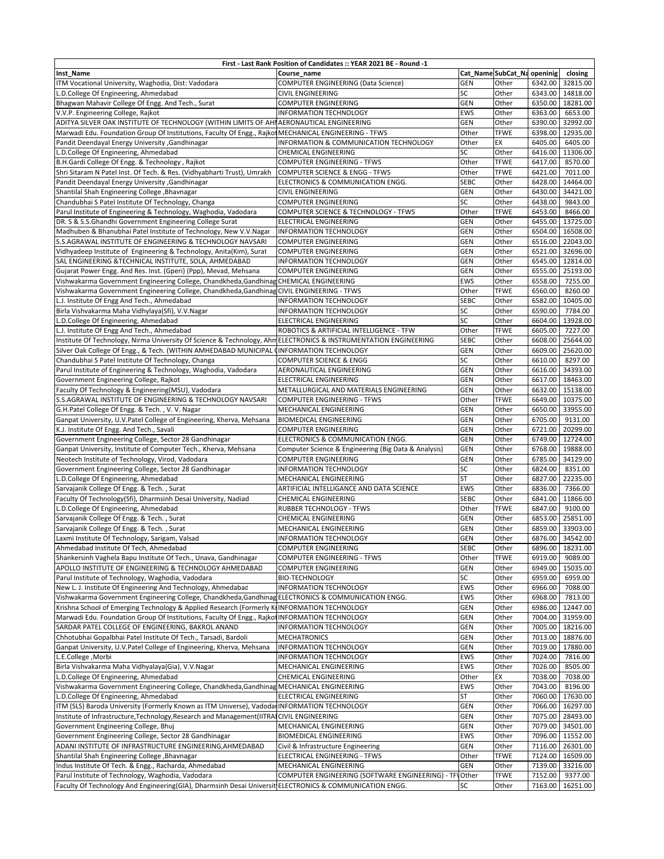| First - Last Rank Position of Candidates :: YEAR 2021 BE - Round -1                                                                                       |                                                                                  |                   |                             |                    |                      |  |  |  |  |
|-----------------------------------------------------------------------------------------------------------------------------------------------------------|----------------------------------------------------------------------------------|-------------------|-----------------------------|--------------------|----------------------|--|--|--|--|
| Inst_Name                                                                                                                                                 | Course name                                                                      |                   | Cat_Name SubCat_Na openinig |                    | closing              |  |  |  |  |
| ITM Vocational University, Waghodia, Dist: Vadodara                                                                                                       | COMPUTER ENGINEERING (Data Science)                                              | <b>GEN</b>        | Other                       | 6342.00            | 32815.00             |  |  |  |  |
| L.D.College Of Engineering, Ahmedabad                                                                                                                     | <b>CIVIL ENGINEERING</b>                                                         | SC                | Other                       | 6343.00            | 14818.00             |  |  |  |  |
| Bhagwan Mahavir College Of Engg. And Tech., Surat                                                                                                         | COMPUTER ENGINEERING                                                             | <b>GEN</b>        | Other                       | 6350.00            | 18281.00             |  |  |  |  |
| V.V.P. Engineering College, Rajkot                                                                                                                        | <b>INFORMATION TECHNOLOGY</b>                                                    | <b>EWS</b>        | Other                       | 6363.00            | 6653.00              |  |  |  |  |
| ADITYA SILVER OAK INSTITUTE OF TECHNOLOGY (WITHIN LIMITS OF AHIAERONAUTICAL ENGINEERING                                                                   |                                                                                  | GEN<br>Other      | Other<br><b>TFWE</b>        | 6390.00<br>6398.00 | 32992.00<br>12935.00 |  |  |  |  |
| Marwadi Edu. Foundation Group Of Institutions, Faculty Of Engg., Rajkot MECHANICAL ENGINEERING - TFWS<br>Pandit Deendayal Energy University , Gandhinagar | INFORMATION & COMMUNICATION TECHNOLOGY                                           | Other             | EX                          | 6405.00            | 6405.00              |  |  |  |  |
| L.D.College Of Engineering, Ahmedabad                                                                                                                     | CHEMICAL ENGINEERING                                                             | SC                | Other                       | 6416.00            | 11306.00             |  |  |  |  |
| B.H.Gardi College Of Engg. & Technology, Rajkot                                                                                                           | <b>COMPUTER ENGINEERING - TFWS</b>                                               | Other             | <b>TFWE</b>                 | 6417.00            | 8570.00              |  |  |  |  |
| Shri Sitaram N Patel Inst. Of Tech. & Res. (Vidhyabharti Trust), Umrakh                                                                                   | <b>COMPUTER SCIENCE &amp; ENGG - TFWS</b>                                        | Other             | <b>TFWE</b>                 | 6421.00            | 7011.00              |  |  |  |  |
| Pandit Deendayal Energy University , Gandhinagar                                                                                                          | ELECTRONICS & COMMUNICATION ENGG.                                                | <b>SEBC</b>       | Other                       | 6428.00            | 14464.00             |  |  |  |  |
| Shantilal Shah Engineering College , Bhavnagar                                                                                                            | <b>CIVIL ENGINEERING</b>                                                         | <b>GEN</b>        | Other                       | 6430.00            | 34421.00             |  |  |  |  |
| Chandubhai S Patel Institute Of Technology, Changa                                                                                                        | COMPUTER ENGINEERING                                                             | SC                | Other                       | 6438.00            | 9843.00              |  |  |  |  |
| Parul Institute of Engineering & Technology, Waghodia, Vadodara                                                                                           | COMPUTER SCIENCE & TECHNOLOGY - TFWS                                             | Other             | <b>TFWE</b>                 | 6453.00            | 8466.00              |  |  |  |  |
| DR. S & S.S.Ghandhi Government Engineering College Surat                                                                                                  | ELECTRICAL ENGINEERING                                                           | <b>GEN</b>        | Other                       | 6455.00            | 13725.00             |  |  |  |  |
| Madhuben & Bhanubhai Patel Institute of Technology, New V.V.Nagar                                                                                         | <b>INFORMATION TECHNOLOGY</b>                                                    | <b>GEN</b>        | Other                       | 6504.00            | 16508.00             |  |  |  |  |
| S.S.AGRAWAL INSTITUTE OF ENGINEERING & TECHNOLOGY NAVSARI                                                                                                 | <b>COMPUTER ENGINEERING</b><br><b>COMPUTER ENGINEERING</b>                       | <b>GEN</b><br>GEN | Other<br>Other              | 6516.00<br>6521.00 | 22043.00<br>32696.00 |  |  |  |  |
| Vidhyadeep Institute of Engineering & Technology, Anita(Kim), Surat<br>SAL ENGINEERING & TECHNICAL INSTITUTE, SOLA, AHMEDABAD                             | <b>INFORMATION TECHNOLOGY</b>                                                    | GEN               | Other                       | 6545.00            | 12814.00             |  |  |  |  |
| Gujarat Power Engg. And Res. Inst. (Gperi) (Ppp), Mevad, Mehsana                                                                                          | COMPUTER ENGINEERING                                                             | GEN               | Other                       | 6555.00            | 25193.00             |  |  |  |  |
| Vishwakarma Government Engineering College, Chandkheda, Gandhinag CHEMICAL ENGINEERING                                                                    |                                                                                  | <b>EWS</b>        | Other                       | 6558.00            | 7255.00              |  |  |  |  |
| Vishwakarma Government Engineering College, Chandkheda, Gandhinag CIVIL ENGINEERING - TFWS                                                                |                                                                                  | Other             | <b>TFWE</b>                 | 6560.00            | 8260.00              |  |  |  |  |
| L.J. Institute Of Engg And Tech., Ahmedabad                                                                                                               | <b>INFORMATION TECHNOLOGY</b>                                                    | <b>SEBC</b>       | Other                       | 6582.00            | 10405.00             |  |  |  |  |
| Birla Vishvakarma Maha Vidhylaya(Sfi), V.V.Nagar                                                                                                          | INFORMATION TECHNOLOGY                                                           | <b>SC</b>         | Other                       | 6590.00            | 7784.00              |  |  |  |  |
| L.D.College Of Engineering, Ahmedabad                                                                                                                     | <b>ELECTRICAL ENGINEERING</b>                                                    | SC                | Other                       | 6604.00            | 13928.00             |  |  |  |  |
| L.J. Institute Of Engg And Tech., Ahmedabad                                                                                                               | ROBOTICS & ARTIFICIAL INTELLIGENCE - TFW                                         | Other             | <b>TFWE</b>                 | 6605.00            | 7227.00              |  |  |  |  |
| Institute Of Technology, Nirma University Of Science & Technology, AhmELECTRONICS & INSTRUMENTATION ENGINEERING                                           |                                                                                  | <b>SEBC</b>       | Other                       | 6608.00            | 25644.00             |  |  |  |  |
| Silver Oak College Of Engg., & Tech. (WITHIN AMHEDABAD MUNICIPAL (INFORMATION TECHNOLOGY                                                                  |                                                                                  | GEN               | Other                       | 6609.00            | 25620.00             |  |  |  |  |
| Chandubhai S Patel Institute Of Technology, Changa                                                                                                        | COMPUTER SCIENCE & ENGG                                                          | SC                | Other                       | 6610.00            | 8297.00              |  |  |  |  |
| Parul Institute of Engineering & Technology, Waghodia, Vadodara<br>Government Engineering College, Rajkot                                                 | AERONAUTICAL ENGINEERING<br>ELECTRICAL ENGINEERING                               | GEN<br>GEN        | Other<br>Other              | 6616.00<br>6617.00 | 34393.00<br>18463.00 |  |  |  |  |
| Faculty Of Technology & Engineering(MSU), Vadodara                                                                                                        | METALLURGICAL AND MATERIALS ENGINEERING                                          | GEN               | Other                       | 6632.00            | 15138.00             |  |  |  |  |
| S.S.AGRAWAL INSTITUTE OF ENGINEERING & TECHNOLOGY NAVSARI                                                                                                 | <b>COMPUTER ENGINEERING - TFWS</b>                                               | Other             | <b>TFWE</b>                 | 6649.00            | 10375.00             |  |  |  |  |
| G.H.Patel College Of Engg. & Tech., V. V. Nagar                                                                                                           | MECHANICAL ENGINEERING                                                           | <b>GEN</b>        | Other                       | 6650.00            | 33955.00             |  |  |  |  |
| Ganpat University, U.V.Patel College of Engineering, Kherva, Mehsana                                                                                      | <b>BIOMEDICAL ENGINEERING</b>                                                    | <b>GEN</b>        | Other                       | 6705.00            | 9131.00              |  |  |  |  |
| K.J. Institute Of Engg. And Tech., Savali                                                                                                                 | <b>COMPUTER ENGINEERING</b>                                                      | <b>GEN</b>        | Other                       | 6721.00            | 20299.00             |  |  |  |  |
| Government Engineering College, Sector 28 Gandhinagar                                                                                                     | ELECTRONICS & COMMUNICATION ENGG.                                                | <b>GEN</b>        | Other                       | 6749.00            | 12724.00             |  |  |  |  |
| Ganpat University, Institute of Computer Tech., Kherva, Mehsana                                                                                           | Computer Science & Engineering (Big Data & Analysis)                             | <b>GEN</b>        | Other                       | 6768.00            | 19888.00             |  |  |  |  |
| Neotech Institute of Technology, Virod, Vadodara                                                                                                          | COMPUTER ENGINEERING                                                             | <b>GEN</b><br>SC  | Other                       | 6785.00            | 34129.00             |  |  |  |  |
| Government Engineering College, Sector 28 Gandhinagar<br>L.D.College Of Engineering, Ahmedabad                                                            | <b>INFORMATION TECHNOLOGY</b><br>MECHANICAL ENGINEERING                          | <b>ST</b>         | Other<br>Other              | 6824.00<br>6827.00 | 8351.00<br>22235.00  |  |  |  |  |
| Sarvajanik College Of Engg. & Tech., Surat                                                                                                                | ARTIFICIAL INTELLIGANCE AND DATA SCIENCE                                         | <b>EWS</b>        | Other                       | 6836.00            | 7366.00              |  |  |  |  |
| Faculty Of Technology(Sfi), Dharmsinh Desai University, Nadiad                                                                                            | CHEMICAL ENGINEERING                                                             | <b>SEBC</b>       | Other                       | 6841.00            | 11866.00             |  |  |  |  |
| L.D.College Of Engineering, Ahmedabad                                                                                                                     | <b>RUBBER TECHNOLOGY - TFWS</b>                                                  | Other             | <b>TFWE</b>                 | 6847.00            | 9100.00              |  |  |  |  |
| Sarvajanik College Of Engg. & Tech., Surat                                                                                                                | CHEMICAL ENGINEERING                                                             | GEN               | Other                       | 6853.00            | 25851.00             |  |  |  |  |
| Sarvajanik College Of Engg. & Tech., Surat                                                                                                                | MECHANICAL ENGINEERING                                                           | <b>GEN</b>        | Other                       | 6859.00            | 33903.00             |  |  |  |  |
| Laxmi Institute Of Technology, Sarigam, Valsad                                                                                                            | <b>INFORMATION TECHNOLOGY</b>                                                    | GEN               | Other                       | 6876.00            | 34542.00             |  |  |  |  |
| Ahmedabad Institute Of Tech, Ahmedabad                                                                                                                    | COMPUTER ENGINEERING                                                             | <b>SEBC</b>       | Other                       |                    | 6896.00 18231.00     |  |  |  |  |
| Shankersinh Vaghela Bapu Institute Of Tech., Unava, Gandhinagar                                                                                           | <b>COMPUTER ENGINEERING - TFWS</b>                                               | Other             | <b>TFWE</b>                 | 6919.00            | 9089.00              |  |  |  |  |
| APOLLO INSTITUTE OF ENGINEERING & TECHNOLOGY AHMEDABAD<br>Parul Institute of Technology, Waghodia, Vadodara                                               | COMPUTER ENGINEERING<br><b>BIO-TECHNOLOGY</b>                                    | GEN<br>SC         | Other<br>Other              | 6949.00<br>6959.00 | 15035.00<br>6959.00  |  |  |  |  |
| New L. J. Institute Of Engineering And Technology, Ahmedabad                                                                                              | <b>INFORMATION TECHNOLOGY</b>                                                    | <b>EWS</b>        | Other                       | 6966.00            | 7088.00              |  |  |  |  |
| Vishwakarma Government Engineering College, Chandkheda, Gandhinag ELECTRONICS & COMMUNICATION ENGG.                                                       |                                                                                  | <b>EWS</b>        | Other                       | 6968.00            | 7813.00              |  |  |  |  |
| Krishna School of Emerging Technology & Applied Research (Formerly KtINFORMATION TECHNOLOGY                                                               |                                                                                  | GEN               | Other                       | 6986.00            | 12447.00             |  |  |  |  |
| Marwadi Edu. Foundation Group Of Institutions, Faculty Of Engg., Rajkot INFORMATION TECHNOLOGY                                                            |                                                                                  | GEN               | Other                       | 7004.00            | 31959.00             |  |  |  |  |
| SARDAR PATEL COLLEGE OF ENGINEERING, BAKROL ANAND                                                                                                         | <b>INFORMATION TECHNOLOGY</b>                                                    | GEN               | Other                       | 7005.00            | 18216.00             |  |  |  |  |
| Chhotubhai Gopalbhai Patel Institute Of Tech., Tarsadi, Bardoli                                                                                           | <b>MECHATRONICS</b>                                                              | GEN               | Other                       | 7013.00            | 18876.00             |  |  |  |  |
| Ganpat University, U.V.Patel College of Engineering, Kherva, Mehsana                                                                                      | <b>INFORMATION TECHNOLOGY</b>                                                    | <b>GEN</b>        | Other                       | 7019.00            | 17880.00             |  |  |  |  |
| L.E.College, Morbi                                                                                                                                        | INFORMATION TECHNOLOGY                                                           | <b>EWS</b>        | Other                       | 7024.00            | 7816.00              |  |  |  |  |
| Birla Vishvakarma Maha Vidhyalaya(Gia), V.V.Nagar                                                                                                         | MECHANICAL ENGINEERING                                                           | <b>EWS</b>        | Other                       | 7026.00            | 8505.00              |  |  |  |  |
| L.D.College Of Engineering, Ahmedabad<br>Vishwakarma Government Engineering College, Chandkheda, Gandhinag MECHANICAL ENGINEERING                         | <b>CHEMICAL ENGINEERING</b>                                                      | Other<br>EWS      | EX<br>Other                 | 7038.00<br>7043.00 | 7038.00<br>8196.00   |  |  |  |  |
| L.D.College Of Engineering, Ahmedabad                                                                                                                     | ELECTRICAL ENGINEERING                                                           | ST                | Other                       | 7060.00            | 17630.00             |  |  |  |  |
| ITM (SLS) Baroda University (Formerly Known as ITM Universe), Vadodar INFORMATION TECHNOLOGY                                                              |                                                                                  | <b>GEN</b>        | Other                       | 7066.00            | 16297.00             |  |  |  |  |
| Institute of Infrastructure, Technology, Research and Management (IITRAICIVIL ENGINEERING                                                                 |                                                                                  | GEN               | Other                       | 7075.00            | 28493.00             |  |  |  |  |
| Government Engineering College, Bhuj                                                                                                                      | MECHANICAL ENGINEERING                                                           | GEN               | Other                       | 7079.00            | 34501.00             |  |  |  |  |
| Government Engineering College, Sector 28 Gandhinagar                                                                                                     | <b>BIOMEDICAL ENGINEERING</b>                                                    | <b>EWS</b>        | Other                       | 7096.00            | 11552.00             |  |  |  |  |
| ADANI INSTITUTE OF INFRASTRUCTURE ENGINEERING, AHMEDABAD                                                                                                  | Civil & Infrastructure Engineering                                               | GEN               | Other                       | 7116.00            | 26301.00             |  |  |  |  |
| Shantilal Shah Engineering College, Bhavnagar                                                                                                             | ELECTRICAL ENGINEERING - TFWS                                                    | Other             | <b>TFWE</b>                 | 7124.00            | 16509.00             |  |  |  |  |
| Indus Institute Of Tech. & Engg., Racharda, Ahmedabad<br>Parul Institute of Technology, Waghodia, Vadodara                                                | MECHANICAL ENGINEERING<br>COMPUTER ENGINEERING (SOFTWARE ENGINEERING) - TFVOther | GEN               | Other<br><b>TFWE</b>        | 7139.00            | 33216.00<br>9377.00  |  |  |  |  |
| Faculty Of Technology And Engineering(GIA), Dharmsinh Desai Universit ELECTRONICS & COMMUNICATION ENGG.                                                   |                                                                                  | SC                | Other                       | 7152.00<br>7163.00 | 16251.00             |  |  |  |  |
|                                                                                                                                                           |                                                                                  |                   |                             |                    |                      |  |  |  |  |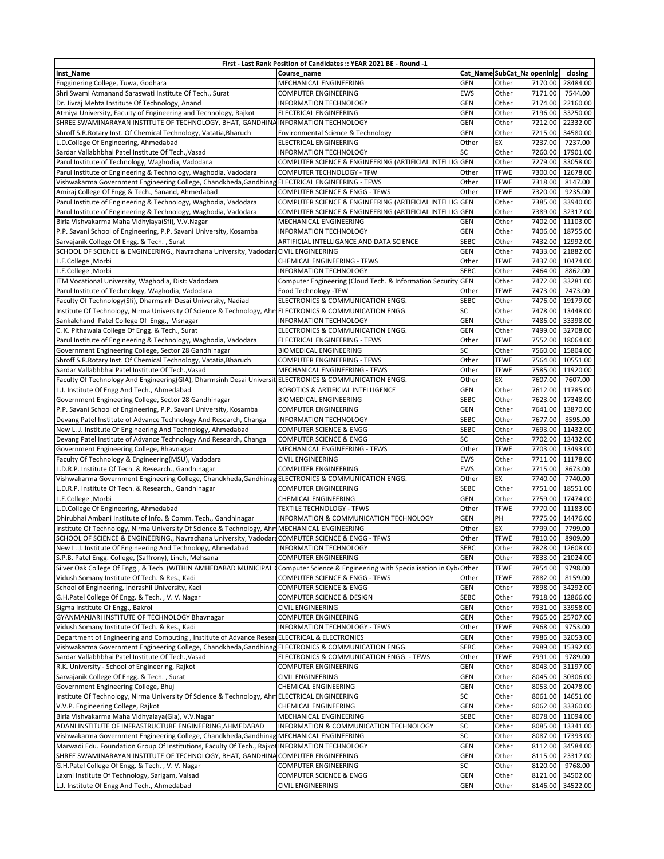| First - Last Rank Position of Candidates :: YEAR 2021 BE - Round -1                                                                                                                                  |                                                                                          |                           |                             |                    |                      |  |  |  |
|------------------------------------------------------------------------------------------------------------------------------------------------------------------------------------------------------|------------------------------------------------------------------------------------------|---------------------------|-----------------------------|--------------------|----------------------|--|--|--|
| Inst_Name                                                                                                                                                                                            | Course name                                                                              |                           | Cat_Name SubCat_Na openinig |                    | closing              |  |  |  |
| Engginering College, Tuwa, Godhara                                                                                                                                                                   | MECHANICAL ENGINEERING                                                                   | <b>GEN</b>                | Other                       | 7170.00            | 28484.00             |  |  |  |
| Shri Swami Atmanand Saraswati Institute Of Tech., Surat                                                                                                                                              | <b>COMPUTER ENGINEERING</b>                                                              | <b>EWS</b>                | Other                       | 7171.00            | 7544.00              |  |  |  |
| Dr. Jivraj Mehta Institute Of Technology, Anand                                                                                                                                                      | <b>INFORMATION TECHNOLOGY</b>                                                            | GEN                       | Other                       | 7174.00            | 22160.00             |  |  |  |
| Atmiya University, Faculty of Engineering and Technology, Rajkot                                                                                                                                     | <b>ELECTRICAL ENGINEERING</b>                                                            | <b>GEN</b>                | Other                       | 7196.00            | 33250.00             |  |  |  |
| SHREE SWAMINARAYAN INSTITUTE OF TECHNOLOGY, BHAT, GANDHINA INFORMATION TECHNOLOGY                                                                                                                    |                                                                                          | GEN                       | Other                       | 7212.00            | 22332.00             |  |  |  |
| Shroff S.R.Rotary Inst. Of Chemical Technology, Vatatia, Bharuch                                                                                                                                     | Environmental Science & Technology                                                       | GEN                       | Other                       | 7215.00            | 34580.00             |  |  |  |
| L.D.College Of Engineering, Ahmedabad<br>Sardar Vallabhbhai Patel Institute Of Tech., Vasad                                                                                                          | ELECTRICAL ENGINEERING                                                                   | Other<br>SC               | EX<br>Other                 | 7237.00            | 7237.00<br>17901.00  |  |  |  |
| Parul Institute of Technology, Waghodia, Vadodara                                                                                                                                                    | <b>INFORMATION TECHNOLOGY</b><br>COMPUTER SCIENCE & ENGINEERING (ARTIFICIAL INTELLIG GEN |                           | Other                       | 7260.00<br>7279.00 | 33058.00             |  |  |  |
| Parul Institute of Engineering & Technology, Waghodia, Vadodara                                                                                                                                      | COMPUTER TECHNOLOGY - TFW                                                                | Other                     | TFWE                        | 7300.00            | 12678.00             |  |  |  |
| Vishwakarma Government Engineering College, Chandkheda, Gandhinag ELECTRICAL ENGINEERING - TFWS                                                                                                      |                                                                                          | Other                     | TFWE                        | 7318.00            | 8147.00              |  |  |  |
| Amiraj College Of Engg & Tech., Sanand, Ahmedabad                                                                                                                                                    | COMPUTER SCIENCE & ENGG - TFWS                                                           | Other                     | <b>TFWE</b>                 | 7320.00            | 9235.00              |  |  |  |
| Parul Institute of Engineering & Technology, Waghodia, Vadodara                                                                                                                                      | COMPUTER SCIENCE & ENGINEERING (ARTIFICIAL INTELLIG                                      | <b>GEN</b>                | Other                       | 7385.00            | 33940.00             |  |  |  |
| Parul Institute of Engineering & Technology, Waghodia, Vadodara                                                                                                                                      | COMPUTER SCIENCE & ENGINEERING (ARTIFICIAL INTELLIG                                      | <b>GEN</b>                | Other                       | 7389.00            | 32317.00             |  |  |  |
| Birla Vishvakarma Maha Vidhylaya(Sfi), V.V.Nagar                                                                                                                                                     | MECHANICAL ENGINEERING                                                                   | GEN                       | Other                       | 7402.00            | 11103.00             |  |  |  |
| P.P. Savani School of Engineering, P.P. Savani University, Kosamba                                                                                                                                   | <b>INFORMATION TECHNOLOGY</b>                                                            | GEN                       | Other                       | 7406.00            | 18755.00             |  |  |  |
| Sarvajanik College Of Engg. & Tech., Surat                                                                                                                                                           | ARTIFICIAL INTELLIGANCE AND DATA SCIENCE                                                 | <b>SEBC</b>               | Other                       | 7432.00            | 12992.00             |  |  |  |
| SCHOOL OF SCIENCE & ENGINEERING., Navrachana University, VadodaraCIVIL ENGINEERING                                                                                                                   |                                                                                          | <b>GEN</b>                | Other                       | 7433.00            | 21882.00             |  |  |  |
| L.E.College, Morbi                                                                                                                                                                                   | CHEMICAL ENGINEERING - TFWS                                                              | Other                     | <b>TFWE</b>                 | 7437.00            | 10474.00             |  |  |  |
| L.E.College, Morbi                                                                                                                                                                                   | <b>INFORMATION TECHNOLOGY</b>                                                            | <b>SEBC</b>               | Other                       | 7464.00            | 8862.00              |  |  |  |
| ITM Vocational University, Waghodia, Dist: Vadodara                                                                                                                                                  | Computer Engineering (Cloud Tech. & Information Security                                 | GEN                       | Other                       | 7472.00            | 33281.00             |  |  |  |
| Parul Institute of Technology, Waghodia, Vadodara                                                                                                                                                    | Food Technology -TFW                                                                     | Other                     | <b>TFWE</b>                 | 7473.00            | 7473.00              |  |  |  |
| Faculty Of Technology(Sfi), Dharmsinh Desai University, Nadiad                                                                                                                                       | ELECTRONICS & COMMUNICATION ENGG.                                                        | <b>SEBC</b>               | Other                       | 7476.00            | 19179.00             |  |  |  |
| Institute Of Technology, Nirma University Of Science & Technology, Ahm ELECTRONICS & COMMUNICATION ENGG.                                                                                             |                                                                                          | SC                        | Other                       | 7478.00            | 13448.00             |  |  |  |
| Sankalchand Patel College Of Engg., Visnagar                                                                                                                                                         | <b>INFORMATION TECHNOLOGY</b><br>ELECTRONICS & COMMUNICATION ENGG.                       | <b>GEN</b><br><b>GEN</b>  | Other<br>Other              | 7486.00<br>7499.00 | 33398.00<br>32708.00 |  |  |  |
| C. K. Pithawala College Of Engg. & Tech., Surat<br>Parul Institute of Engineering & Technology, Waghodia, Vadodara                                                                                   | ELECTRICAL ENGINEERING - TFWS                                                            | Other                     | <b>TFWE</b>                 | 7552.00            | 18064.00             |  |  |  |
| Government Engineering College, Sector 28 Gandhinagar                                                                                                                                                | <b>BIOMEDICAL ENGINEERING</b>                                                            | SC                        | Other                       | 7560.00            | 15804.00             |  |  |  |
| Shroff S.R.Rotary Inst. Of Chemical Technology, Vatatia, Bharuch                                                                                                                                     | COMPUTER ENGINEERING - TFWS                                                              | Other                     | <b>TFWE</b>                 | 7564.00            | 10551.00             |  |  |  |
| Sardar Vallabhbhai Patel Institute Of Tech., Vasad                                                                                                                                                   | MECHANICAL ENGINEERING - TFWS                                                            | Other                     | <b>TFWE</b>                 | 7585.00            | 11920.00             |  |  |  |
| Faculty Of Technology And Engineering(GIA), Dharmsinh Desai Universit ELECTRONICS & COMMUNICATION ENGG.                                                                                              |                                                                                          | Other                     | EX                          | 7607.00            | 7607.00              |  |  |  |
| L.J. Institute Of Engg And Tech., Ahmedabad                                                                                                                                                          | ROBOTICS & ARTIFICIAL INTELLIGENCE                                                       | <b>GEN</b>                | Other                       | 7612.00            | 11785.00             |  |  |  |
| Government Engineering College, Sector 28 Gandhinagar                                                                                                                                                | <b>BIOMEDICAL ENGINEERING</b>                                                            | <b>SEBC</b>               | Other                       | 7623.00            | 17348.00             |  |  |  |
| P.P. Savani School of Engineering, P.P. Savani University, Kosamba                                                                                                                                   | <b>COMPUTER ENGINEERING</b>                                                              | <b>GEN</b>                | Other                       | 7641.00            | 13870.00             |  |  |  |
| Devang Patel Institute of Advance Technology And Research, Changa                                                                                                                                    | INFORMATION TECHNOLOGY                                                                   | <b>SEBC</b>               | Other                       | 7677.00            | 8595.00              |  |  |  |
| New L. J. Institute Of Engineering And Technology, Ahmedabad                                                                                                                                         | <b>COMPUTER SCIENCE &amp; ENGG</b>                                                       | <b>SEBC</b>               | Other                       | 7693.00            | 11432.00             |  |  |  |
| Devang Patel Institute of Advance Technology And Research, Changa                                                                                                                                    | <b>COMPUTER SCIENCE &amp; ENGG</b>                                                       | SC                        | Other                       | 7702.00            | 13432.00             |  |  |  |
| Government Engineering College, Bhavnagar                                                                                                                                                            | MECHANICAL ENGINEERING - TFWS                                                            | Other                     | TFWE                        | 7703.00            | 13493.00             |  |  |  |
| Faculty Of Technology & Engineering(MSU), Vadodara                                                                                                                                                   | <b>CIVIL ENGINEERING</b>                                                                 | <b>EWS</b>                | Other                       | 7711.00            | 11178.00             |  |  |  |
| L.D.R.P. Institute Of Tech. & Research., Gandhinagar                                                                                                                                                 | <b>COMPUTER ENGINEERING</b>                                                              | EWS                       | Other                       | 7715.00            | 8673.00              |  |  |  |
| Vishwakarma Government Engineering College, Chandkheda, Gandhinag ELECTRONICS & COMMUNICATION ENGG.                                                                                                  |                                                                                          | Other                     | EX                          | 7740.00            | 7740.00              |  |  |  |
| L.D.R.P. Institute Of Tech. & Research., Gandhinagar<br>L.E.College, Morbi                                                                                                                           | <b>COMPUTER ENGINEERING</b><br>CHEMICAL ENGINEERING                                      | <b>SEBC</b><br><b>GEN</b> | Other<br>Other              | 7751.00<br>7759.00 | 18551.00<br>17474.00 |  |  |  |
| L.D.College Of Engineering, Ahmedabad                                                                                                                                                                | <b>TEXTILE TECHNOLOGY - TFWS</b>                                                         | Other                     | <b>TFWE</b>                 | 7770.00            | 11183.00             |  |  |  |
| Dhirubhai Ambani Institute of Info. & Comm. Tech., Gandhinagar                                                                                                                                       | INFORMATION & COMMUNICATION TECHNOLOGY                                                   | <b>GEN</b>                | PH                          | 7775.00            | 14476.00             |  |  |  |
| Institute Of Technology, Nirma University Of Science & Technology, Ahm MECHANICAL ENGINEERING                                                                                                        |                                                                                          | Other                     | EX                          | 7799.00            | 7799.00              |  |  |  |
| SCHOOL OF SCIENCE & ENGINEERING., Navrachana University, VadodaraCOMPUTER SCIENCE & ENGG - TFWS                                                                                                      |                                                                                          | Other                     | <b>TFWE</b>                 | 7810.00            | 8909.00              |  |  |  |
| New L. J. Institute Of Engineering And Technology, Ahmedabad                                                                                                                                         | <b>INFORMATION TECHNOLOGY</b>                                                            | SEBC                      | Other                       |                    | 7828.00 12608.00     |  |  |  |
| S.P.B. Patel Engg. College, (Saffrony), Linch, Mehsana                                                                                                                                               | <b>COMPUTER ENGINEERING</b>                                                              | <b>GEN</b>                | Other                       | 7833.00            | 21024.00             |  |  |  |
| Silver Oak College Of Engg., & Tech. (WITHIN AMHEDABAD MUNICIPAL (Computer Science & Engineering with Specialisation in Cyb(Other                                                                    |                                                                                          |                           | TFWE                        | 7854.00            | 9798.00              |  |  |  |
| Vidush Somany Institute Of Tech. & Res., Kadi                                                                                                                                                        | COMPUTER SCIENCE & ENGG - TFWS                                                           | Other                     | <b>TFWE</b>                 | 7882.00            | 8159.00              |  |  |  |
| School of Engineering, Indrashil University, Kadi                                                                                                                                                    | COMPUTER SCIENCE & ENGG                                                                  | GEN                       | Other                       | 7898.00            | 34292.00             |  |  |  |
| G.H.Patel College Of Engg. & Tech., V.V. Nagar                                                                                                                                                       | COMPUTER SCIENCE & DESIGN                                                                | <b>SEBC</b>               | Other                       | 7918.00            | 12866.00             |  |  |  |
| Sigma Institute Of Engg., Bakrol                                                                                                                                                                     | <b>CIVIL ENGINEERING</b>                                                                 | GEN                       | Other                       | 7931.00            | 33958.00             |  |  |  |
| GYANMANJARI INSTITUTE OF TECHNOLOGY Bhavnagar                                                                                                                                                        | <b>COMPUTER ENGINEERING</b>                                                              | GEN                       | Other                       | 7965.00            | 25707.00             |  |  |  |
| Vidush Somany Institute Of Tech. & Res., Kadi                                                                                                                                                        | INFORMATION TECHNOLOGY - TFWS                                                            | Other                     | <b>TFWE</b>                 | 7968.00            | 9753.00              |  |  |  |
| Department of Engineering and Computing, Institute of Advance Resear ELECTRICAL & ELECTRONICS<br>Vishwakarma Government Engineering College, Chandkheda, Gandhinag ELECTRONICS & COMMUNICATION ENGG. |                                                                                          | GEN<br><b>SEBC</b>        | Other                       | 7986.00            | 32053.00<br>15392.00 |  |  |  |
| Sardar Vallabhbhai Patel Institute Of Tech., Vasad                                                                                                                                                   | ELECTRONICS & COMMUNICATION ENGG. - TFWS                                                 | Other                     | Other<br>TFWE               | 7989.00<br>7991.00 | 9789.00              |  |  |  |
| R.K. University - School of Engineering, Rajkot                                                                                                                                                      | <b>COMPUTER ENGINEERING</b>                                                              | GEN                       | Other                       | 8043.00            | 31197.00             |  |  |  |
| Sarvajanik College Of Engg. & Tech., Surat                                                                                                                                                           | <b>CIVIL ENGINEERING</b>                                                                 | GEN                       | Other                       | 8045.00            | 30306.00             |  |  |  |
| Government Engineering College, Bhuj                                                                                                                                                                 | CHEMICAL ENGINEERING                                                                     | GEN                       | Other                       | 8053.00            | 20478.00             |  |  |  |
| Institute Of Technology, Nirma University Of Science & Technology, Ahm ELECTRICAL ENGINEERING                                                                                                        |                                                                                          | SC                        | Other                       | 8061.00            | 14651.00             |  |  |  |
| V.V.P. Engineering College, Rajkot                                                                                                                                                                   | CHEMICAL ENGINEERING                                                                     | <b>GEN</b>                | Other                       | 8062.00            | 33360.00             |  |  |  |
| Birla Vishvakarma Maha Vidhyalaya(Gia), V.V.Nagar                                                                                                                                                    | MECHANICAL ENGINEERING                                                                   | <b>SEBC</b>               | Other                       | 8078.00            | 11094.00             |  |  |  |
| ADANI INSTITUTE OF INFRASTRUCTURE ENGINEERING, AHMEDABAD                                                                                                                                             | INFORMATION & COMMUNICATION TECHNOLOGY                                                   | SC                        | Other                       | 8085.00            | 13341.00             |  |  |  |
| Vishwakarma Government Engineering College, Chandkheda, Gandhinag MECHANICAL ENGINEERING                                                                                                             |                                                                                          | SC                        | Other                       | 8087.00            | 17393.00             |  |  |  |
| Marwadi Edu. Foundation Group Of Institutions, Faculty Of Tech., Rajkot INFORMATION TECHNOLOGY                                                                                                       |                                                                                          | GEN                       | Other                       | 8112.00            | 34584.00             |  |  |  |
| SHREE SWAMINARAYAN INSTITUTE OF TECHNOLOGY, BHAT, GANDHINA COMPUTER ENGINEERING                                                                                                                      |                                                                                          | GEN                       | Other                       | 8115.00            | 23317.00             |  |  |  |
| G.H.Patel College Of Engg. & Tech., V.V. Nagar                                                                                                                                                       | <b>COMPUTER ENGINEERING</b>                                                              | SC                        | Other                       | 8120.00            | 9768.00              |  |  |  |
| Laxmi Institute Of Technology, Sarigam, Valsad                                                                                                                                                       | <b>COMPUTER SCIENCE &amp; ENGG</b>                                                       | GEN                       | Other                       | 8121.00            | 34502.00             |  |  |  |
| L.J. Institute Of Engg And Tech., Ahmedabad                                                                                                                                                          | <b>CIVIL ENGINEERING</b>                                                                 | GEN                       | Other                       | 8146.00            | 34522.00             |  |  |  |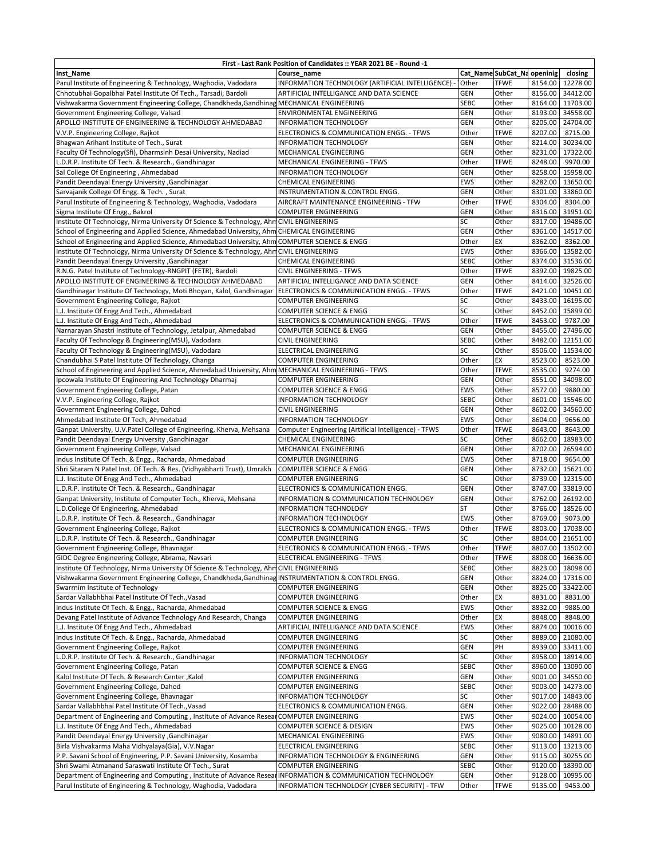| First - Last Rank Position of Candidates :: YEAR 2021 BE - Round -1                                                    |                                                       |                 |                             |         |                  |  |  |  |
|------------------------------------------------------------------------------------------------------------------------|-------------------------------------------------------|-----------------|-----------------------------|---------|------------------|--|--|--|
| Inst Name                                                                                                              | Course name                                           |                 | Cat_Name SubCat_Na openinig |         | closing          |  |  |  |
| Parul Institute of Engineering & Technology, Waghodia, Vadodara                                                        | INFORMATION TECHNOLOGY (ARTIFICIAL INTELLIGENCE)      | <b>Other</b>    | <b>TFWE</b>                 | 8154.00 | 12278.00         |  |  |  |
| Chhotubhai Gopalbhai Patel Institute Of Tech., Tarsadi, Bardoli                                                        | ARTIFICIAL INTELLIGANCE AND DATA SCIENCE              | <b>GEN</b>      | Other                       | 8156.00 | 34412.00         |  |  |  |
| Vishwakarma Government Engineering College, Chandkheda, Gandhinag MECHANICAL ENGINEERING                               |                                                       | <b>SEBC</b>     | Other                       | 8164.00 | 11703.00         |  |  |  |
| Government Engineering College, Valsad                                                                                 | ENVIRONMENTAL ENGINEERING                             | GEN             | Other                       | 8193.00 | 34558.00         |  |  |  |
| APOLLO INSTITUTE OF ENGINEERING & TECHNOLOGY AHMEDABAD                                                                 | <b>INFORMATION TECHNOLOGY</b>                         | <b>GEN</b>      | Other                       | 8205.00 | 24704.00         |  |  |  |
| V.V.P. Engineering College, Rajkot                                                                                     | ELECTRONICS & COMMUNICATION ENGG. - TFWS              | Other           | <b>TFWE</b>                 | 8207.00 | 8715.00          |  |  |  |
| Bhagwan Arihant Institute of Tech., Surat                                                                              | <b>INFORMATION TECHNOLOGY</b>                         | <b>GEN</b>      | Other                       | 8214.00 | 30234.00         |  |  |  |
| Faculty Of Technology(Sfi), Dharmsinh Desai University, Nadiad                                                         | MECHANICAL ENGINEERING                                | <b>GEN</b>      | Other                       | 8231.00 | 17322.00         |  |  |  |
| L.D.R.P. Institute Of Tech. & Research., Gandhinagar                                                                   | MECHANICAL ENGINEERING - TFWS                         | Other           | <b>TFWE</b>                 | 8248.00 | 9970.00          |  |  |  |
| Sal College Of Engineering, Ahmedabad                                                                                  | <b>INFORMATION TECHNOLOGY</b>                         | <b>GEN</b>      | Other                       | 8258.00 | 15958.00         |  |  |  |
| Pandit Deendayal Energy University , Gandhinagar                                                                       | <b>CHEMICAL ENGINEERING</b>                           | <b>EWS</b>      | Other                       | 8282.00 | 13650.00         |  |  |  |
| Sarvajanik College Of Engg. & Tech., Surat                                                                             | INSTRUMENTATION & CONTROL ENGG.                       | <b>GEN</b>      | Other                       | 8301.00 | 33860.00         |  |  |  |
| Parul Institute of Engineering & Technology, Waghodia, Vadodara                                                        | AIRCRAFT MAINTENANCE ENGINEERING - TFW                | Other           | <b>TFWE</b>                 | 8304.00 | 8304.00          |  |  |  |
| Sigma Institute Of Engg., Bakrol                                                                                       | <b>COMPUTER ENGINEERING</b>                           | <b>GEN</b>      | Other                       | 8316.00 | 31951.00         |  |  |  |
| Institute Of Technology, Nirma University Of Science & Technology, AhmCIVIL ENGINEERING                                |                                                       | <b>SC</b>       | Other                       | 8317.00 | 19486.00         |  |  |  |
| School of Engineering and Applied Science, Ahmedabad University, Ahm CHEMICAL ENGINEERING                              |                                                       | GEN             | Other                       | 8361.00 | 14517.00         |  |  |  |
| School of Engineering and Applied Science, Ahmedabad University, Ahm COMPUTER SCIENCE & ENGG                           |                                                       | Other           | EX                          | 8362.00 | 8362.00          |  |  |  |
| Institute Of Technology, Nirma University Of Science & Technology, AhmCIVIL ENGINEERING                                |                                                       | <b>EWS</b>      | Other                       | 8366.00 | 13582.00         |  |  |  |
|                                                                                                                        | CHEMICAL ENGINEERING                                  | <b>SEBC</b>     | Other                       | 8374.00 | 31536.00         |  |  |  |
| <b>Pandit Deendayal Energy University , Gandhinagar</b><br>R.N.G. Patel Institute of Technology-RNGPIT (FETR), Bardoli | <b>CIVIL ENGINEERING - TFWS</b>                       | Other           | <b>TFWE</b>                 | 8392.00 | 19825.00         |  |  |  |
| APOLLO INSTITUTE OF ENGINEERING & TECHNOLOGY AHMEDABAD                                                                 |                                                       | <b>GEN</b>      | Other                       | 8414.00 | 32526.00         |  |  |  |
|                                                                                                                        | ARTIFICIAL INTELLIGANCE AND DATA SCIENCE              |                 | <b>TFWE</b>                 |         |                  |  |  |  |
| Gandhinagar Institute Of Technology, Moti Bhoyan, Kalol, Gandhinagar                                                   | ELECTRONICS & COMMUNICATION ENGG. - TFWS              | Other           |                             | 8421.00 | 10451.00         |  |  |  |
| Government Engineering College, Rajkot                                                                                 | COMPUTER ENGINEERING                                  | <b>SC</b><br>SC | Other                       | 8433.00 | 16195.00         |  |  |  |
| L.J. Institute Of Engg And Tech., Ahmedabad                                                                            | <b>COMPUTER SCIENCE &amp; ENGG</b>                    |                 | Other                       | 8452.00 | 15899.00         |  |  |  |
| L.J. Institute Of Engg And Tech., Ahmedabad                                                                            | ELECTRONICS & COMMUNICATION ENGG. - TFWS              | Other           | <b>TFWE</b>                 | 8453.00 | 9787.00          |  |  |  |
| Narnarayan Shastri Institute of Technology, Jetalpur, Ahmedabad                                                        | <b>COMPUTER SCIENCE &amp; ENGG</b>                    | <b>GEN</b>      | Other                       | 8455.00 | 27496.00         |  |  |  |
| Faculty Of Technology & Engineering(MSU), Vadodara                                                                     | <b>CIVIL ENGINEERING</b>                              | <b>SEBC</b>     | Other                       | 8482.00 | 12151.00         |  |  |  |
| Faculty Of Technology & Engineering(MSU), Vadodara                                                                     | <b>ELECTRICAL ENGINEERING</b>                         | SC              | Other                       | 8506.00 | 11534.00         |  |  |  |
| Chandubhai S Patel Institute Of Technology, Changa                                                                     | COMPUTER ENGINEERING                                  | Other           | EX                          | 8523.00 | 8523.00          |  |  |  |
| School of Engineering and Applied Science, Ahmedabad University, Ahm MECHANICAL ENGINEERING - TFWS                     |                                                       | Other           | <b>TFWE</b>                 | 8535.00 | 9274.00          |  |  |  |
| Ipcowala Institute Of Engineering And Technology Dharmaj                                                               | COMPUTER ENGINEERING                                  | <b>GEN</b>      | Other                       | 8551.00 | 34098.00         |  |  |  |
| Government Engineering College, Patan                                                                                  | COMPUTER SCIENCE & ENGG                               | <b>EWS</b>      | Other                       | 8572.00 | 9880.00          |  |  |  |
| V.V.P. Engineering College, Rajkot                                                                                     | <b>INFORMATION TECHNOLOGY</b>                         | <b>SEBC</b>     | Other                       | 8601.00 | 15546.00         |  |  |  |
| Government Engineering College, Dahod                                                                                  | <b>CIVIL ENGINEERING</b>                              | <b>GEN</b>      | Other                       | 8602.00 | 34560.00         |  |  |  |
| Ahmedabad Institute Of Tech, Ahmedabad                                                                                 | <b>INFORMATION TECHNOLOGY</b>                         | <b>EWS</b>      | Other                       | 8604.00 | 9656.00          |  |  |  |
| Ganpat University, U.V.Patel College of Engineering, Kherva, Mehsana                                                   | Computer Engineering (Artificial Intelligence) - TFWS | Other           | <b>TFWE</b>                 | 8643.00 | 8643.00          |  |  |  |
| Pandit Deendayal Energy University , Gandhinagar                                                                       | <b>CHEMICAL ENGINEERING</b>                           | SC              | Other                       | 8662.00 | 18983.00         |  |  |  |
| Government Engineering College, Valsad                                                                                 | MECHANICAL ENGINEERING                                | <b>GEN</b>      | Other                       | 8702.00 | 26594.00         |  |  |  |
| Indus Institute Of Tech. & Engg., Racharda, Ahmedabad                                                                  | <b>COMPUTER ENGINEERING</b>                           | <b>EWS</b>      | Other                       | 8718.00 | 9654.00          |  |  |  |
| Shri Sitaram N Patel Inst. Of Tech. & Res. (Vidhyabharti Trust), Umrakh                                                | <b>COMPUTER SCIENCE &amp; ENGG</b>                    | <b>GEN</b>      | Other                       | 8732.00 | 15621.00         |  |  |  |
| L.J. Institute Of Engg And Tech., Ahmedabad                                                                            | <b>COMPUTER ENGINEERING</b>                           | SC              | Other                       | 8739.00 | 12315.00         |  |  |  |
| L.D.R.P. Institute Of Tech. & Research., Gandhinagar                                                                   | ELECTRONICS & COMMUNICATION ENGG.                     | <b>GEN</b>      | Other                       | 8747.00 | 33819.00         |  |  |  |
| Ganpat University, Institute of Computer Tech., Kherva, Mehsana                                                        | INFORMATION & COMMUNICATION TECHNOLOGY                | <b>GEN</b>      | Other                       | 8762.00 | 26192.00         |  |  |  |
| L.D.College Of Engineering, Ahmedabad                                                                                  | <b>INFORMATION TECHNOLOGY</b>                         | <b>ST</b>       | Other                       | 8766.00 | 18526.00         |  |  |  |
| L.D.R.P. Institute Of Tech. & Research., Gandhinagar                                                                   | <b>INFORMATION TECHNOLOGY</b>                         | <b>EWS</b>      | Other                       | 8769.00 | 9073.00          |  |  |  |
| Government Engineering College, Rajkot                                                                                 | ELECTRONICS & COMMUNICATION ENGG. - TFWS              | Other           | <b>TFWE</b>                 | 8803.00 | 17038.00         |  |  |  |
| L.D.R.P. Institute Of Tech. & Research., Gandhinagar                                                                   | <b>COMPUTER ENGINEERING</b>                           | SC              | Other                       | 8804.00 | 21651.00         |  |  |  |
| Government Engineering College, Bhavnagar                                                                              | ELECTRONICS & COMMUNICATION ENGG. - TFWS              | Other           | <b>TFWE</b>                 |         | 8807.00 13502.00 |  |  |  |
| GIDC Degree Engineering College, Abrama, Navsari                                                                       | ELECTRICAL ENGINEERING - TFWS                         | Other           | <b>TFWE</b>                 |         | 8808.00 16636.00 |  |  |  |
| Institute Of Technology, Nirma University Of Science & Technology, Ahn                                                 | <b>CIVIL ENGINEERING</b>                              | <b>SEBC</b>     | Other                       | 8823.00 | 18098.00         |  |  |  |
| Vishwakarma Government Engineering College, Chandkheda, Gandhinag                                                      | INSTRUMENTATION & CONTROL ENGG.                       | <b>GEN</b>      | Other                       | 8824.00 | 17316.00         |  |  |  |
| Swarrnim Institute of Technology                                                                                       | COMPUTER ENGINEERING                                  | GEN             | Other                       | 8825.00 | 33422.00         |  |  |  |
| Sardar Vallabhbhai Patel Institute Of Tech., Vasad                                                                     | COMPUTER ENGINEERING                                  | Other           | EX                          | 8831.00 | 8831.00          |  |  |  |
| Indus Institute Of Tech. & Engg., Racharda, Ahmedabad                                                                  | COMPUTER SCIENCE & ENGG                               | <b>EWS</b>      | Other                       | 8832.00 | 9885.00          |  |  |  |
| Devang Patel Institute of Advance Technology And Research, Changa                                                      | COMPUTER ENGINEERING                                  | Other           | EX                          | 8848.00 | 8848.00          |  |  |  |
| L.J. Institute Of Engg And Tech., Ahmedabad                                                                            | ARTIFICIAL INTELLIGANCE AND DATA SCIENCE              | <b>EWS</b>      | Other                       | 8874.00 | 10016.00         |  |  |  |
| Indus Institute Of Tech. & Engg., Racharda, Ahmedabad                                                                  | COMPUTER ENGINEERING                                  | SC              | Other                       | 8889.00 | 21080.00         |  |  |  |
| Government Engineering College, Rajkot                                                                                 | COMPUTER ENGINEERING                                  | <b>GEN</b>      | PH                          | 8939.00 | 33411.00         |  |  |  |
| L.D.R.P. Institute Of Tech. & Research., Gandhinagar                                                                   | INFORMATION TECHNOLOGY                                | SC              | Other                       |         | 8958.00 18914.00 |  |  |  |
| Government Engineering College, Patan                                                                                  | <b>COMPUTER SCIENCE &amp; ENGG</b>                    | <b>SEBC</b>     | Other                       |         | 8960.00 13090.00 |  |  |  |
| Kalol Institute Of Tech. & Research Center, Kalol                                                                      | <b>COMPUTER ENGINEERING</b>                           | <b>GEN</b>      | Other                       | 9001.00 | 34550.00         |  |  |  |
| Government Engineering College, Dahod                                                                                  | <b>COMPUTER ENGINEERING</b>                           | <b>SEBC</b>     | Other                       | 9003.00 | 14273.00         |  |  |  |
| Government Engineering College, Bhavnagar                                                                              | <b>INFORMATION TECHNOLOGY</b>                         | SC              | Other                       | 9017.00 | 14843.00         |  |  |  |
| Sardar Vallabhbhai Patel Institute Of Tech., Vasad                                                                     | ELECTRONICS & COMMUNICATION ENGG.                     | <b>GEN</b>      | Other                       | 9022.00 | 28488.00         |  |  |  |
| Department of Engineering and Computing, Institute of Advance Resear COMPUTER ENGINEERING                              |                                                       | <b>EWS</b>      | Other                       | 9024.00 | 10054.00         |  |  |  |
| L.J. Institute Of Engg And Tech., Ahmedabad                                                                            | COMPUTER SCIENCE & DESIGN                             | <b>EWS</b>      | Other                       | 9025.00 | 10128.00         |  |  |  |
| Pandit Deendayal Energy University , Gandhinagar                                                                       | MECHANICAL ENGINEERING                                | <b>EWS</b>      | Other                       | 9080.00 | 14891.00         |  |  |  |
| Birla Vishvakarma Maha Vidhyalaya(Gia), V.V.Nagar                                                                      | ELECTRICAL ENGINEERING                                | <b>SEBC</b>     | Other                       | 9113.00 | 13213.00         |  |  |  |
| P.P. Savani School of Engineering, P.P. Savani University, Kosamba                                                     | INFORMATION TECHNOLOGY & ENGINEERING                  | <b>GEN</b>      | Other                       | 9115.00 | 30255.00         |  |  |  |
| Shri Swami Atmanand Saraswati Institute Of Tech., Surat                                                                | COMPUTER ENGINEERING                                  | <b>SEBC</b>     | Other                       | 9120.00 | 18390.00         |  |  |  |
| Department of Engineering and Computing, Institute of Advance Resear INFORMATION & COMMUNICATION TECHNOLOGY            |                                                       | <b>GEN</b>      | Other                       | 9128.00 | 10995.00         |  |  |  |
| Parul Institute of Engineering & Technology, Waghodia, Vadodara                                                        | INFORMATION TECHNOLOGY (CYBER SECURITY) - TFW         | Other           | <b>TFWE</b>                 |         |                  |  |  |  |
|                                                                                                                        |                                                       |                 |                             | 9135.00 | 9453.00          |  |  |  |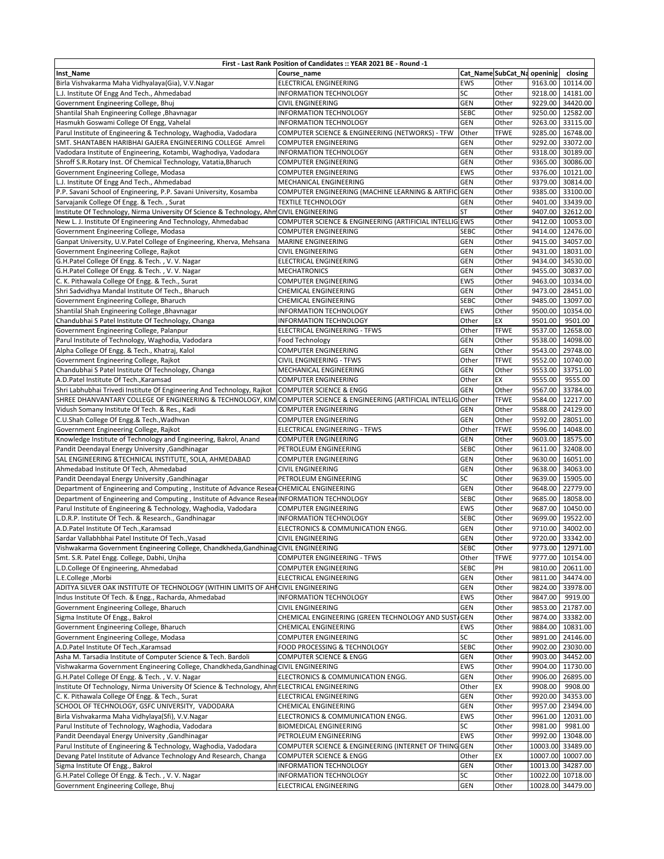|                                                                                                                                                         | First - Last Rank Position of Candidates :: YEAR 2021 BE - Round -1 |                         |                            |         |                                      |
|---------------------------------------------------------------------------------------------------------------------------------------------------------|---------------------------------------------------------------------|-------------------------|----------------------------|---------|--------------------------------------|
| Inst_Name                                                                                                                                               | Course name                                                         |                         | Cat_NameSubCat_Na openinig |         | closing                              |
| Birla Vishvakarma Maha Vidhyalaya(Gia), V.V.Nagar                                                                                                       | <b>ELECTRICAL ENGINEERING</b>                                       | <b>EWS</b>              | Other                      |         | 9163.00 10114.00                     |
| L.J. Institute Of Engg And Tech., Ahmedabad                                                                                                             | <b>INFORMATION TECHNOLOGY</b>                                       | SC                      | Other                      |         | 9218.00 14181.00                     |
| Government Engineering College, Bhuj                                                                                                                    | CIVIL ENGINEERING                                                   | GEN                     | Other                      |         | 9229.00 34420.00                     |
| Shantilal Shah Engineering College, Bhavnagar                                                                                                           | <b>INFORMATION TECHNOLOGY</b>                                       | <b>SEBC</b>             | Other                      | 9250.00 | 12582.00                             |
| Hasmukh Goswami College Of Engg, Vahelal                                                                                                                | <b>INFORMATION TECHNOLOGY</b>                                       | GEN                     | Other                      | 9263.00 | 33115.00                             |
| Parul Institute of Engineering & Technology, Waghodia, Vadodara                                                                                         | COMPUTER SCIENCE & ENGINEERING (NETWORKS) - TFW                     | Other                   | <b>TFWE</b>                | 9285.00 | 16748.00                             |
| SMT. SHANTABEN HARIBHAI GAJERA ENGINEERING COLLEGE Amreli                                                                                               | <b>COMPUTER ENGINEERING</b>                                         | GEN                     | Other                      |         | 9292.00 33072.00                     |
| Vadodara Institute of Engineering, Kotambi, Waghodiya, Vadodara                                                                                         | <b>INFORMATION TECHNOLOGY</b>                                       | GEN                     | Other                      |         | 9318.00 30189.00                     |
| Shroff S.R.Rotary Inst. Of Chemical Technology, Vatatia, Bharuch                                                                                        | <b>COMPUTER ENGINEERING</b>                                         | <b>GEN</b>              | Other                      |         | 9365.00 30086.00                     |
| Government Engineering College, Modasa                                                                                                                  | <b>COMPUTER ENGINEERING</b>                                         | <b>EWS</b>              | Other                      |         | 9376.00 10121.00                     |
| L.J. Institute Of Engg And Tech., Ahmedabad                                                                                                             | MECHANICAL ENGINEERING                                              | <b>GEN</b>              | Other                      |         | 9379.00 30814.00                     |
| P.P. Savani School of Engineering, P.P. Savani University, Kosamba                                                                                      | COMPUTER ENGINEERING (MACHINE LEARNING & ARTIFICIGEN                |                         | Other                      |         | 9385.00 33100.00                     |
| Sarvajanik College Of Engg. & Tech., Surat                                                                                                              | <b>TEXTILE TECHNOLOGY</b>                                           | <b>GEN</b><br><b>ST</b> | Other                      |         | 9401.00 33439.00                     |
| Institute Of Technology, Nirma University Of Science & Technology, AhmCIVIL ENGINEERING<br>New L. J. Institute Of Engineering And Technology, Ahmedabad | COMPUTER SCIENCE & ENGINEERING (ARTIFICIAL INTELLIG EWS             |                         | Other<br>Other             |         | 9407.00 32612.00                     |
|                                                                                                                                                         | <b>COMPUTER ENGINEERING</b>                                         | <b>SEBC</b>             | Other                      |         | 9412.00 10053.00<br>9414.00 12476.00 |
| Government Engineering College, Modasa<br>Ganpat University, U.V.Patel College of Engineering, Kherva, Mehsana                                          | <b>MARINE ENGINEERING</b>                                           | GEN                     | Other                      |         | 9415.00 34057.00                     |
| Government Engineering College, Rajkot                                                                                                                  | <b>CIVIL ENGINEERING</b>                                            | GEN                     | Other                      |         | 9431.00 18031.00                     |
|                                                                                                                                                         | ELECTRICAL ENGINEERING                                              | <b>GEN</b>              | Other                      |         | 9434.00 34530.00                     |
| G.H.Patel College Of Engg. & Tech., V. V. Nagar<br>G.H.Patel College Of Engg. & Tech., V. V. Nagar                                                      | <b>MECHATRONICS</b>                                                 | GEN                     | Other                      |         | 9455.00 30837.00                     |
| C. K. Pithawala College Of Engg. & Tech., Surat                                                                                                         | <b>COMPUTER ENGINEERING</b>                                         | <b>EWS</b>              | Other                      |         | 9463.00 10334.00                     |
| Shri Sadvidhya Mandal Institute Of Tech., Bharuch                                                                                                       | <b>CHEMICAL ENGINEERING</b>                                         | GEN                     | Other                      |         | 9473.00 28451.00                     |
| Government Engineering College, Bharuch                                                                                                                 | <b>CHEMICAL ENGINEERING</b>                                         | <b>SEBC</b>             | Other                      |         | 9485.00 13097.00                     |
| Shantilal Shah Engineering College, Bhavnagar                                                                                                           | <b>INFORMATION TECHNOLOGY</b>                                       | EWS                     | Other                      |         | 9500.00 10354.00                     |
| Chandubhai S Patel Institute Of Technology, Changa                                                                                                      | <b>INFORMATION TECHNOLOGY</b>                                       | Other                   | EX                         | 9501.00 | 9501.00                              |
| Government Engineering College, Palanpur                                                                                                                | ELECTRICAL ENGINEERING - TFWS                                       | Other                   | <b>TFWE</b>                |         | 9537.00 12658.00                     |
| Parul Institute of Technology, Waghodia, Vadodara                                                                                                       | Food Technology                                                     | GEN                     | Other                      | 9538.00 | 14098.00                             |
| Alpha College Of Engg. & Tech., Khatraj, Kalol                                                                                                          | COMPUTER ENGINEERING                                                | GEN                     | Other                      | 9543.00 | 29748.00                             |
| Government Engineering College, Rajkot                                                                                                                  | <b>CIVIL ENGINEERING - TFWS</b>                                     | Other                   | <b>TFWE</b>                | 9552.00 | 10740.00                             |
| Chandubhai S Patel Institute Of Technology, Changa                                                                                                      | MECHANICAL ENGINEERING                                              | GEN                     | Other                      | 9553.00 | 33751.00                             |
| A.D.Patel Institute Of Tech., Karamsad                                                                                                                  | <b>COMPUTER ENGINEERING</b>                                         | Other                   | EX                         | 9555.00 | 9555.00                              |
| Shri Labhubhai Trivedi Institute Of Engineering And Technology, Rajkot                                                                                  | <b>COMPUTER SCIENCE &amp; ENGG</b>                                  | GEN                     | Other                      |         | 9567.00 33784.00                     |
| SHREE DHANVANTARY COLLEGE OF ENGINEERING & TECHNOLOGY, KIM COMPUTER SCIENCE & ENGINEERING (ARTIFICIAL INTELLIG Other                                    |                                                                     |                         | <b>TFWE</b>                |         | 9584.00 12217.00                     |
| Vidush Somany Institute Of Tech. & Res., Kadi                                                                                                           | <b>COMPUTER ENGINEERING</b>                                         | <b>GEN</b>              | Other                      |         | 9588.00 24129.00                     |
| C.U.Shah College Of Engg.& Tech., Wadhvan                                                                                                               | <b>COMPUTER ENGINEERING</b>                                         | <b>GEN</b>              | Other                      |         | 9592.00 28051.00                     |
| Government Engineering College, Rajkot                                                                                                                  | ELECTRICAL ENGINEERING - TFWS                                       | Other                   | TFWE                       |         | 9596.00 14048.00                     |
| Knowledge Institute of Technology and Engineering, Bakrol, Anand                                                                                        | <b>COMPUTER ENGINEERING</b>                                         | <b>GEN</b>              | Other                      |         | 9603.00 18575.00                     |
| Pandit Deendayal Energy University , Gandhinagar                                                                                                        | PETROLEUM ENGINEERING                                               | <b>SEBC</b>             | Other                      |         | 9611.00 32408.00                     |
| SAL ENGINEERING & TECHNICAL INSTITUTE, SOLA, AHMEDABAD                                                                                                  | <b>COMPUTER ENGINEERING</b>                                         | <b>GEN</b>              | Other                      |         | 9630.00 16051.00                     |
| Ahmedabad Institute Of Tech, Ahmedabad                                                                                                                  | <b>CIVIL ENGINEERING</b>                                            | <b>GEN</b>              | Other                      |         | 9638.00 34063.00                     |
| Pandit Deendayal Energy University , Gandhinagar                                                                                                        | PETROLEUM ENGINEERING                                               | SC                      | Other                      |         | 9639.00   15905.00                   |
| Department of Engineering and Computing, Institute of Advance ResearCHEMICAL ENGINEERING                                                                |                                                                     | <b>GEN</b>              | Other                      |         | 9648.00 22779.00                     |
| Department of Engineering and Computing, Institute of Advance Resear INFORMATION TECHNOLOGY                                                             |                                                                     | <b>SEBC</b>             | Other                      |         | 9685.00 18058.00                     |
| Parul Institute of Engineering & Technology, Waghodia, Vadodara                                                                                         | <b>COMPUTER ENGINEERING</b>                                         | EWS                     | Other                      |         | 9687.00 10450.00                     |
| L.D.R.P. Institute Of Tech. & Research., Gandhinagar                                                                                                    | <b>INFORMATION TECHNOLOGY</b>                                       | <b>SEBC</b>             | Other                      |         | 9699.00 19522.00                     |
| A.D.Patel Institute Of Tech., Karamsad                                                                                                                  | ELECTRONICS & COMMUNICATION ENGG.                                   | <b>GEN</b>              | Other                      |         | 9710.00 34002.00                     |
| Sardar Vallabhbhai Patel Institute Of Tech., Vasad                                                                                                      | <b>CIVIL ENGINEERING</b>                                            | GEN                     | Other                      |         | 9720.00 33342.00                     |
| Vishwakarma Government Engineering College, Chandkheda, Gandhinag CIVIL ENGINEERING                                                                     |                                                                     | <b>SEBC</b>             | Other                      |         | 9773.00   12971.00                   |
| Smt. S.R. Patel Engg. College, Dabhi, Unjha                                                                                                             | <b>COMPUTER ENGINEERING - TFWS</b>                                  | Other                   | TFWE                       |         | 9777.00 10154.00                     |
| L.D.College Of Engineering, Ahmedabad                                                                                                                   | <b>COMPUTER ENGINEERING</b>                                         | SEBC                    | PH                         |         | 9810.00 20611.00                     |
| L.E.College, Morbi                                                                                                                                      | <b>ELECTRICAL ENGINEERING</b>                                       | GEN                     | Other                      |         | 9811.00 34474.00                     |
| ADITYA SILVER OAK INSTITUTE OF TECHNOLOGY (WITHIN LIMITS OF AHICIVIL ENGINEERING                                                                        |                                                                     | GEN                     | Other                      |         | 9824.00 33978.00                     |
| Indus Institute Of Tech. & Engg., Racharda, Ahmedabad                                                                                                   | INFORMATION TECHNOLOGY                                              | <b>EWS</b>              | Other                      | 9847.00 | 9919.00                              |
| Government Engineering College, Bharuch                                                                                                                 | CIVIL ENGINEERING                                                   | GEN                     | Other                      | 9853.00 | 21787.00                             |
| Sigma Institute Of Engg., Bakrol                                                                                                                        | CHEMICAL ENGINEERING (GREEN TECHNOLOGY AND SUST                     | <b>GEN</b>              | Other                      | 9874.00 | 33382.00                             |
| Government Engineering College, Bharuch                                                                                                                 | CHEMICAL ENGINEERING                                                | EWS                     | Other                      | 9884.00 | 10831.00                             |
| Government Engineering College, Modasa                                                                                                                  | <b>COMPUTER ENGINEERING</b>                                         | SC                      | Other                      |         | 9891.00 24146.00                     |
| A.D.Patel Institute Of Tech., Karamsad                                                                                                                  | FOOD PROCESSING & TECHNOLOGY                                        | <b>SEBC</b>             | Other                      |         | 9902.00 23030.00                     |
| Asha M. Tarsadia Institute of Computer Science & Tech. Bardoli                                                                                          | <b>COMPUTER SCIENCE &amp; ENGG</b>                                  | GEN                     | Other                      |         | 9903.00 34452.00                     |
| Vishwakarma Government Engineering College, Chandkheda, Gandhinag CIVIL ENGINEERING                                                                     |                                                                     | EWS                     | Other                      |         | 9904.00 11730.00                     |
| G.H.Patel College Of Engg. & Tech., V.V. Nagar                                                                                                          | ELECTRONICS & COMMUNICATION ENGG.                                   | GEN                     | Other                      |         | 9906.00 26895.00                     |
| Institute Of Technology, Nirma University Of Science & Technology, Ahm ELECTRICAL ENGINEERING                                                           |                                                                     | Other                   | ЕX                         | 9908.00 | 9908.00                              |
| C. K. Pithawala College Of Engg. & Tech., Surat                                                                                                         | ELECTRICAL ENGINEERING                                              | <b>GEN</b>              | Other                      |         | 9920.00 34353.00                     |
| SCHOOL OF TECHNOLOGY, GSFC UNIVERSITY, VADODARA                                                                                                         | CHEMICAL ENGINEERING                                                | <b>GEN</b>              | Other                      |         | 9957.00 23494.00                     |
| Birla Vishvakarma Maha Vidhylaya(Sfi), V.V.Nagar                                                                                                        | ELECTRONICS & COMMUNICATION ENGG.                                   | EWS                     | Other                      |         | 9961.00 12031.00                     |
| Parul Institute of Technology, Waghodia, Vadodara                                                                                                       | BIOMEDICAL ENGINEERING                                              | SC                      | Other                      | 9981.00 | 9981.00                              |
| Pandit Deendayal Energy University , Gandhinagar                                                                                                        | PETROLEUM ENGINEERING                                               | <b>EWS</b>              | Other                      | 9992.00 | 13048.00                             |
| Parul Institute of Engineering & Technology, Waghodia, Vadodara                                                                                         | COMPUTER SCIENCE & ENGINEERING (INTERNET OF THING GEN               |                         | Other                      |         | 10003.00 33489.00                    |
| Devang Patel Institute of Advance Technology And Research, Changa                                                                                       | <b>COMPUTER SCIENCE &amp; ENGG</b>                                  | Other                   | ЕX                         |         | 10007.00 10007.00                    |
| Sigma Institute Of Engg., Bakrol                                                                                                                        | <b>INFORMATION TECHNOLOGY</b>                                       | <b>GEN</b>              | Other                      |         | 10013.00 34287.00                    |
| G.H.Patel College Of Engg. & Tech., V.V. Nagar                                                                                                          | <b>INFORMATION TECHNOLOGY</b>                                       | SC                      | Other                      |         | 10022.00 10718.00                    |
| Government Engineering College, Bhuj                                                                                                                    | ELECTRICAL ENGINEERING                                              | <b>GEN</b>              | Other                      |         | 10028.00 34479.00                    |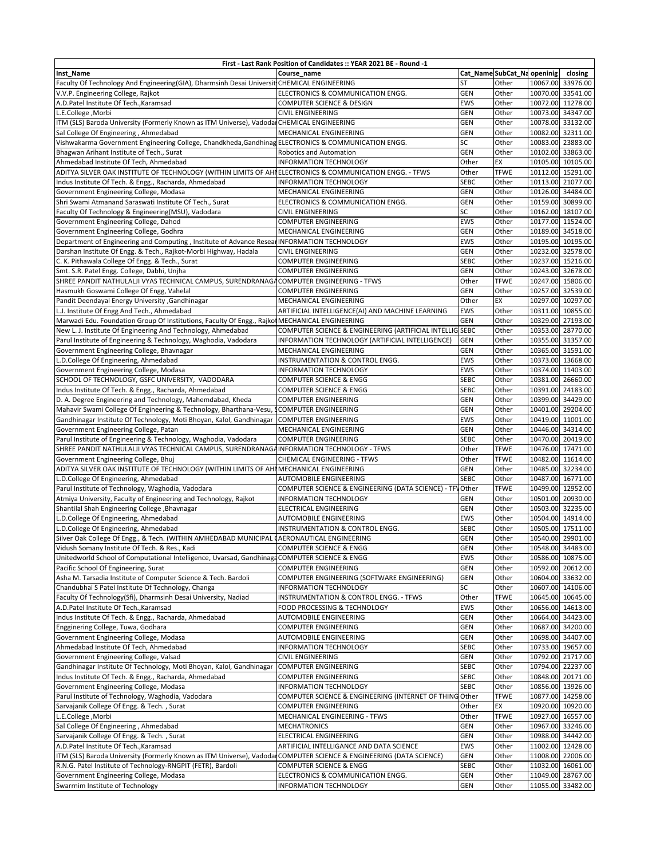|                                                                                                                                               | First - Last Rank Position of Candidates :: YEAR 2021 BE - Round -1 |              |                            |                                        |
|-----------------------------------------------------------------------------------------------------------------------------------------------|---------------------------------------------------------------------|--------------|----------------------------|----------------------------------------|
| Inst_Name                                                                                                                                     | Course_name                                                         |              | Cat_NameSubCat_Na openinig | closing                                |
| Faculty Of Technology And Engineering(GIA), Dharmsinh Desai Universit CHEMICAL ENGINEERING                                                    |                                                                     | ST           | Other                      | 10067.00 33976.00                      |
| V.V.P. Engineering College, Rajkot                                                                                                            | ELECTRONICS & COMMUNICATION ENGG.                                   | GEN          | Other                      | 10070.00 33541.00                      |
| A.D.Patel Institute Of Tech., Karamsad                                                                                                        | COMPUTER SCIENCE & DESIGN                                           | EWS          | Other                      | 10072.00 11278.00                      |
| L.E.College, Morbi                                                                                                                            | <b>CIVIL ENGINEERING</b>                                            | GEN          | Other                      | 10073.00 34347.00                      |
| ITM (SLS) Baroda University (Formerly Known as ITM Universe), Vadodar CHEMICAL ENGINEERING                                                    |                                                                     | <b>GEN</b>   | Other                      | 10078.00 33132.00                      |
| Sal College Of Engineering, Ahmedabad                                                                                                         | MECHANICAL ENGINEERING                                              | GEN          | Other                      | 10082.00 32311.00                      |
| Vishwakarma Government Engineering College, Chandkheda, Gandhinag ELECTRONICS & COMMUNICATION ENGG.                                           |                                                                     | SC           | Other                      | 10083.00 23883.00                      |
| Bhagwan Arihant Institute of Tech., Surat                                                                                                     | <b>Robotics and Automation</b>                                      | GEN          | Other                      | 10102.00 33863.00                      |
| Ahmedabad Institute Of Tech, Ahmedabad                                                                                                        | <b>INFORMATION TECHNOLOGY</b>                                       | Other        | EX                         | 10105.00 10105.00                      |
| ADITYA SILVER OAK INSTITUTE OF TECHNOLOGY (WITHIN LIMITS OF AHIELECTRONICS & COMMUNICATION ENGG. - TFWS                                       |                                                                     | Other        | <b>TFWE</b>                | 10112.00 15291.00                      |
| Indus Institute Of Tech. & Engg., Racharda, Ahmedabad                                                                                         | <b>INFORMATION TECHNOLOGY</b>                                       | <b>SEBC</b>  | Other                      | 10113.00 21077.00                      |
| Government Engineering College, Modasa                                                                                                        | MECHANICAL ENGINEERING                                              | GEN          | Other                      | 10126.00 34484.00                      |
| Shri Swami Atmanand Saraswati Institute Of Tech., Surat                                                                                       | ELECTRONICS & COMMUNICATION ENGG.                                   | GEN          | Other                      | 10159.00 30899.00                      |
| Faculty Of Technology & Engineering(MSU), Vadodara                                                                                            | <b>CIVIL ENGINEERING</b>                                            | SC           | Other                      | 10162.00 18107.00                      |
| Government Engineering College, Dahod                                                                                                         | <b>COMPUTER ENGINEERING</b>                                         | EWS          | Other                      | 10177.00 11524.00                      |
| Government Engineering College, Godhra                                                                                                        | MECHANICAL ENGINEERING                                              | GEN          | Other                      | 10189.00 34518.00                      |
| Department of Engineering and Computing, Institute of Advance Resear INFORMATION TECHNOLOGY                                                   |                                                                     | EWS          | Other                      | 10195.00 10195.00                      |
| Darshan Institute Of Engg. & Tech., Rajkot-Morbi Highway, Hadala                                                                              | <b>CIVIL ENGINEERING</b>                                            | GEN          | Other                      | 10232.00 32578.00                      |
| C. K. Pithawala College Of Engg. & Tech., Surat                                                                                               | <b>COMPUTER ENGINEERING</b>                                         | <b>SEBC</b>  | Other                      | 10237.00 15216.00                      |
| Smt. S.R. Patel Engg. College, Dabhi, Unjha<br>SHREE PANDIT NATHULALJI VYAS TECHNICAL CAMPUS, SURENDRANAGACOMPUTER ENGINEERING - TFWS         | <b>COMPUTER ENGINEERING</b>                                         | <b>GEN</b>   | Other<br><b>TFWE</b>       | 10243.00 32678.00<br>10247.00 15806.00 |
|                                                                                                                                               |                                                                     | Other        |                            |                                        |
| Hasmukh Goswami College Of Engg, Vahelal                                                                                                      | <b>COMPUTER ENGINEERING</b><br>MECHANICAL ENGINEERING               | GEN          | Other<br>EX                | 10257.00 32539.00<br>10297.00 10297.00 |
| Pandit Deendayal Energy University , Gandhinagar                                                                                              | ARTIFICIAL INTELLIGENCE(AI) AND MACHINE LEARNING                    | Other<br>EWS | Other                      | 10311.00 10855.00                      |
| L.J. Institute Of Engg And Tech., Ahmedabad<br>Marwadi Edu. Foundation Group Of Institutions, Faculty Of Engg., Rajkot MECHANICAL ENGINEERING |                                                                     |              |                            | 10329.00 27193.00                      |
| New L. J. Institute Of Engineering And Technology, Ahmedabad                                                                                  | COMPUTER SCIENCE & ENGINEERING (ARTIFICIAL INTELLIG SEBC            | GEN          | Other<br>Other             | 10353.00 28770.00                      |
| Parul Institute of Engineering & Technology, Waghodia, Vadodara                                                                               | INFORMATION TECHNOLOGY (ARTIFICIAL INTELLIGENCE)                    | GEN          | Other                      | 10355.00 31357.00                      |
| Government Engineering College, Bhavnagar                                                                                                     | MECHANICAL ENGINEERING                                              | GEN          | Other                      | 10365.00 31591.00                      |
| L.D.College Of Engineering, Ahmedabad                                                                                                         | INSTRUMENTATION & CONTROL ENGG.                                     | EWS          | Other                      | 10373.00 13668.00                      |
| Government Engineering College, Modasa                                                                                                        | <b>INFORMATION TECHNOLOGY</b>                                       | EWS          | Other                      | 10374.00 11403.00                      |
| SCHOOL OF TECHNOLOGY, GSFC UNIVERSITY, VADODARA                                                                                               | <b>COMPUTER SCIENCE &amp; ENGG</b>                                  | <b>SEBC</b>  | Other                      | 10381.00 26660.00                      |
| Indus Institute Of Tech. & Engg., Racharda, Ahmedabad                                                                                         | <b>COMPUTER SCIENCE &amp; ENGG</b>                                  | <b>SEBC</b>  | Other                      | 10391.00 24183.00                      |
| D. A. Degree Engineering and Technology, Mahemdabad, Kheda                                                                                    | <b>COMPUTER ENGINEERING</b>                                         | <b>GEN</b>   | Other                      | 10399.00 34429.00                      |
| Mahavir Swami College Of Engineering & Technology, Bharthana-Vesu, S                                                                          | <b>COMPUTER ENGINEERING</b>                                         | GEN          | Other                      | 10401.00 29204.00                      |
| Gandhinagar Institute Of Technology, Moti Bhoyan, Kalol, Gandhinagar                                                                          | <b>COMPUTER ENGINEERING</b>                                         | EWS          | Other                      | 10419.00 11001.00                      |
| Government Engineering College, Patan                                                                                                         | MECHANICAL ENGINEERING                                              | <b>GEN</b>   | Other                      | 10446.00 34314.00                      |
| Parul Institute of Engineering & Technology, Waghodia, Vadodara                                                                               | <b>COMPUTER ENGINEERING</b>                                         | SEBC         | Other                      | 10470.00 20419.00                      |
| SHREE PANDIT NATHULALJI VYAS TECHNICAL CAMPUS, SURENDRANAGAINFORMATION TECHNOLOGY - TFWS                                                      |                                                                     | Other        | <b>TFWE</b>                | 10476.00 17471.00                      |
| Government Engineering College, Bhuj                                                                                                          | CHEMICAL ENGINEERING - TFWS                                         | Other        | <b>TFWE</b>                | 10482.00 11614.00                      |
| ADITYA SILVER OAK INSTITUTE OF TECHNOLOGY (WITHIN LIMITS OF AHIMECHANICAL ENGINEERING                                                         |                                                                     | GEN          | Other                      | 10485.00 32234.00                      |
| L.D.College Of Engineering, Ahmedabad                                                                                                         | AUTOMOBILE ENGINEERING                                              | <b>SEBC</b>  | Other                      | 10487.00 16771.00                      |
| Parul Institute of Technology, Waghodia, Vadodara                                                                                             | COMPUTER SCIENCE & ENGINEERING (DATA SCIENCE) - TFV Other           |              | <b>TFWE</b>                | 10499.00 12952.00                      |
| Atmiya University, Faculty of Engineering and Technology, Rajkot                                                                              | INFORMATION TECHNOLOGY                                              | GEN          | Other                      | 10501.00 20930.00                      |
| Shantilal Shah Engineering College , Bhavnagar                                                                                                | ELECTRICAL ENGINEERING                                              | <b>GEN</b>   | Other                      | 10503.00 32235.00                      |
| L.D.College Of Engineering, Ahmedabad                                                                                                         | AUTOMOBILE ENGINEERING                                              | EWS          | Other                      | 10504.00 14914.00                      |
| L.D.College Of Engineering, Ahmedabad                                                                                                         | INSTRUMENTATION & CONTROL ENGG.                                     | <b>SEBC</b>  | Other                      | 10505.00 17511.00                      |
| Silver Oak College Of Engg., & Tech. (WITHIN AMHEDABAD MUNICIPAL CAERONAUTICAL ENGINEERING                                                    |                                                                     | <b>GEN</b>   | Other                      | 10540.00 29901.00                      |
| Vidush Somany Institute Of Tech. & Res., Kadi                                                                                                 | COMPUTER SCIENCE & ENGG                                             | GEN          | Other                      | 10548.00 34483.00                      |
| Unitedworld School of Computational Intelligence, Uvarsad, GandhinagaCOMPUTER SCIENCE & ENGG                                                  |                                                                     | EWS          | Other                      | 10586.00 10875.00                      |
| Pacific School Of Engineering, Surat                                                                                                          | <b>COMPUTER ENGINEERING</b>                                         | GEN          | Other                      | 10592.00 20612.00                      |
| Asha M. Tarsadia Institute of Computer Science & Tech. Bardoli                                                                                | COMPUTER ENGINEERING (SOFTWARE ENGINEERING)                         | <b>GEN</b>   | Other                      | 10604.00 33632.00                      |
| Chandubhai S Patel Institute Of Technology, Changa                                                                                            | <b>INFORMATION TECHNOLOGY</b>                                       | SC           | Other                      | 10607.00 14106.00                      |
| Faculty Of Technology(Sfi), Dharmsinh Desai University, Nadiad                                                                                | <b>INSTRUMENTATION &amp; CONTROL ENGG. - TFWS</b>                   | Other        | <b>TFWE</b>                | 10645.00 10645.00                      |
| A.D.Patel Institute Of Tech., Karamsad                                                                                                        | FOOD PROCESSING & TECHNOLOGY                                        | EWS          | Other                      | 10656.00 14613.00                      |
| Indus Institute Of Tech. & Engg., Racharda, Ahmedabad                                                                                         | AUTOMOBILE ENGINEERING                                              | <b>GEN</b>   | Other                      | 10664.00 34423.00                      |
| Engginering College, Tuwa, Godhara                                                                                                            | <b>COMPUTER ENGINEERING</b>                                         | GEN          | Other                      | 10687.00 34200.00                      |
| Government Engineering College, Modasa                                                                                                        | AUTOMOBILE ENGINEERING                                              | <b>GEN</b>   | Other                      | 10698.00 34407.00                      |
| Ahmedabad Institute Of Tech, Ahmedabad                                                                                                        | INFORMATION TECHNOLOGY                                              | <b>SEBC</b>  | Other                      | 10733.00 19657.00                      |
| Government Engineering College, Valsad                                                                                                        | <b>CIVIL ENGINEERING</b>                                            | <b>GEN</b>   | Other                      | 10792.00 21717.00                      |
| Gandhinagar Institute Of Technology, Moti Bhoyan, Kalol, Gandhinagar                                                                          | <b>COMPUTER ENGINEERING</b>                                         | SEBC         | Other                      | 10794.00 22237.00                      |
| Indus Institute Of Tech. & Engg., Racharda, Ahmedabad                                                                                         | <b>COMPUTER ENGINEERING</b>                                         | SEBC         | Other                      | 10848.00 20171.00                      |
| Government Engineering College, Modasa                                                                                                        | INFORMATION TECHNOLOGY                                              | SEBC         | Other                      | 10856.00 13926.00                      |
| Parul Institute of Technology, Waghodia, Vadodara                                                                                             | COMPUTER SCIENCE & ENGINEERING (INTERNET OF THING Other             |              | <b>TFWE</b>                | 10877.00 14258.00                      |
| Sarvajanik College Of Engg. & Tech., Surat                                                                                                    | COMPUTER ENGINEERING                                                | Other        | EX                         | 10920.00 10920.00                      |
| L.E.College, Morbi                                                                                                                            | MECHANICAL ENGINEERING - TFWS                                       | Other        | <b>TFWE</b>                | 10927.00 16557.00                      |
| Sal College Of Engineering, Ahmedabad                                                                                                         | <b>MECHATRONICS</b>                                                 | GEN          | Other                      | 10967.00 33246.00                      |
| Sarvajanik College Of Engg. & Tech., Surat                                                                                                    | ELECTRICAL ENGINEERING                                              | GEN          | Other                      | 10988.00 34442.00                      |
| A.D.Patel Institute Of Tech., Karamsad                                                                                                        | ARTIFICIAL INTELLIGANCE AND DATA SCIENCE                            | EWS          | Other                      | 11002.00 12428.00                      |
| ITM (SLS) Baroda University (Formerly Known as ITM Universe), VadodarCOMPUTER SCIENCE & ENGINEERING (DATA SCIENCE)                            |                                                                     | GEN          | Other                      | 11008.00 22006.00                      |
| R.N.G. Patel Institute of Technology-RNGPIT (FETR), Bardoli                                                                                   | COMPUTER SCIENCE & ENGG                                             | <b>SEBC</b>  | Other                      | 11032.00 16061.00                      |
| Government Engineering College, Modasa                                                                                                        | ELECTRONICS & COMMUNICATION ENGG.                                   | GEN          | Other                      | 11049.00 28767.00                      |
| Swarrnim Institute of Technology                                                                                                              | INFORMATION TECHNOLOGY                                              | GEN          | Other                      | 11055.00 33482.00                      |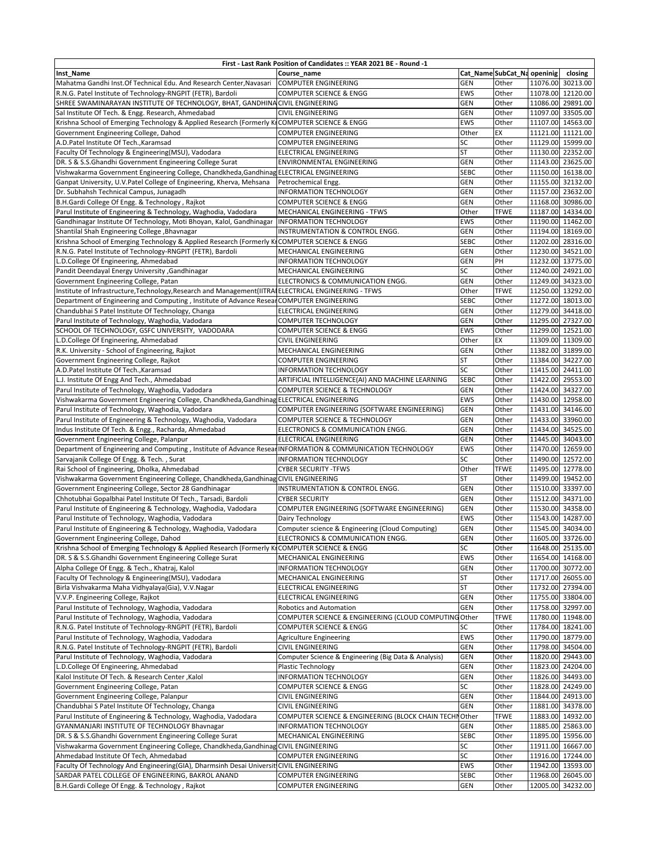| First - Last Rank Position of Candidates :: YEAR 2021 BE - Round -1                                        |                                                        |             |                             |  |                   |  |  |  |
|------------------------------------------------------------------------------------------------------------|--------------------------------------------------------|-------------|-----------------------------|--|-------------------|--|--|--|
| Inst_Name                                                                                                  | Course name                                            |             | Cat_Name SubCat_Na openinig |  | closing           |  |  |  |
| Mahatma Gandhi Inst.Of Technical Edu. And Research Center, Navasari                                        | <b>COMPUTER ENGINEERING</b>                            | <b>GEN</b>  | Other                       |  | 11076.00 30213.00 |  |  |  |
| R.N.G. Patel Institute of Technology-RNGPIT (FETR), Bardoli                                                | <b>COMPUTER SCIENCE &amp; ENGG</b>                     | EWS         | Other                       |  | 11078.00 12120.00 |  |  |  |
| SHREE SWAMINARAYAN INSTITUTE OF TECHNOLOGY, BHAT, GANDHINACIVIL ENGINEERING                                |                                                        | GEN         | Other                       |  | 11086.00 29891.00 |  |  |  |
| Sal Institute Of Tech. & Engg. Research, Ahmedabad                                                         | CIVIL ENGINEERING                                      | GEN         | Other                       |  | 11097.00 33505.00 |  |  |  |
| Krishna School of Emerging Technology & Applied Research (Formerly KICOMPUTER SCIENCE & ENGG               |                                                        | EWS         | Other                       |  | 11107.00 14563.00 |  |  |  |
| Government Engineering College, Dahod                                                                      | <b>COMPUTER ENGINEERING</b>                            | Other       | EX                          |  | 11121.00 11121.00 |  |  |  |
| A.D.Patel Institute Of Tech., Karamsad                                                                     | <b>COMPUTER ENGINEERING</b>                            | SC          | Other                       |  | 11129.00 15999.00 |  |  |  |
| Faculty Of Technology & Engineering(MSU), Vadodara                                                         | <b>ELECTRICAL ENGINEERING</b>                          | <b>ST</b>   | Other                       |  | 11130.00 22352.00 |  |  |  |
|                                                                                                            |                                                        | GEN         | Other                       |  | 11143.00 23625.00 |  |  |  |
| DR. S & S.S.Ghandhi Government Engineering College Surat                                                   | ENVIRONMENTAL ENGINEERING                              |             |                             |  |                   |  |  |  |
| Vishwakarma Government Engineering College, Chandkheda, Gandhinag ELECTRICAL ENGINEERING                   |                                                        | <b>SEBC</b> | Other                       |  | 11150.00 16138.00 |  |  |  |
| Ganpat University, U.V.Patel College of Engineering, Kherva, Mehsana                                       | Petrochemical Engg.                                    | GEN         | Other                       |  | 11155.00 32132.00 |  |  |  |
| Dr. Subhahsh Technical Campus, Junagadh                                                                    | <b>INFORMATION TECHNOLOGY</b>                          | <b>GEN</b>  | Other                       |  | 11157.00 23632.00 |  |  |  |
| B.H.Gardi College Of Engg. & Technology, Rajkot                                                            | <b>COMPUTER SCIENCE &amp; ENGG</b>                     | GEN         | Other                       |  | 11168.00 30986.00 |  |  |  |
| Parul Institute of Engineering & Technology, Waghodia, Vadodara                                            | MECHANICAL ENGINEERING - TFWS                          | Other       | <b>TFWE</b>                 |  | 11187.00 14334.00 |  |  |  |
| Gandhinagar Institute Of Technology, Moti Bhoyan, Kalol, Gandhinagar                                       | <b>INFORMATION TECHNOLOGY</b>                          | <b>EWS</b>  | Other                       |  | 11190.00 11462.00 |  |  |  |
| Shantilal Shah Engineering College , Bhavnagar                                                             | INSTRUMENTATION & CONTROL ENGG.                        | GEN         | Other                       |  | 11194.00 18169.00 |  |  |  |
| Krishna School of Emerging Technology & Applied Research (Formerly KrCOMPUTER SCIENCE & ENGG               |                                                        | <b>SEBC</b> | Other                       |  | 11202.00 28316.00 |  |  |  |
| R.N.G. Patel Institute of Technology-RNGPIT (FETR), Bardoli                                                | MECHANICAL ENGINEERING                                 | GEN         | Other                       |  | 11230.00 34521.00 |  |  |  |
| L.D.College Of Engineering, Ahmedabad                                                                      | <b>INFORMATION TECHNOLOGY</b>                          | GEN         | PH                          |  | 11232.00 13775.00 |  |  |  |
| Pandit Deendayal Energy University , Gandhinagar                                                           | MECHANICAL ENGINEERING                                 | SC          | Other                       |  | 11240.00 24921.00 |  |  |  |
| Government Engineering College, Patan                                                                      | ELECTRONICS & COMMUNICATION ENGG.                      | <b>GEN</b>  | Other                       |  | 11249.00 34323.00 |  |  |  |
| Institute of Infrastructure, Technology, Research and Management (IITRAIELECTRICAL ENGINEERING - TFWS      |                                                        | Other       | <b>TFWE</b>                 |  | 11250.00 13292.00 |  |  |  |
| Department of Engineering and Computing, Institute of Advance Resear                                       | <b>COMPUTER ENGINEERING</b>                            | <b>SEBC</b> | Other                       |  | 11272.00 18013.00 |  |  |  |
| Chandubhai S Patel Institute Of Technology, Changa                                                         | <b>ELECTRICAL ENGINEERING</b>                          | <b>GEN</b>  | Other                       |  | 11279.00 34418.00 |  |  |  |
| Parul Institute of Technology, Waghodia, Vadodara                                                          | <b>COMPUTER TECHNOLOGY</b>                             | <b>GEN</b>  | Other                       |  | 11295.00 27327.00 |  |  |  |
| SCHOOL OF TECHNOLOGY, GSFC UNIVERSITY, VADODARA                                                            | COMPUTER SCIENCE & ENGG                                | EWS         | Other                       |  | 11299.00 12521.00 |  |  |  |
| L.D.College Of Engineering, Ahmedabad                                                                      | <b>CIVIL ENGINEERING</b>                               | Other       | EX                          |  | 11309.00 11309.00 |  |  |  |
|                                                                                                            |                                                        |             |                             |  |                   |  |  |  |
| R.K. University - School of Engineering, Rajkot                                                            | MECHANICAL ENGINEERING                                 | GEN         | Other                       |  | 11382.00 31899.00 |  |  |  |
| Government Engineering College, Rajkot                                                                     | <b>COMPUTER ENGINEERING</b>                            | <b>ST</b>   | Other                       |  | 11384.00 34227.00 |  |  |  |
| A.D.Patel Institute Of Tech., Karamsad                                                                     | <b>INFORMATION TECHNOLOGY</b>                          | SC          | Other                       |  | 11415.00 24411.00 |  |  |  |
| L.J. Institute Of Engg And Tech., Ahmedabad                                                                | ARTIFICIAL INTELLIGENCE(AI) AND MACHINE LEARNING       | <b>SEBC</b> | Other                       |  | 11422.00 29553.00 |  |  |  |
| Parul Institute of Technology, Waghodia, Vadodara                                                          | COMPUTER SCIENCE & TECHNOLOGY                          | GEN         | Other                       |  | 11424.00 34327.00 |  |  |  |
| Vishwakarma Government Engineering College, Chandkheda, Gandhinag ELECTRICAL ENGINEERING                   |                                                        | <b>EWS</b>  | Other                       |  | 11430.00 12958.00 |  |  |  |
| Parul Institute of Technology, Waghodia, Vadodara                                                          | COMPUTER ENGINEERING (SOFTWARE ENGINEERING)            | GEN         | Other                       |  | 11431.00 34146.00 |  |  |  |
| Parul Institute of Engineering & Technology, Waghodia, Vadodara                                            | <b>COMPUTER SCIENCE &amp; TECHNOLOGY</b>               | <b>GEN</b>  | Other                       |  | 11433.00 33960.00 |  |  |  |
| Indus Institute Of Tech. & Engg., Racharda, Ahmedabad                                                      | ELECTRONICS & COMMUNICATION ENGG.                      | GEN         | Other                       |  | 11434.00 34525.00 |  |  |  |
| Government Engineering College, Palanpur                                                                   | <b>ELECTRICAL ENGINEERING</b>                          | <b>GEN</b>  | Other                       |  | 11445.00 34043.00 |  |  |  |
| Department of Engineering and Computing, Institute of Advance ResearINFORMATION & COMMUNICATION TECHNOLOGY |                                                        | EWS         | Other                       |  | 11470.00 12659.00 |  |  |  |
| Sarvajanik College Of Engg. & Tech., Surat                                                                 | <b>INFORMATION TECHNOLOGY</b>                          | SC          | Other                       |  | 11490.00 12572.00 |  |  |  |
| Rai School of Engineering, Dholka, Ahmedabad                                                               | <b>CYBER SECURITY -TFWS</b>                            | Other       | <b>TFWE</b>                 |  | 11495.00 12778.00 |  |  |  |
| Vishwakarma Government Engineering College, Chandkheda, Gandhinag CIVIL ENGINEERING                        |                                                        | <b>ST</b>   | Other                       |  | 11499.00 19452.00 |  |  |  |
| Government Engineering College, Sector 28 Gandhinagar                                                      | INSTRUMENTATION & CONTROL ENGG.                        | <b>GEN</b>  | Other                       |  | 11510.00 33397.00 |  |  |  |
| Chhotubhai Gopalbhai Patel Institute Of Tech., Tarsadi, Bardoli                                            | <b>CYBER SECURITY</b>                                  | GEN         | Other                       |  | 11512.00 34371.00 |  |  |  |
| Parul Institute of Engineering & Technology, Waghodia, Vadodara                                            | COMPUTER ENGINEERING (SOFTWARE ENGINEERING)            | GEN         | Other                       |  | 11530.00 34358.00 |  |  |  |
| Parul Institute of Technology, Waghodia, Vadodara                                                          | Dairy Technology                                       | EWS         | Other                       |  | 11543.00 14287.00 |  |  |  |
| Parul Institute of Engineering & Technology, Waghodia, Vadodara                                            | Computer science & Engineering (Cloud Computing)       | GEN         | Other                       |  | 11545.00 34034.00 |  |  |  |
|                                                                                                            | ELECTRONICS & COMMUNICATION ENGG.                      |             | Other                       |  |                   |  |  |  |
| Government Engineering College, Dahod                                                                      |                                                        | GEN         |                             |  | 11605.00 33726.00 |  |  |  |
| Krishna School of Emerging Technology & Applied Research (Formerly KrCOMPUTER SCIENCE & ENGG               |                                                        | SC          | Other                       |  | 11648.00 25135.00 |  |  |  |
| DR. S & S.S.Ghandhi Government Engineering College Surat                                                   | MECHANICAL ENGINEERING                                 | EWS         | Other                       |  | 11654.00 14168.00 |  |  |  |
| Alpha College Of Engg. & Tech., Khatraj, Kalol                                                             | <b>INFORMATION TECHNOLOGY</b>                          | GEN         | Other                       |  | 11700.00 30772.00 |  |  |  |
| Faculty Of Technology & Engineering(MSU), Vadodara                                                         | MECHANICAL ENGINEERING                                 | <b>ST</b>   | Other                       |  | 11717.00 26055.00 |  |  |  |
| Birla Vishvakarma Maha Vidhyalaya(Gia), V.V.Nagar                                                          | <b>ELECTRICAL ENGINEERING</b>                          | <b>ST</b>   | Other                       |  | 11732.00 27394.00 |  |  |  |
| V.V.P. Engineering College, Rajkot                                                                         | ELECTRICAL ENGINEERING                                 | <b>GEN</b>  | Other                       |  | 11755.00 33804.00 |  |  |  |
| Parul Institute of Technology, Waghodia, Vadodara                                                          | Robotics and Automation                                | GEN         | Other                       |  | 11758.00 32997.00 |  |  |  |
| Parul Institute of Technology, Waghodia, Vadodara                                                          | COMPUTER SCIENCE & ENGINEERING (CLOUD COMPUTING Other  |             | TFWE                        |  | 11780.00 11948.00 |  |  |  |
| R.N.G. Patel Institute of Technology-RNGPIT (FETR), Bardoli                                                | COMPUTER SCIENCE & ENGG                                | SC          | Other                       |  | 11784.00 18241.00 |  |  |  |
| Parul Institute of Technology, Waghodia, Vadodara                                                          | Agriculture Engineering                                | EWS         | Other                       |  | 11790.00 18779.00 |  |  |  |
| R.N.G. Patel Institute of Technology-RNGPIT (FETR), Bardoli                                                | <b>CIVIL ENGINEERING</b>                               | GEN         | Other                       |  | 11798.00 34504.00 |  |  |  |
| Parul Institute of Technology, Waghodia, Vadodara                                                          | Computer Science & Engineering (Big Data & Analysis)   | <b>GEN</b>  | Other                       |  | 11820.00 29443.00 |  |  |  |
| L.D.College Of Engineering, Ahmedabad                                                                      | Plastic Technology                                     | GEN         | Other                       |  | 11823.00 24204.00 |  |  |  |
| Kalol Institute Of Tech. & Research Center, Kalol                                                          | INFORMATION TECHNOLOGY                                 | GEN         | Other                       |  | 11826.00 34493.00 |  |  |  |
| Government Engineering College, Patan                                                                      | <b>COMPUTER SCIENCE &amp; ENGG</b>                     | SC          | Other                       |  | 11828.00 24249.00 |  |  |  |
| Government Engineering College, Palanpur                                                                   | <b>CIVIL ENGINEERING</b>                               | GEN         | Other                       |  | 11844.00 24913.00 |  |  |  |
| Chandubhai S Patel Institute Of Technology, Changa                                                         | <b>CIVIL ENGINEERING</b>                               | <b>GEN</b>  | Other                       |  | 11881.00 34378.00 |  |  |  |
|                                                                                                            | COMPUTER SCIENCE & ENGINEERING (BLOCK CHAIN TECHNOther |             | TFWE                        |  | 11883.00 14932.00 |  |  |  |
| Parul Institute of Engineering & Technology, Waghodia, Vadodara                                            |                                                        |             |                             |  |                   |  |  |  |
| GYANMANJARI INSTITUTE OF TECHNOLOGY Bhavnagar                                                              | <b>INFORMATION TECHNOLOGY</b>                          | GEN         | Other                       |  | 11885.00 25863.00 |  |  |  |
| DR. S & S.S.Ghandhi Government Engineering College Surat                                                   | MECHANICAL ENGINEERING                                 | <b>SEBC</b> | Other                       |  | 11895.00 15956.00 |  |  |  |
| Vishwakarma Government Engineering College, Chandkheda, Gandhinag CIVIL ENGINEERING                        |                                                        | SC          | Other                       |  | 11911.00 16667.00 |  |  |  |
| Ahmedabad Institute Of Tech, Ahmedabad                                                                     | <b>COMPUTER ENGINEERING</b>                            | SC          | Other                       |  | 11916.00 17244.00 |  |  |  |
| Faculty Of Technology And Engineering(GIA), Dharmsinh Desai Universit CIVIL ENGINEERING                    |                                                        | EWS         | Other                       |  | 11942.00 13593.00 |  |  |  |
| SARDAR PATEL COLLEGE OF ENGINEERING, BAKROL ANAND                                                          | <b>COMPUTER ENGINEERING</b>                            | <b>SEBC</b> | Other                       |  | 11968.00 26045.00 |  |  |  |
| B.H.Gardi College Of Engg. & Technology, Rajkot                                                            | COMPUTER ENGINEERING                                   | GEN         | Other                       |  | 12005.00 34232.00 |  |  |  |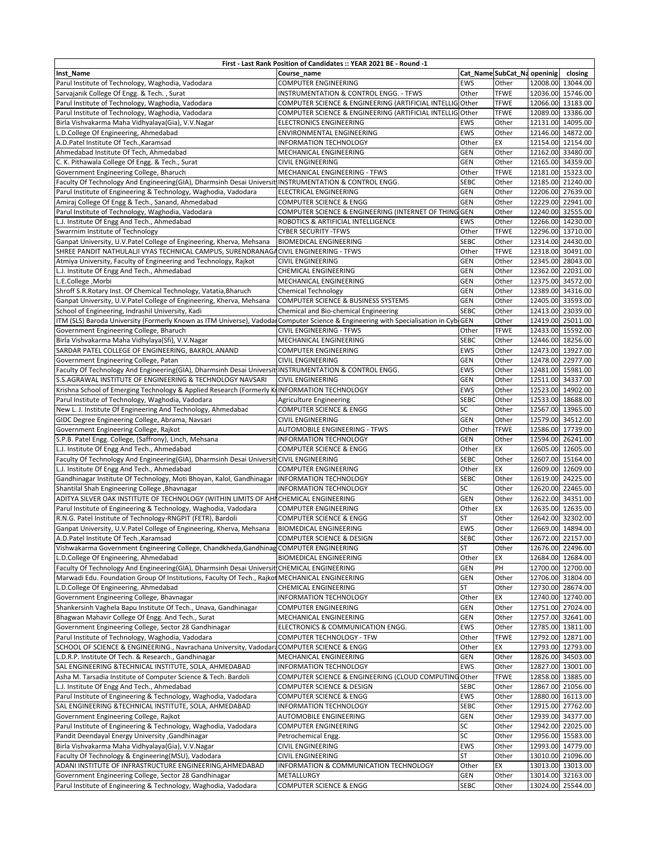| First - Last Rank Position of Candidates :: YEAR 2021 BE - Round -1                                                                 |                                                                                 |             |                            |  |                   |  |  |  |
|-------------------------------------------------------------------------------------------------------------------------------------|---------------------------------------------------------------------------------|-------------|----------------------------|--|-------------------|--|--|--|
| <b>Inst_Name</b>                                                                                                                    | Course name                                                                     |             | Cat_NameSubCat_Na openinig |  | closing           |  |  |  |
| Parul Institute of Technology, Waghodia, Vadodara                                                                                   | <b>COMPUTER ENGINEERING</b>                                                     | <b>EWS</b>  | Other                      |  | 12008.00 13044.00 |  |  |  |
| Sarvajanik College Of Engg. & Tech., Surat                                                                                          | INSTRUMENTATION & CONTROL ENGG. - TFWS                                          | Other       | <b>TFWE</b>                |  | 12036.00 15746.00 |  |  |  |
| Parul Institute of Technology, Waghodia, Vadodara                                                                                   | COMPUTER SCIENCE & ENGINEERING (ARTIFICIAL INTELLIG Other                       |             | TFWE                       |  | 12066.00 13183.00 |  |  |  |
| Parul Institute of Technology, Waghodia, Vadodara                                                                                   | COMPUTER SCIENCE & ENGINEERING (ARTIFICIAL INTELLIG Other                       |             | <b>TFWE</b>                |  | 12089.00 13386.00 |  |  |  |
| Birla Vishvakarma Maha Vidhyalaya(Gia), V.V.Nagar                                                                                   | <b>ELECTRONICS ENGINEERING</b>                                                  | EWS         | Other                      |  | 12131.00 14095.00 |  |  |  |
| L.D.College Of Engineering, Ahmedabad                                                                                               | ENVIRONMENTAL ENGINEERING                                                       | <b>EWS</b>  | Other                      |  | 12146.00 14872.00 |  |  |  |
| A.D.Patel Institute Of Tech., Karamsad                                                                                              | <b>INFORMATION TECHNOLOGY</b>                                                   | Other       | EX                         |  | 12154.00 12154.00 |  |  |  |
| Ahmedabad Institute Of Tech, Ahmedabad                                                                                              | MECHANICAL ENGINEERING                                                          | <b>GEN</b>  | Other                      |  | 12162.00 33480.00 |  |  |  |
| C. K. Pithawala College Of Engg. & Tech., Surat                                                                                     | <b>CIVIL ENGINEERING</b>                                                        | <b>GEN</b>  | Other                      |  | 12165.00 34359.00 |  |  |  |
| Government Engineering College, Bharuch                                                                                             | MECHANICAL ENGINEERING - TFWS                                                   | Other       | <b>TFWE</b>                |  | 12181.00 15323.00 |  |  |  |
| Faculty Of Technology And Engineering(GIA), Dharmsinh Desai Universit INSTRUMENTATION & CONTROL ENGG.                               |                                                                                 | <b>SEBC</b> | Other                      |  | 12185.00 21240.00 |  |  |  |
| Parul Institute of Engineering & Technology, Waghodia, Vadodara                                                                     | ELECTRICAL ENGINEERING                                                          | GEN         | Other                      |  | 12206.00 27639.00 |  |  |  |
| Amiraj College Of Engg & Tech., Sanand, Ahmedabad                                                                                   | <b>COMPUTER SCIENCE &amp; ENGG</b>                                              | <b>GEN</b>  | Other                      |  | 12229.00 22941.00 |  |  |  |
| Parul Institute of Technology, Waghodia, Vadodara                                                                                   | COMPUTER SCIENCE & ENGINEERING (INTERNET OF THING GEN                           |             | Other                      |  | 12240.00 32555.00 |  |  |  |
| L.J. Institute Of Engg And Tech., Ahmedabad                                                                                         | ROBOTICS & ARTIFICIAL INTELLIGENCE                                              | EWS         | Other                      |  | 12266.00 14230.00 |  |  |  |
| Swarrnim Institute of Technology                                                                                                    | <b>CYBER SECURITY -TFWS</b>                                                     | Other       | <b>TFWE</b>                |  | 12296.00 13710.00 |  |  |  |
| Ganpat University, U.V.Patel College of Engineering, Kherva, Mehsana                                                                | <b>BIOMEDICAL ENGINEERING</b>                                                   | <b>SEBC</b> | Other                      |  | 12314.00 24430.00 |  |  |  |
| SHREE PANDIT NATHULALJI VYAS TECHNICAL CAMPUS, SURENDRANAGACIVIL ENGINEERING - TFWS                                                 |                                                                                 | Other       | <b>TFWE</b>                |  | 12318.00 30491.00 |  |  |  |
| Atmiya University, Faculty of Engineering and Technology, Rajkot                                                                    | <b>CIVIL ENGINEERING</b>                                                        | GEN         | Other                      |  | 12345.00 28043.00 |  |  |  |
| L.J. Institute Of Engg And Tech., Ahmedabad                                                                                         | <b>CHEMICAL ENGINEERING</b>                                                     | GEN         | Other                      |  | 12362.00 22031.00 |  |  |  |
| L.E.College, Morbi                                                                                                                  | MECHANICAL ENGINEERING                                                          | <b>GEN</b>  | Other                      |  | 12375.00 34572.00 |  |  |  |
| Shroff S.R.Rotary Inst. Of Chemical Technology, Vatatia, Bharuch                                                                    | <b>Chemical Technology</b>                                                      | GEN         | Other                      |  | 12389.00 34316.00 |  |  |  |
| Ganpat University, U.V.Patel College of Engineering, Kherva, Mehsana                                                                | COMPUTER SCIENCE & BUSINESS SYSTEMS                                             | <b>GEN</b>  | Other                      |  | 12405.00 33593.00 |  |  |  |
| School of Engineering, Indrashil University, Kadi                                                                                   | Chemical and Bio-chemical Engineering                                           | <b>SEBC</b> | Other                      |  | 12413.00 23039.00 |  |  |  |
| ITM (SLS) Baroda University (Formerly Known as ITM Universe), Vadodar Computer Science & Engineering with Specialisation in CybiGEN |                                                                                 |             | Other                      |  | 12419.00 25011.00 |  |  |  |
| Government Engineering College, Bharuch                                                                                             | CIVIL ENGINEERING - TFWS                                                        | Other       | <b>TFWE</b>                |  | 12433.00 15592.00 |  |  |  |
| Birla Vishvakarma Maha Vidhylaya(Sfi), V.V.Nagar                                                                                    | MECHANICAL ENGINEERING                                                          | <b>SEBC</b> | Other                      |  | 12446.00 18256.00 |  |  |  |
| SARDAR PATEL COLLEGE OF ENGINEERING, BAKROL ANAND                                                                                   | <b>COMPUTER ENGINEERING</b>                                                     | EWS         | Other                      |  | 12473.00 13927.00 |  |  |  |
| Government Engineering College, Patan                                                                                               | <b>CIVIL ENGINEERING</b>                                                        | GEN         | Other                      |  | 12478.00 22977.00 |  |  |  |
| Faculty Of Technology And Engineering(GIA), Dharmsinh Desai Universit INSTRUMENTATION & CONTROL ENGG.                               |                                                                                 | EWS         | Other                      |  | 12481.00 15981.00 |  |  |  |
| S.S.AGRAWAL INSTITUTE OF ENGINEERING & TECHNOLOGY NAVSARI                                                                           | <b>CIVIL ENGINEERING</b>                                                        | <b>GEN</b>  | Other                      |  | 12511.00 34337.00 |  |  |  |
| Krishna School of Emerging Technology & Applied Research (Formerly KIINFORMATION TECHNOLOGY                                         |                                                                                 | EWS         | Other                      |  | 12523.00 14902.00 |  |  |  |
| Parul Institute of Technology, Waghodia, Vadodara                                                                                   | Agriculture Engineering                                                         | <b>SEBC</b> | Other                      |  | 12533.00 18688.00 |  |  |  |
| New L. J. Institute Of Engineering And Technology, Ahmedabad                                                                        | <b>COMPUTER SCIENCE &amp; ENGG</b>                                              | SC          | Other                      |  | 12567.00 13965.00 |  |  |  |
| GIDC Degree Engineering College, Abrama, Navsari                                                                                    | <b>CIVIL ENGINEERING</b>                                                        | <b>GEN</b>  | Other                      |  | 12579.00 34512.00 |  |  |  |
| Government Engineering College, Rajkot                                                                                              | AUTOMOBILE ENGINEERING - TFWS                                                   | Other       | TFWE                       |  | 12586.00 17739.00 |  |  |  |
| S.P.B. Patel Engg. College, (Saffrony), Linch, Mehsana                                                                              | <b>INFORMATION TECHNOLOGY</b>                                                   | <b>GEN</b>  | Other                      |  | 12594.00 26241.00 |  |  |  |
| L.J. Institute Of Engg And Tech., Ahmedabad                                                                                         | <b>COMPUTER SCIENCE &amp; ENGG</b>                                              | Other       | EX                         |  | 12605.00 12605.00 |  |  |  |
| Faculty Of Technology And Engineering(GIA), Dharmsinh Desai Universit CIVIL ENGINEERING                                             |                                                                                 | <b>SEBC</b> | Other                      |  | 12607.00 15164.00 |  |  |  |
| L.J. Institute Of Engg And Tech., Ahmedabad                                                                                         | COMPUTER ENGINEERING                                                            | Other       | EX                         |  | 12609.00 12609.00 |  |  |  |
| Gandhinagar Institute Of Technology, Moti Bhoyan, Kalol, Gandhinagar                                                                | <b>INFORMATION TECHNOLOGY</b>                                                   | <b>SEBC</b> | Other                      |  | 12619.00 24225.00 |  |  |  |
| Shantilal Shah Engineering College, Bhavnagar                                                                                       | <b>INFORMATION TECHNOLOGY</b>                                                   | SC          | Other                      |  | 12620.00 22465.00 |  |  |  |
| ADITYA SILVER OAK INSTITUTE OF TECHNOLOGY (WITHIN LIMITS OF AHICHEMICAL ENGINEERING                                                 |                                                                                 | <b>GEN</b>  | Other                      |  | 12622.00 34351.00 |  |  |  |
| Parul Institute of Engineering & Technology, Waghodia, Vadodara                                                                     | <b>COMPUTER ENGINEERING</b>                                                     | Other       | EX                         |  | 12635.00 12635.00 |  |  |  |
| R.N.G. Patel Institute of Technology-RNGPIT (FETR), Bardoli                                                                         | <b>COMPUTER SCIENCE &amp; ENGG</b>                                              | <b>ST</b>   | Other                      |  | 12642.00 32302.00 |  |  |  |
| Ganpat University, U.V.Patel College of Engineering, Kherva, Mehsana                                                                | <b>BIOMEDICAL ENGINEERING</b>                                                   | EWS         | Other                      |  | 12669.00 14894.00 |  |  |  |
| A.D.Patel Institute Of Tech., Karamsad                                                                                              | <b>COMPUTER SCIENCE &amp; DESIGN</b>                                            | <b>SEBC</b> | Other                      |  | 12672.00 22157.00 |  |  |  |
| Vishwakarma Government Engineering College, Chandkheda, Gandhinag COMPUTER ENGINEERING                                              |                                                                                 | <b>ST</b>   | Other                      |  | 12676.00 22496.00 |  |  |  |
| L.D.College Of Engineering, Ahmedabad                                                                                               | <b>BIOMEDICAL ENGINEERING</b>                                                   | Other       | EX                         |  | 12684.00 12684.00 |  |  |  |
| Faculty Of Technology And Engineering(GIA), Dharmsinh Desai Universit CHEMICAL ENGINEERING                                          |                                                                                 | GEN         | PH                         |  | 12700.00 12700.00 |  |  |  |
| Marwadi Edu. Foundation Group Of Institutions, Faculty Of Tech., Rajkot MECHANICAL ENGINEERING                                      |                                                                                 | GEN         | Other                      |  | 12706.00 31804.00 |  |  |  |
| L.D.College Of Engineering, Ahmedabad                                                                                               | CHEMICAL ENGINEERING                                                            | <b>ST</b>   | Other                      |  | 12730.00 28674.00 |  |  |  |
| Government Engineering College, Bhavnagar                                                                                           | INFORMATION TECHNOLOGY                                                          | Other       | EX                         |  | 12740.00 12740.00 |  |  |  |
| Shankersinh Vaghela Bapu Institute Of Tech., Unava, Gandhinagar                                                                     | <b>COMPUTER ENGINEERING</b>                                                     | GEN         | Other                      |  | 12751.00 27024.00 |  |  |  |
| Bhagwan Mahavir College Of Engg. And Tech., Surat                                                                                   | MECHANICAL ENGINEERING                                                          | GEN         | Other                      |  | 12757.00 32641.00 |  |  |  |
| Government Engineering College, Sector 28 Gandhinagar                                                                               | ELECTRONICS & COMMUNICATION ENGG.                                               | EWS         | Other                      |  | 12785.00 13811.00 |  |  |  |
| Parul Institute of Technology, Waghodia, Vadodara                                                                                   | COMPUTER TECHNOLOGY - TFW                                                       | Other       | TFWE                       |  | 12792.00 12871.00 |  |  |  |
| SCHOOL OF SCIENCE & ENGINEERING., Navrachana University, VadodardCOMPUTER SCIENCE & ENGG                                            |                                                                                 | Other       | EX                         |  | 12793.00 12793.00 |  |  |  |
| L.D.R.P. Institute Of Tech. & Research., Gandhinagar                                                                                | MECHANICAL ENGINEERING                                                          | GEN         | Other                      |  | 12826.00 34503.00 |  |  |  |
| SAL ENGINEERING & TECHNICAL INSTITUTE, SOLA, AHMEDABAD                                                                              |                                                                                 | EWS         |                            |  | 12827.00 13001.00 |  |  |  |
| Asha M. Tarsadia Institute of Computer Science & Tech. Bardoli                                                                      | INFORMATION TECHNOLOGY<br>COMPUTER SCIENCE & ENGINEERING (CLOUD COMPUTING Other |             | Other<br>TFWE              |  | 12858.00 13885.00 |  |  |  |
| L.J. Institute Of Engg And Tech., Ahmedabad                                                                                         |                                                                                 | <b>SEBC</b> | Other                      |  | 12867.00 21056.00 |  |  |  |
|                                                                                                                                     | COMPUTER SCIENCE & DESIGN                                                       |             |                            |  |                   |  |  |  |
| Parul Institute of Engineering & Technology, Waghodia, Vadodara                                                                     | COMPUTER SCIENCE & ENGG                                                         | EWS         | Other                      |  | 12880.00 16113.00 |  |  |  |
| SAL ENGINEERING &TECHNICAL INSTITUTE, SOLA, AHMEDABAD                                                                               | <b>INFORMATION TECHNOLOGY</b>                                                   | <b>SEBC</b> | Other                      |  | 12915.00 27762.00 |  |  |  |
| Government Engineering College, Rajkot                                                                                              | AUTOMOBILE ENGINEERING                                                          | GEN         | Other                      |  | 12939.00 34377.00 |  |  |  |
| Parul Institute of Engineering & Technology, Waghodia, Vadodara                                                                     | <b>COMPUTER ENGINEERING</b>                                                     | SC          | Other                      |  | 12942.00 22025.00 |  |  |  |
| Pandit Deendayal Energy University , Gandhinagar                                                                                    | Petrochemical Engg.                                                             | SC          | Other                      |  | 12956.00 15583.00 |  |  |  |
| Birla Vishvakarma Maha Vidhyalaya(Gia), V.V.Nagar                                                                                   | <b>CIVIL ENGINEERING</b>                                                        | EWS         | Other                      |  | 12993.00 14779.00 |  |  |  |
| Faculty Of Technology & Engineering(MSU), Vadodara                                                                                  | <b>CIVIL ENGINEERING</b>                                                        | <b>ST</b>   | Other                      |  | 13010.00 21096.00 |  |  |  |
| ADANI INSTITUTE OF INFRASTRUCTURE ENGINEERING, AHMEDABAD                                                                            | INFORMATION & COMMUNICATION TECHNOLOGY                                          | Other       | EX                         |  | 13013.00 13013.00 |  |  |  |
| Government Engineering College, Sector 28 Gandhinagar                                                                               | METALLURGY                                                                      | GEN         | Other                      |  | 13014.00 32163.00 |  |  |  |
| Parul Institute of Engineering & Technology, Waghodia, Vadodara                                                                     | <b>COMPUTER SCIENCE &amp; ENGG</b>                                              | <b>SEBC</b> | Other                      |  | 13024.00 25544.00 |  |  |  |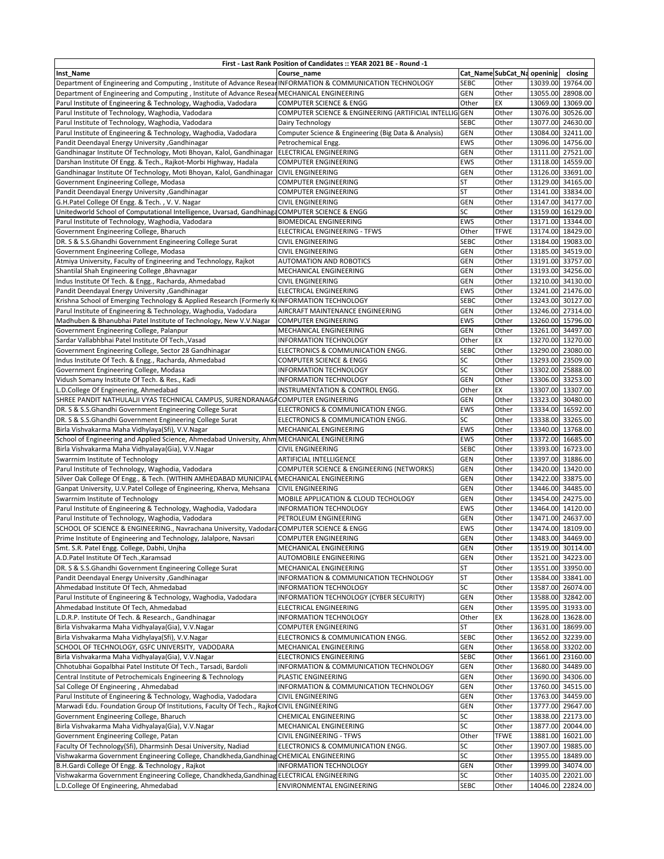| First - Last Rank Position of Candidates :: YEAR 2021 BE - Round -1                                          |                                                                         |                        |                             |          |                                        |  |  |  |
|--------------------------------------------------------------------------------------------------------------|-------------------------------------------------------------------------|------------------------|-----------------------------|----------|----------------------------------------|--|--|--|
| Inst_Name                                                                                                    | Course name                                                             |                        | Cat_Name SubCat_Na openinig |          | closing                                |  |  |  |
| Department of Engineering and Computing, Institute of Advance ResearINFORMATION & COMMUNICATION TECHNOLOGY   |                                                                         | <b>SEBC</b>            | Other                       |          | 13039.00 19764.00                      |  |  |  |
| Department of Engineering and Computing, Institute of Advance Resear                                         | MECHANICAL ENGINEERING                                                  | <b>GEN</b>             | Other                       |          | 13055.00 28908.00                      |  |  |  |
| Parul Institute of Engineering & Technology, Waghodia, Vadodara                                              | COMPUTER SCIENCE & ENGG                                                 | Other                  | EX                          |          | 13069.00 13069.00                      |  |  |  |
| Parul Institute of Technology, Waghodia, Vadodara                                                            | COMPUTER SCIENCE & ENGINEERING (ARTIFICIAL INTELLIG GEN                 |                        | Other                       |          | 13076.00 30526.00                      |  |  |  |
| Parul Institute of Technology, Waghodia, Vadodara                                                            | Dairy Technology                                                        | <b>SEBC</b>            | Other                       |          | 13077.00 24630.00                      |  |  |  |
| Parul Institute of Engineering & Technology, Waghodia, Vadodara                                              | Computer Science & Engineering (Big Data & Analysis)                    | GEN                    | Other                       | 13084.00 | 32411.00                               |  |  |  |
| Pandit Deendayal Energy University , Gandhinagar                                                             | Petrochemical Engg.                                                     | EWS                    | Other                       |          | 13096.00 14756.00                      |  |  |  |
| Gandhinagar Institute Of Technology, Moti Bhoyan, Kalol, Gandhinagar                                         | ELECTRICAL ENGINEERING                                                  | <b>GEN</b>             | Other                       |          | 13111.00 27521.00                      |  |  |  |
| Darshan Institute Of Engg. & Tech., Rajkot-Morbi Highway, Hadala                                             | <b>COMPUTER ENGINEERING</b>                                             | <b>EWS</b>             | Other                       |          | 13118.00 14559.00                      |  |  |  |
| Gandhinagar Institute Of Technology, Moti Bhoyan, Kalol, Gandhinagar                                         | <b>CIVIL ENGINEERING</b>                                                | <b>GEN</b>             | Other                       |          | 13126.00 33691.00                      |  |  |  |
| Government Engineering College, Modasa                                                                       | COMPUTER ENGINEERING                                                    | <b>ST</b>              | Other                       |          | 13129.00 34165.00                      |  |  |  |
| Pandit Deendayal Energy University , Gandhinagar                                                             | <b>COMPUTER ENGINEERING</b>                                             | <b>ST</b>              | Other                       |          | 13141.00 33834.00                      |  |  |  |
| G.H.Patel College Of Engg. & Tech., V.V. Nagar                                                               | <b>CIVIL ENGINEERING</b>                                                | <b>GEN</b>             | Other                       |          | 13147.00 34177.00                      |  |  |  |
| Unitedworld School of Computational Intelligence, Uvarsad, GandhinagaCOMPUTER SCIENCE & ENGG                 |                                                                         | SC                     | Other                       |          | 13159.00 16129.00                      |  |  |  |
| Parul Institute of Technology, Waghodia, Vadodara                                                            | <b>BIOMEDICAL ENGINEERING</b>                                           | <b>EWS</b>             | Other<br><b>TFWE</b>        |          | 13171.00 13344.00<br>13174.00 18429.00 |  |  |  |
| Government Engineering College, Bharuch                                                                      | ELECTRICAL ENGINEERING - TFWS                                           | Other<br><b>SEBC</b>   | Other                       |          |                                        |  |  |  |
| DR. S & S.S.Ghandhi Government Engineering College Surat<br>Government Engineering College, Modasa           | <b>CIVIL ENGINEERING</b><br><b>CIVIL ENGINEERING</b>                    | <b>GEN</b>             | Other                       |          | 13184.00 19083.00<br>13185.00 34519.00 |  |  |  |
| Atmiya University, Faculty of Engineering and Technology, Rajkot                                             | AUTOMATION AND ROBOTICS                                                 | GEN                    | Other                       |          | 13191.00 33757.00                      |  |  |  |
| Shantilal Shah Engineering College, Bhavnagar                                                                | <b>MECHANICAL ENGINEERING</b>                                           | GEN                    | Other                       |          | 13193.00 34256.00                      |  |  |  |
| Indus Institute Of Tech. & Engg., Racharda, Ahmedabad                                                        | <b>CIVIL ENGINEERING</b>                                                | <b>GEN</b>             | Other                       |          | 13210.00 34130.00                      |  |  |  |
| Pandit Deendayal Energy University , Gandhinagar                                                             | ELECTRICAL ENGINEERING                                                  | <b>EWS</b>             | Other                       |          | 13241.00 21476.00                      |  |  |  |
| Krishna School of Emerging Technology & Applied Research (Formerly KrINFORMATION TECHNOLOGY                  |                                                                         | <b>SEBC</b>            | Other                       |          | 13243.00 30127.00                      |  |  |  |
| Parul Institute of Engineering & Technology, Waghodia, Vadodara                                              | AIRCRAFT MAINTENANCE ENGINEERING                                        | GEN                    | Other                       |          | 13246.00 27314.00                      |  |  |  |
| Madhuben & Bhanubhai Patel Institute of Technology, New V.V.Nagar                                            | <b>COMPUTER ENGINEERING</b>                                             | <b>EWS</b>             | Other                       |          | 13260.00 15796.00                      |  |  |  |
| Government Engineering College, Palanpur                                                                     | MECHANICAL ENGINEERING                                                  | <b>GEN</b>             | Other                       |          | 13261.00 34497.00                      |  |  |  |
| Sardar Vallabhbhai Patel Institute Of Tech., Vasad                                                           | <b>INFORMATION TECHNOLOGY</b>                                           | Other                  | EX                          |          | 13270.00 13270.00                      |  |  |  |
| Government Engineering College, Sector 28 Gandhinagar                                                        | ELECTRONICS & COMMUNICATION ENGG.                                       | <b>SEBC</b>            | Other                       |          | 13290.00 23080.00                      |  |  |  |
| Indus Institute Of Tech. & Engg., Racharda, Ahmedabad                                                        | COMPUTER SCIENCE & ENGG                                                 | SC                     | Other                       |          | 13293.00 23509.00                      |  |  |  |
| Government Engineering College, Modasa                                                                       | <b>INFORMATION TECHNOLOGY</b>                                           | SC                     | Other                       | 13302.00 | 25888.00                               |  |  |  |
| Vidush Somany Institute Of Tech. & Res., Kadi                                                                | <b>INFORMATION TECHNOLOGY</b>                                           | <b>GEN</b>             | Other                       | 13306.00 | 33253.00                               |  |  |  |
| L.D.College Of Engineering, Ahmedabad                                                                        | INSTRUMENTATION & CONTROL ENGG.                                         | Other                  | EX                          |          | 13307.00 13307.00                      |  |  |  |
| SHREE PANDIT NATHULALJI VYAS TECHNICAL CAMPUS, SURENDRANAGACOMPUTER ENGINEERING                              |                                                                         | <b>GEN</b>             | Other                       |          | 13323.00 30480.00                      |  |  |  |
| DR. S & S.S.Ghandhi Government Engineering College Surat                                                     | ELECTRONICS & COMMUNICATION ENGG.                                       | <b>EWS</b>             | Other                       |          | 13334.00 16592.00                      |  |  |  |
| DR. S & S.S.Ghandhi Government Engineering College Surat                                                     | ELECTRONICS & COMMUNICATION ENGG.                                       | SC                     | Other                       |          | 13338.00 33265.00                      |  |  |  |
| Birla Vishvakarma Maha Vidhylaya(Sfi), V.V.Nagar                                                             | MECHANICAL ENGINEERING                                                  | <b>EWS</b>             | Other                       |          | 13340.00 13768.00                      |  |  |  |
| School of Engineering and Applied Science, Ahmedabad University, Ahm MECHANICAL ENGINEERING                  |                                                                         | <b>EWS</b>             | Other                       |          | 13372.00 16685.00                      |  |  |  |
| Birla Vishvakarma Maha Vidhyalaya(Gia), V.V.Nagar                                                            | <b>CIVIL ENGINEERING</b>                                                | <b>SEBC</b>            | Other                       |          | 13393.00 16723.00                      |  |  |  |
| Swarrnim Institute of Technology                                                                             | ARTIFICIAL INTELLIGENCE                                                 | <b>GEN</b>             | Other                       |          | 13397.00 31886.00                      |  |  |  |
| Parul Institute of Technology, Waghodia, Vadodara                                                            | COMPUTER SCIENCE & ENGINEERING (NETWORKS)                               | GEN                    | Other                       |          | 13420.00 13420.00                      |  |  |  |
| Silver Oak College Of Engg., & Tech. (WITHIN AMHEDABAD MUNICIPAL (MECHANICAL ENGINEERING                     |                                                                         | GEN                    | Other                       |          | 13422.00 33875.00                      |  |  |  |
| Ganpat University, U.V.Patel College of Engineering, Kherva, Mehsana                                         | <b>CIVIL ENGINEERING</b>                                                | <b>GEN</b>             | Other                       |          | 13446.00 34485.00                      |  |  |  |
| Swarrnim Institute of Technology                                                                             | MOBILE APPLICATION & CLOUD TECHOLOGY                                    | GEN                    | Other                       |          | 13454.00 24275.00                      |  |  |  |
| Parul Institute of Engineering & Technology, Waghodia, Vadodara                                              | <b>INFORMATION TECHNOLOGY</b>                                           | EWS                    | Other                       |          | 13464.00 14120.00                      |  |  |  |
| Parul Institute of Technology, Waghodia, Vadodara                                                            | PETROLEUM ENGINEERING                                                   | GEN                    | Other                       |          | 13471.00 24637.00                      |  |  |  |
| SCHOOL OF SCIENCE & ENGINEERING., Navrachana University, VadodaraCOMPUTER SCIENCE & ENGG                     |                                                                         | <b>EWS</b>             | Other                       |          | 13474.00 18109.00                      |  |  |  |
| Prime Institute of Engineering and Technology, Jalalpore, Navsari                                            | COMPUTER ENGINEERING                                                    | GEN                    | Other                       |          | 13483.00 34469.00                      |  |  |  |
| Smt. S.R. Patel Engg. College, Dabhi, Unjha                                                                  | MECHANICAL ENGINEERING                                                  | GEN                    | Other                       |          | 13519.00 30114.00                      |  |  |  |
| A.D.Patel Institute Of Tech., Karamsad                                                                       | AUTOMOBILE ENGINEERING                                                  | GEN                    | Other                       |          | 13521.00 34223.00                      |  |  |  |
| DR. S & S.S.Ghandhi Government Engineering College Surat<br>Pandit Deendayal Energy University , Gandhinagar | MECHANICAL ENGINEERING                                                  | <b>ST</b><br><b>ST</b> | Other<br>Other              |          | 13551.00 33950.00                      |  |  |  |
| Ahmedabad Institute Of Tech, Ahmedabad                                                                       | INFORMATION & COMMUNICATION TECHNOLOGY<br><b>INFORMATION TECHNOLOGY</b> | SC                     | Other                       |          | 13584.00 33841.00<br>13587.00 26074.00 |  |  |  |
| Parul Institute of Engineering & Technology, Waghodia, Vadodara                                              | INFORMATION TECHNOLOGY (CYBER SECURITY)                                 | GEN                    | Other                       |          | 13588.00 32842.00                      |  |  |  |
| Ahmedabad Institute Of Tech, Ahmedabad                                                                       | ELECTRICAL ENGINEERING                                                  | GEN                    | Other                       |          | 13595.00 31933.00                      |  |  |  |
| L.D.R.P. Institute Of Tech. & Research., Gandhinagar                                                         | INFORMATION TECHNOLOGY                                                  | Other                  | EX                          |          | 13628.00 13628.00                      |  |  |  |
| Birla Vishvakarma Maha Vidhyalaya(Gia), V.V.Nagar                                                            | COMPUTER ENGINEERING                                                    | <b>ST</b>              | Other                       |          | 13631.00 18699.00                      |  |  |  |
| Birla Vishvakarma Maha Vidhylaya(Sfi), V.V.Nagar                                                             | ELECTRONICS & COMMUNICATION ENGG.                                       | <b>SEBC</b>            | Other                       |          | 13652.00 32239.00                      |  |  |  |
| SCHOOL OF TECHNOLOGY, GSFC UNIVERSITY, VADODARA                                                              | MECHANICAL ENGINEERING                                                  | <b>GEN</b>             | Other                       |          | 13658.00 33202.00                      |  |  |  |
| Birla Vishvakarma Maha Vidhyalaya(Gia), V.V.Nagar                                                            | <b>ELECTRONICS ENGINEERING</b>                                          | <b>SEBC</b>            | Other                       |          | 13661.00 23160.00                      |  |  |  |
| Chhotubhai Gopalbhai Patel Institute Of Tech., Tarsadi, Bardoli                                              | INFORMATION & COMMUNICATION TECHNOLOGY                                  | <b>GEN</b>             | Other                       |          | 13680.00 34489.00                      |  |  |  |
| Central Institute of Petrochemicals Engineering & Technology                                                 | PLASTIC ENGINEERING                                                     | GEN                    | Other                       |          | 13690.00 34306.00                      |  |  |  |
| Sal College Of Engineering, Ahmedabad                                                                        | INFORMATION & COMMUNICATION TECHNOLOGY                                  | <b>GEN</b>             | Other                       |          | 13760.00 34515.00                      |  |  |  |
| Parul Institute of Engineering & Technology, Waghodia, Vadodara                                              | <b>CIVIL ENGINEERING</b>                                                | GEN                    | Other                       |          | 13763.00 34459.00                      |  |  |  |
| Marwadi Edu. Foundation Group Of Institutions, Faculty Of Tech., Rajkot CIVIL ENGINEERING                    |                                                                         | <b>GEN</b>             | Other                       |          | 13777.00 29647.00                      |  |  |  |
| Government Engineering College, Bharuch                                                                      | CHEMICAL ENGINEERING                                                    | SC                     | Other                       |          | 13838.00 22173.00                      |  |  |  |
| Birla Vishvakarma Maha Vidhyalaya(Gia), V.V.Nagar                                                            | MECHANICAL ENGINEERING                                                  | SC                     | Other                       |          | 13877.00 20044.00                      |  |  |  |
| Government Engineering College, Patan                                                                        | CIVIL ENGINEERING - TFWS                                                | Other                  | <b>TFWE</b>                 |          | 13881.00 16021.00                      |  |  |  |
| Faculty Of Technology(Sfi), Dharmsinh Desai University, Nadiad                                               | ELECTRONICS & COMMUNICATION ENGG.                                       | SC                     | Other                       |          | 13907.00 19885.00                      |  |  |  |
| Vishwakarma Government Engineering College, Chandkheda, Gandhinag CHEMICAL ENGINEERING                       |                                                                         | SC                     | Other                       |          | 13955.00 18489.00                      |  |  |  |
| B.H.Gardi College Of Engg. & Technology, Rajkot                                                              | INFORMATION TECHNOLOGY                                                  | GEN                    | Other                       |          | 13999.00 34074.00                      |  |  |  |
| Vishwakarma Government Engineering College, Chandkheda, Gandhinag ELECTRICAL ENGINEERING                     |                                                                         | SC                     | Other                       |          | 14035.00 22021.00                      |  |  |  |
| L.D.College Of Engineering, Ahmedabad                                                                        | ENVIRONMENTAL ENGINEERING                                               | <b>SEBC</b>            | Other                       |          | 14046.00 22824.00                      |  |  |  |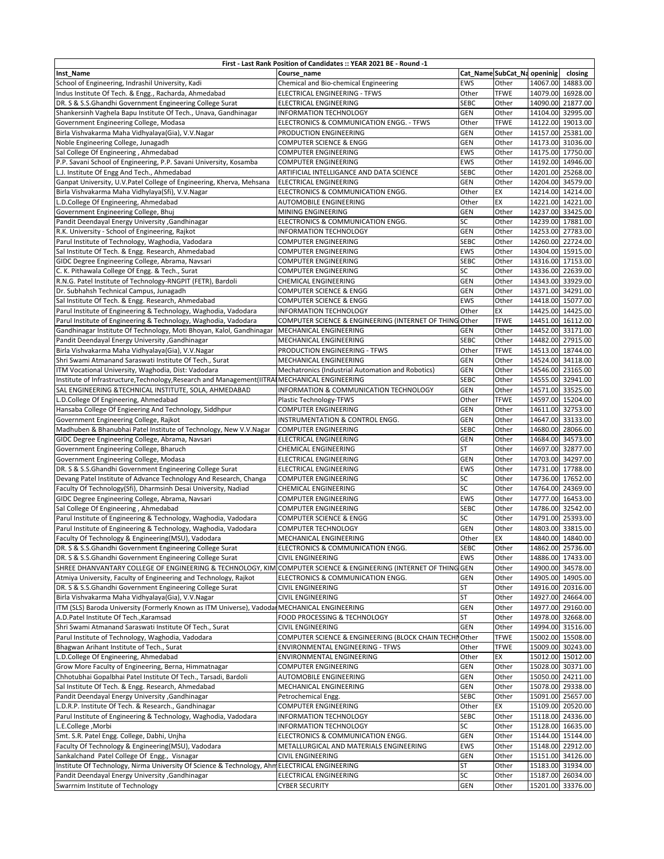|                                                                                                | First - Last Rank Position of Candidates :: YEAR 2021 BE - Round -1 |             |                            |                   |
|------------------------------------------------------------------------------------------------|---------------------------------------------------------------------|-------------|----------------------------|-------------------|
| Inst_Name                                                                                      | Course name                                                         |             | Cat_NameSubCat_Na openinig | closing           |
| School of Engineering, Indrashil University, Kadi                                              | Chemical and Bio-chemical Engineering                               | EWS         | Other                      | 14067.00 14883.00 |
| Indus Institute Of Tech. & Engg., Racharda, Ahmedabad                                          | ELECTRICAL ENGINEERING - TFWS                                       | Other       | <b>TFWE</b>                | 14079.00 16928.00 |
| DR. S & S.S.Ghandhi Government Engineering College Surat                                       | <b>ELECTRICAL ENGINEERING</b>                                       | <b>SEBC</b> | Other                      | 14090.00 21877.00 |
| Shankersinh Vaghela Bapu Institute Of Tech., Unava, Gandhinagar                                | <b>INFORMATION TECHNOLOGY</b>                                       | GEN         | Other                      | 14104.00 32995.00 |
| Government Engineering College, Modasa                                                         | ELECTRONICS & COMMUNICATION ENGG. - TFWS                            | Other       | <b>TFWE</b>                | 14122.00 19013.00 |
| Birla Vishvakarma Maha Vidhyalaya(Gia), V.V.Nagar                                              | PRODUCTION ENGINEERING                                              | GEN         | Other                      | 14157.00 25381.00 |
| Noble Engineering College, Junagadh                                                            | COMPUTER SCIENCE & ENGG                                             | GEN         | Other                      | 14173.00 31036.00 |
| Sal College Of Engineering, Ahmedabad                                                          | <b>COMPUTER ENGINEERING</b>                                         | EWS         | Other                      | 14175.00 17750.00 |
| P.P. Savani School of Engineering, P.P. Savani University, Kosamba                             | <b>COMPUTER ENGINEERING</b>                                         | EWS         | Other                      | 14192.00 14946.00 |
| L.J. Institute Of Engg And Tech., Ahmedabad                                                    | ARTIFICIAL INTELLIGANCE AND DATA SCIENCE                            | <b>SEBC</b> | Other                      | 14201.00 25268.00 |
| Ganpat University, U.V.Patel College of Engineering, Kherva, Mehsana                           | ELECTRICAL ENGINEERING                                              | GEN         | Other                      | 14204.00 34579.00 |
| Birla Vishvakarma Maha Vidhylaya(Sfi), V.V.Nagar                                               | ELECTRONICS & COMMUNICATION ENGG.                                   | Other       | EX                         | 14214.00 14214.00 |
| L.D.College Of Engineering, Ahmedabad                                                          | AUTOMOBILE ENGINEERING                                              | Other       | EX                         | 14221.00 14221.00 |
| Government Engineering College, Bhuj                                                           | MINING ENGINEERING                                                  | GEN         | Other                      | 14237.00 33425.00 |
| Pandit Deendayal Energy University , Gandhinagar                                               | ELECTRONICS & COMMUNICATION ENGG.                                   | SC          | Other                      | 14239.00 17881.00 |
| R.K. University - School of Engineering, Rajkot                                                | <b>INFORMATION TECHNOLOGY</b>                                       | GEN         | Other                      | 14253.00 27783.00 |
|                                                                                                | COMPUTER ENGINEERING                                                | <b>SEBC</b> | Other                      | 14260.00 22724.00 |
| Parul Institute of Technology, Waghodia, Vadodara                                              |                                                                     |             |                            |                   |
| Sal Institute Of Tech. & Engg. Research, Ahmedabad                                             | <b>COMPUTER ENGINEERING</b>                                         | EWS         | Other                      | 14304.00 15915.00 |
| GIDC Degree Engineering College, Abrama, Navsari                                               | <b>COMPUTER ENGINEERING</b>                                         | <b>SEBC</b> | Other                      | 14316.00 17153.00 |
| C. K. Pithawala College Of Engg. & Tech., Surat                                                | <b>COMPUTER ENGINEERING</b>                                         | SC          | Other                      | 14336.00 22639.00 |
| R.N.G. Patel Institute of Technology-RNGPIT (FETR), Bardoli                                    | <b>CHEMICAL ENGINEERING</b>                                         | GEN         | Other                      | 14343.00 33929.00 |
| Dr. Subhahsh Technical Campus, Junagadh                                                        | <b>COMPUTER SCIENCE &amp; ENGG</b>                                  | GEN         | Other                      | 14371.00 34291.00 |
| Sal Institute Of Tech. & Engg. Research, Ahmedabad                                             | <b>COMPUTER SCIENCE &amp; ENGG</b>                                  | EWS         | Other                      | 14418.00 15077.00 |
| Parul Institute of Engineering & Technology, Waghodia, Vadodara                                | INFORMATION TECHNOLOGY                                              | Other       | EX                         | 14425.00 14425.00 |
| Parul Institute of Engineering & Technology, Waghodia, Vadodara                                | COMPUTER SCIENCE & ENGINEERING (INTERNET OF THING Other             |             | <b>TFWE</b>                | 14451.00 16112.00 |
| Gandhinagar Institute Of Technology, Moti Bhoyan, Kalol, Gandhinagar                           | MECHANICAL ENGINEERING                                              | GEN         | Other                      | 14452.00 33171.00 |
| Pandit Deendayal Energy University , Gandhinagar                                               | MECHANICAL ENGINEERING                                              | <b>SEBC</b> | Other                      | 14482.00 27915.00 |
| Birla Vishvakarma Maha Vidhyalaya(Gia), V.V.Nagar                                              | PRODUCTION ENGINEERING - TFWS                                       | Other       | <b>TFWE</b>                | 14513.00 18744.00 |
| Shri Swami Atmanand Saraswati Institute Of Tech., Surat                                        | MECHANICAL ENGINEERING                                              | GEN         | Other                      | 14524.00 34118.00 |
| ITM Vocational University, Waghodia, Dist: Vadodara                                            | Mechatronics (Industrial Automation and Robotics)                   | GEN         | Other                      | 14546.00 23165.00 |
| Institute of Infrastructure, Technology, Research and Management (IITRAIMECHANICAL ENGINEERING |                                                                     | <b>SEBC</b> | Other                      | 14555.00 32941.00 |
| SAL ENGINEERING & TECHNICAL INSTITUTE, SOLA, AHMEDABAD                                         | INFORMATION & COMMUNICATION TECHNOLOGY                              | GEN         | Other                      | 14571.00 33525.00 |
| L.D.College Of Engineering, Ahmedabad                                                          | Plastic Technology-TFWS                                             | Other       | <b>TFWE</b>                | 14597.00 15204.00 |
| Hansaba College Of Engieering And Technology, Siddhpur                                         | <b>COMPUTER ENGINEERING</b>                                         | GEN         | Other                      | 14611.00 32753.00 |
| Government Engineering College, Rajkot                                                         | INSTRUMENTATION & CONTROL ENGG.                                     | GEN         | Other                      | 14647.00 33133.00 |
| Madhuben & Bhanubhai Patel Institute of Technology, New V.V.Nagar                              | <b>COMPUTER ENGINEERING</b>                                         | <b>SEBC</b> | Other                      | 14680.00 28066.00 |
|                                                                                                | ELECTRICAL ENGINEERING                                              | GEN         | Other                      | 14684.00 34573.00 |
| GIDC Degree Engineering College, Abrama, Navsari                                               |                                                                     |             |                            |                   |
| Government Engineering College, Bharuch                                                        | CHEMICAL ENGINEERING                                                | <b>ST</b>   | Other                      | 14697.00 32877.00 |
| Government Engineering College, Modasa                                                         | ELECTRICAL ENGINEERING                                              | GEN         | Other                      | 14703.00 34297.00 |
| DR. S & S.S.Ghandhi Government Engineering College Surat                                       | ELECTRICAL ENGINEERING                                              | EWS         | Other                      | 14731.00 17788.00 |
| Devang Patel Institute of Advance Technology And Research, Changa                              | <b>COMPUTER ENGINEERING</b>                                         | SC          | Other                      | 14736.00 17652.00 |
| Faculty Of Technology(Sfi), Dharmsinh Desai University, Nadiad                                 | CHEMICAL ENGINEERING                                                | SC          | Other                      | 14764.00 24369.00 |
| GIDC Degree Engineering College, Abrama, Navsari                                               | <b>COMPUTER ENGINEERING</b>                                         | EWS         | Other                      | 14777.00 16453.00 |
| Sal College Of Engineering, Ahmedabad                                                          | <b>COMPUTER ENGINEERING</b>                                         | <b>SEBC</b> | Other                      | 14786.00 32542.00 |
| Parul Institute of Engineering & Technology, Waghodia, Vadodara                                | <b>COMPUTER SCIENCE &amp; ENGG</b>                                  | SC          | Other                      | 14791.00 25393.00 |
| Parul Institute of Engineering & Technology, Waghodia, Vadodara                                | COMPUTER TECHNOLOGY                                                 | GEN         | Other                      | 14803.00 33815.00 |
| Faculty Of Technology & Engineering(MSU), Vadodara                                             | MECHANICAL ENGINEERING                                              | Other       | EX                         | 14840.00 14840.00 |
| DR. S & S.S.Ghandhi Government Engineering College Surat                                       | ELECTRONICS & COMMUNICATION ENGG.                                   | <b>SEBC</b> | Other                      | 14862.00 25736.00 |
| DR. S & S.S.Ghandhi Government Engineering College Surat                                       | <b>CIVIL ENGINEERING</b>                                            | EWS         | Other                      | 14886.00 17433.00 |
| SHREE DHANVANTARY COLLEGE OF ENGINEERING & TECHNOLOGY, KIM                                     | COMPUTER SCIENCE & ENGINEERING (INTERNET OF THING GEN               |             | Other                      | 14900.00 34578.00 |
| Atmiya University, Faculty of Engineering and Technology, Rajkot                               | ELECTRONICS & COMMUNICATION ENGG.                                   | GEN         | Other                      | 14905.00 14905.00 |
| DR. S & S.S.Ghandhi Government Engineering College Surat                                       | <b>CIVIL ENGINEERING</b>                                            | <b>ST</b>   | Other                      | 14916.00 20316.00 |
| Birla Vishvakarma Maha Vidhyalaya(Gia), V.V.Nagar                                              | <b>CIVIL ENGINEERING</b>                                            | <b>ST</b>   | Other                      | 14927.00 24664.00 |
| ITM (SLS) Baroda University (Formerly Known as ITM Universe), Vadoda                           | MECHANICAL ENGINEERING                                              | <b>GEN</b>  | Other                      | 14977.00 29160.00 |
| A.D.Patel Institute Of Tech., Karamsad                                                         | FOOD PROCESSING & TECHNOLOGY                                        | <b>ST</b>   | Other                      | 14978.00 32668.00 |
| Shri Swami Atmanand Saraswati Institute Of Tech., Surat                                        | <b>CIVIL ENGINEERING</b>                                            | GEN         | Other                      | 14994.00 31516.00 |
|                                                                                                |                                                                     |             |                            | 15002.00 15508.00 |
| Parul Institute of Technology, Waghodia, Vadodara<br>Bhagwan Arihant Institute of Tech., Surat | COMPUTER SCIENCE & ENGINEERING (BLOCK CHAIN TECHNOther              |             | TFWE                       |                   |
|                                                                                                | ENVIRONMENTAL ENGINEERING - TFWS                                    | Other       | <b>TFWE</b>                | 15009.00 30243.00 |
| L.D.College Of Engineering, Ahmedabad                                                          | ENVIRONMENTAL ENGINEERING                                           | Other       | EX                         | 15012.00 15012.00 |
| Grow More Faculty of Engineering, Berna, Himmatnagar                                           | <b>COMPUTER ENGINEERING</b>                                         | GEN         | Other                      | 15028.00 30371.00 |
| Chhotubhai Gopalbhai Patel Institute Of Tech., Tarsadi, Bardoli                                | AUTOMOBILE ENGINEERING                                              | GEN         | Other                      | 15050.00 24211.00 |
| Sal Institute Of Tech. & Engg. Research, Ahmedabad                                             | MECHANICAL ENGINEERING                                              | GEN         | Other                      | 15078.00 29338.00 |
| Pandit Deendayal Energy University , Gandhinagar                                               | Petrochemical Engg.                                                 | SEBC        | Other                      | 15091.00 25657.00 |
| L.D.R.P. Institute Of Tech. & Research., Gandhinagar                                           | <b>COMPUTER ENGINEERING</b>                                         | Other       | EX                         | 15109.00 20520.00 |
| Parul Institute of Engineering & Technology, Waghodia, Vadodara                                | INFORMATION TECHNOLOGY                                              | <b>SEBC</b> | Other                      | 15118.00 24336.00 |
| L.E.College, Morbi                                                                             | INFORMATION TECHNOLOGY                                              | SC          | Other                      | 15128.00 16635.00 |
| Smt. S.R. Patel Engg. College, Dabhi, Unjha                                                    | ELECTRONICS & COMMUNICATION ENGG.                                   | GEN         | Other                      | 15144.00 15144.00 |
| Faculty Of Technology & Engineering(MSU), Vadodara                                             | METALLURGICAL AND MATERIALS ENGINEERING                             | <b>EWS</b>  | Other                      | 15148.00 22912.00 |
| Sankalchand Patel College Of Engg., Visnagar                                                   | <b>CIVIL ENGINEERING</b>                                            | GEN         | Other                      | 15151.00 34126.00 |
| Institute Of Technology, Nirma University Of Science & Technology, AhmELECTRICAL ENGINEERING   |                                                                     | ST          | Other                      | 15183.00 31934.00 |
| Pandit Deendayal Energy University , Gandhinagar                                               | ELECTRICAL ENGINEERING                                              | SC          | Other                      | 15187.00 26034.00 |
| Swarrnim Institute of Technology                                                               | <b>CYBER SECURITY</b>                                               | GEN         | Other                      | 15201.00 33376.00 |
|                                                                                                |                                                                     |             |                            |                   |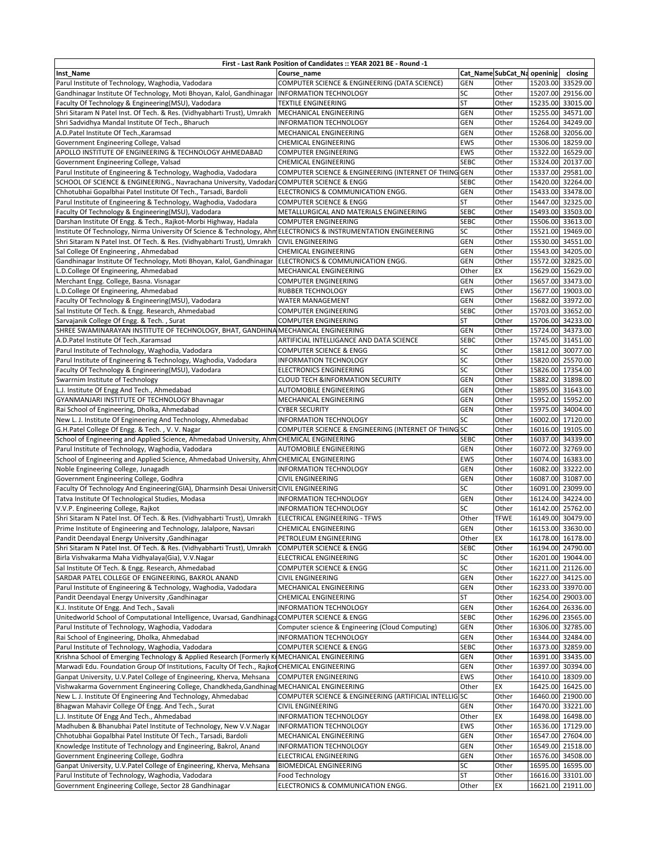| First - Last Rank Position of Candidates :: YEAR 2021 BE - Round -1                                             |                                                                               |             |                             |  |                   |  |  |  |  |
|-----------------------------------------------------------------------------------------------------------------|-------------------------------------------------------------------------------|-------------|-----------------------------|--|-------------------|--|--|--|--|
| Inst Name                                                                                                       | Course name                                                                   |             | Cat_Name SubCat_Na openinig |  | closing           |  |  |  |  |
| Parul Institute of Technology, Waghodia, Vadodara                                                               | COMPUTER SCIENCE & ENGINEERING (DATA SCIENCE)                                 | <b>GEN</b>  | Other                       |  | 15203.00 33529.00 |  |  |  |  |
| Gandhinagar Institute Of Technology, Moti Bhoyan, Kalol, Gandhinagar                                            | <b>INFORMATION TECHNOLOGY</b>                                                 | SC          | Other                       |  | 15207.00 29156.00 |  |  |  |  |
| Faculty Of Technology & Engineering(MSU), Vadodara                                                              | <b>TEXTILE ENGINEERING</b>                                                    | <b>ST</b>   | Other                       |  | 15235.00 33015.00 |  |  |  |  |
| Shri Sitaram N Patel Inst. Of Tech. & Res. (Vidhyabharti Trust), Umrakh                                         | MECHANICAL ENGINEERING                                                        | GEN         | Other                       |  | 15255.00 34571.00 |  |  |  |  |
| Shri Sadvidhya Mandal Institute Of Tech., Bharuch                                                               | <b>INFORMATION TECHNOLOGY</b>                                                 | GEN         | Other                       |  | 15264.00 34249.00 |  |  |  |  |
| A.D.Patel Institute Of Tech., Karamsad                                                                          | MECHANICAL ENGINEERING                                                        | GEN         | Other                       |  | 15268.00 32056.00 |  |  |  |  |
| Government Engineering College, Valsad                                                                          | CHEMICAL ENGINEERING                                                          | EWS         | Other                       |  | 15306.00 18259.00 |  |  |  |  |
| APOLLO INSTITUTE OF ENGINEERING & TECHNOLOGY AHMEDABAD                                                          | <b>COMPUTER ENGINEERING</b>                                                   | EWS         | Other                       |  | 15322.00 16529.00 |  |  |  |  |
| Government Engineering College, Valsad                                                                          | CHEMICAL ENGINEERING                                                          | <b>SEBC</b> | Other                       |  | 15324.00 20137.00 |  |  |  |  |
| Parul Institute of Engineering & Technology, Waghodia, Vadodara                                                 | COMPUTER SCIENCE & ENGINEERING (INTERNET OF THING GEN                         |             | Other                       |  | 15337.00 29581.00 |  |  |  |  |
| SCHOOL OF SCIENCE & ENGINEERING., Navrachana University, Vadodard COMPUTER SCIENCE & ENGG                       |                                                                               | <b>SEBC</b> | Other                       |  | 15420.00 32264.00 |  |  |  |  |
| Chhotubhai Gopalbhai Patel Institute Of Tech., Tarsadi, Bardoli                                                 | ELECTRONICS & COMMUNICATION ENGG.                                             | GEN         | Other                       |  | 15433.00 33478.00 |  |  |  |  |
| Parul Institute of Engineering & Technology, Waghodia, Vadodara                                                 | <b>COMPUTER SCIENCE &amp; ENGG</b>                                            | <b>ST</b>   | Other                       |  | 15447.00 32325.00 |  |  |  |  |
| Faculty Of Technology & Engineering(MSU), Vadodara                                                              | METALLURGICAL AND MATERIALS ENGINEERING                                       | <b>SEBC</b> | Other                       |  | 15493.00 33503.00 |  |  |  |  |
| Darshan Institute Of Engg. & Tech., Rajkot-Morbi Highway, Hadala                                                | <b>COMPUTER ENGINEERING</b>                                                   | <b>SEBC</b> | Other                       |  | 15506.00 33613.00 |  |  |  |  |
| Institute Of Technology, Nirma University Of Science & Technology, AhmELECTRONICS & INSTRUMENTATION ENGINEERING |                                                                               | SC          | Other                       |  | 15521.00 19469.00 |  |  |  |  |
| Shri Sitaram N Patel Inst. Of Tech. & Res. (Vidhyabharti Trust), Umrakh                                         | <b>CIVIL ENGINEERING</b>                                                      | <b>GEN</b>  | Other                       |  | 15530.00 34551.00 |  |  |  |  |
| Sal College Of Engineering, Ahmedabad                                                                           | CHEMICAL ENGINEERING                                                          | GEN         | Other                       |  | 15543.00 34205.00 |  |  |  |  |
| Gandhinagar Institute Of Technology, Moti Bhoyan, Kalol, Gandhinagar                                            | ELECTRONICS & COMMUNICATION ENGG.                                             | <b>GEN</b>  | Other                       |  | 15572.00 32825.00 |  |  |  |  |
| L.D.College Of Engineering, Ahmedabad                                                                           | MECHANICAL ENGINEERING                                                        | Other       | EX                          |  | 15629.00 15629.00 |  |  |  |  |
| Merchant Engg. College, Basna. Visnagar                                                                         | <b>COMPUTER ENGINEERING</b>                                                   | GEN         | Other                       |  | 15657.00 33473.00 |  |  |  |  |
| L.D.College Of Engineering, Ahmedabad                                                                           | RUBBER TECHNOLOGY                                                             | EWS         | Other                       |  | 15677.00 19003.00 |  |  |  |  |
| Faculty Of Technology & Engineering(MSU), Vadodara                                                              | <b>WATER MANAGEMENT</b>                                                       | GEN         | Other                       |  | 15682.00 33972.00 |  |  |  |  |
| Sal Institute Of Tech. & Engg. Research, Ahmedabad                                                              | <b>COMPUTER ENGINEERING</b>                                                   | <b>SEBC</b> | Other                       |  | 15703.00 33652.00 |  |  |  |  |
| Sarvajanik College Of Engg. & Tech., Surat                                                                      | <b>COMPUTER ENGINEERING</b>                                                   | <b>ST</b>   | Other                       |  | 15706.00 34233.00 |  |  |  |  |
| SHREE SWAMINARAYAN INSTITUTE OF TECHNOLOGY, BHAT, GANDHINAMECHANICAL ENGINEERING                                |                                                                               | GEN         | Other                       |  | 15724.00 34373.00 |  |  |  |  |
| A.D.Patel Institute Of TechKaramsad                                                                             | ARTIFICIAL INTELLIGANCE AND DATA SCIENCE                                      | <b>SEBC</b> | Other                       |  | 15745.00 31451.00 |  |  |  |  |
| Parul Institute of Technology, Waghodia, Vadodara                                                               | COMPUTER SCIENCE & ENGG                                                       | SC          | Other                       |  | 15812.00 30077.00 |  |  |  |  |
| Parul Institute of Engineering & Technology, Waghodia, Vadodara                                                 | <b>INFORMATION TECHNOLOGY</b>                                                 | SC          | Other                       |  | 15820.00 25570.00 |  |  |  |  |
|                                                                                                                 |                                                                               | SC          | Other                       |  | 15826.00 17354.00 |  |  |  |  |
| Faculty Of Technology & Engineering(MSU), Vadodara<br>Swarrnim Institute of Technology                          | <b>ELECTRONICS ENGINEERING</b><br><b>CLOUD TECH &amp;INFORMATION SECURITY</b> | GEN         | Other                       |  | 15882.00 31898.00 |  |  |  |  |
|                                                                                                                 |                                                                               |             |                             |  |                   |  |  |  |  |
| L.J. Institute Of Engg And Tech., Ahmedabad<br>GYANMANJARI INSTITUTE OF TECHNOLOGY Bhavnagar                    | AUTOMOBILE ENGINEERING                                                        | GEN<br>GEN  | Other<br>Other              |  | 15895.00 31643.00 |  |  |  |  |
|                                                                                                                 | MECHANICAL ENGINEERING                                                        |             |                             |  | 15952.00 15952.00 |  |  |  |  |
| Rai School of Engineering, Dholka, Ahmedabad                                                                    | <b>CYBER SECURITY</b>                                                         | <b>GEN</b>  | Other                       |  | 15975.00 34004.00 |  |  |  |  |
| New L. J. Institute Of Engineering And Technology, Ahmedabad                                                    | INFORMATION TECHNOLOGY                                                        | SC          | Other                       |  | 16002.00 17120.00 |  |  |  |  |
| G.H.Patel College Of Engg. & Tech., V.V. Nagar                                                                  | COMPUTER SCIENCE & ENGINEERING (INTERNET OF THING SC                          |             | Other                       |  | 16016.00 19105.00 |  |  |  |  |
| School of Engineering and Applied Science, Ahmedabad University, Ahm CHEMICAL ENGINEERING                       |                                                                               | <b>SEBC</b> | Other                       |  | 16037.00 34339.00 |  |  |  |  |
| Parul Institute of Technology, Waghodia, Vadodara                                                               | AUTOMOBILE ENGINEERING                                                        | <b>GEN</b>  | Other                       |  | 16072.00 32769.00 |  |  |  |  |
| School of Engineering and Applied Science, Ahmedabad University, Ahm CHEMICAL ENGINEERING                       |                                                                               | <b>EWS</b>  | Other                       |  | 16074.00 16383.00 |  |  |  |  |
| Noble Engineering College, Junagadh                                                                             | <b>INFORMATION TECHNOLOGY</b>                                                 | GEN         | Other                       |  | 16082.00 33222.00 |  |  |  |  |
| Government Engineering College, Godhra                                                                          | <b>CIVIL ENGINEERING</b>                                                      | GEN         | Other                       |  | 16087.00 31087.00 |  |  |  |  |
| Faculty Of Technology And Engineering(GIA), Dharmsinh Desai Universit CIVIL ENGINEERING                         |                                                                               | SC          | Other                       |  | 16091.00 23099.00 |  |  |  |  |
| Tatva Institute Of Technological Studies, Modasa                                                                | INFORMATION TECHNOLOGY                                                        | GEN         | Other                       |  | 16124.00 34224.00 |  |  |  |  |
| V.V.P. Engineering College, Rajkot                                                                              | <b>INFORMATION TECHNOLOGY</b>                                                 | SC          | Other                       |  | 16142.00 25762.00 |  |  |  |  |
| Shri Sitaram N Patel Inst. Of Tech. & Res. (Vidhyabharti Trust), Umrakh                                         | ELECTRICAL ENGINEERING - TFWS                                                 | Other       | <b>TFWE</b>                 |  | 16149.00 30479.00 |  |  |  |  |
| Prime Institute of Engineering and Technology, Jalalpore, Navsari                                               | CHEMICAL ENGINEERING                                                          | <b>GEN</b>  | Other                       |  | 16153.00 33630.00 |  |  |  |  |
| Pandit Deendayal Energy University , Gandhinagar                                                                | PETROLEUM ENGINEERING                                                         | Other       | EX                          |  | 16178.00 16178.00 |  |  |  |  |
| Shri Sitaram N Patel Inst. Of Tech. & Res. (Vidhyabharti Trust), Umrakh                                         | COMPUTER SCIENCE & ENGG                                                       | <b>SEBC</b> | Other                       |  | 16194.00 24790.00 |  |  |  |  |
| Birla Vishvakarma Maha Vidhyalaya(Gia), V.V.Nagar                                                               | ELECTRICAL ENGINEERING                                                        | SC          | Other                       |  | 16201.00 19044.00 |  |  |  |  |
| Sal Institute Of Tech. & Engg. Research, Ahmedabad                                                              | COMPUTER SCIENCE & ENGG                                                       | SC          | Other                       |  | 16211.00 21126.00 |  |  |  |  |
| SARDAR PATEL COLLEGE OF ENGINEERING, BAKROL ANAND                                                               | <b>CIVIL ENGINEERING</b>                                                      | GEN         | Other                       |  | 16227.00 34125.00 |  |  |  |  |
| Parul Institute of Engineering & Technology, Waghodia, Vadodara                                                 | MECHANICAL ENGINEERING                                                        | GEN         | Other                       |  | 16233.00 33970.00 |  |  |  |  |
| Pandit Deendayal Energy University , Gandhinagar                                                                | CHEMICAL ENGINEERING                                                          | <b>ST</b>   | Other                       |  | 16254.00 29003.00 |  |  |  |  |
| K.J. Institute Of Engg. And Tech., Savali                                                                       | INFORMATION TECHNOLOGY                                                        | GEN         | Other                       |  | 16264.00 26336.00 |  |  |  |  |
| Unitedworld School of Computational Intelligence, Uvarsad, Gandhinaga COMPUTER SCIENCE & ENGG                   |                                                                               | <b>SEBC</b> | Other                       |  | 16296.00 23565.00 |  |  |  |  |
| Parul Institute of Technology, Waghodia, Vadodara                                                               | Computer science & Engineering (Cloud Computing)                              | GEN         | Other                       |  | 16306.00 32785.00 |  |  |  |  |
| Rai School of Engineering, Dholka, Ahmedabad                                                                    | <b>INFORMATION TECHNOLOGY</b>                                                 | GEN         | Other                       |  | 16344.00 32484.00 |  |  |  |  |
| Parul Institute of Technology, Waghodia, Vadodara                                                               | <b>COMPUTER SCIENCE &amp; ENGG</b>                                            | <b>SEBC</b> | Other                       |  | 16373.00 32859.00 |  |  |  |  |
| Krishna School of Emerging Technology & Applied Research (Formerly KIMECHANICAL ENGINEERING                     |                                                                               | <b>GEN</b>  | Other                       |  | 16391.00 33435.00 |  |  |  |  |
| Marwadi Edu. Foundation Group Of Institutions, Faculty Of Tech., Rajkot CHEMICAL ENGINEERING                    |                                                                               | GEN         | Other                       |  | 16397.00 30394.00 |  |  |  |  |
| Ganpat University, U.V.Patel College of Engineering, Kherva, Mehsana                                            | <b>COMPUTER ENGINEERING</b>                                                   | EWS         | Other                       |  | 16410.00 18309.00 |  |  |  |  |
| Vishwakarma Government Engineering College, Chandkheda, Gandhinag MECHANICAL ENGINEERING                        |                                                                               | Other       | EX                          |  | 16425.00 16425.00 |  |  |  |  |
| New L. J. Institute Of Engineering And Technology, Ahmedabad                                                    | COMPUTER SCIENCE & ENGINEERING (ARTIFICIAL INTELLIG SC                        |             | Other                       |  | 16460.00 21900.00 |  |  |  |  |
| Bhagwan Mahavir College Of Engg. And Tech., Surat                                                               | <b>CIVIL ENGINEERING</b>                                                      | <b>GEN</b>  | Other                       |  | 16470.00 33221.00 |  |  |  |  |
| L.J. Institute Of Engg And Tech., Ahmedabad                                                                     | INFORMATION TECHNOLOGY                                                        | Other       | EX                          |  | 16498.00 16498.00 |  |  |  |  |
| Madhuben & Bhanubhai Patel Institute of Technology, New V.V.Nagar                                               | INFORMATION TECHNOLOGY                                                        | <b>EWS</b>  | Other                       |  | 16536.00 17129.00 |  |  |  |  |
| Chhotubhai Gopalbhai Patel Institute Of Tech., Tarsadi, Bardoli                                                 | MECHANICAL ENGINEERING                                                        | GEN         | Other                       |  | 16547.00 27604.00 |  |  |  |  |
| Knowledge Institute of Technology and Engineering, Bakrol, Anand                                                | INFORMATION TECHNOLOGY                                                        | <b>GEN</b>  | Other                       |  | 16549.00 21518.00 |  |  |  |  |
| Government Engineering College, Godhra                                                                          | ELECTRICAL ENGINEERING                                                        | GEN         | Other                       |  | 16576.00 34508.00 |  |  |  |  |
| Ganpat University, U.V.Patel College of Engineering, Kherva, Mehsana                                            | <b>BIOMEDICAL ENGINEERING</b>                                                 | SC          | Other                       |  | 16595.00 16595.00 |  |  |  |  |
| Parul Institute of Technology, Waghodia, Vadodara                                                               | Food Technology                                                               | <b>ST</b>   | Other                       |  | 16616.00 33101.00 |  |  |  |  |
| Government Engineering College, Sector 28 Gandhinagar                                                           | ELECTRONICS & COMMUNICATION ENGG.                                             | Other       | EX                          |  | 16621.00 21911.00 |  |  |  |  |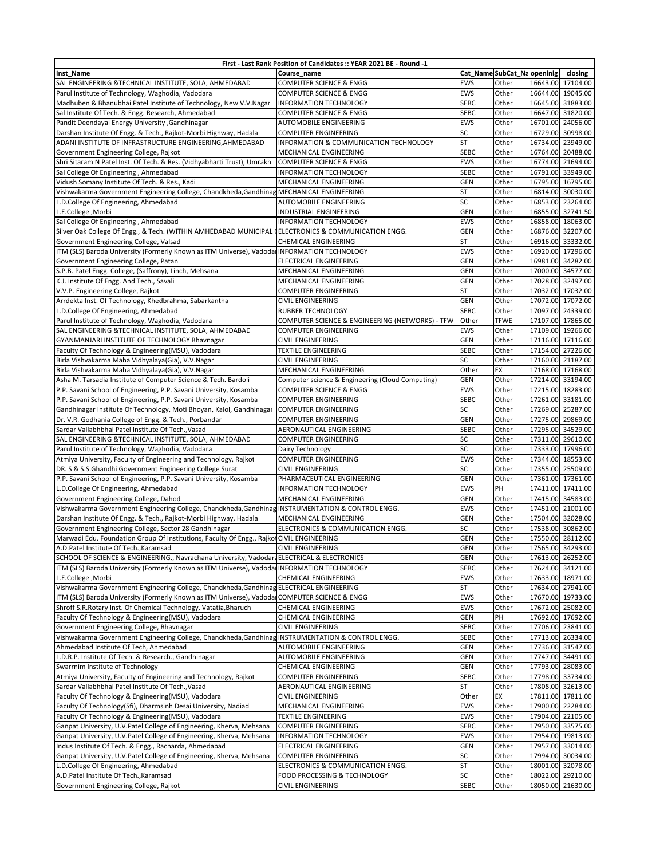| First - Last Rank Position of Candidates :: YEAR 2021 BE - Round -1                                 |                                                  |             |                             |          |                   |  |  |  |
|-----------------------------------------------------------------------------------------------------|--------------------------------------------------|-------------|-----------------------------|----------|-------------------|--|--|--|
| Inst_Name                                                                                           | Course name                                      |             | Cat_Name SubCat_Na openinig |          | closing           |  |  |  |
| SAL ENGINEERING & TECHNICAL INSTITUTE, SOLA, AHMEDABAD                                              | <b>COMPUTER SCIENCE &amp; ENGG</b>               | EWS         | Other                       |          | 16643.00 17104.00 |  |  |  |
| Parul Institute of Technology, Waghodia, Vadodara                                                   | <b>COMPUTER SCIENCE &amp; ENGG</b>               | <b>EWS</b>  | Other                       |          | 16644.00 19045.00 |  |  |  |
| Madhuben & Bhanubhai Patel Institute of Technology, New V.V.Nagar                                   | INFORMATION TECHNOLOGY                           | <b>SEBC</b> | Other                       |          | 16645.00 31883.00 |  |  |  |
| Sal Institute Of Tech. & Engg. Research, Ahmedabad                                                  | <b>COMPUTER SCIENCE &amp; ENGG</b>               | <b>SEBC</b> | Other                       |          | 16647.00 31820.00 |  |  |  |
| Pandit Deendayal Energy University , Gandhinagar                                                    | AUTOMOBILE ENGINEERING                           | EWS         | Other                       |          | 16701.00 24056.00 |  |  |  |
| Darshan Institute Of Engg. & Tech., Rajkot-Morbi Highway, Hadala                                    | <b>COMPUTER ENGINEERING</b>                      | SC          | Other                       |          | 16729.00 30998.00 |  |  |  |
| ADANI INSTITUTE OF INFRASTRUCTURE ENGINEERING, AHMEDABAD                                            | INFORMATION & COMMUNICATION TECHNOLOGY           | <b>ST</b>   | Other                       |          | 16734.00 23949.00 |  |  |  |
| Government Engineering College, Rajkot                                                              | MECHANICAL ENGINEERING                           | <b>SEBC</b> | Other                       |          | 16764.00 20488.00 |  |  |  |
| Shri Sitaram N Patel Inst. Of Tech. & Res. (Vidhyabharti Trust), Umrakh                             | <b>COMPUTER SCIENCE &amp; ENGG</b>               | <b>EWS</b>  | Other                       |          | 16774.00 21694.00 |  |  |  |
| Sal College Of Engineering, Ahmedabad                                                               | <b>INFORMATION TECHNOLOGY</b>                    | <b>SEBC</b> | Other                       |          | 16791.00 33949.00 |  |  |  |
| Vidush Somany Institute Of Tech. & Res., Kadi                                                       | MECHANICAL ENGINEERING                           | <b>GEN</b>  | Other                       |          | 16795.00 16795.00 |  |  |  |
| Vishwakarma Government Engineering College, Chandkheda, Gandhinag MECHANICAL ENGINEERING            |                                                  | <b>ST</b>   | Other                       |          | 16814.00 30030.00 |  |  |  |
| L.D.College Of Engineering, Ahmedabad                                                               | AUTOMOBILE ENGINEERING                           | SC          | Other                       |          | 16853.00 23264.00 |  |  |  |
| L.E.College, Morbi                                                                                  | INDUSTRIAL ENGINEERING                           | GEN         | Other                       |          | 16855.00 32741.50 |  |  |  |
| Sal College Of Engineering, Ahmedabad                                                               | <b>INFORMATION TECHNOLOGY</b>                    | <b>EWS</b>  | Other                       |          | 16858.00 18063.00 |  |  |  |
| Silver Oak College Of Engg., & Tech. (WITHIN AMHEDABAD MUNICIPAL (ELECTRONICS & COMMUNICATION ENGG. |                                                  | GEN         | Other                       |          | 16876.00 32207.00 |  |  |  |
| Government Engineering College, Valsad                                                              | CHEMICAL ENGINEERING                             | <b>ST</b>   | Other                       |          | 16916.00 33332.00 |  |  |  |
| ITM (SLS) Baroda University (Formerly Known as ITM Universe), VadodarINFORMATION TECHNOLOGY         |                                                  | EWS         | Other                       |          | 16920.00 17296.00 |  |  |  |
| Government Engineering College, Patan                                                               | ELECTRICAL ENGINEERING                           | GEN         | Other                       |          | 16981.00 34282.00 |  |  |  |
|                                                                                                     | MECHANICAL ENGINEERING                           | GEN         | Other                       |          | 17000.00 34577.00 |  |  |  |
| S.P.B. Patel Engg. College, (Saffrony), Linch, Mehsana<br>K.J. Institute Of Engg. And Tech., Savali | MECHANICAL ENGINEERING                           | GEN         | Other                       |          | 17028.00 32497.00 |  |  |  |
|                                                                                                     |                                                  |             |                             |          |                   |  |  |  |
| V.V.P. Engineering College, Rajkot                                                                  | <b>COMPUTER ENGINEERING</b>                      | <b>ST</b>   | Other                       |          | 17032.00 17032.00 |  |  |  |
| Arrdekta Inst. Of Technology, Khedbrahma, Sabarkantha                                               | <b>CIVIL ENGINEERING</b>                         | <b>GEN</b>  | Other                       |          | 17072.00 17072.00 |  |  |  |
| L.D.College Of Engineering, Ahmedabad                                                               | <b>RUBBER TECHNOLOGY</b>                         | <b>SEBC</b> | Other                       |          | 17097.00 24339.00 |  |  |  |
| Parul Institute of Technology, Waghodia, Vadodara                                                   | COMPUTER SCIENCE & ENGINEERING (NETWORKS) - TFW  | Other       | <b>TFWE</b>                 |          | 17107.00 17865.00 |  |  |  |
| SAL ENGINEERING & TECHNICAL INSTITUTE, SOLA, AHMEDABAD                                              | COMPUTER ENGINEERING                             | EWS         | Other                       |          | 17109.00 19266.00 |  |  |  |
| GYANMANJARI INSTITUTE OF TECHNOLOGY Bhavnagar                                                       | <b>CIVIL ENGINEERING</b>                         | GEN         | Other                       |          | 17116.00 17116.00 |  |  |  |
| Faculty Of Technology & Engineering(MSU), Vadodara                                                  | TEXTILE ENGINEERING                              | <b>SEBC</b> | Other                       |          | 17154.00 27226.00 |  |  |  |
| Birla Vishvakarma Maha Vidhyalaya(Gia), V.V.Nagar                                                   | <b>CIVIL ENGINEERING</b>                         | SC          | Other                       |          | 17160.00 21187.00 |  |  |  |
| Birla Vishvakarma Maha Vidhyalaya(Gia), V.V.Nagar                                                   | MECHANICAL ENGINEERING                           | Other       | EX                          |          | 17168.00 17168.00 |  |  |  |
| Asha M. Tarsadia Institute of Computer Science & Tech. Bardoli                                      | Computer science & Engineering (Cloud Computing) | <b>GEN</b>  | Other                       |          | 17214.00 33194.00 |  |  |  |
| P.P. Savani School of Engineering, P.P. Savani University, Kosamba                                  | <b>COMPUTER SCIENCE &amp; ENGG</b>               | <b>EWS</b>  | Other                       |          | 17215.00 18283.00 |  |  |  |
| P.P. Savani School of Engineering, P.P. Savani University, Kosamba                                  | <b>COMPUTER ENGINEERING</b>                      | <b>SEBC</b> | Other                       |          | 17261.00 33181.00 |  |  |  |
| Gandhinagar Institute Of Technology, Moti Bhoyan, Kalol, Gandhinagar                                | <b>COMPUTER ENGINEERING</b>                      | SC          | Other                       |          | 17269.00 25287.00 |  |  |  |
| Dr. V.R. Godhania College of Engg. & Tech., Porbandar                                               | <b>COMPUTER ENGINEERING</b>                      | <b>GEN</b>  | Other                       |          | 17275.00 29869.00 |  |  |  |
| Sardar Vallabhbhai Patel Institute Of Tech., Vasad                                                  | AERONAUTICAL ENGINEERING                         | <b>SEBC</b> | Other                       |          | 17295.00 34529.00 |  |  |  |
| SAL ENGINEERING & TECHNICAL INSTITUTE, SOLA, AHMEDABAD                                              | <b>COMPUTER ENGINEERING</b>                      | SC          | Other                       |          | 17311.00 29610.00 |  |  |  |
| Parul Institute of Technology, Waghodia, Vadodara                                                   | Dairy Technology                                 | SC          | Other                       |          | 17333.00 17996.00 |  |  |  |
| Atmiya University, Faculty of Engineering and Technology, Rajkot                                    | <b>COMPUTER ENGINEERING</b>                      | <b>EWS</b>  | Other                       |          | 17344.00 18553.00 |  |  |  |
| DR. S & S.S.Ghandhi Government Engineering College Surat                                            | <b>CIVIL ENGINEERING</b>                         | SC          | Other                       |          | 17355.00 25509.00 |  |  |  |
| P.P. Savani School of Engineering, P.P. Savani University, Kosamba                                  | PHARMACEUTICAL ENGINEERING                       | GEN         | Other                       |          | 17361.00 17361.00 |  |  |  |
| L.D.College Of Engineering, Ahmedabad                                                               | <b>INFORMATION TECHNOLOGY</b>                    | EWS         | PH                          |          | 17411.00 17411.00 |  |  |  |
| Government Engineering College, Dahod                                                               | MECHANICAL ENGINEERING                           | GEN         | Other                       |          | 17415.00 34583.00 |  |  |  |
| Vishwakarma Government Engineering College, Chandkheda, Gandhinag INSTRUMENTATION & CONTROL ENGG.   |                                                  | EWS         | Other                       |          | 17451.00 21001.00 |  |  |  |
| Darshan Institute Of Engg. & Tech., Rajkot-Morbi Highway, Hadala                                    | MECHANICAL ENGINEERING                           | GEN         | Other                       |          | 17504.00 32028.00 |  |  |  |
| Government Engineering College, Sector 28 Gandhinagar                                               | ELECTRONICS & COMMUNICATION ENGG.                | SC          | Other                       |          | 17538.00 30862.00 |  |  |  |
| Marwadi Edu. Foundation Group Of Institutions, Faculty Of Engg., Rajkot CIVIL ENGINEERING           |                                                  | <b>GEN</b>  | Other                       |          | 17550.00 28112.00 |  |  |  |
| A.D.Patel Institute Of Tech., Karamsad                                                              | <b>CIVIL ENGINEERING</b>                         | GEN         | Other                       |          | 17565.00 34293.00 |  |  |  |
| SCHOOL OF SCIENCE & ENGINEERING., Navrachana University, VadodaraELECTRICAL & ELECTRONICS           |                                                  | <b>GEN</b>  | Other                       |          | 17613.00 26252.00 |  |  |  |
| ITM (SLS) Baroda University (Formerly Known as ITM Universe), Vadodar INFORMATION TECHNOLOGY        |                                                  | <b>SEBC</b> | Other                       |          | 17624.00 34121.00 |  |  |  |
| L.E.College, Morbi                                                                                  | CHEMICAL ENGINEERING                             | EWS         | Other                       |          | 17633.00 18971.00 |  |  |  |
| Vishwakarma Government Engineering College, Chandkheda, Gandhinag ELECTRICAL ENGINEERING            |                                                  | <b>ST</b>   | Other                       |          | 17634.00 27941.00 |  |  |  |
| ITM (SLS) Baroda University (Formerly Known as ITM Universe), Vadodar COMPUTER SCIENCE & ENGG       |                                                  | EWS         | Other                       |          | 17670.00 19733.00 |  |  |  |
| Shroff S.R.Rotary Inst. Of Chemical Technology, Vatatia, Bharuch                                    | CHEMICAL ENGINEERING                             | EWS         | Other                       |          | 17672.00 25082.00 |  |  |  |
| Faculty Of Technology & Engineering(MSU), Vadodara                                                  | CHEMICAL ENGINEERING                             | GEN         | PH                          |          | 17692.00 17692.00 |  |  |  |
| Government Engineering College, Bhavnagar                                                           | <b>CIVIL ENGINEERING</b>                         | <b>SEBC</b> | Other                       |          | 17706.00 23841.00 |  |  |  |
| Vishwakarma Government Engineering College, Chandkheda, Gandhinag INSTRUMENTATION & CONTROL ENGG.   |                                                  | <b>SEBC</b> | Other                       |          | 17713.00 26334.00 |  |  |  |
| Ahmedabad Institute Of Tech, Ahmedabad                                                              | AUTOMOBILE ENGINEERING                           | GEN         | Other                       |          | 17736.00 31547.00 |  |  |  |
| L.D.R.P. Institute Of Tech. & Research., Gandhinagar                                                | AUTOMOBILE ENGINEERING                           | GEN         | Other                       |          | 17747.00 34491.00 |  |  |  |
| Swarrnim Institute of Technology                                                                    | CHEMICAL ENGINEERING                             | GEN         | Other                       |          | 17793.00 28083.00 |  |  |  |
| Atmiya University, Faculty of Engineering and Technology, Rajkot                                    | <b>COMPUTER ENGINEERING</b>                      | <b>SEBC</b> | Other                       |          | 17798.00 33734.00 |  |  |  |
| Sardar Vallabhbhai Patel Institute Of Tech., Vasad                                                  | AERONAUTICAL ENGINEERING                         | ST          | Other                       |          | 17808.00 32613.00 |  |  |  |
| Faculty Of Technology & Engineering(MSU), Vadodara                                                  | <b>CIVIL ENGINEERING</b>                         | Other       | EX                          |          | 17811.00 17811.00 |  |  |  |
| Faculty Of Technology(Sfi), Dharmsinh Desai University, Nadiad                                      | MECHANICAL ENGINEERING                           | EWS         | Other                       |          | 17900.00 22284.00 |  |  |  |
| Faculty Of Technology & Engineering(MSU), Vadodara                                                  | TEXTILE ENGINEERING                              | EWS         | Other                       |          | 17904.00 22105.00 |  |  |  |
| Ganpat University, U.V.Patel College of Engineering, Kherva, Mehsana                                | <b>COMPUTER ENGINEERING</b>                      | <b>SEBC</b> | Other                       |          | 17950.00 33575.00 |  |  |  |
| Ganpat University, U.V.Patel College of Engineering, Kherva, Mehsana                                | INFORMATION TECHNOLOGY                           | EWS         | Other                       |          | 17954.00 19813.00 |  |  |  |
| Indus Institute Of Tech. & Engg., Racharda, Ahmedabad                                               | ELECTRICAL ENGINEERING                           | GEN         | Other                       |          | 17957.00 33014.00 |  |  |  |
| Ganpat University, U.V.Patel College of Engineering, Kherva, Mehsana                                | <b>COMPUTER ENGINEERING</b>                      | SC          | Other                       |          | 17994.00 30034.00 |  |  |  |
| L.D.College Of Engineering, Ahmedabad                                                               | ELECTRONICS & COMMUNICATION ENGG.                | <b>ST</b>   | Other                       |          | 18001.00 32078.00 |  |  |  |
| A.D.Patel Institute Of Tech., Karamsad                                                              | FOOD PROCESSING & TECHNOLOGY                     | SC          | Other                       | 18022.00 | 29210.00          |  |  |  |
| Government Engineering College, Rajkot                                                              | <b>CIVIL ENGINEERING</b>                         | <b>SEBC</b> | Other                       |          | 18050.00 21630.00 |  |  |  |
|                                                                                                     |                                                  |             |                             |          |                   |  |  |  |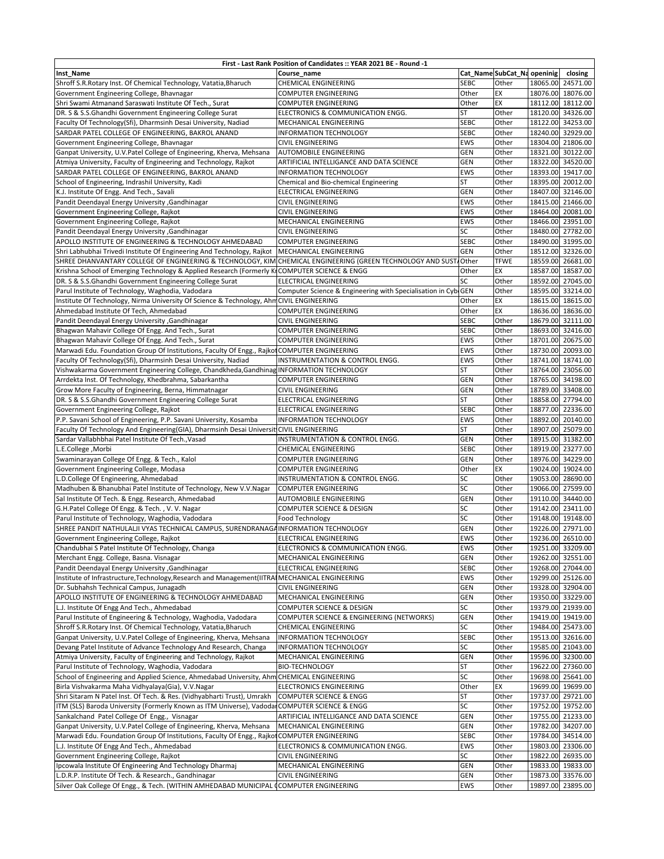| First - Last Rank Position of Candidates :: YEAR 2021 BE - Round -1                                                                                      |                                                               |              |                             |  |                   |  |  |  |
|----------------------------------------------------------------------------------------------------------------------------------------------------------|---------------------------------------------------------------|--------------|-----------------------------|--|-------------------|--|--|--|
| <b>Inst_Name</b>                                                                                                                                         | Course name                                                   |              | Cat_Name SubCat_Na openinig |  | closing           |  |  |  |
| Shroff S.R.Rotary Inst. Of Chemical Technology, Vatatia, Bharuch                                                                                         | CHEMICAL ENGINEERING                                          | <b>SEBC</b>  | Other                       |  | 18065.00 24571.00 |  |  |  |
| Government Engineering College, Bhavnagar                                                                                                                | COMPUTER ENGINEERING                                          | Other        | EX                          |  | 18076.00 18076.00 |  |  |  |
| Shri Swami Atmanand Saraswati Institute Of Tech., Surat                                                                                                  | COMPUTER ENGINEERING                                          | Other        | EX                          |  | 18112.00 18112.00 |  |  |  |
| DR. S & S.S.Ghandhi Government Engineering College Surat                                                                                                 | ELECTRONICS & COMMUNICATION ENGG.                             | <b>ST</b>    | Other                       |  | 18120.00 34326.00 |  |  |  |
| Faculty Of Technology(Sfi), Dharmsinh Desai University, Nadiad                                                                                           | MECHANICAL ENGINEERING                                        | <b>SEBC</b>  | Other                       |  | 18122.00 34253.00 |  |  |  |
| SARDAR PATEL COLLEGE OF ENGINEERING, BAKROL ANAND                                                                                                        | <b>INFORMATION TECHNOLOGY</b>                                 | <b>SEBC</b>  | Other                       |  | 18240.00 32929.00 |  |  |  |
| Government Engineering College, Bhavnagar                                                                                                                | <b>CIVIL ENGINEERING</b>                                      | <b>EWS</b>   | Other                       |  | 18304.00 21806.00 |  |  |  |
| Ganpat University, U.V.Patel College of Engineering, Kherva, Mehsana                                                                                     | AUTOMOBILE ENGINEERING                                        | <b>GEN</b>   | Other                       |  | 18321.00 30122.00 |  |  |  |
| Atmiya University, Faculty of Engineering and Technology, Rajkot                                                                                         | ARTIFICIAL INTELLIGANCE AND DATA SCIENCE                      | <b>GEN</b>   | Other                       |  | 18322.00 34520.00 |  |  |  |
| SARDAR PATEL COLLEGE OF ENGINEERING, BAKROL ANAND                                                                                                        | INFORMATION TECHNOLOGY                                        | <b>EWS</b>   | Other                       |  | 18393.00 19417.00 |  |  |  |
| School of Engineering, Indrashil University, Kadi                                                                                                        | Chemical and Bio-chemical Engineering                         | ST           | Other                       |  | 18395.00 20012.00 |  |  |  |
| K.J. Institute Of Engg. And Tech., Savali                                                                                                                | ELECTRICAL ENGINEERING                                        | <b>GEN</b>   | Other                       |  | 18407.00 32146.00 |  |  |  |
| <b>Pandit Deendayal Energy University , Gandhinagar</b>                                                                                                  | <b>CIVIL ENGINEERING</b>                                      | <b>EWS</b>   | Other                       |  | 18415.00 21466.00 |  |  |  |
| Government Engineering College, Rajkot                                                                                                                   | <b>CIVIL ENGINEERING</b>                                      | EWS          | Other                       |  | 18464.00 20081.00 |  |  |  |
| Government Engineering College, Rajkot                                                                                                                   | MECHANICAL ENGINEERING                                        | <b>EWS</b>   | Other                       |  | 18466.00 23951.00 |  |  |  |
| <b>Pandit Deendayal Energy University , Gandhinagar</b>                                                                                                  | <b>CIVIL ENGINEERING</b>                                      | SC           | Other                       |  | 18480.00 27782.00 |  |  |  |
| APOLLO INSTITUTE OF ENGINEERING & TECHNOLOGY AHMEDABAD                                                                                                   | <b>COMPUTER ENGINEERING</b>                                   | <b>SEBC</b>  | Other                       |  | 18490.00 31995.00 |  |  |  |
| Shri Labhubhai Trivedi Institute Of Engineering And Technology, Rajkot                                                                                   | MECHANICAL ENGINEERING                                        | <b>GEN</b>   | Other                       |  | 18512.00 32326.00 |  |  |  |
| SHREE DHANVANTARY COLLEGE OF ENGINEERING & TECHNOLOGY, KIM                                                                                               | CHEMICAL ENGINEERING (GREEN TECHNOLOGY AND SUST.              | <b>Other</b> | <b>TFWE</b>                 |  | 18559.00 26681.00 |  |  |  |
|                                                                                                                                                          |                                                               | Other        | EX                          |  | 18587.00 18587.00 |  |  |  |
| Krishna School of Emerging Technology & Applied Research (Formerly KICOMPUTER SCIENCE & ENGG<br>DR. S & S.S.Ghandhi Government Engineering College Surat | <b>ELECTRICAL ENGINEERING</b>                                 | SC           | Other                       |  | 18592.00 27045.00 |  |  |  |
|                                                                                                                                                          |                                                               |              | Other                       |  | 18595.00 33214.00 |  |  |  |
| Parul Institute of Technology, Waghodia, Vadodara<br>Institute Of Technology, Nirma University Of Science & Technology, AhmCIVIL ENGINEERING             | Computer Science & Engineering with Specialisation in CybiGEN | Other        | EX                          |  | 18615.00 18615.00 |  |  |  |
|                                                                                                                                                          |                                                               |              |                             |  |                   |  |  |  |
| Ahmedabad Institute Of Tech, Ahmedabad                                                                                                                   | <b>COMPUTER ENGINEERING</b>                                   | Other        | EX                          |  | 18636.00 18636.00 |  |  |  |
| Pandit Deendayal Energy University , Gandhinagar                                                                                                         | <b>CIVIL ENGINEERING</b>                                      | <b>SEBC</b>  | Other                       |  | 18679.00 32111.00 |  |  |  |
| Bhagwan Mahavir College Of Engg. And Tech., Surat                                                                                                        | <b>COMPUTER ENGINEERING</b>                                   | <b>SEBC</b>  | Other                       |  | 18693.00 32416.00 |  |  |  |
| Bhagwan Mahavir College Of Engg. And Tech., Surat                                                                                                        | <b>COMPUTER ENGINEERING</b>                                   | <b>EWS</b>   | Other                       |  | 18701.00 20675.00 |  |  |  |
| Marwadi Edu. Foundation Group Of Institutions, Faculty Of Engg., Rajkot COMPUTER ENGINEERING                                                             |                                                               | EWS          | Other                       |  | 18730.00 20093.00 |  |  |  |
| Faculty Of Technology(Sfi), Dharmsinh Desai University, Nadiad                                                                                           | INSTRUMENTATION & CONTROL ENGG.                               | <b>EWS</b>   | Other                       |  | 18741.00 18741.00 |  |  |  |
| Vishwakarma Government Engineering College, Chandkheda, Gandhinag INFORMATION TECHNOLOGY                                                                 |                                                               | <b>ST</b>    | Other                       |  | 18764.00 23056.00 |  |  |  |
| Arrdekta Inst. Of Technology, Khedbrahma, Sabarkantha                                                                                                    | <b>COMPUTER ENGINEERING</b>                                   | <b>GEN</b>   | Other                       |  | 18765.00 34198.00 |  |  |  |
| Grow More Faculty of Engineering, Berna, Himmatnagar                                                                                                     | <b>CIVIL ENGINEERING</b>                                      | GEN          | Other                       |  | 18789.00 33408.00 |  |  |  |
| DR. S & S.S.Ghandhi Government Engineering College Surat                                                                                                 | <b>ELECTRICAL ENGINEERING</b>                                 | <b>ST</b>    | Other                       |  | 18858.00 27794.00 |  |  |  |
| Government Engineering College, Rajkot                                                                                                                   | ELECTRICAL ENGINEERING                                        | <b>SEBC</b>  | Other                       |  | 18877.00 22336.00 |  |  |  |
| P.P. Savani School of Engineering, P.P. Savani University, Kosamba                                                                                       | INFORMATION TECHNOLOGY                                        | <b>EWS</b>   | Other                       |  | 18892.00 20140.00 |  |  |  |
| Faculty Of Technology And Engineering(GIA), Dharmsinh Desai Universit CIVIL ENGINEERING                                                                  |                                                               | ST           | Other                       |  | 18907.00 25079.00 |  |  |  |
| Sardar Vallabhbhai Patel Institute Of Tech., Vasad                                                                                                       | INSTRUMENTATION & CONTROL ENGG.                               | <b>GEN</b>   | Other                       |  | 18915.00 31382.00 |  |  |  |
| L.E.College, Morbi                                                                                                                                       | CHEMICAL ENGINEERING                                          | <b>SEBC</b>  | Other                       |  | 18919.00 23277.00 |  |  |  |
| Swaminarayan College Of Engg. & Tech., Kalol                                                                                                             | <b>COMPUTER ENGINEERING</b>                                   | <b>GEN</b>   | Other                       |  | 18976.00 34229.00 |  |  |  |
| Government Engineering College, Modasa                                                                                                                   | <b>COMPUTER ENGINEERING</b>                                   | Other        | EX                          |  | 19024.00 19024.00 |  |  |  |
| L.D.College Of Engineering, Ahmedabad                                                                                                                    | INSTRUMENTATION & CONTROL ENGG.                               | SC           | Other                       |  | 19053.00 28690.00 |  |  |  |
| Madhuben & Bhanubhai Patel Institute of Technology, New V.V.Nagar                                                                                        | <b>COMPUTER ENGINEERING</b>                                   | SC           | Other                       |  | 19066.00 27599.00 |  |  |  |
| Sal Institute Of Tech. & Engg. Research, Ahmedabad                                                                                                       | <b>AUTOMOBILE ENGINEERING</b>                                 | GEN          | Other                       |  | 19110.00 34440.00 |  |  |  |
| G.H.Patel College Of Engg. & Tech., V.V. Nagar                                                                                                           | <b>COMPUTER SCIENCE &amp; DESIGN</b>                          | SC           | Other                       |  | 19142.00 23411.00 |  |  |  |
| Parul Institute of Technology, Waghodia, Vadodara                                                                                                        | Food Technology                                               | SC           | Other                       |  | 19148.00 19148.00 |  |  |  |
| SHREE PANDIT NATHULALJI VYAS TECHNICAL CAMPUS, SURENDRANAGAINFORMATION TECHNOLOGY                                                                        |                                                               | GEN          | Other                       |  | 19226.00 27971.00 |  |  |  |
| Government Engineering College, Rajkot                                                                                                                   | <b>ELECTRICAL ENGINEERING</b>                                 | <b>EWS</b>   | Other                       |  | 19236.00 26510.00 |  |  |  |
| Chandubhai S Patel Institute Of Technology, Changa                                                                                                       | ELECTRONICS & COMMUNICATION ENGG.                             | EWS          | Other                       |  | 19251.00 33209.00 |  |  |  |
| Merchant Engg. College, Basna. Visnagar                                                                                                                  | MECHANICAL ENGINEERING                                        | <b>GEN</b>   | Other                       |  | 19262.00 32551.00 |  |  |  |
| Pandit Deendayal Energy University , Gandhinagar                                                                                                         | ELECTRICAL ENGINEERING                                        | <b>SEBC</b>  | Other                       |  | 19268.00 27044.00 |  |  |  |
| Institute of Infrastructure, Technology, Research and Management (IITRAIMECHANICAL ENGINEERING                                                           |                                                               | EWS          | Other                       |  | 19299.00 25126.00 |  |  |  |
| Dr. Subhahsh Technical Campus, Junagadh                                                                                                                  | CIVIL ENGINEERING                                             | GEN          | Other                       |  | 19328.00 32904.00 |  |  |  |
| APOLLO INSTITUTE OF ENGINEERING & TECHNOLOGY AHMEDABAD                                                                                                   | MECHANICAL ENGINEERING                                        | GEN          | Other                       |  | 19350.00 33229.00 |  |  |  |
| L.J. Institute Of Engg And Tech., Ahmedabad                                                                                                              | COMPUTER SCIENCE & DESIGN                                     | SC           | Other                       |  | 19379.00 21939.00 |  |  |  |
| Parul Institute of Engineering & Technology, Waghodia, Vadodara                                                                                          | COMPUTER SCIENCE & ENGINEERING (NETWORKS)                     | GEN          | Other                       |  | 19419.00 19419.00 |  |  |  |
| Shroff S.R.Rotary Inst. Of Chemical Technology, Vatatia, Bharuch                                                                                         | CHEMICAL ENGINEERING                                          | SC           | Other                       |  | 19484.00 25473.00 |  |  |  |
| Ganpat University, U.V.Patel College of Engineering, Kherva, Mehsana                                                                                     | INFORMATION TECHNOLOGY                                        | <b>SEBC</b>  | Other                       |  | 19513.00 32616.00 |  |  |  |
| Devang Patel Institute of Advance Technology And Research, Changa                                                                                        | INFORMATION TECHNOLOGY                                        | SC           | Other                       |  | 19585.00 21043.00 |  |  |  |
| Atmiya University, Faculty of Engineering and Technology, Rajkot                                                                                         | MECHANICAL ENGINEERING                                        | GEN          | Other                       |  | 19596.00 32300.00 |  |  |  |
| Parul Institute of Technology, Waghodia, Vadodara                                                                                                        | <b>BIO-TECHNOLOGY</b>                                         | ST           | Other                       |  | 19622.00 27360.00 |  |  |  |
| School of Engineering and Applied Science, Ahmedabad University, Ahm CHEMICAL ENGINEERING                                                                |                                                               | SC           | Other                       |  | 19698.00 25641.00 |  |  |  |
| Birla Vishvakarma Maha Vidhyalaya(Gia), V.V.Nagar                                                                                                        | ELECTRONICS ENGINEERING                                       | Other        | EX                          |  | 19699.00 19699.00 |  |  |  |
| Shri Sitaram N Patel Inst. Of Tech. & Res. (Vidhyabharti Trust), Umrakh                                                                                  | <b>COMPUTER SCIENCE &amp; ENGG</b>                            | <b>ST</b>    | Other                       |  | 19737.00 29721.00 |  |  |  |
| ITM (SLS) Baroda University (Formerly Known as ITM Universe), Vadodar COMPUTER SCIENCE & ENGG                                                            |                                                               | SC           | Other                       |  | 19752.00 19752.00 |  |  |  |
| Sankalchand Patel College Of Engg., Visnagar                                                                                                             | ARTIFICIAL INTELLIGANCE AND DATA SCIENCE                      | GEN          | Other                       |  | 19755.00 21233.00 |  |  |  |
| Ganpat University, U.V.Patel College of Engineering, Kherva, Mehsana                                                                                     | MECHANICAL ENGINEERING                                        | GEN          | Other                       |  | 19782.00 34207.00 |  |  |  |
| Marwadi Edu. Foundation Group Of Institutions, Faculty Of Engg., Rajkot                                                                                  | <b>COMPUTER ENGINEERING</b>                                   | <b>SEBC</b>  | Other                       |  | 19784.00 34514.00 |  |  |  |
| L.J. Institute Of Engg And Tech., Ahmedabad                                                                                                              | ELECTRONICS & COMMUNICATION ENGG.                             | <b>EWS</b>   | Other                       |  | 19803.00 23306.00 |  |  |  |
| Government Engineering College, Rajkot                                                                                                                   | <b>CIVIL ENGINEERING</b>                                      | SC           | Other                       |  | 19822.00 26935.00 |  |  |  |
| Ipcowala Institute Of Engineering And Technology Dharmaj                                                                                                 | MECHANICAL ENGINEERING                                        | <b>GEN</b>   | Other                       |  | 19833.00 19833.00 |  |  |  |
| L.D.R.P. Institute Of Tech. & Research., Gandhinagar                                                                                                     | <b>CIVIL ENGINEERING</b>                                      | GEN          | Other                       |  | 19873.00 33576.00 |  |  |  |
| Silver Oak College Of Engg., & Tech. (WITHIN AMHEDABAD MUNICIPAL COMPUTER ENGINEERING                                                                    |                                                               | EWS          | Other                       |  | 19897.00 23895.00 |  |  |  |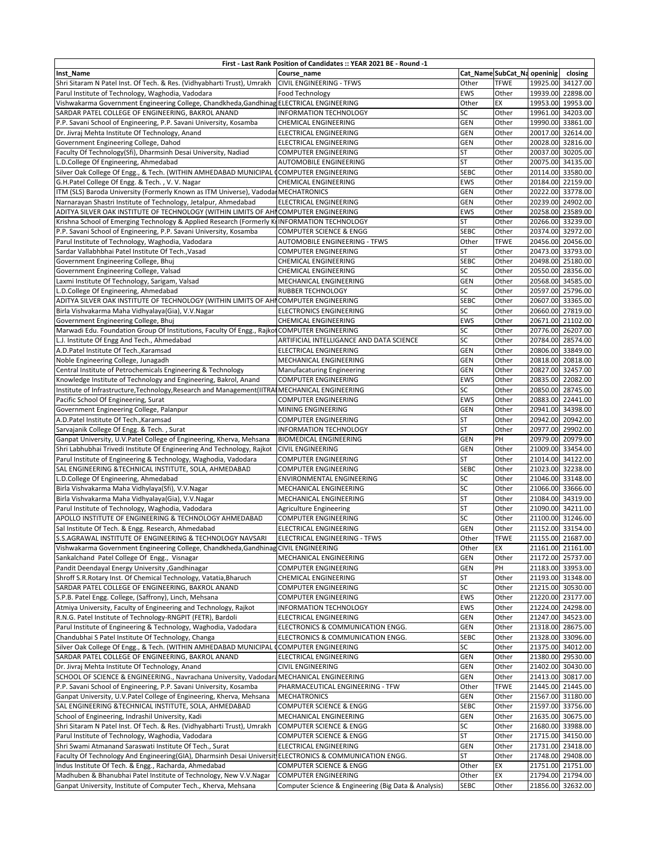| First - Last Rank Position of Candidates :: YEAR 2021 BE - Round -1                                     |                                                      |             |                            |  |                   |  |  |  |
|---------------------------------------------------------------------------------------------------------|------------------------------------------------------|-------------|----------------------------|--|-------------------|--|--|--|
| Inst_Name                                                                                               | Course name                                          |             | Cat_NameSubCat_Na openinig |  | closing           |  |  |  |
| Shri Sitaram N Patel Inst. Of Tech. & Res. (Vidhyabharti Trust), Umrakh                                 | <b>CIVIL ENGINEERING - TFWS</b>                      | Other       | <b>TFWE</b>                |  | 19925.00 34127.00 |  |  |  |
| Parul Institute of Technology, Waghodia, Vadodara                                                       | Food Technology                                      | EWS         | Other                      |  | 19939.00 22898.00 |  |  |  |
| Vishwakarma Government Engineering College, Chandkheda, Gandhinag ELECTRICAL ENGINEERING                |                                                      | Other       | EX                         |  | 19953.00 19953.00 |  |  |  |
| SARDAR PATEL COLLEGE OF ENGINEERING, BAKROL ANAND                                                       | <b>INFORMATION TECHNOLOGY</b>                        | SC          | Other                      |  | 19961.00 34203.00 |  |  |  |
| P.P. Savani School of Engineering, P.P. Savani University, Kosamba                                      | <b>CHEMICAL ENGINEERING</b>                          | GEN         | Other                      |  | 19990.00 33861.00 |  |  |  |
| Dr. Jivraj Mehta Institute Of Technology, Anand                                                         | <b>ELECTRICAL ENGINEERING</b>                        | <b>GEN</b>  | Other                      |  | 20017.00 32614.00 |  |  |  |
| Government Engineering College, Dahod                                                                   | ELECTRICAL ENGINEERING                               | <b>GEN</b>  | Other                      |  | 20028.00 32816.00 |  |  |  |
| Faculty Of Technology(Sfi), Dharmsinh Desai University, Nadiad                                          | <b>COMPUTER ENGINEERING</b>                          | <b>ST</b>   | Other                      |  | 20037.00 30205.00 |  |  |  |
| L.D.College Of Engineering, Ahmedabad                                                                   | AUTOMOBILE ENGINEERING                               | <b>ST</b>   | Other                      |  | 20075.00 34135.00 |  |  |  |
| Silver Oak College Of Engg., & Tech. (WITHIN AMHEDABAD MUNICIPAL COMPUTER ENGINEERING                   |                                                      | <b>SEBC</b> | Other                      |  | 20114.00 33580.00 |  |  |  |
| G.H.Patel College Of Engg. & Tech., V.V. Nagar                                                          | <b>CHEMICAL ENGINEERING</b>                          | <b>EWS</b>  | Other                      |  | 20184.00 22159.00 |  |  |  |
| ITM (SLS) Baroda University (Formerly Known as ITM Universe), Vadodal MECHATRONICS                      |                                                      | <b>GEN</b>  | Other                      |  | 20222.00 33778.00 |  |  |  |
| Narnarayan Shastri Institute of Technology, Jetalpur, Ahmedabad                                         | ELECTRICAL ENGINEERING                               | GEN         | Other                      |  | 20239.00 24902.00 |  |  |  |
| ADITYA SILVER OAK INSTITUTE OF TECHNOLOGY (WITHIN LIMITS OF AHI COMPUTER ENGINEERING                    |                                                      | EWS         | Other                      |  | 20258.00 23589.00 |  |  |  |
| Krishna School of Emerging Technology & Applied Research (Formerly KIINFORMATION TECHNOLOGY             |                                                      | <b>ST</b>   | Other                      |  | 20266.00 33239.00 |  |  |  |
| P.P. Savani School of Engineering, P.P. Savani University, Kosamba                                      | <b>COMPUTER SCIENCE &amp; ENGG</b>                   | <b>SEBC</b> | Other                      |  | 20374.00 32972.00 |  |  |  |
| Parul Institute of Technology, Waghodia, Vadodara                                                       | AUTOMOBILE ENGINEERING - TFWS                        | Other       | <b>TFWE</b>                |  | 20456.00 20456.00 |  |  |  |
| Sardar Vallabhbhai Patel Institute Of Tech., Vasad                                                      | <b>COMPUTER ENGINEERING</b>                          | <b>ST</b>   | Other                      |  | 20473.00 33793.00 |  |  |  |
| Government Engineering College, Bhuj                                                                    | <b>CHEMICAL ENGINEERING</b>                          | <b>SEBC</b> | Other                      |  | 20498.00 25180.00 |  |  |  |
|                                                                                                         |                                                      | SC          | Other                      |  | 20550.00 28356.00 |  |  |  |
| Government Engineering College, Valsad                                                                  | <b>CHEMICAL ENGINEERING</b>                          |             |                            |  |                   |  |  |  |
| Laxmi Institute Of Technology, Sarigam, Valsad                                                          | MECHANICAL ENGINEERING                               | GEN         | Other                      |  | 20568.00 34585.00 |  |  |  |
| L.D.College Of Engineering, Ahmedabad                                                                   | <b>RUBBER TECHNOLOGY</b>                             | SC          | Other                      |  | 20597.00 25796.00 |  |  |  |
| ADITYA SILVER OAK INSTITUTE OF TECHNOLOGY (WITHIN LIMITS OF AHI COMPUTER ENGINEERING                    |                                                      | <b>SEBC</b> | Other                      |  | 20607.00 33365.00 |  |  |  |
| Birla Vishvakarma Maha Vidhyalaya(Gia), V.V.Nagar                                                       | <b>ELECTRONICS ENGINEERING</b>                       | SC          | Other                      |  | 20660.00 27819.00 |  |  |  |
| Government Engineering College, Bhuj                                                                    | <b>CHEMICAL ENGINEERING</b>                          | EWS         | Other                      |  | 20671.00 21102.00 |  |  |  |
| Marwadi Edu. Foundation Group Of Institutions, Faculty Of Engg., Rajkot COMPUTER ENGINEERING            |                                                      | SC          | Other                      |  | 20776.00 26207.00 |  |  |  |
| L.J. Institute Of Engg And Tech., Ahmedabad                                                             | ARTIFICIAL INTELLIGANCE AND DATA SCIENCE             | SC          | Other                      |  | 20784.00 28574.00 |  |  |  |
| A.D.Patel Institute Of Tech., Karamsad                                                                  | <b>ELECTRICAL ENGINEERING</b>                        | GEN         | Other                      |  | 20806.00 33849.00 |  |  |  |
| Noble Engineering College, Junagadh                                                                     | MECHANICAL ENGINEERING                               | GEN         | Other                      |  | 20818.00 20818.00 |  |  |  |
| Central Institute of Petrochemicals Engineering & Technology                                            | Manufacaturing Engineering                           | GEN         | Other                      |  | 20827.00 32457.00 |  |  |  |
| Knowledge Institute of Technology and Engineering, Bakrol, Anand                                        | <b>COMPUTER ENGINEERING</b>                          | EWS         | Other                      |  | 20835.00 22082.00 |  |  |  |
| Institute of Infrastructure, Technology, Research and Management (IITRAIMECHANICAL ENGINEERING          |                                                      | SC          | Other                      |  | 20850.00 28745.00 |  |  |  |
| Pacific School Of Engineering, Surat                                                                    | <b>COMPUTER ENGINEERING</b>                          | <b>EWS</b>  | Other                      |  | 20883.00 22441.00 |  |  |  |
| Government Engineering College, Palanpur                                                                | MINING ENGINEERING                                   | GEN         | Other                      |  | 20941.00 34398.00 |  |  |  |
| A.D.Patel Institute Of Tech., Karamsad                                                                  | <b>COMPUTER ENGINEERING</b>                          | <b>ST</b>   | Other                      |  | 20942.00 20942.00 |  |  |  |
| Sarvajanik College Of Engg. & Tech., Surat                                                              | <b>INFORMATION TECHNOLOGY</b>                        | <b>ST</b>   | Other                      |  | 20977.00 29902.00 |  |  |  |
| Ganpat University, U.V.Patel College of Engineering, Kherva, Mehsana                                    | <b>BIOMEDICAL ENGINEERING</b>                        | <b>GEN</b>  | PH                         |  | 20979.00 20979.00 |  |  |  |
| Shri Labhubhai Trivedi Institute Of Engineering And Technology, Rajkot                                  | <b>CIVIL ENGINEERING</b>                             | GEN         | Other                      |  | 21009.00 33454.00 |  |  |  |
| Parul Institute of Engineering & Technology, Waghodia, Vadodara                                         | <b>COMPUTER ENGINEERING</b>                          | <b>ST</b>   | Other                      |  | 21014.00 34122.00 |  |  |  |
| SAL ENGINEERING & TECHNICAL INSTITUTE, SOLA, AHMEDABAD                                                  | COMPUTER ENGINEERING                                 | <b>SEBC</b> | Other                      |  | 21023.00 32238.00 |  |  |  |
| L.D.College Of Engineering, Ahmedabad                                                                   | ENVIRONMENTAL ENGINEERING                            | SC          | Other                      |  | 21046.00 33148.00 |  |  |  |
| Birla Vishvakarma Maha Vidhylaya(Sfi), V.V.Nagar                                                        | MECHANICAL ENGINEERING                               | SC          | Other                      |  | 21066.00 33666.00 |  |  |  |
| Birla Vishvakarma Maha Vidhyalaya(Gia), V.V.Nagar                                                       | MECHANICAL ENGINEERING                               | <b>ST</b>   | Other                      |  | 21084.00 34319.00 |  |  |  |
| Parul Institute of Technology, Waghodia, Vadodara                                                       | Agriculture Engineering                              | <b>ST</b>   | Other                      |  | 21090.00 34211.00 |  |  |  |
| APOLLO INSTITUTE OF ENGINEERING & TECHNOLOGY AHMEDABAD                                                  | <b>COMPUTER ENGINEERING</b>                          | SC          | Other                      |  | 21100.00 31246.00 |  |  |  |
| Sal Institute Of Tech. & Engg. Research, Ahmedabad                                                      | <b>ELECTRICAL ENGINEERING</b>                        | <b>GEN</b>  | Other                      |  | 21152.00 33154.00 |  |  |  |
| S.S.AGRAWAL INSTITUTE OF ENGINEERING & TECHNOLOGY NAVSARI                                               | <b>ELECTRICAL ENGINEERING - TFWS</b>                 | Other       | <b>TFWE</b>                |  | 21155.00 21687.00 |  |  |  |
| Vishwakarma Government Engineering College, Chandkheda, Gandhinag CIVIL ENGINEERING                     |                                                      | Other       | EX                         |  | 21161.00 21161.00 |  |  |  |
| Sankalchand Patel College Of Engg., Visnagar                                                            | MECHANICAL ENGINEERING                               | GEN         | Other                      |  | 21172.00 25737.00 |  |  |  |
| Pandit Deendayal Energy University , Gandhinagar                                                        | COMPUTER ENGINEERING                                 | GEN         | PH                         |  | 21183.00 33953.00 |  |  |  |
| Shroff S.R.Rotary Inst. Of Chemical Technology, Vatatia, Bharuch                                        | CHEMICAL ENGINEERING                                 | <b>ST</b>   | Other                      |  | 21193.00 31348.00 |  |  |  |
| SARDAR PATEL COLLEGE OF ENGINEERING, BAKROL ANAND                                                       | COMPUTER ENGINEERING                                 | SC          | Other                      |  | 21215.00 30530.00 |  |  |  |
| S.P.B. Patel Engg. College, (Saffrony), Linch, Mehsana                                                  | <b>COMPUTER ENGINEERING</b>                          | EWS         | Other                      |  | 21220.00 23177.00 |  |  |  |
| Atmiya University, Faculty of Engineering and Technology, Rajkot                                        | INFORMATION TECHNOLOGY                               | EWS         | Other                      |  | 21224.00 24298.00 |  |  |  |
| R.N.G. Patel Institute of Technology-RNGPIT (FETR), Bardoli                                             | <b>ELECTRICAL ENGINEERING</b>                        | GEN         | Other                      |  | 21247.00 34523.00 |  |  |  |
| Parul Institute of Engineering & Technology, Waghodia, Vadodara                                         | ELECTRONICS & COMMUNICATION ENGG.                    | GEN         | Other                      |  | 21318.00 28675.00 |  |  |  |
| Chandubhai S Patel Institute Of Technology, Changa                                                      | ELECTRONICS & COMMUNICATION ENGG.                    | <b>SEBC</b> | Other                      |  | 21328.00 33096.00 |  |  |  |
| Silver Oak College Of Engg., & Tech. (WITHIN AMHEDABAD MUNICIPAL                                        | <b>COMPUTER ENGINEERING</b>                          | SC          | Other                      |  | 21375.00 34012.00 |  |  |  |
| SARDAR PATEL COLLEGE OF ENGINEERING, BAKROL ANAND                                                       | ELECTRICAL ENGINEERING                               | GEN         | Other                      |  | 21380.00 29530.00 |  |  |  |
| Dr. Jivraj Mehta Institute Of Technology, Anand                                                         | <b>CIVIL ENGINEERING</b>                             | GEN         | Other                      |  | 21402.00 30430.00 |  |  |  |
| SCHOOL OF SCIENCE & ENGINEERING., Navrachana University, Vadodara MECHANICAL ENGINEERING                |                                                      | GEN         | Other                      |  | 21413.00 30817.00 |  |  |  |
| P.P. Savani School of Engineering, P.P. Savani University, Kosamba                                      | PHARMACEUTICAL ENGINEERING - TFW                     | Other       | TFWE                       |  | 21445.00 21445.00 |  |  |  |
| Ganpat University, U.V.Patel College of Engineering, Kherva, Mehsana                                    | <b>MECHATRONICS</b>                                  | GEN         | Other                      |  | 21567.00 31180.00 |  |  |  |
| SAL ENGINEERING & TECHNICAL INSTITUTE, SOLA, AHMEDABAD                                                  | <b>COMPUTER SCIENCE &amp; ENGG</b>                   | <b>SEBC</b> | Other                      |  | 21597.00 33756.00 |  |  |  |
| School of Engineering, Indrashil University, Kadi                                                       | MECHANICAL ENGINEERING                               | GEN         | Other                      |  | 21635.00 30675.00 |  |  |  |
| Shri Sitaram N Patel Inst. Of Tech. & Res. (Vidhyabharti Trust), Umrakh                                 | <b>COMPUTER SCIENCE &amp; ENGG</b>                   | SC          | Other                      |  | 21680.00 33988.00 |  |  |  |
| Parul Institute of Technology, Waghodia, Vadodara                                                       | <b>COMPUTER SCIENCE &amp; ENGG</b>                   | <b>ST</b>   | Other                      |  | 21715.00 34150.00 |  |  |  |
| Shri Swami Atmanand Saraswati Institute Of Tech., Surat                                                 | ELECTRICAL ENGINEERING                               | GEN         | Other                      |  | 21731.00 23418.00 |  |  |  |
| Faculty Of Technology And Engineering(GIA), Dharmsinh Desai Universit ELECTRONICS & COMMUNICATION ENGG. |                                                      | <b>ST</b>   |                            |  | 21748.00 29408.00 |  |  |  |
|                                                                                                         |                                                      |             | Other<br>EX                |  |                   |  |  |  |
| Indus Institute Of Tech. & Engg., Racharda, Ahmedabad                                                   | <b>COMPUTER SCIENCE &amp; ENGG</b>                   | Other       |                            |  | 21751.00 21751.00 |  |  |  |
| Madhuben & Bhanubhai Patel Institute of Technology, New V.V.Nagar                                       | <b>COMPUTER ENGINEERING</b>                          | Other       | EX                         |  | 21794.00 21794.00 |  |  |  |
| Ganpat University, Institute of Computer Tech., Kherva, Mehsana                                         | Computer Science & Engineering (Big Data & Analysis) | <b>SEBC</b> | Other                      |  | 21856.00 32632.00 |  |  |  |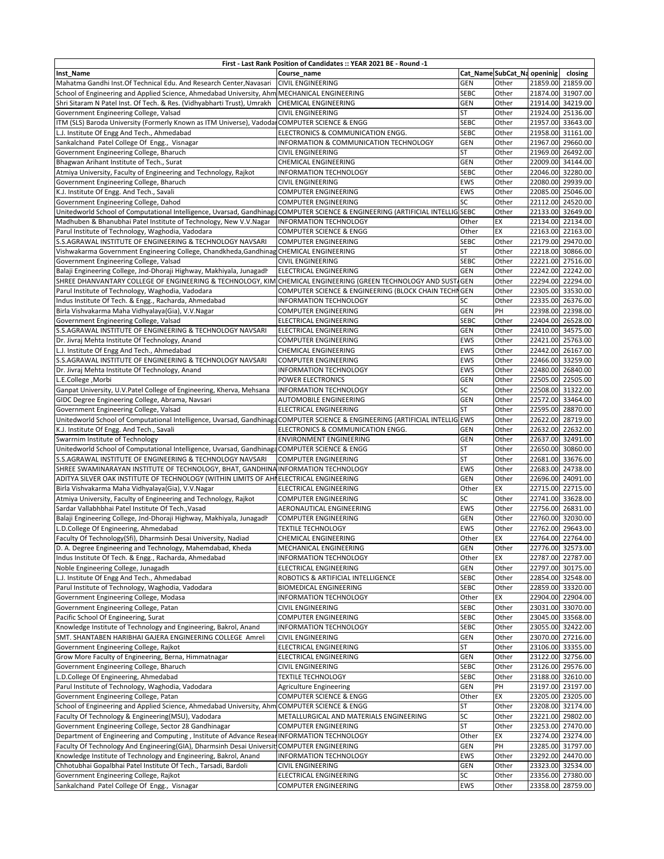| First - Last Rank Position of Candidates :: YEAR 2021 BE - Round -1                                                          |                                                  |             |                             |          |                   |  |  |  |
|------------------------------------------------------------------------------------------------------------------------------|--------------------------------------------------|-------------|-----------------------------|----------|-------------------|--|--|--|
| Inst Name                                                                                                                    | Course name                                      |             | Cat_Name SubCat_Na openinig |          | closing           |  |  |  |
| Mahatma Gandhi Inst.Of Technical Edu. And Research Center, Navasari                                                          | <b>CIVIL ENGINEERING</b>                         | <b>GEN</b>  | Other                       |          | 21859.00 21859.00 |  |  |  |
| School of Engineering and Applied Science, Ahmedabad University, Ahm                                                         | MECHANICAL ENGINEERING                           | <b>SEBC</b> | Other                       |          | 21874.00 31907.00 |  |  |  |
| Shri Sitaram N Patel Inst. Of Tech. & Res. (Vidhyabharti Trust), Umrakh                                                      | CHEMICAL ENGINEERING                             | GEN         | Other                       |          | 21914.00 34219.00 |  |  |  |
| Government Engineering College, Valsad                                                                                       | <b>CIVIL ENGINEERING</b>                         | <b>ST</b>   | Other                       |          | 21924.00 25136.00 |  |  |  |
| ITM (SLS) Baroda University (Formerly Known as ITM Universe), Vadodar COMPUTER SCIENCE & ENGG                                |                                                  | <b>SEBC</b> | Other                       |          | 21957.00 33643.00 |  |  |  |
| L.J. Institute Of Engg And Tech., Ahmedabad                                                                                  | ELECTRONICS & COMMUNICATION ENGG.                | <b>SEBC</b> | Other                       |          | 21958.00 31161.00 |  |  |  |
| Sankalchand Patel College Of Engg., Visnagar                                                                                 | INFORMATION & COMMUNICATION TECHNOLOGY           | GEN         | Other                       |          | 21967.00 29660.00 |  |  |  |
| Government Engineering College, Bharuch                                                                                      | <b>CIVIL ENGINEERING</b>                         | <b>ST</b>   | Other                       |          | 21969.00 26492.00 |  |  |  |
| Bhagwan Arihant Institute of Tech., Surat                                                                                    | <b>CHEMICAL ENGINEERING</b>                      | GEN         | Other                       |          | 22009.00 34144.00 |  |  |  |
| Atmiya University, Faculty of Engineering and Technology, Rajkot                                                             | <b>INFORMATION TECHNOLOGY</b>                    | <b>SEBC</b> | Other                       |          | 22046.00 32280.00 |  |  |  |
| Government Engineering College, Bharuch                                                                                      | <b>CIVIL ENGINEERING</b>                         | <b>EWS</b>  | Other                       |          | 22080.00 29939.00 |  |  |  |
| K.J. Institute Of Engg. And Tech., Savali                                                                                    | <b>COMPUTER ENGINEERING</b>                      | EWS         | Other                       |          | 22085.00 25046.00 |  |  |  |
| Government Engineering College, Dahod                                                                                        | <b>COMPUTER ENGINEERING</b>                      | SC          | Other                       |          | 22112.00 24520.00 |  |  |  |
| Unitedworld School of Computational Intelligence, Uvarsad, GandhinagaCOMPUTER SCIENCE & ENGINEERING (ARTIFICIAL INTELLIG     |                                                  | <b>SEBC</b> | Other                       |          | 22133.00 32649.00 |  |  |  |
| Madhuben & Bhanubhai Patel Institute of Technology, New V.V.Nagar                                                            | INFORMATION TECHNOLOGY                           | Other       | EX                          |          | 22134.00 22134.00 |  |  |  |
| Parul Institute of Technology, Waghodia, Vadodara                                                                            | <b>COMPUTER SCIENCE &amp; ENGG</b>               | Other       | EX                          |          | 22163.00 22163.00 |  |  |  |
| S.S.AGRAWAL INSTITUTE OF ENGINEERING & TECHNOLOGY NAVSARI                                                                    | <b>COMPUTER ENGINEERING</b>                      | <b>SEBC</b> | Other                       |          | 22179.00 29470.00 |  |  |  |
| Vishwakarma Government Engineering College, Chandkheda, Gandhinag CHEMICAL ENGINEERING                                       |                                                  | <b>ST</b>   | Other                       |          | 22218.00 30866.00 |  |  |  |
| Government Engineering College, Valsad                                                                                       | <b>CIVIL ENGINEERING</b>                         | <b>SEBC</b> | Other                       |          | 22221.00 27516.00 |  |  |  |
| Balaji Engineering College, Jnd-Dhoraji Highway, Makhiyala, Junagadh                                                         | ELECTRICAL ENGINEERING                           | GEN         | Other                       |          | 22242.00 22242.00 |  |  |  |
| SHREE DHANVANTARY COLLEGE OF ENGINEERING & TECHNOLOGY, KIM                                                                   | CHEMICAL ENGINEERING (GREEN TECHNOLOGY AND SUST  | <b>GEN</b>  | Other                       |          | 22294.00 22294.00 |  |  |  |
|                                                                                                                              | COMPUTER SCIENCE & ENGINEERING (BLOCK CHAIN TECH | <b>GEN</b>  | Other                       |          | 22305.00 33530.00 |  |  |  |
| Parul Institute of Technology, Waghodia, Vadodara<br>Indus Institute Of Tech. & Engg., Racharda, Ahmedabad                   | INFORMATION TECHNOLOGY                           | SC          | Other                       |          | 22335.00 26376.00 |  |  |  |
|                                                                                                                              | <b>COMPUTER ENGINEERING</b>                      | GEN         | PH                          |          | 22398.00 22398.00 |  |  |  |
| Birla Vishvakarma Maha Vidhyalaya(Gia), V.V.Nagar                                                                            |                                                  |             |                             |          | 22404.00 26528.00 |  |  |  |
| Government Engineering College, Valsad                                                                                       | <b>ELECTRICAL ENGINEERING</b>                    | <b>SEBC</b> | Other                       |          |                   |  |  |  |
| S.S.AGRAWAL INSTITUTE OF ENGINEERING & TECHNOLOGY NAVSARI                                                                    | ELECTRICAL ENGINEERING                           | GEN         | Other                       |          | 22410.00 34575.00 |  |  |  |
| Dr. Jivraj Mehta Institute Of Technology, Anand                                                                              | <b>COMPUTER ENGINEERING</b>                      | EWS         | Other                       |          | 22421.00 25763.00 |  |  |  |
| L.J. Institute Of Engg And Tech., Ahmedabad                                                                                  | CHEMICAL ENGINEERING                             | EWS         | Other                       |          | 22442.00 26167.00 |  |  |  |
| S.S.AGRAWAL INSTITUTE OF ENGINEERING & TECHNOLOGY NAVSARI                                                                    | <b>COMPUTER ENGINEERING</b>                      | <b>EWS</b>  | Other                       |          | 22466.00 33259.00 |  |  |  |
| Dr. Jivraj Mehta Institute Of Technology, Anand                                                                              | INFORMATION TECHNOLOGY                           | <b>EWS</b>  | Other                       | 22480.00 | 26840.00          |  |  |  |
| L.E.College, Morbi                                                                                                           | POWER ELECTRONICS                                | GEN         | Other                       | 22505.00 | 22505.00          |  |  |  |
| Ganpat University, U.V.Patel College of Engineering, Kherva, Mehsana                                                         | INFORMATION TECHNOLOGY                           | SC          | Other                       |          | 22508.00 31322.00 |  |  |  |
| GIDC Degree Engineering College, Abrama, Navsari                                                                             | AUTOMOBILE ENGINEERING                           | <b>GEN</b>  | Other                       |          | 22572.00 33464.00 |  |  |  |
| Government Engineering College, Valsad                                                                                       | ELECTRICAL ENGINEERING                           | <b>ST</b>   | Other                       |          | 22595.00 28870.00 |  |  |  |
| Unitedworld School of Computational Intelligence, Uvarsad, GandhinagaCOMPUTER SCIENCE & ENGINEERING (ARTIFICIAL INTELLIG EWS |                                                  |             | Other                       |          | 22622.00 28719.00 |  |  |  |
| K.J. Institute Of Engg. And Tech., Savali                                                                                    | ELECTRONICS & COMMUNICATION ENGG.                | <b>GEN</b>  | Other                       |          | 22632.00 22632.00 |  |  |  |
| Swarrnim Institute of Technology                                                                                             | ENVIRONMENT ENGINEERING                          | <b>GEN</b>  | Other                       |          | 22637.00 32491.00 |  |  |  |
| Unitedworld School of Computational Intelligence, Uvarsad, GandhinagaCOMPUTER SCIENCE & ENGG                                 |                                                  | <b>ST</b>   | Other                       |          | 22650.00 30860.00 |  |  |  |
| S.S.AGRAWAL INSTITUTE OF ENGINEERING & TECHNOLOGY NAVSARI                                                                    | <b>COMPUTER ENGINEERING</b>                      | <b>ST</b>   | Other                       |          | 22681.00 33676.00 |  |  |  |
| SHREE SWAMINARAYAN INSTITUTE OF TECHNOLOGY, BHAT, GANDHINAINFORMATION TECHNOLOGY                                             |                                                  | <b>EWS</b>  | Other                       |          | 22683.00 24738.00 |  |  |  |
| ADITYA SILVER OAK INSTITUTE OF TECHNOLOGY (WITHIN LIMITS OF AHI ELECTRICAL ENGINEERING                                       |                                                  | <b>GEN</b>  | Other                       |          | 22696.00 24091.00 |  |  |  |
| Birla Vishvakarma Maha Vidhyalaya(Gia), V.V.Nagar                                                                            | ELECTRICAL ENGINEERING                           | Other       | EX                          |          | 22715.00 22715.00 |  |  |  |
| Atmiya University, Faculty of Engineering and Technology, Rajkot                                                             | <b>COMPUTER ENGINEERING</b>                      | SC          | Other                       |          | 22741.00 33628.00 |  |  |  |
| Sardar Vallabhbhai Patel Institute Of Tech., Vasad                                                                           | AERONAUTICAL ENGINEERING                         | EWS         | Other                       |          | 22756.00 26831.00 |  |  |  |
| Balaji Engineering College, Jnd-Dhoraji Highway, Makhiyala, Junagadh                                                         | <b>COMPUTER ENGINEERING</b>                      | <b>GEN</b>  | Other                       |          | 22760.00 32030.00 |  |  |  |
| L.D.College Of Engineering, Ahmedabad                                                                                        | <b>TEXTILE TECHNOLOGY</b>                        | EWS         | Other                       |          | 22762.00 29643.00 |  |  |  |
| Faculty Of Technology(Sfi), Dharmsinh Desai University, Nadiad                                                               | <b>CHEMICAL ENGINEERING</b>                      | Other       | EX                          |          | 22764.00 22764.00 |  |  |  |
| D. A. Degree Engineering and Technology, Mahemdabad, Kheda                                                                   | MECHANICAL ENGINEERING                           | GEN         | Other                       |          | 22776.00 32573.00 |  |  |  |
| Indus Institute Of Tech. & Engg., Racharda, Ahmedabad                                                                        | INFORMATION TECHNOLOGY                           | Other       | EX                          |          | 22787.00 22787.00 |  |  |  |
| Noble Engineering College, Junagadh                                                                                          | ELECTRICAL ENGINEERING                           | GEN         | Other                       |          | 22797.00 30175.00 |  |  |  |
| L.J. Institute Of Engg And Tech., Ahmedabad                                                                                  | ROBOTICS & ARTIFICIAL INTELLIGENCE               | <b>SEBC</b> | Other                       |          | 22854.00 32548.00 |  |  |  |
| Parul Institute of Technology, Waghodia, Vadodara                                                                            | <b>BIOMEDICAL ENGINEERING</b>                    | <b>SEBC</b> | Other                       |          | 22859.00 33320.00 |  |  |  |
| Government Engineering College, Modasa                                                                                       | <b>INFORMATION TECHNOLOGY</b>                    | Other       | EX                          |          | 22904.00 22904.00 |  |  |  |
| Government Engineering College, Patan                                                                                        | <b>CIVIL ENGINEERING</b>                         | <b>SEBC</b> | Other                       |          | 23031.00 33070.00 |  |  |  |
| Pacific School Of Engineering, Surat                                                                                         | <b>COMPUTER ENGINEERING</b>                      | <b>SEBC</b> | Other                       |          | 23045.00 33568.00 |  |  |  |
| Knowledge Institute of Technology and Engineering, Bakrol, Anand                                                             | INFORMATION TECHNOLOGY                           | <b>SEBC</b> | Other                       |          | 23055.00 32422.00 |  |  |  |
| SMT. SHANTABEN HARIBHAI GAJERA ENGINEERING COLLEGE Amreli                                                                    | <b>CIVIL ENGINEERING</b>                         | GEN         | Other                       |          | 23070.00 27216.00 |  |  |  |
| Government Engineering College, Rajkot                                                                                       | ELECTRICAL ENGINEERING                           | ST          | Other                       |          | 23106.00 33355.00 |  |  |  |
| Grow More Faculty of Engineering, Berna, Himmatnagar                                                                         | <b>ELECTRICAL ENGINEERING</b>                    | GEN         | Other                       |          | 23122.00 32756.00 |  |  |  |
| Government Engineering College, Bharuch                                                                                      | <b>CIVIL ENGINEERING</b>                         | <b>SEBC</b> | Other                       |          | 23126.00 29576.00 |  |  |  |
| L.D.College Of Engineering, Ahmedabad                                                                                        | <b>TEXTILE TECHNOLOGY</b>                        | <b>SEBC</b> | Other                       |          | 23188.00 32610.00 |  |  |  |
| Parul Institute of Technology, Waghodia, Vadodara                                                                            | Agriculture Engineering                          | GEN         | PH                          |          | 23197.00 23197.00 |  |  |  |
| Government Engineering College, Patan                                                                                        | <b>COMPUTER SCIENCE &amp; ENGG</b>               | Other       | EX                          |          | 23205.00 23205.00 |  |  |  |
| School of Engineering and Applied Science, Ahmedabad University, Ahm COMPUTER SCIENCE & ENGG                                 |                                                  | <b>ST</b>   | Other                       |          | 23208.00 32174.00 |  |  |  |
| Faculty Of Technology & Engineering(MSU), Vadodara                                                                           | METALLURGICAL AND MATERIALS ENGINEERING          | SC          | Other                       |          | 23221.00 29802.00 |  |  |  |
| Government Engineering College, Sector 28 Gandhinagar                                                                        | <b>COMPUTER ENGINEERING</b>                      | <b>ST</b>   | Other                       |          | 23253.00 27470.00 |  |  |  |
| Department of Engineering and Computing, Institute of Advance Resear INFORMATION TECHNOLOGY                                  |                                                  | Other       | EX                          |          | 23274.00 23274.00 |  |  |  |
| Faculty Of Technology And Engineering(GIA), Dharmsinh Desai Universit COMPUTER ENGINEERING                                   |                                                  | <b>GEN</b>  | PH                          |          | 23285.00 31797.00 |  |  |  |
| Knowledge Institute of Technology and Engineering, Bakrol, Anand                                                             | <b>INFORMATION TECHNOLOGY</b>                    | EWS         | Other                       |          | 23292.00 24470.00 |  |  |  |
| Chhotubhai Gopalbhai Patel Institute Of Tech., Tarsadi, Bardoli                                                              | <b>CIVIL ENGINEERING</b>                         | GEN         | Other                       |          | 23323.00 32534.00 |  |  |  |
| Government Engineering College, Rajkot                                                                                       | ELECTRICAL ENGINEERING                           | SC          | Other                       |          | 23356.00 27380.00 |  |  |  |
| Sankalchand Patel College Of Engg., Visnagar                                                                                 | <b>COMPUTER ENGINEERING</b>                      | EWS         | Other                       |          | 23358.00 28759.00 |  |  |  |
|                                                                                                                              |                                                  |             |                             |          |                   |  |  |  |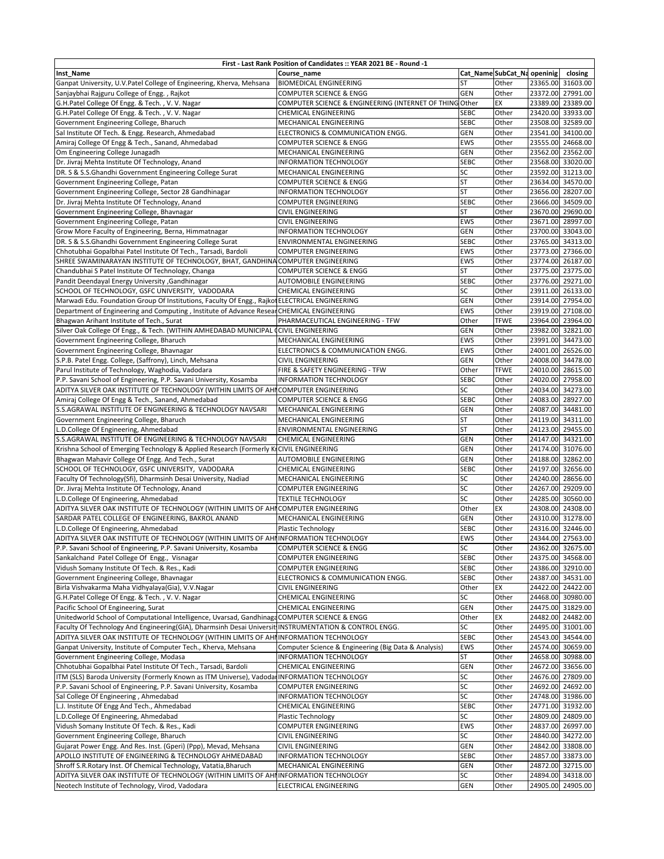| First - Last Rank Position of Candidates :: YEAR 2021 BE - Round -1                                   |                                                         |                 |                             |                   |                   |  |  |  |
|-------------------------------------------------------------------------------------------------------|---------------------------------------------------------|-----------------|-----------------------------|-------------------|-------------------|--|--|--|
| <b>Inst_Name</b>                                                                                      | Course name                                             |                 | Cat_Name SubCat_Na openinig |                   | closing           |  |  |  |
| Ganpat University, U.V.Patel College of Engineering, Kherva, Mehsana                                  | <b>BIOMEDICAL ENGINEERING</b>                           | ST              | Other                       |                   | 23365.00 31603.00 |  |  |  |
| Sanjaybhai Rajguru College of Engg., Rajkot                                                           | <b>COMPUTER SCIENCE &amp; ENGG</b>                      | <b>GEN</b>      | Other                       |                   | 23372.00 27991.00 |  |  |  |
| G.H.Patel College Of Engg. & Tech., V. V. Nagar                                                       | COMPUTER SCIENCE & ENGINEERING (INTERNET OF THING Other |                 | EX                          |                   | 23389.00 23389.00 |  |  |  |
| G.H.Patel College Of Engg. & Tech., V.V. Nagar                                                        | <b>CHEMICAL ENGINEERING</b>                             | <b>SEBC</b>     | Other                       |                   | 23420.00 33933.00 |  |  |  |
| Government Engineering College, Bharuch                                                               | MECHANICAL ENGINEERING                                  | <b>SEBC</b>     | Other                       | 23508.00 32589.00 |                   |  |  |  |
| Sal Institute Of Tech. & Engg. Research, Ahmedabad                                                    | ELECTRONICS & COMMUNICATION ENGG.                       | <b>GEN</b>      | Other                       |                   | 23541.00 34100.00 |  |  |  |
| Amiraj College Of Engg & Tech., Sanand, Ahmedabad                                                     | <b>COMPUTER SCIENCE &amp; ENGG</b>                      | <b>EWS</b>      | Other                       |                   | 23555.00 24668.00 |  |  |  |
| Om Engineering College Junagadh                                                                       | MECHANICAL ENGINEERING                                  | <b>GEN</b>      | Other                       |                   | 23562.00 23562.00 |  |  |  |
| Dr. Jivraj Mehta Institute Of Technology, Anand                                                       | <b>INFORMATION TECHNOLOGY</b>                           | SEBC            | Other                       |                   | 23568.00 33020.00 |  |  |  |
| DR. S & S.S.Ghandhi Government Engineering College Surat                                              | MECHANICAL ENGINEERING                                  | SC              | Other                       |                   | 23592.00 31213.00 |  |  |  |
| Government Engineering College, Patan                                                                 | <b>COMPUTER SCIENCE &amp; ENGG</b>                      | <b>ST</b>       | Other                       |                   | 23634.00 34570.00 |  |  |  |
| Government Engineering College, Sector 28 Gandhinagar                                                 | <b>INFORMATION TECHNOLOGY</b>                           | <b>ST</b>       | Other                       |                   | 23656.00 28207.00 |  |  |  |
| Dr. Jivraj Mehta Institute Of Technology, Anand                                                       | <b>COMPUTER ENGINEERING</b>                             | <b>SEBC</b>     | Other                       |                   | 23666.00 34509.00 |  |  |  |
| Government Engineering College, Bhavnagar                                                             | <b>CIVIL ENGINEERING</b>                                | <b>ST</b>       | Other                       | 23670.00 29690.00 |                   |  |  |  |
| Government Engineering College, Patan                                                                 | <b>CIVIL ENGINEERING</b>                                | <b>EWS</b>      | Other                       |                   | 23671.00 28997.00 |  |  |  |
| Grow More Faculty of Engineering, Berna, Himmatnagar                                                  | <b>INFORMATION TECHNOLOGY</b>                           | <b>GEN</b>      | Other                       | 23700.00 33043.00 |                   |  |  |  |
| DR. S & S.S.Ghandhi Government Engineering College Surat                                              | ENVIRONMENTAL ENGINEERING                               | <b>SEBC</b>     | Other                       | 23765.00 34313.00 |                   |  |  |  |
| Chhotubhai Gopalbhai Patel Institute Of Tech., Tarsadi, Bardoli                                       | <b>COMPUTER ENGINEERING</b>                             | EWS             | Other                       |                   | 23773.00 27366.00 |  |  |  |
| SHREE SWAMINARAYAN INSTITUTE OF TECHNOLOGY, BHAT, GANDHINA COMPUTER ENGINEERING                       |                                                         | <b>EWS</b>      | Other                       |                   | 23774.00 26187.00 |  |  |  |
| Chandubhai S Patel Institute Of Technology, Changa                                                    | <b>COMPUTER SCIENCE &amp; ENGG</b>                      | <b>ST</b>       | Other                       | 23775.00 23775.00 |                   |  |  |  |
| Pandit Deendayal Energy University , Gandhinagar                                                      | AUTOMOBILE ENGINEERING                                  | <b>SEBC</b>     | Other                       |                   | 23776.00 29271.00 |  |  |  |
| SCHOOL OF TECHNOLOGY, GSFC UNIVERSITY, VADODARA                                                       | <b>CHEMICAL ENGINEERING</b>                             | SC              | Other                       | 23911.00 26133.00 |                   |  |  |  |
| Marwadi Edu. Foundation Group Of Institutions, Faculty Of Engg., Rajkot ELECTRICAL ENGINEERING        |                                                         | <b>GEN</b>      | Other                       | 23914.00 27954.00 |                   |  |  |  |
| Department of Engineering and Computing, Institute of Advance ResearCHEMICAL ENGINEERING              |                                                         | <b>EWS</b>      | Other                       | 23919.00 27108.00 |                   |  |  |  |
| Bhagwan Arihant Institute of Tech., Surat                                                             | PHARMACEUTICAL ENGINEERING - TFW                        | Other           | <b>TFWE</b>                 | 23964.00 23964.00 |                   |  |  |  |
| Silver Oak College Of Engg., & Tech. (WITHIN AMHEDABAD MUNICIPAL CCIVIL ENGINEERING                   |                                                         | <b>GEN</b>      | Other                       | 23982.00 32821.00 |                   |  |  |  |
| Government Engineering College, Bharuch                                                               | MECHANICAL ENGINEERING                                  | <b>EWS</b>      | Other                       | 23991.00 34473.00 |                   |  |  |  |
| Government Engineering College, Bhavnagar                                                             | ELECTRONICS & COMMUNICATION ENGG.                       | EW <sub>S</sub> | Other                       | 24001.00 26526.00 |                   |  |  |  |
| S.P.B. Patel Engg. College, (Saffrony), Linch, Mehsana                                                | <b>CIVIL ENGINEERING</b>                                | <b>GEN</b>      | Other                       | 24008.00 34478.00 |                   |  |  |  |
| Parul Institute of Technology, Waghodia, Vadodara                                                     | FIRE & SAFETY ENGINEERING - TFW                         | Other           | <b>TFWE</b>                 | 24010.00 28615.00 |                   |  |  |  |
| P.P. Savani School of Engineering, P.P. Savani University, Kosamba                                    | <b>INFORMATION TECHNOLOGY</b>                           | <b>SEBC</b>     | Other                       |                   | 24020.00 27958.00 |  |  |  |
| ADITYA SILVER OAK INSTITUTE OF TECHNOLOGY (WITHIN LIMITS OF AHI COMPUTER ENGINEERING                  |                                                         | SC              | Other                       |                   | 24034.00 34273.00 |  |  |  |
| Amiraj College Of Engg & Tech., Sanand, Ahmedabad                                                     | <b>COMPUTER SCIENCE &amp; ENGG</b>                      | <b>SEBC</b>     | Other                       |                   | 24083.00 28927.00 |  |  |  |
| S.S.AGRAWAL INSTITUTE OF ENGINEERING & TECHNOLOGY NAVSARI                                             | MECHANICAL ENGINEERING                                  | <b>GEN</b>      | Other                       |                   | 24087.00 34481.00 |  |  |  |
| Government Engineering College, Bharuch                                                               | MECHANICAL ENGINEERING                                  | <b>ST</b>       | Other                       |                   | 24119.00 34311.00 |  |  |  |
| L.D.College Of Engineering, Ahmedabad                                                                 | ENVIRONMENTAL ENGINEERING                               | <b>ST</b>       | Other                       |                   | 24123.00 29455.00 |  |  |  |
| S.S.AGRAWAL INSTITUTE OF ENGINEERING & TECHNOLOGY NAVSARI                                             | <b>CHEMICAL ENGINEERING</b>                             | <b>GEN</b>      | Other                       | 24147.00 34321.00 |                   |  |  |  |
| Krishna School of Emerging Technology & Applied Research (Formerly KrCIVIL ENGINEERING                |                                                         | <b>GEN</b>      | Other                       |                   | 24174.00 31076.00 |  |  |  |
| Bhagwan Mahavir College Of Engg. And Tech., Surat                                                     | AUTOMOBILE ENGINEERING                                  | <b>GEN</b>      | Other                       | 24188.00 32862.00 |                   |  |  |  |
| SCHOOL OF TECHNOLOGY, GSFC UNIVERSITY, VADODARA                                                       | <b>CHEMICAL ENGINEERING</b>                             | <b>SEBC</b>     | Other                       |                   | 24197.00 32656.00 |  |  |  |
| Faculty Of Technology(Sfi), Dharmsinh Desai University, Nadiad                                        | MECHANICAL ENGINEERING                                  | SC              | Other                       | 24240.00 28656.00 |                   |  |  |  |
| Dr. Jivraj Mehta Institute Of Technology, Anand                                                       | <b>COMPUTER ENGINEERING</b>                             | SC              | Other                       | 24267.00 29209.00 |                   |  |  |  |
| L.D.College Of Engineering, Ahmedabad                                                                 | <b>TEXTILE TECHNOLOGY</b>                               | SC              | Other                       |                   | 24285.00 30560.00 |  |  |  |
| ADITYA SILVER OAK INSTITUTE OF TECHNOLOGY (WITHIN LIMITS OF AHI COMPUTER ENGINEERING                  |                                                         | Other           | EX                          |                   | 24308.00 24308.00 |  |  |  |
| SARDAR PATEL COLLEGE OF ENGINEERING, BAKROL ANAND                                                     | MECHANICAL ENGINEERING                                  | <b>GEN</b>      | Other                       |                   | 24310.00 31278.00 |  |  |  |
| L.D.College Of Engineering, Ahmedabad                                                                 | Plastic Technology                                      | <b>SEBC</b>     | Other                       |                   | 24316.00 32446.00 |  |  |  |
| ADITYA SILVER OAK INSTITUTE OF TECHNOLOGY (WITHIN LIMITS OF AHI INFORMATION TECHNOLOGY                |                                                         | <b>EWS</b>      | Other                       |                   | 24344.00 27563.00 |  |  |  |
| P.P. Savani School of Engineering, P.P. Savani University, Kosamba                                    | COMPUTER SCIENCE & ENGG                                 | SC              | Other                       |                   | 24362.00 32675.00 |  |  |  |
| Sankalchand Patel College Of Engg., Visnagar                                                          | <b>COMPUTER ENGINEERING</b>                             | <b>SEBC</b>     | Other                       |                   | 24375.00 34568.00 |  |  |  |
| Vidush Somany Institute Of Tech. & Res., Kadi                                                         | COMPUTER ENGINEERING                                    | <b>SEBC</b>     | Other                       |                   | 24386.00 32910.00 |  |  |  |
| Government Engineering College, Bhavnagar                                                             | ELECTRONICS & COMMUNICATION ENGG.                       | <b>SEBC</b>     | Other                       |                   | 24387.00 34531.00 |  |  |  |
| Birla Vishvakarma Maha Vidhyalaya(Gia), V.V.Nagar                                                     | <b>CIVIL ENGINEERING</b>                                | Other           | EX                          |                   | 24422.00 24422.00 |  |  |  |
| G.H.Patel College Of Engg. & Tech., V.V. Nagar                                                        | CHEMICAL ENGINEERING                                    | SC              | Other                       |                   | 24468.00 30980.00 |  |  |  |
| Pacific School Of Engineering, Surat                                                                  | CHEMICAL ENGINEERING                                    | GEN             | Other                       |                   | 24475.00 31829.00 |  |  |  |
| Unitedworld School of Computational Intelligence, Uvarsad, Gandhinaga COMPUTER SCIENCE & ENGG         |                                                         | Other           | EX                          |                   | 24482.00 24482.00 |  |  |  |
| Faculty Of Technology And Engineering(GIA), Dharmsinh Desai Universit INSTRUMENTATION & CONTROL ENGG. |                                                         | SC              | Other                       |                   | 24495.00 31001.00 |  |  |  |
| ADITYA SILVER OAK INSTITUTE OF TECHNOLOGY (WITHIN LIMITS OF AHI INFORMATION TECHNOLOGY                |                                                         | <b>SEBC</b>     | Other                       |                   | 24543.00 34544.00 |  |  |  |
| Ganpat University, Institute of Computer Tech., Kherva, Mehsana                                       | Computer Science & Engineering (Big Data & Analysis)    | <b>EWS</b>      | Other                       |                   | 24574.00 30659.00 |  |  |  |
| Government Engineering College, Modasa                                                                | INFORMATION TECHNOLOGY                                  | ST              | Other                       |                   | 24658.00 30988.00 |  |  |  |
| Chhotubhai Gopalbhai Patel Institute Of Tech., Tarsadi, Bardoli                                       | CHEMICAL ENGINEERING                                    | <b>GEN</b>      | Other                       |                   | 24672.00 33656.00 |  |  |  |
| ITM (SLS) Baroda University (Formerly Known as ITM Universe), Vadodar INFORMATION TECHNOLOGY          |                                                         | SC              | Other                       |                   | 24676.00 27809.00 |  |  |  |
| P.P. Savani School of Engineering, P.P. Savani University, Kosamba                                    | <b>COMPUTER ENGINEERING</b>                             | SC              | Other                       |                   | 24692.00 24692.00 |  |  |  |
| Sal College Of Engineering, Ahmedabad                                                                 | INFORMATION TECHNOLOGY                                  | SC              | Other                       |                   | 24748.00 31986.00 |  |  |  |
| L.J. Institute Of Engg And Tech., Ahmedabad                                                           | <b>CHEMICAL ENGINEERING</b>                             | <b>SEBC</b>     | Other                       |                   | 24771.00 31932.00 |  |  |  |
| L.D.College Of Engineering, Ahmedabad                                                                 | Plastic Technology                                      | SC              | Other                       |                   | 24809.00 24809.00 |  |  |  |
| Vidush Somany Institute Of Tech. & Res., Kadi                                                         | <b>COMPUTER ENGINEERING</b>                             | <b>EWS</b>      | Other                       |                   | 24837.00 26997.00 |  |  |  |
| Government Engineering College, Bharuch                                                               | <b>CIVIL ENGINEERING</b>                                | SC              | Other                       |                   | 24840.00 34272.00 |  |  |  |
| Gujarat Power Engg. And Res. Inst. (Gperi) (Ppp), Mevad, Mehsana                                      | <b>CIVIL ENGINEERING</b>                                | GEN             | Other                       |                   | 24842.00 33808.00 |  |  |  |
| APOLLO INSTITUTE OF ENGINEERING & TECHNOLOGY AHMEDABAD                                                | INFORMATION TECHNOLOGY                                  | <b>SEBC</b>     | Other                       |                   | 24857.00 33873.00 |  |  |  |
| Shroff S.R.Rotary Inst. Of Chemical Technology, Vatatia, Bharuch                                      | MECHANICAL ENGINEERING                                  | <b>GEN</b>      | Other                       |                   | 24872.00 32715.00 |  |  |  |
| ADITYA SILVER OAK INSTITUTE OF TECHNOLOGY (WITHIN LIMITS OF AHI INFORMATION TECHNOLOGY                |                                                         | SC              | Other                       |                   | 24894.00 34318.00 |  |  |  |
| Neotech Institute of Technology, Virod, Vadodara                                                      | ELECTRICAL ENGINEERING                                  | GEN             | Other                       |                   | 24905.00 24905.00 |  |  |  |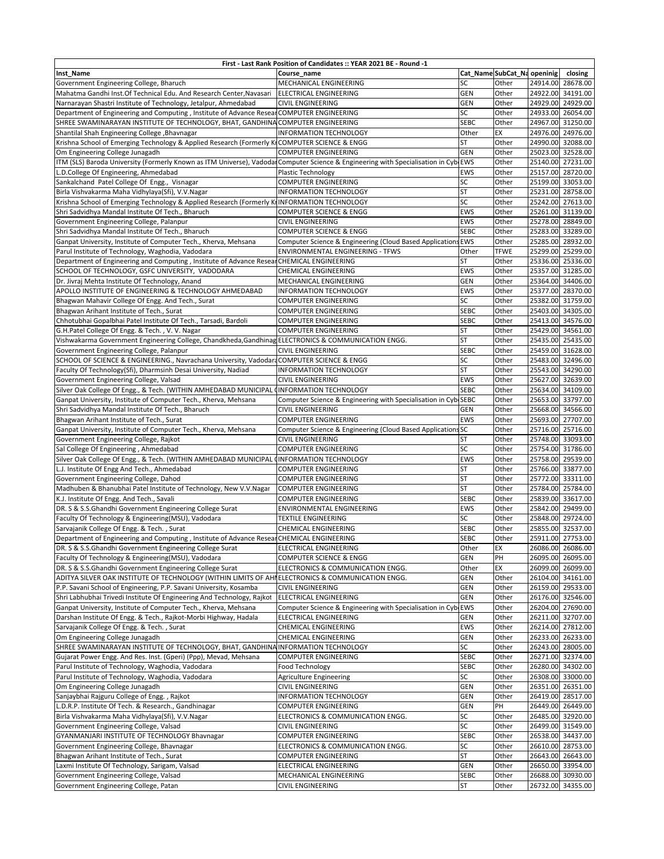| First - Last Rank Position of Candidates :: YEAR 2021 BE - Round -1                                                                |                                                                                         |                      |                             |          |                                        |  |
|------------------------------------------------------------------------------------------------------------------------------------|-----------------------------------------------------------------------------------------|----------------------|-----------------------------|----------|----------------------------------------|--|
| Inst_Name                                                                                                                          | Course name                                                                             |                      | Cat_Name SubCat_Na openinig |          | closing                                |  |
| Government Engineering College, Bharuch                                                                                            | MECHANICAL ENGINEERING                                                                  | SC                   | Other                       |          | 24914.00 28678.00                      |  |
| Mahatma Gandhi Inst.Of Technical Edu. And Research Center, Navasari                                                                | <b>ELECTRICAL ENGINEERING</b>                                                           | <b>GEN</b>           | Other                       |          | 24922.00 34191.00                      |  |
| Narnarayan Shastri Institute of Technology, Jetalpur, Ahmedabad                                                                    | CIVIL ENGINEERING                                                                       | <b>GEN</b>           | Other                       |          | 24929.00 24929.00                      |  |
| Department of Engineering and Computing, Institute of Advance Resear                                                               | <b>COMPUTER ENGINEERING</b>                                                             | SC                   | Other                       |          | 24933.00 26054.00                      |  |
| SHREE SWAMINARAYAN INSTITUTE OF TECHNOLOGY, BHAT, GANDHINA COMPUTER ENGINEERING<br>Shantilal Shah Engineering College, Bhavnagar   | <b>INFORMATION TECHNOLOGY</b>                                                           | <b>SEBC</b><br>Other | Other<br>EX                 | 24976.00 | 24967.00 31250.00<br>24976.00          |  |
| Krishna School of Emerging Technology & Applied Research (Formerly KrCOMPUTER SCIENCE & ENGG                                       |                                                                                         | <b>ST</b>            | Other                       |          | 24990.00 32088.00                      |  |
| Om Engineering College Junagadh                                                                                                    | COMPUTER ENGINEERING                                                                    | GEN                  | Other                       |          | 25023.00 32528.00                      |  |
| ITM (SLS) Baroda University (Formerly Known as ITM Universe), VadodarComputer Science & Engineering with Specialisation in CybrEWS |                                                                                         |                      | Other                       |          | 25140.00 27231.00                      |  |
| L.D.College Of Engineering, Ahmedabad                                                                                              | <b>Plastic Technology</b>                                                               | <b>EWS</b>           | Other                       |          | 25157.00 28720.00                      |  |
| Sankalchand Patel College Of Engg., Visnagar                                                                                       | COMPUTER ENGINEERING                                                                    | SC                   | Other                       |          | 25199.00 33053.00                      |  |
| Birla Vishvakarma Maha Vidhylaya(Sfi), V.V.Nagar                                                                                   | INFORMATION TECHNOLOGY                                                                  | <b>ST</b>            | Other                       |          | 25231.00 28758.00                      |  |
| Krishna School of Emerging Technology & Applied Research (Formerly KIINFORMATION TECHNOLOGY                                        |                                                                                         | SC                   | Other                       |          | 25242.00 27613.00                      |  |
| Shri Sadvidhya Mandal Institute Of Tech., Bharuch                                                                                  | COMPUTER SCIENCE & ENGG                                                                 | <b>EWS</b>           | Other                       |          | 25261.00 31139.00                      |  |
| Government Engineering College, Palanpur                                                                                           | CIVIL ENGINEERING                                                                       | EWS                  | Other                       |          | 25278.00 28849.00                      |  |
| Shri Sadvidhya Mandal Institute Of Tech., Bharuch                                                                                  | COMPUTER SCIENCE & ENGG                                                                 | <b>SEBC</b>          | Other                       |          | 25283.00 33289.00                      |  |
| Ganpat University, Institute of Computer Tech., Kherva, Mehsana                                                                    | Computer Science & Engineering (Cloud Based Applications EWS                            |                      | Other                       |          | 25285.00 28932.00                      |  |
| Parul Institute of Technology, Waghodia, Vadodara                                                                                  | ENVIRONMENTAL ENGINEERING - TFWS                                                        | Other                | <b>TFWE</b>                 |          | 25299.00 25299.00                      |  |
| Department of Engineering and Computing, Institute of Advance ResearCHEMICAL ENGINEERING                                           |                                                                                         | ST                   | Other                       |          | 25336.00 25336.00                      |  |
| SCHOOL OF TECHNOLOGY, GSFC UNIVERSITY, VADODARA                                                                                    | CHEMICAL ENGINEERING                                                                    | <b>EWS</b>           | Other<br>Other              |          | 25357.00 31285.00                      |  |
| Dr. Jivraj Mehta Institute Of Technology, Anand<br>APOLLO INSTITUTE OF ENGINEERING & TECHNOLOGY AHMEDABAD                          | MECHANICAL ENGINEERING<br><b>INFORMATION TECHNOLOGY</b>                                 | <b>GEN</b><br>EWS    | Other                       |          | 25364.00 34406.00<br>25377.00 28370.00 |  |
| Bhagwan Mahavir College Of Engg. And Tech., Surat                                                                                  | COMPUTER ENGINEERING                                                                    | SC                   | Other                       |          | 25382.00 31759.00                      |  |
| Bhagwan Arihant Institute of Tech., Surat                                                                                          | COMPUTER ENGINEERING                                                                    | <b>SEBC</b>          | Other                       |          | 25403.00 34305.00                      |  |
| Chhotubhai Gopalbhai Patel Institute Of Tech., Tarsadi, Bardoli                                                                    | <b>COMPUTER ENGINEERING</b>                                                             | <b>SEBC</b>          | Other                       |          | 25413.00 34576.00                      |  |
| G.H.Patel College Of Engg. & Tech., V.V. Nagar                                                                                     | <b>COMPUTER ENGINEERING</b>                                                             | <b>ST</b>            | Other                       |          | 25429.00 34561.00                      |  |
| Vishwakarma Government Engineering College, Chandkheda, Gandhinag ELECTRONICS & COMMUNICATION ENGG.                                |                                                                                         | <b>ST</b>            | Other                       |          | 25435.00 25435.00                      |  |
| Government Engineering College, Palanpur                                                                                           | CIVIL ENGINEERING                                                                       | <b>SEBC</b>          | Other                       |          | 25459.00 31628.00                      |  |
| SCHOOL OF SCIENCE & ENGINEERING., Navrachana University, Vadodard COMPUTER SCIENCE & ENGG                                          |                                                                                         | SC                   | Other                       |          | 25483.00 32496.00                      |  |
| Faculty Of Technology(Sfi), Dharmsinh Desai University, Nadiad                                                                     | <b>INFORMATION TECHNOLOGY</b>                                                           | <b>ST</b>            | Other                       |          | 25543.00 34290.00                      |  |
| Government Engineering College, Valsad                                                                                             | CIVIL ENGINEERING                                                                       | EWS                  | Other                       |          | 25627.00 32639.00                      |  |
| Silver Oak College Of Engg., & Tech. (WITHIN AMHEDABAD MUNICIPAL CINFORMATION TECHNOLOGY                                           |                                                                                         | <b>SEBC</b>          | Other                       |          | 25634.00 34109.00                      |  |
| Ganpat University, Institute of Computer Tech., Kherva, Mehsana                                                                    | Computer Science & Engineering with Specialisation in Cyb SEBC                          |                      | Other                       |          | 25653.00 33797.00                      |  |
| Shri Sadvidhya Mandal Institute Of Tech., Bharuch                                                                                  | <b>CIVIL ENGINEERING</b>                                                                | <b>GEN</b>           | Other                       |          | 25668.00 34566.00                      |  |
| Bhagwan Arihant Institute of Tech., Surat                                                                                          | <b>COMPUTER ENGINEERING</b>                                                             | <b>EWS</b>           | Other                       |          | 25693.00 27707.00                      |  |
| Ganpat University, Institute of Computer Tech., Kherva, Mehsana<br>Government Engineering College, Rajkot                          | Computer Science & Engineering (Cloud Based Applications SC<br><b>CIVIL ENGINEERING</b> | <b>ST</b>            | Other<br>Other              |          | 25716.00 25716.00<br>25748.00 33093.00 |  |
| Sal College Of Engineering, Ahmedabad                                                                                              | <b>COMPUTER ENGINEERING</b>                                                             | SC                   | Other                       |          | 25754.00 31786.00                      |  |
| Silver Oak College Of Engg., & Tech. (WITHIN AMHEDABAD MUNICIPAL CINFORMATION TECHNOLOGY                                           |                                                                                         | <b>EWS</b>           | Other                       |          | 25758.00 29539.00                      |  |
| L.J. Institute Of Engg And Tech., Ahmedabad                                                                                        | COMPUTER ENGINEERING                                                                    | <b>ST</b>            | Other                       |          | 25766.00 33877.00                      |  |
| Government Engineering College, Dahod                                                                                              | COMPUTER ENGINEERING                                                                    | <b>ST</b>            | Other                       |          | 25772.00 33311.00                      |  |
| Madhuben & Bhanubhai Patel Institute of Technology, New V.V.Nagar                                                                  | <b>COMPUTER ENGINEERING</b>                                                             | <b>ST</b>            | Other                       |          | 25784.00 25784.00                      |  |
| K.J. Institute Of Engg. And Tech., Savali                                                                                          | COMPUTER ENGINEERING                                                                    | <b>SEBC</b>          | Other                       |          | 25839.00 33617.00                      |  |
| DR. S & S.S.Ghandhi Government Engineering College Surat                                                                           | ENVIRONMENTAL ENGINEERING                                                               | <b>EWS</b>           | Other                       |          | 25842.00 29499.00                      |  |
| Faculty Of Technology & Engineering(MSU), Vadodara                                                                                 | <b>TEXTILE ENGINEERING</b>                                                              | SC                   | Other                       |          | 25848.00 29724.00                      |  |
| Sarvajanik College Of Engg. & Tech., Surat                                                                                         | <b>CHEMICAL ENGINEERING</b>                                                             | <b>SEBC</b>          | Other                       |          | 25855.00 32537.00                      |  |
| Department of Engineering and Computing, Institute of Advance ResearCHEMICAL ENGINEERING                                           |                                                                                         | <b>SEBC</b>          | Other                       |          | 25911.00 27753.00                      |  |
| DR. S & S.S.Ghandhi Government Engineering College Surat<br>Faculty Of Technology & Engineering(MSU), Vadodara                     | ELECTRICAL ENGINEERING<br>COMPUTER SCIENCE & ENGG                                       | Other<br><b>GEN</b>  | EX<br>PH                    |          | 26086.00 26086.00<br>26095.00 26095.00 |  |
| DR. S & S.S.Ghandhi Government Engineering College Surat                                                                           | ELECTRONICS & COMMUNICATION ENGG.                                                       | Other                | EX                          |          | 26099.00 26099.00                      |  |
| ADITYA SILVER OAK INSTITUTE OF TECHNOLOGY (WITHIN LIMITS OF AHIELECTRONICS & COMMUNICATION ENGG.                                   |                                                                                         | GEN                  | Other                       |          | 26104.00 34161.00                      |  |
| P.P. Savani School of Engineering, P.P. Savani University, Kosamba                                                                 | <b>CIVIL ENGINEERING</b>                                                                | GEN                  | Other                       |          | 26159.00 29533.00                      |  |
| Shri Labhubhai Trivedi Institute Of Engineering And Technology, Rajkot                                                             | <b>ELECTRICAL ENGINEERING</b>                                                           | GEN                  | Other                       |          | 26176.00 32546.00                      |  |
| Ganpat University, Institute of Computer Tech., Kherva, Mehsana                                                                    | Computer Science & Engineering with Specialisation in Cyb                               | <b>EWS</b>           | Other                       |          | 26204.00 27690.00                      |  |
| Darshan Institute Of Engg. & Tech., Rajkot-Morbi Highway, Hadala                                                                   | ELECTRICAL ENGINEERING                                                                  | GEN                  | Other                       |          | 26211.00 32707.00                      |  |
| Sarvajanik College Of Engg. & Tech., Surat                                                                                         | CHEMICAL ENGINEERING                                                                    | <b>EWS</b>           | Other                       |          | 26214.00 27812.00                      |  |
| Om Engineering College Junagadh                                                                                                    | CHEMICAL ENGINEERING                                                                    | GEN                  | Other                       |          | 26233.00 26233.00                      |  |
| SHREE SWAMINARAYAN INSTITUTE OF TECHNOLOGY, BHAT, GANDHINA INFORMATION TECHNOLOGY                                                  |                                                                                         | SC                   | Other                       |          | 26243.00 28005.00                      |  |
| Gujarat Power Engg. And Res. Inst. (Gperi) (Ppp), Mevad, Mehsana                                                                   | COMPUTER ENGINEERING                                                                    | <b>SEBC</b>          | Other                       |          | 26271.00 32374.00                      |  |
| Parul Institute of Technology, Waghodia, Vadodara<br>Parul Institute of Technology, Waghodia, Vadodara                             | Food Technology                                                                         | <b>SEBC</b><br>SC    | Other                       |          | 26280.00 34302.00<br>26308.00 33000.00 |  |
| Om Engineering College Junagadh                                                                                                    | Agriculture Engineering<br><b>CIVIL ENGINEERING</b>                                     | <b>GEN</b>           | Other<br>Other              |          | 26351.00 26351.00                      |  |
| Sanjaybhai Rajguru College of Engg., Rajkot                                                                                        | INFORMATION TECHNOLOGY                                                                  | GEN                  | Other                       |          | 26419.00 28517.00                      |  |
| L.D.R.P. Institute Of Tech. & Research., Gandhinagar                                                                               | COMPUTER ENGINEERING                                                                    | <b>GEN</b>           | PH                          |          | 26449.00 26449.00                      |  |
| Birla Vishvakarma Maha Vidhylaya(Sfi), V.V.Nagar                                                                                   | ELECTRONICS & COMMUNICATION ENGG.                                                       | SC                   | Other                       |          | 26485.00 32920.00                      |  |
| Government Engineering College, Valsad                                                                                             | CIVIL ENGINEERING                                                                       | SC                   | Other                       |          | 26499.00 31549.00                      |  |
| GYANMANJARI INSTITUTE OF TECHNOLOGY Bhavnagar                                                                                      | COMPUTER ENGINEERING                                                                    | <b>SEBC</b>          | Other                       |          | 26538.00 34437.00                      |  |
| Government Engineering College, Bhavnagar                                                                                          | ELECTRONICS & COMMUNICATION ENGG.                                                       | SC                   | Other                       |          | 26610.00 28753.00                      |  |
| Bhagwan Arihant Institute of Tech., Surat                                                                                          | COMPUTER ENGINEERING                                                                    | <b>ST</b>            | Other                       |          | 26643.00 26643.00                      |  |
| Laxmi Institute Of Technology, Sarigam, Valsad                                                                                     | ELECTRICAL ENGINEERING                                                                  | GEN                  | Other                       |          | 26650.00 33954.00                      |  |
| Government Engineering College, Valsad                                                                                             | MECHANICAL ENGINEERING                                                                  | <b>SEBC</b>          | Other                       |          | 26688.00 30930.00                      |  |
| Government Engineering College, Patan                                                                                              | CIVIL ENGINEERING                                                                       | <b>ST</b>            | Other                       |          | 26732.00 34355.00                      |  |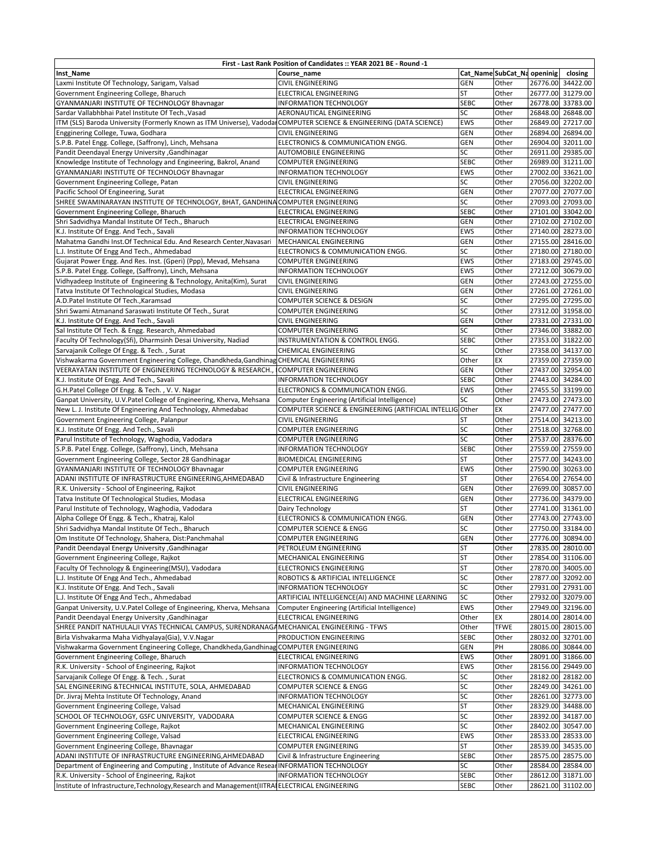| First - Last Rank Position of Candidates :: YEAR 2021 BE - Round -1                                                |                                                     |             |                             |          |                   |  |
|--------------------------------------------------------------------------------------------------------------------|-----------------------------------------------------|-------------|-----------------------------|----------|-------------------|--|
| Inst_Name                                                                                                          | Course_name                                         |             | Cat_Name SubCat_Na openinig |          | closing           |  |
| Laxmi Institute Of Technology, Sarigam, Valsad                                                                     | <b>CIVIL ENGINEERING</b>                            | GEN         | Other                       |          | 26776.00 34422.00 |  |
| Government Engineering College, Bharuch                                                                            | <b>ELECTRICAL ENGINEERING</b>                       | <b>ST</b>   | Other                       |          | 26777.00 31279.00 |  |
| GYANMANJARI INSTITUTE OF TECHNOLOGY Bhavnagar                                                                      | <b>INFORMATION TECHNOLOGY</b>                       | <b>SEBC</b> | Other                       |          | 26778.00 33783.00 |  |
| Sardar Vallabhbhai Patel Institute Of Tech., Vasad                                                                 | AERONAUTICAL ENGINEERING                            | SC          | Other                       |          | 26848.00 26848.00 |  |
| ITM (SLS) Baroda University (Formerly Known as ITM Universe), VadodarCOMPUTER SCIENCE & ENGINEERING (DATA SCIENCE) |                                                     | EWS         | Other                       |          | 26849.00 27217.00 |  |
| Engginering College, Tuwa, Godhara                                                                                 | <b>CIVIL ENGINEERING</b>                            | GEN         | Other                       |          | 26894.00 26894.00 |  |
| S.P.B. Patel Engg. College, (Saffrony), Linch, Mehsana                                                             | ELECTRONICS & COMMUNICATION ENGG.                   | <b>GEN</b>  | Other                       |          | 26904.00 32011.00 |  |
| Pandit Deendayal Energy University , Gandhinagar                                                                   | AUTOMOBILE ENGINEERING                              | SC          | Other                       |          | 26911.00 29385.00 |  |
| Knowledge Institute of Technology and Engineering, Bakrol, Anand                                                   | COMPUTER ENGINEERING                                | <b>SEBC</b> | Other                       |          | 26989.00 31211.00 |  |
| GYANMANJARI INSTITUTE OF TECHNOLOGY Bhavnagar                                                                      | <b>INFORMATION TECHNOLOGY</b>                       | EWS         | Other                       |          | 27002.00 33621.00 |  |
| Government Engineering College, Patan                                                                              | <b>CIVIL ENGINEERING</b>                            | SC          | Other                       |          | 27056.00 32202.00 |  |
| Pacific School Of Engineering, Surat                                                                               | <b>ELECTRICAL ENGINEERING</b>                       | GEN         | Other                       | 27077.00 | 27077.00          |  |
| SHREE SWAMINARAYAN INSTITUTE OF TECHNOLOGY, BHAT, GANDHINA COMPUTER ENGINEERING                                    |                                                     | SC          | Other                       |          | 27093.00 27093.00 |  |
| Government Engineering College, Bharuch                                                                            | ELECTRICAL ENGINEERING                              | <b>SEBC</b> | Other                       |          | 27101.00 33042.00 |  |
| Shri Sadvidhya Mandal Institute Of Tech., Bharuch                                                                  | ELECTRICAL ENGINEERING                              | <b>GEN</b>  | Other                       |          | 27102.00 27102.00 |  |
| K.J. Institute Of Engg. And Tech., Savali                                                                          | <b>INFORMATION TECHNOLOGY</b>                       | <b>EWS</b>  | Other                       |          | 27140.00 28273.00 |  |
| Mahatma Gandhi Inst.Of Technical Edu. And Research Center, Navasari                                                | MECHANICAL ENGINEERING                              | <b>GEN</b>  | Other                       |          | 27155.00 28416.00 |  |
| L.J. Institute Of Engg And Tech., Ahmedabad                                                                        | ELECTRONICS & COMMUNICATION ENGG.                   | SC          | Other                       |          | 27180.00 27180.00 |  |
| Gujarat Power Engg. And Res. Inst. (Gperi) (Ppp), Mevad, Mehsana                                                   | <b>COMPUTER ENGINEERING</b>                         | EWS         | Other                       |          | 27183.00 29745.00 |  |
| S.P.B. Patel Engg. College, (Saffrony), Linch, Mehsana                                                             | <b>INFORMATION TECHNOLOGY</b>                       | EWS         | Other                       |          | 27212.00 30679.00 |  |
|                                                                                                                    | <b>CIVIL ENGINEERING</b>                            | GEN         |                             |          | 27243.00 27255.00 |  |
| Vidhyadeep Institute of Engineering & Technology, Anita(Kim), Surat                                                |                                                     |             | Other                       |          |                   |  |
| Tatva Institute Of Technological Studies, Modasa                                                                   | <b>CIVIL ENGINEERING</b>                            | GEN         | Other                       |          | 27261.00 27261.00 |  |
| A.D.Patel Institute Of Tech., Karamsad                                                                             | COMPUTER SCIENCE & DESIGN                           | SC          | Other                       |          | 27295.00 27295.00 |  |
| Shri Swami Atmanand Saraswati Institute Of Tech., Surat                                                            | <b>COMPUTER ENGINEERING</b>                         | SC          | Other                       |          | 27312.00 31958.00 |  |
| K.J. Institute Of Engg. And Tech., Savali                                                                          | <b>CIVIL ENGINEERING</b>                            | GEN         | Other                       |          | 27331.00 27331.00 |  |
| Sal Institute Of Tech. & Engg. Research, Ahmedabad                                                                 | <b>COMPUTER ENGINEERING</b>                         | SC          | Other                       |          | 27346.00 33882.00 |  |
| Faculty Of Technology(Sfi), Dharmsinh Desai University, Nadiad                                                     | INSTRUMENTATION & CONTROL ENGG.                     | <b>SEBC</b> | Other                       |          | 27353.00 31822.00 |  |
| Sarvajanik College Of Engg. & Tech., Surat                                                                         | <b>CHEMICAL ENGINEERING</b>                         | SC          | Other                       |          | 27358.00 34137.00 |  |
| Vishwakarma Government Engineering College, Chandkheda, Gandhinag CHEMICAL ENGINEERING                             |                                                     | Other       | EX                          |          | 27359.00 27359.00 |  |
| VEERAYATAN INSTITUTE OF ENGINEERING TECHNOLOGY & RESEARCH.                                                         | <b>COMPUTER ENGINEERING</b>                         | GEN         | Other                       |          | 27437.00 32954.00 |  |
| K.J. Institute Of Engg. And Tech., Savali                                                                          | <b>INFORMATION TECHNOLOGY</b>                       | <b>SEBC</b> | Other                       |          | 27443.00 34284.00 |  |
| G.H.Patel College Of Engg. & Tech., V.V. Nagar                                                                     | ELECTRONICS & COMMUNICATION ENGG.                   | EWS         | Other                       |          | 27455.50 33199.00 |  |
| Ganpat University, U.V.Patel College of Engineering, Kherva, Mehsana                                               | Computer Engineering (Artificial Intelligence)      | SC          | Other                       |          | 27473.00 27473.00 |  |
| New L. J. Institute Of Engineering And Technology, Ahmedabad                                                       | COMPUTER SCIENCE & ENGINEERING (ARTIFICIAL INTELLIG | Other       | EX                          |          | 27477.00 27477.00 |  |
| Government Engineering College, Palanpur                                                                           | <b>CIVIL ENGINEERING</b>                            | <b>ST</b>   | Other                       |          | 27514.00 34213.00 |  |
| K.J. Institute Of Engg. And Tech., Savali                                                                          | COMPUTER ENGINEERING                                | SC          | Other                       |          | 27518.00 32768.00 |  |
| Parul Institute of Technology, Waghodia, Vadodara                                                                  | COMPUTER ENGINEERING                                | SC          | Other                       | 27537.00 | 28376.00          |  |
| S.P.B. Patel Engg. College, (Saffrony), Linch, Mehsana                                                             | <b>INFORMATION TECHNOLOGY</b>                       | <b>SEBC</b> | Other                       |          | 27559.00 27559.00 |  |
| Government Engineering College, Sector 28 Gandhinagar                                                              | <b>BIOMEDICAL ENGINEERING</b>                       | <b>ST</b>   | Other                       |          | 27577.00 34243.00 |  |
| GYANMANJARI INSTITUTE OF TECHNOLOGY Bhavnagar                                                                      | <b>COMPUTER ENGINEERING</b>                         | EWS         | Other                       |          | 27590.00 30263.00 |  |
| ADANI INSTITUTE OF INFRASTRUCTURE ENGINEERING, AHMEDABAD                                                           | Civil & Infrastructure Engineering                  | <b>ST</b>   | Other                       |          | 27654.00 27654.00 |  |
| R.K. University - School of Engineering, Rajkot                                                                    | <b>CIVIL ENGINEERING</b>                            | <b>GEN</b>  | Other                       |          | 27699.00 30857.00 |  |
| Tatva Institute Of Technological Studies, Modasa                                                                   | <b>ELECTRICAL ENGINEERING</b>                       | GEN         | Other                       |          | 27736.00 34379.00 |  |
| Parul Institute of Technology, Waghodia, Vadodara                                                                  | Dairy Technology                                    | ST          | Other                       |          | 27741.00 31361.00 |  |
| Alpha College Of Engg. & Tech., Khatraj, Kalol                                                                     | ELECTRONICS & COMMUNICATION ENGG.                   | <b>GEN</b>  | Other                       |          | 27743.00 27743.00 |  |
| Shri Sadvidhya Mandal Institute Of Tech., Bharuch                                                                  | COMPUTER SCIENCE & ENGG                             | SC          | Other                       |          | 27750.00 33184.00 |  |
| Om Institute Of Technology, Shahera, Dist:Panchmahal                                                               | <b>COMPUTER ENGINEERING</b>                         | <b>GEN</b>  | Other                       |          | 27776.00 30894.00 |  |
| Pandit Deendayal Energy University , Gandhinagar                                                                   | PETROLEUM ENGINEERING                               | SΤ          | Other                       |          | 27835.00 28010.00 |  |
| Government Engineering College, Rajkot                                                                             | MECHANICAL ENGINEERING                              | <b>ST</b>   | Other                       |          | 27854.00 31106.00 |  |
| Faculty Of Technology & Engineering(MSU), Vadodara                                                                 | <b>ELECTRONICS ENGINEERING</b>                      | <b>ST</b>   | Other                       |          | 27870.00 34005.00 |  |
| L.J. Institute Of Engg And Tech., Ahmedabad                                                                        | ROBOTICS & ARTIFICIAL INTELLIGENCE                  | SC          | Other                       |          | 27877.00 32092.00 |  |
| K.J. Institute Of Engg. And Tech., Savali                                                                          | <b>INFORMATION TECHNOLOGY</b>                       | SC          | Other                       |          | 27931.00 27931.00 |  |
| L.J. Institute Of Engg And Tech., Ahmedabad                                                                        | ARTIFICIAL INTELLIGENCE(AI) AND MACHINE LEARNING    | SC          | Other                       |          | 27932.00 32079.00 |  |
| Ganpat University, U.V.Patel College of Engineering, Kherva, Mehsana                                               | Computer Engineering (Artificial Intelligence)      | EWS         | Other                       |          | 27949.00 32196.00 |  |
| Pandit Deendayal Energy University , Gandhinagar                                                                   | ELECTRICAL ENGINEERING                              | Other       | EX                          |          | 28014.00 28014.00 |  |
| SHREE PANDIT NATHULALJI VYAS TECHNICAL CAMPUS, SURENDRANAGAMECHANICAL ENGINEERING - TFWS                           |                                                     | Other       | <b>TFWE</b>                 |          | 28015.00 28015.00 |  |
| Birla Vishvakarma Maha Vidhyalaya(Gia), V.V.Nagar                                                                  | PRODUCTION ENGINEERING                              | <b>SEBC</b> | Other                       |          | 28032.00 32701.00 |  |
| Vishwakarma Government Engineering College, Chandkheda, Gandhinag COMPUTER ENGINEERING                             |                                                     | GEN         | PH                          |          | 28086.00 30844.00 |  |
| Government Engineering College, Bharuch                                                                            | ELECTRICAL ENGINEERING                              | EWS         | Other                       |          | 28091.00 31866.00 |  |
| R.K. University - School of Engineering, Rajkot                                                                    | <b>INFORMATION TECHNOLOGY</b>                       | EWS         | Other                       |          | 28156.00 29449.00 |  |
| Sarvajanik College Of Engg. & Tech., Surat                                                                         | ELECTRONICS & COMMUNICATION ENGG.                   | SC          | Other                       |          | 28182.00 28182.00 |  |
| SAL ENGINEERING & TECHNICAL INSTITUTE, SOLA, AHMEDABAD                                                             | COMPUTER SCIENCE & ENGG                             | SC          | Other                       |          | 28249.00 34261.00 |  |
|                                                                                                                    |                                                     | SC          |                             |          |                   |  |
| Dr. Jivraj Mehta Institute Of Technology, Anand                                                                    | INFORMATION TECHNOLOGY                              |             | Other                       |          | 28261.00 32773.00 |  |
| Government Engineering College, Valsad                                                                             | MECHANICAL ENGINEERING                              | <b>ST</b>   | Other                       |          | 28329.00 34488.00 |  |
| SCHOOL OF TECHNOLOGY, GSFC UNIVERSITY, VADODARA                                                                    | COMPUTER SCIENCE & ENGG                             | SC          | Other                       |          | 28392.00 34187.00 |  |
| Government Engineering College, Rajkot                                                                             | MECHANICAL ENGINEERING                              | SC          | Other                       |          | 28402.00 30547.00 |  |
| Government Engineering College, Valsad                                                                             | ELECTRICAL ENGINEERING                              | EWS         | Other                       |          | 28533.00 28533.00 |  |
| Government Engineering College, Bhavnagar                                                                          | COMPUTER ENGINEERING                                | <b>ST</b>   | Other                       |          | 28539.00 34535.00 |  |
| ADANI INSTITUTE OF INFRASTRUCTURE ENGINEERING, AHMEDABAD                                                           | Civil & Infrastructure Engineering                  | <b>SEBC</b> | Other                       |          | 28575.00 28575.00 |  |
| Department of Engineering and Computing, Institute of Advance Resear INFORMATION TECHNOLOGY                        |                                                     | SC          | Other                       |          | 28584.00 28584.00 |  |
| R.K. University - School of Engineering, Rajkot                                                                    | INFORMATION TECHNOLOGY                              | <b>SEBC</b> | Other                       |          | 28612.00 31871.00 |  |
| Institute of Infrastructure, Technology, Research and Management (IITRAIELECTRICAL ENGINEERING                     |                                                     | <b>SEBC</b> | Other                       |          | 28621.00 31102.00 |  |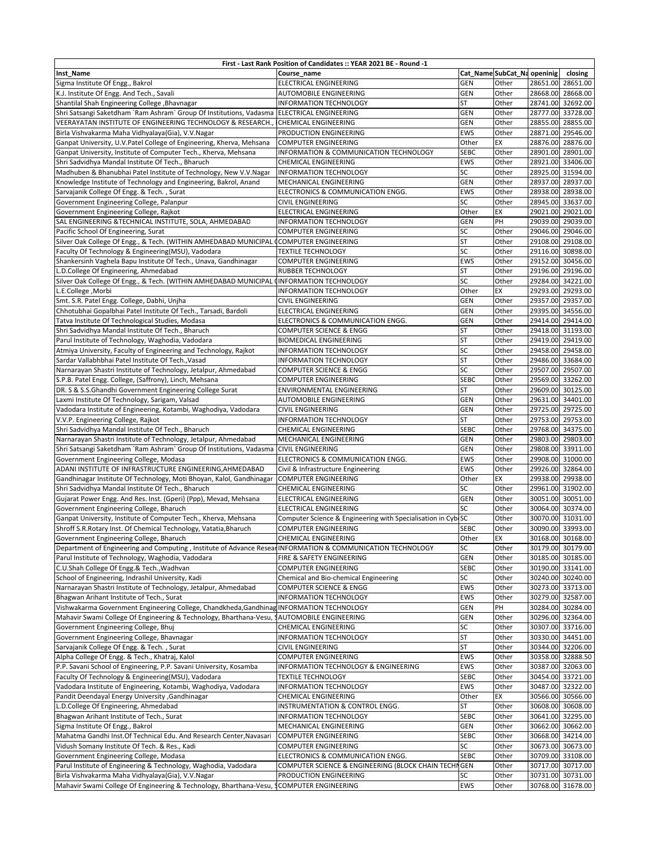| First - Last Rank Position of Candidates :: YEAR 2021 BE - Round -1                                         |                                                              |             |                             |          |                   |  |
|-------------------------------------------------------------------------------------------------------------|--------------------------------------------------------------|-------------|-----------------------------|----------|-------------------|--|
| Inst Name                                                                                                   | Course name                                                  |             | Cat_Name SubCat_Na openinig |          | closing           |  |
| Sigma Institute Of Engg., Bakrol                                                                            | ELECTRICAL ENGINEERING                                       | <b>GEN</b>  | Other                       |          | 28651.00 28651.00 |  |
| K.J. Institute Of Engg. And Tech., Savali                                                                   | AUTOMOBILE ENGINEERING                                       | GEN         | Other                       |          | 28668.00 28668.00 |  |
| Shantilal Shah Engineering College, Bhavnagar                                                               | <b>INFORMATION TECHNOLOGY</b>                                | ST          | Other                       |          | 28741.00 32692.00 |  |
| Shri Satsangi Saketdham `Ram Ashram` Group Of Institutions, Vadasma                                         | <b>ELECTRICAL ENGINEERING</b>                                | GEN         | Other                       |          | 28777.00 33728.00 |  |
| VEERAYATAN INSTITUTE OF ENGINEERING TECHNOLOGY & RESEARCH.                                                  | <b>CHEMICAL ENGINEERING</b>                                  | GEN         | Other                       |          | 28855.00 28855.00 |  |
| Birla Vishvakarma Maha Vidhyalaya(Gia), V.V.Nagar                                                           | PRODUCTION ENGINEERING                                       | EWS         | Other                       |          | 28871.00 29546.00 |  |
| Ganpat University, U.V.Patel College of Engineering, Kherva, Mehsana                                        | <b>COMPUTER ENGINEERING</b>                                  | Other       | EX                          |          | 28876.00 28876.00 |  |
| Ganpat University, Institute of Computer Tech., Kherva, Mehsana                                             | <b>INFORMATION &amp; COMMUNICATION TECHNOLOGY</b>            | <b>SEBC</b> | Other                       | 28901.00 | 28901.00          |  |
| Shri Sadvidhya Mandal Institute Of Tech., Bharuch                                                           | CHEMICAL ENGINEERING                                         | <b>EWS</b>  | Other                       |          | 28921.00 33406.00 |  |
| Madhuben & Bhanubhai Patel Institute of Technology, New V.V.Nagar                                           | INFORMATION TECHNOLOGY                                       | SC          | Other                       |          | 28925.00 31594.00 |  |
| Knowledge Institute of Technology and Engineering, Bakrol, Anand                                            | MECHANICAL ENGINEERING                                       | <b>GEN</b>  | Other                       |          | 28937.00 28937.00 |  |
| Sarvajanik College Of Engg. & Tech., Surat                                                                  | ELECTRONICS & COMMUNICATION ENGG.                            | EWS         | Other                       |          | 28938.00 28938.00 |  |
| Government Engineering College, Palanpur                                                                    | <b>CIVIL ENGINEERING</b>                                     | SC          | Other                       |          | 28945.00 33637.00 |  |
| Government Engineering College, Rajkot                                                                      | <b>ELECTRICAL ENGINEERING</b>                                | Other       | EX                          |          | 29021.00 29021.00 |  |
| SAL ENGINEERING & TECHNICAL INSTITUTE, SOLA, AHMEDABAD                                                      | <b>INFORMATION TECHNOLOGY</b>                                | <b>GEN</b>  | PH                          |          | 29039.00 29039.00 |  |
| Pacific School Of Engineering, Surat                                                                        | <b>COMPUTER ENGINEERING</b>                                  | SC          | Other                       |          | 29046.00 29046.00 |  |
| Silver Oak College Of Engg., & Tech. (WITHIN AMHEDABAD MUNICIPAL CCOMPUTER ENGINEERING                      |                                                              | <b>ST</b>   | Other                       |          | 29108.00 29108.00 |  |
| Faculty Of Technology & Engineering(MSU), Vadodara                                                          | <b>TEXTILE TECHNOLOGY</b>                                    | SC          | Other                       |          | 29116.00 30898.00 |  |
| Shankersinh Vaghela Bapu Institute Of Tech., Unava, Gandhinagar                                             | <b>COMPUTER ENGINEERING</b>                                  | EWS         | Other                       |          | 29152.00 30456.00 |  |
| L.D.College Of Engineering, Ahmedabad                                                                       | <b>RUBBER TECHNOLOGY</b>                                     | <b>ST</b>   | Other                       |          | 29196.00 29196.00 |  |
| Silver Oak College Of Engg., & Tech. (WITHIN AMHEDABAD MUNICIPAL CINFORMATION TECHNOLOGY                    |                                                              | SC          | Other                       |          | 29284.00 34221.00 |  |
| L.E.College, Morbi                                                                                          | <b>INFORMATION TECHNOLOGY</b>                                | Other       | EX                          |          | 29293.00 29293.00 |  |
| Smt. S.R. Patel Engg. College, Dabhi, Unjha                                                                 | <b>CIVIL ENGINEERING</b>                                     | GEN         | Other                       |          | 29357.00 29357.00 |  |
| Chhotubhai Gopalbhai Patel Institute Of Tech., Tarsadi, Bardoli                                             | ELECTRICAL ENGINEERING                                       | GEN         | Other                       |          | 29395.00 34556.00 |  |
| Tatva Institute Of Technological Studies, Modasa                                                            | ELECTRONICS & COMMUNICATION ENGG.                            | GEN         | Other                       |          | 29414.00 29414.00 |  |
| Shri Sadvidhya Mandal Institute Of Tech., Bharuch                                                           | <b>COMPUTER SCIENCE &amp; ENGG</b>                           | <b>ST</b>   | Other                       |          | 29418.00 31193.00 |  |
| Parul Institute of Technology, Waghodia, Vadodara                                                           | <b>BIOMEDICAL ENGINEERING</b>                                | <b>ST</b>   | Other                       |          | 29419.00 29419.00 |  |
| Atmiya University, Faculty of Engineering and Technology, Rajkot                                            | <b>INFORMATION TECHNOLOGY</b>                                | SC          | Other                       |          | 29458.00 29458.00 |  |
| Sardar Vallabhbhai Patel Institute Of Tech., Vasad                                                          | <b>INFORMATION TECHNOLOGY</b>                                | <b>ST</b>   | Other                       |          | 29486.00 33684.00 |  |
| Narnarayan Shastri Institute of Technology, Jetalpur, Ahmedabad                                             | <b>COMPUTER SCIENCE &amp; ENGG</b>                           | SC          | Other                       |          | 29507.00 29507.00 |  |
| S.P.B. Patel Engg. College, (Saffrony), Linch, Mehsana                                                      | COMPUTER ENGINEERING                                         | <b>SEBC</b> | Other                       |          | 29569.00 33262.00 |  |
| DR. S & S.S.Ghandhi Government Engineering College Surat                                                    | ENVIRONMENTAL ENGINEERING                                    | <b>ST</b>   | Other                       |          | 29609.00 30125.00 |  |
| Laxmi Institute Of Technology, Sarigam, Valsad                                                              | <b>AUTOMOBILE ENGINEERING</b>                                | GEN         | Other                       |          | 29631.00 34401.00 |  |
| Vadodara Institute of Engineering, Kotambi, Waghodiya, Vadodara                                             | <b>CIVIL ENGINEERING</b>                                     | GEN         | Other                       | 29725.00 | 29725.00          |  |
| V.V.P. Engineering College, Rajkot                                                                          | <b>INFORMATION TECHNOLOGY</b>                                | <b>ST</b>   | Other                       | 29753.00 | 29753.00          |  |
| Shri Sadvidhya Mandal Institute Of Tech., Bharuch                                                           | CHEMICAL ENGINEERING                                         | <b>SEBC</b> | Other                       |          | 29768.00 34375.00 |  |
| Narnarayan Shastri Institute of Technology, Jetalpur, Ahmedabad                                             | MECHANICAL ENGINEERING                                       | <b>GEN</b>  | Other                       |          | 29803.00 29803.00 |  |
| Shri Satsangi Saketdham `Ram Ashram` Group Of Institutions, Vadasma                                         | <b>CIVIL ENGINEERING</b>                                     | <b>GEN</b>  | Other                       |          | 29808.00 33911.00 |  |
| Government Engineering College, Modasa                                                                      | ELECTRONICS & COMMUNICATION ENGG.                            | <b>EWS</b>  | Other                       |          | 29908.00 31000.00 |  |
| ADANI INSTITUTE OF INFRASTRUCTURE ENGINEERING, AHMEDABAD                                                    | Civil & Infrastructure Engineering                           | <b>EWS</b>  | Other                       |          | 29926.00 32864.00 |  |
| Gandhinagar Institute Of Technology, Moti Bhoyan, Kalol, Gandhinagar                                        | <b>COMPUTER ENGINEERING</b>                                  | Other       | EX                          |          | 29938.00 29938.00 |  |
| Shri Sadvidhya Mandal Institute Of Tech., Bharuch                                                           | <b>CHEMICAL ENGINEERING</b>                                  | SC          | Other                       |          | 29961.00 31902.00 |  |
| Gujarat Power Engg. And Res. Inst. (Gperi) (Ppp), Mevad, Mehsana                                            | ELECTRICAL ENGINEERING                                       | <b>GEN</b>  | Other                       |          | 30051.00 30051.00 |  |
| Government Engineering College, Bharuch                                                                     | ELECTRICAL ENGINEERING                                       | SC          | Other                       |          | 30064.00 30374.00 |  |
| Ganpat University, Institute of Computer Tech., Kherva, Mehsana                                             | Computer Science & Engineering with Specialisation in Cyb SC |             | Other                       |          | 30070.00 31031.00 |  |
| Shroff S.R.Rotary Inst. Of Chemical Technology, Vatatia, Bharuch                                            | COMPUTER ENGINEERING                                         | <b>SEBC</b> | Other                       |          | 30090.00 33993.00 |  |
| Government Engineering College, Bharuch                                                                     | <b>CHEMICAL ENGINEERING</b>                                  | Other       | EX                          |          | 30168.00 30168.00 |  |
| Department of Engineering and Computing, Institute of Advance Resear INFORMATION & COMMUNICATION TECHNOLOGY |                                                              | SC          | Other                       |          | 30179.00 30179.00 |  |
| Parul Institute of Technology, Waghodia, Vadodara                                                           | FIRE & SAFETY ENGINEERING                                    | <b>GEN</b>  | Other                       |          | 30185.00 30185.00 |  |
| C.U.Shah College Of Engg.& Tech., Wadhvan                                                                   | <b>COMPUTER ENGINEERING</b>                                  | <b>SEBC</b> | Other                       |          | 30190.00 33141.00 |  |
| School of Engineering, Indrashil University, Kadi                                                           | Chemical and Bio-chemical Engineering                        | SC          | Other                       |          | 30240.00 30240.00 |  |
| Narnarayan Shastri Institute of Technology, Jetalpur, Ahmedabad                                             | <b>COMPUTER SCIENCE &amp; ENGG</b>                           | <b>EWS</b>  | Other                       |          | 30273.00 33713.00 |  |
| Bhagwan Arihant Institute of Tech., Surat                                                                   | <b>INFORMATION TECHNOLOGY</b>                                | EWS         | Other                       |          | 30279.00 32587.00 |  |
| Vishwakarma Government Engineering College, Chandkheda, Gandhinag INFORMATION TECHNOLOGY                    |                                                              | GEN         | PH                          |          | 30284.00 30284.00 |  |
| Mahavir Swami College Of Engineering & Technology, Bharthana-Vesu,                                          | SAUTOMOBILE ENGINEERING                                      | <b>GEN</b>  | Other                       |          | 30296.00 32364.00 |  |
| Government Engineering College, Bhuj                                                                        | CHEMICAL ENGINEERING                                         | SC          | Other                       |          | 30307.00 33716.00 |  |
| Government Engineering College, Bhavnagar                                                                   | <b>INFORMATION TECHNOLOGY</b>                                | ST          | Other                       |          | 30330.00 34451.00 |  |
| Sarvajanik College Of Engg. & Tech., Surat                                                                  | <b>CIVIL ENGINEERING</b>                                     | <b>ST</b>   | Other                       |          | 30344.00 32206.00 |  |
| Alpha College Of Engg. & Tech., Khatraj, Kalol                                                              | COMPUTER ENGINEERING                                         | EWS         | Other                       |          | 30358.00 32888.50 |  |
| P.P. Savani School of Engineering, P.P. Savani University, Kosamba                                          | INFORMATION TECHNOLOGY & ENGINEERING                         | EWS         | Other                       |          | 30387.00 32063.00 |  |
| Faculty Of Technology & Engineering(MSU), Vadodara                                                          | <b>TEXTILE TECHNOLOGY</b>                                    | <b>SEBC</b> | Other                       |          | 30454.00 33721.00 |  |
| Vadodara Institute of Engineering, Kotambi, Waghodiya, Vadodara                                             | <b>INFORMATION TECHNOLOGY</b>                                | EWS         | Other                       |          | 30487.00 32322.00 |  |
| Pandit Deendayal Energy University , Gandhinagar                                                            | CHEMICAL ENGINEERING                                         | Other       | EX                          |          | 30566.00 30566.00 |  |
| L.D.College Of Engineering, Ahmedabad                                                                       | INSTRUMENTATION & CONTROL ENGG.                              | <b>ST</b>   | Other                       |          | 30608.00 30608.00 |  |
| Bhagwan Arihant Institute of Tech., Surat                                                                   | <b>INFORMATION TECHNOLOGY</b>                                | <b>SEBC</b> | Other                       |          | 30641.00 32295.00 |  |
| Sigma Institute Of Engg., Bakrol                                                                            | MECHANICAL ENGINEERING                                       | GEN         | Other                       |          | 30662.00 30662.00 |  |
| Mahatma Gandhi Inst.Of Technical Edu. And Research Center, Navasari                                         | COMPUTER ENGINEERING                                         | <b>SEBC</b> | Other                       |          | 30668.00 34214.00 |  |
| Vidush Somany Institute Of Tech. & Res., Kadi                                                               | <b>COMPUTER ENGINEERING</b>                                  | SC          | Other                       |          | 30673.00 30673.00 |  |
| Government Engineering College, Modasa                                                                      | ELECTRONICS & COMMUNICATION ENGG.                            | <b>SEBC</b> | Other                       |          | 30709.00 33108.00 |  |
| Parul Institute of Engineering & Technology, Waghodia, Vadodara                                             | COMPUTER SCIENCE & ENGINEERING (BLOCK CHAIN TECH             | NGEN        | Other                       |          | 30717.00 30717.00 |  |
| Birla Vishvakarma Maha Vidhyalaya(Gia), V.V.Nagar                                                           | PRODUCTION ENGINEERING                                       | SC          | Other                       |          | 30731.00 30731.00 |  |
| Mahavir Swami College Of Engineering & Technology, Bharthana-Vesu, SCOMPUTER ENGINEERING                    |                                                              | EWS         | Other                       |          | 30768.00 31678.00 |  |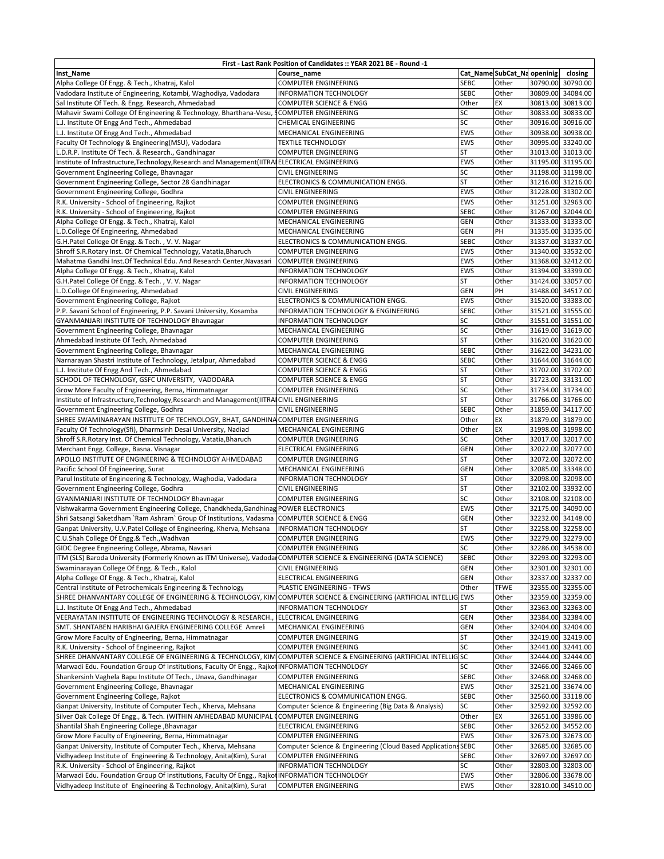| First - Last Rank Position of Candidates :: YEAR 2021 BE - Round -1                                                 |                                                         |             |                             |          |                                        |
|---------------------------------------------------------------------------------------------------------------------|---------------------------------------------------------|-------------|-----------------------------|----------|----------------------------------------|
| <b>Inst_Name</b>                                                                                                    | Course name                                             |             | Cat_Name SubCat_Na openinig |          | closing                                |
| Alpha College Of Engg. & Tech., Khatraj, Kalol                                                                      | <b>COMPUTER ENGINEERING</b>                             | <b>SEBC</b> | Other                       |          | 30790.00 30790.00                      |
| Vadodara Institute of Engineering, Kotambi, Waghodiya, Vadodara                                                     | <b>INFORMATION TECHNOLOGY</b>                           | <b>SEBC</b> | Other                       |          | 30809.00 34084.00                      |
| Sal Institute Of Tech. & Engg. Research, Ahmedabad                                                                  | COMPUTER SCIENCE & ENGG                                 | Other       | EX                          |          | 30813.00 30813.00                      |
| Mahavir Swami College Of Engineering & Technology, Bharthana-Vesu, SCOMPUTER ENGINEERING                            |                                                         | SC          | Other                       |          | 30833.00 30833.00                      |
| L.J. Institute Of Engg And Tech., Ahmedabad                                                                         | <b>CHEMICAL ENGINEERING</b>                             | SC          | Other                       |          | 30916.00 30916.00                      |
| L.J. Institute Of Engg And Tech., Ahmedabad                                                                         | MECHANICAL ENGINEERING                                  | EWS         | Other                       |          | 30938.00 30938.00                      |
| Faculty Of Technology & Engineering(MSU), Vadodara                                                                  | <b>TEXTILE TECHNOLOGY</b>                               | <b>EWS</b>  | Other                       |          | 30995.00 33240.00                      |
| L.D.R.P. Institute Of Tech. & Research., Gandhinagar                                                                | <b>COMPUTER ENGINEERING</b>                             | <b>ST</b>   | Other                       |          | 31013.00 31013.00                      |
| Institute of Infrastructure, Technology, Research and Management (IITRAIELECTRICAL ENGINEERING                      |                                                         | EWS         | Other                       |          | 31195.00 31195.00                      |
| Government Engineering College, Bhavnagar                                                                           | CIVIL ENGINEERING                                       | SC          | Other                       |          | 31198.00 31198.00                      |
| Government Engineering College, Sector 28 Gandhinagar                                                               | ELECTRONICS & COMMUNICATION ENGG.                       | <b>ST</b>   | Other                       |          | 31216.00 31216.00                      |
| Government Engineering College, Godhra                                                                              | <b>CIVIL ENGINEERING</b>                                | <b>EWS</b>  | Other                       |          | 31228.00 31302.00                      |
| R.K. University - School of Engineering, Rajkot                                                                     | <b>COMPUTER ENGINEERING</b>                             | <b>EWS</b>  | Other                       |          | 31251.00 32963.00                      |
| R.K. University - School of Engineering, Rajkot                                                                     | <b>COMPUTER ENGINEERING</b>                             | <b>SEBC</b> | Other                       |          | 31267.00 32044.00                      |
| Alpha College Of Engg. & Tech., Khatraj, Kalol                                                                      | MECHANICAL ENGINEERING                                  | <b>GEN</b>  | Other                       |          | 31333.00 31333.00                      |
| L.D.College Of Engineering, Ahmedabad                                                                               | MECHANICAL ENGINEERING                                  | GEN         | PH                          |          | 31335.00 31335.00                      |
| G.H.Patel College Of Engg. & Tech., V.V. Nagar                                                                      | ELECTRONICS & COMMUNICATION ENGG.                       | <b>SEBC</b> | Other                       |          | 31337.00 31337.00                      |
| Shroff S.R.Rotary Inst. Of Chemical Technology, Vatatia, Bharuch                                                    | <b>COMPUTER ENGINEERING</b>                             | EWS         | Other                       |          | 31340.00 33532.00                      |
| Mahatma Gandhi Inst.Of Technical Edu. And Research Center, Navasari                                                 | <b>COMPUTER ENGINEERING</b>                             | <b>EWS</b>  | Other                       |          | 31368.00 32412.00                      |
|                                                                                                                     | <b>INFORMATION TECHNOLOGY</b>                           | <b>EWS</b>  | Other                       |          |                                        |
| Alpha College Of Engg. & Tech., Khatraj, Kalol                                                                      |                                                         |             |                             |          | 31394.00 33399.00                      |
| G.H.Patel College Of Engg. & Tech., V.V. Nagar                                                                      | <b>INFORMATION TECHNOLOGY</b>                           | <b>ST</b>   | Other                       |          | 31424.00 33057.00<br>31488.00 34517.00 |
| L.D.College Of Engineering, Ahmedabad                                                                               | <b>CIVIL ENGINEERING</b>                                | <b>GEN</b>  | PH                          |          |                                        |
| Government Engineering College, Rajkot                                                                              | ELECTRONICS & COMMUNICATION ENGG.                       | <b>EWS</b>  | Other                       |          | 31520.00 33383.00                      |
| P.P. Savani School of Engineering, P.P. Savani University, Kosamba                                                  | <b>INFORMATION TECHNOLOGY &amp; ENGINEERING</b>         | <b>SEBC</b> | Other                       |          | 31521.00 31555.00                      |
| GYANMANJARI INSTITUTE OF TECHNOLOGY Bhavnagar                                                                       | <b>INFORMATION TECHNOLOGY</b>                           | SC          | Other                       |          | 31551.00 31551.00                      |
| Government Engineering College, Bhavnagar                                                                           | MECHANICAL ENGINEERING                                  | SC          | Other                       |          | 31619.00 31619.00                      |
| Ahmedabad Institute Of Tech, Ahmedabad                                                                              | <b>COMPUTER ENGINEERING</b>                             | <b>ST</b>   | Other                       |          | 31620.00 31620.00                      |
| Government Engineering College, Bhavnagar                                                                           | MECHANICAL ENGINEERING                                  | <b>SEBC</b> | Other                       |          | 31622.00 34231.00                      |
| Narnarayan Shastri Institute of Technology, Jetalpur, Ahmedabad                                                     | <b>COMPUTER SCIENCE &amp; ENGG</b>                      | <b>SEBC</b> | Other                       |          | 31644.00 31644.00                      |
| L.J. Institute Of Engg And Tech., Ahmedabad                                                                         | <b>COMPUTER SCIENCE &amp; ENGG</b>                      | <b>ST</b>   | Other                       |          | 31702.00 31702.00                      |
| SCHOOL OF TECHNOLOGY, GSFC UNIVERSITY, VADODARA                                                                     | <b>COMPUTER SCIENCE &amp; ENGG</b>                      | <b>ST</b>   | Other                       |          | 31723.00 33131.00                      |
| Grow More Faculty of Engineering, Berna, Himmatnagar                                                                | <b>COMPUTER ENGINEERING</b>                             | SC          | Other                       |          | 31734.00 31734.00                      |
| Institute of Infrastructure, Technology, Research and Management (IITRAICIVIL ENGINEERING                           |                                                         | <b>ST</b>   | Other                       |          | 31766.00 31766.00                      |
| Government Engineering College, Godhra                                                                              | CIVIL ENGINEERING                                       | <b>SEBC</b> | Other                       |          | 31859.00 34117.00                      |
| SHREE SWAMINARAYAN INSTITUTE OF TECHNOLOGY, BHAT, GANDHINA COMPUTER ENGINEERING                                     |                                                         | Other       | EX                          |          | 31879.00 31879.00                      |
| Faculty Of Technology(Sfi), Dharmsinh Desai University, Nadiad                                                      | MECHANICAL ENGINEERING                                  | Other       | EX                          |          | 31998.00 31998.00                      |
| Shroff S.R.Rotary Inst. Of Chemical Technology, Vatatia, Bharuch                                                    | <b>COMPUTER ENGINEERING</b>                             | SC          | Other                       |          | 32017.00 32017.00                      |
| Merchant Engg. College, Basna. Visnagar                                                                             | ELECTRICAL ENGINEERING                                  | GEN         | Other                       |          | 32022.00 32077.00                      |
| APOLLO INSTITUTE OF ENGINEERING & TECHNOLOGY AHMEDABAD                                                              | <b>COMPUTER ENGINEERING</b>                             | <b>ST</b>   | Other                       |          | 32072.00 32072.00                      |
| Pacific School Of Engineering, Surat                                                                                | MECHANICAL ENGINEERING                                  | GEN         | Other                       |          | 32085.00 33348.00                      |
| Parul Institute of Engineering & Technology, Waghodia, Vadodara                                                     | <b>INFORMATION TECHNOLOGY</b>                           | <b>ST</b>   | Other                       |          | 32098.00 32098.00                      |
| Government Engineering College, Godhra                                                                              | <b>CIVIL ENGINEERING</b>                                | <b>ST</b>   | Other                       |          | 32102.00 33932.00                      |
| GYANMANJARI INSTITUTE OF TECHNOLOGY Bhavnagar                                                                       | <b>COMPUTER ENGINEERING</b>                             | SC          | Other                       |          | 32108.00 32108.00                      |
| Vishwakarma Government Engineering College, Chandkheda, Gandhinag POWER ELECTRONICS                                 |                                                         | <b>EWS</b>  | Other                       |          | 32175.00 34090.00                      |
| Shri Satsangi Saketdham `Ram Ashram` Group Of Institutions, Vadasma                                                 | <b>COMPUTER SCIENCE &amp; ENGG</b>                      | GEN         | Other                       |          | 32232.00 34148.00                      |
| Ganpat University, U.V.Patel College of Engineering, Kherva, Mehsana                                                | <b>INFORMATION TECHNOLOGY</b>                           | <b>ST</b>   | Other                       |          | 32258.00 32258.00                      |
| C.U.Shah College Of Engg.& Tech., Wadhvan                                                                           | <b>COMPUTER ENGINEERING</b>                             | <b>EWS</b>  | Other                       |          | 32279.00 32279.00                      |
| GIDC Degree Engineering College, Abrama, Navsari                                                                    | COMPUTER ENGINEERING                                    | SC          | Other                       |          | 32286.00 34538.00                      |
| ITM (SLS) Baroda University (Formerly Known as ITM Universe), Vadodar COMPUTER SCIENCE & ENGINEERING (DATA SCIENCE) |                                                         | <b>SEBC</b> | Other                       |          | 32293.00 32293.00                      |
| Swaminarayan College Of Engg. & Tech., Kalol                                                                        | <b>CIVIL ENGINEERING</b>                                | GEN         | Other                       |          | 32301.00 32301.00                      |
| Alpha College Of Engg. & Tech., Khatraj, Kalol                                                                      | <b>ELECTRICAL ENGINEERING</b>                           | GEN         | Other                       |          | 32337.00 32337.00                      |
| Central Institute of Petrochemicals Engineering & Technology                                                        | PLASTIC ENGINEERING - TFWS                              | Other       | <b>TFWE</b>                 |          | 32355.00 32355.00                      |
| SHREE DHANVANTARY COLLEGE OF ENGINEERING & TECHNOLOGY, KIM COMPUTER SCIENCE & ENGINEERING (ARTIFICIAL INTELLIG EWS  |                                                         |             | Other                       |          | 32359.00 32359.00                      |
| L.J. Institute Of Engg And Tech., Ahmedabad                                                                         | <b>INFORMATION TECHNOLOGY</b>                           | <b>ST</b>   | Other                       |          | 32363.00 32363.00                      |
| VEERAYATAN INSTITUTE OF ENGINEERING TECHNOLOGY & RESEARCH.,                                                         | <b>IELECTRICAL ENGINEERING</b>                          | <b>GEN</b>  | Other                       |          | 32384.00 32384.00                      |
| SMT. SHANTABEN HARIBHAI GAJERA ENGINEERING COLLEGE Amreli                                                           | MECHANICAL ENGINEERING                                  | GEN         | Other                       |          | 32404.00 32404.00                      |
| Grow More Faculty of Engineering, Berna, Himmatnagar                                                                | <b>COMPUTER ENGINEERING</b>                             | <b>ST</b>   | Other                       |          | 32419.00 32419.00                      |
| R.K. University - School of Engineering, Rajkot                                                                     | <b>COMPUTER ENGINEERING</b>                             | SC          | Other                       |          | 32441.00 32441.00                      |
| SHREE DHANVANTARY COLLEGE OF ENGINEERING & TECHNOLOGY, KIM COMPUTER SCIENCE & ENGINEERING (ARTIFICIAL INTELLIGSC    |                                                         |             | Other                       |          | 32444.00 32444.00                      |
| Marwadi Edu. Foundation Group Of Institutions, Faculty Of Engg., Rajkot INFORMATION TECHNOLOGY                      |                                                         | SC          | Other                       |          | 32466.00 32466.00                      |
| Shankersinh Vaghela Bapu Institute Of Tech., Unava, Gandhinagar                                                     | <b>COMPUTER ENGINEERING</b>                             | <b>SEBC</b> | Other                       |          | 32468.00 32468.00                      |
| Government Engineering College, Bhavnagar                                                                           | MECHANICAL ENGINEERING                                  | <b>EWS</b>  | Other                       |          | 32521.00 33674.00                      |
| Government Engineering College, Rajkot                                                                              | ELECTRONICS & COMMUNICATION ENGG.                       | <b>SEBC</b> | Other                       |          | 32560.00 33118.00                      |
| Ganpat University, Institute of Computer Tech., Kherva, Mehsana                                                     | Computer Science & Engineering (Big Data & Analysis)    | SC          | Other                       |          | 32592.00 32592.00                      |
| Silver Oak College Of Engg., & Tech. (WITHIN AMHEDABAD MUNICIPAL COMPUTER ENGINEERING                               |                                                         | Other       | EX                          |          | 32651.00 33986.00                      |
| Shantilal Shah Engineering College , Bhavnagar                                                                      | ELECTRICAL ENGINEERING                                  | <b>SEBC</b> | Other                       |          | 32652.00 34552.00                      |
| Grow More Faculty of Engineering, Berna, Himmatnagar                                                                | COMPUTER ENGINEERING                                    | EWS         | Other                       |          | 32673.00 32673.00                      |
| Ganpat University, Institute of Computer Tech., Kherva, Mehsana                                                     | Computer Science & Engineering (Cloud Based Application | <b>SEBC</b> | Other                       |          | 32685.00 32685.00                      |
| Vidhyadeep Institute of Engineering & Technology, Anita(Kim), Surat                                                 | <b>COMPUTER ENGINEERING</b>                             | <b>SEBC</b> | Other                       |          | 32697.00 32697.00                      |
| R.K. University - School of Engineering, Rajkot                                                                     | <b>INFORMATION TECHNOLOGY</b>                           | SC          | Other                       | 32803.00 | 32803.00                               |
| Marwadi Edu. Foundation Group Of Institutions, Faculty Of Engg., Rajkot INFORMATION TECHNOLOGY                      |                                                         | EWS         | Other                       | 32806.00 | 33678.00                               |
| Vidhyadeep Institute of Engineering & Technology, Anita(Kim), Surat                                                 | <b>COMPUTER ENGINEERING</b>                             | EWS         | Other                       |          | 32810.00 34510.00                      |
|                                                                                                                     |                                                         |             |                             |          |                                        |